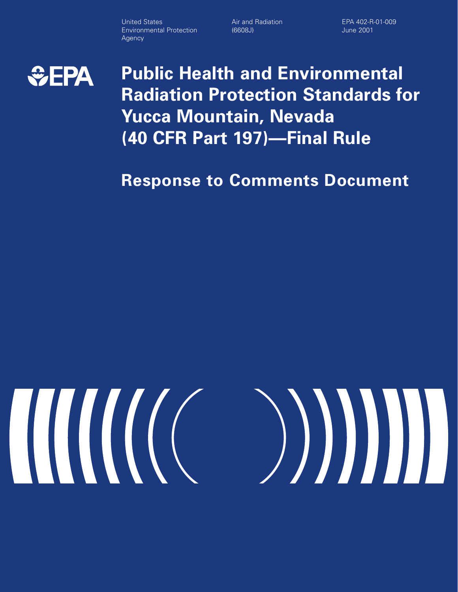United States Environmental Protection **Agency** 

Air and Radiation (6608J)

EPA 402-R-01-009 June 2001



# **Public Health and Environmental Radiation Protection Standards for Yucca Mountain, Nevada (40 CFR Part 197)—Final Rule**

**Response to Comments Document** 



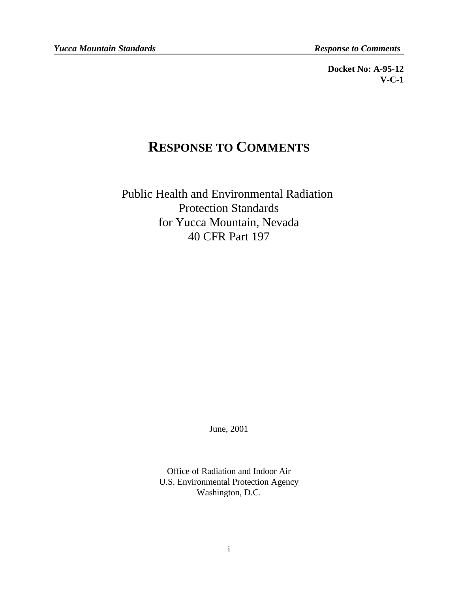**Docket No: A-95-12 V-C-1** 

# **RESPONSE TO COMMENTS**

Public Health and Environmental Radiation Protection Standards for Yucca Mountain, Nevada 40 CFR Part 197

June, 2001

Office of Radiation and Indoor Air U.S. Environmental Protection Agency Washington, D.C.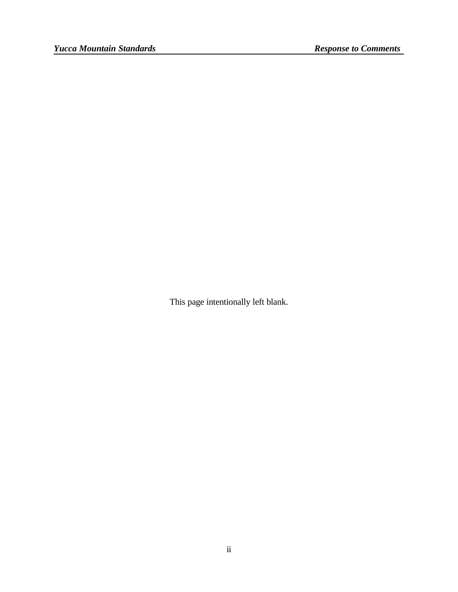This page intentionally left blank.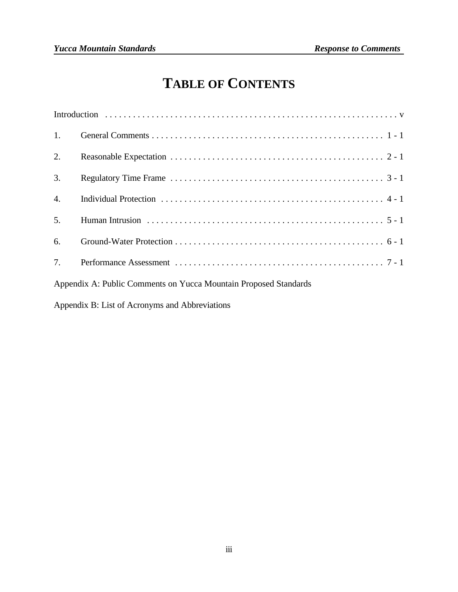# **TABLE OF CONTENTS**

| 1.                                                               |  |  |
|------------------------------------------------------------------|--|--|
| 2.                                                               |  |  |
| 3.                                                               |  |  |
| $\overline{4}$ .                                                 |  |  |
| 5.                                                               |  |  |
| 6.                                                               |  |  |
| 7.                                                               |  |  |
| Appendix A: Public Comments on Yucca Mountain Proposed Standards |  |  |

[Appendix B: List of Acronyms and Abbreviations](#page-215-0)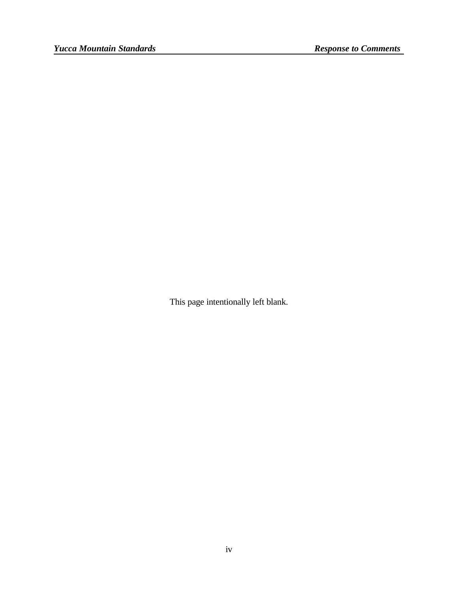This page intentionally left blank.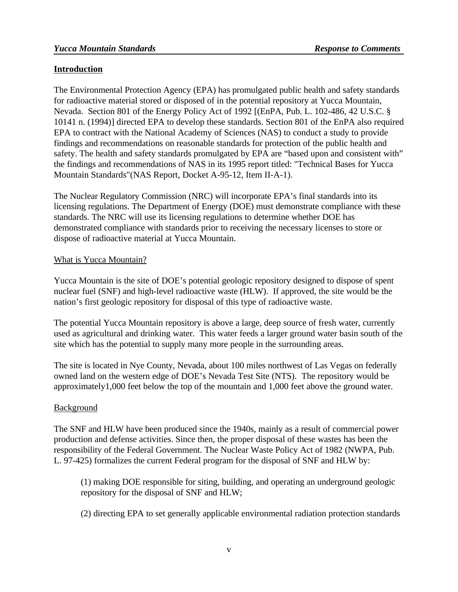#### <span id="page-5-0"></span>**Introduction**

The Environmental Protection Agency (EPA) has promulgated public health and safety standards for radioactive material stored or disposed of in the potential repository at Yucca Mountain, Nevada. Section 801 of the Energy Policy Act of 1992 [(EnPA, Pub. L. 102-486, 42 U.S.C. § 10141 n. (1994)] directed EPA to develop these standards. Section 801 of the EnPA also required EPA to contract with the National Academy of Sciences (NAS) to conduct a study to provide findings and recommendations on reasonable standards for protection of the public health and safety. The health and safety standards promulgated by EPA are "based upon and consistent with" the findings and recommendations of NAS in its 1995 report titled: "Technical Bases for Yucca Mountain Standards"(NAS Report, Docket A-95-12, Item II-A-1).

The Nuclear Regulatory Commission (NRC) will incorporate EPA's final standards into its licensing regulations. The Department of Energy (DOE) must demonstrate compliance with these standards. The NRC will use its licensing regulations to determine whether DOE has demonstrated compliance with standards prior to receiving the necessary licenses to store or dispose of radioactive material at Yucca Mountain.

#### What is Yucca Mountain?

Yucca Mountain is the site of DOE's potential geologic repository designed to dispose of spent nuclear fuel (SNF) and high-level radioactive waste (HLW). If approved, the site would be the nation's first geologic repository for disposal of this type of radioactive waste.

The potential Yucca Mountain repository is above a large, deep source of fresh water, currently used as agricultural and drinking water. This water feeds a larger ground water basin south of the site which has the potential to supply many more people in the surrounding areas.

The site is located in Nye County, Nevada, about 100 miles northwest of Las Vegas on federally owned land on the western edge of DOE's Nevada Test Site (NTS). The repository would be approximately1,000 feet below the top of the mountain and 1,000 feet above the ground water.

#### Background

The SNF and HLW have been produced since the 1940s, mainly as a result of commercial power production and defense activities. Since then, the proper disposal of these wastes has been the responsibility of the Federal Government. The Nuclear Waste Policy Act of 1982 (NWPA, Pub. L. 97-425) formalizes the current Federal program for the disposal of SNF and HLW by:

(1) making DOE responsible for siting, building, and operating an underground geologic repository for the disposal of SNF and HLW;

(2) directing EPA to set generally applicable environmental radiation protection standards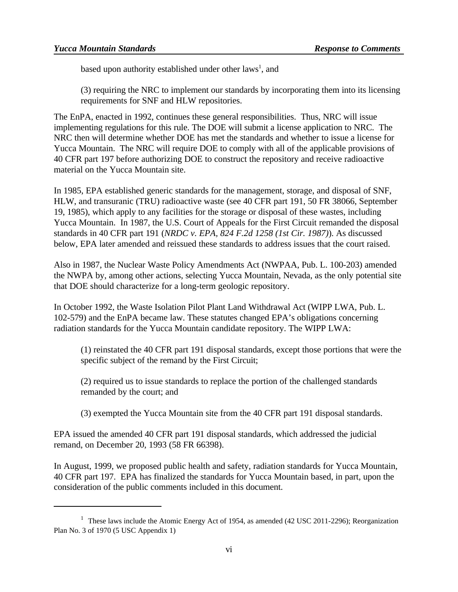based upon authority established under other laws<sup>1</sup>, and

(3) requiring the NRC to implement our standards by incorporating them into its licensing requirements for SNF and HLW repositories.

The EnPA, enacted in 1992, continues these general responsibilities. Thus, NRC will issue implementing regulations for this rule. The DOE will submit a license application to NRC. The NRC then will determine whether DOE has met the standards and whether to issue a license for Yucca Mountain. The NRC will require DOE to comply with all of the applicable provisions of 40 CFR part 197 before authorizing DOE to construct the repository and receive radioactive material on the Yucca Mountain site.

In 1985, EPA established generic standards for the management, storage, and disposal of SNF, HLW, and transuranic (TRU) radioactive waste (see 40 CFR part 191, 50 FR 38066, September 19, 1985), which apply to any facilities for the storage or disposal of these wastes, including Yucca Mountain. In 1987, the U.S. Court of Appeals for the First Circuit remanded the disposal standards in 40 CFR part 191 (*NRDC v. EPA, 824 F.2d 1258 (1st Cir. 1987)*). As discussed below, EPA later amended and reissued these standards to address issues that the court raised.

Also in 1987, the Nuclear Waste Policy Amendments Act (NWPAA, Pub. L. 100-203) amended the NWPA by, among other actions, selecting Yucca Mountain, Nevada, as the only potential site that DOE should characterize for a long-term geologic repository.

In October 1992, the Waste Isolation Pilot Plant Land Withdrawal Act (WIPP LWA, Pub. L. 102-579) and the EnPA became law. These statutes changed EPA's obligations concerning radiation standards for the Yucca Mountain candidate repository. The WIPP LWA:

(1) reinstated the 40 CFR part 191 disposal standards, except those portions that were the specific subject of the remand by the First Circuit;

(2) required us to issue standards to replace the portion of the challenged standards remanded by the court; and

(3) exempted the Yucca Mountain site from the 40 CFR part 191 disposal standards.

EPA issued the amended 40 CFR part 191 disposal standards, which addressed the judicial remand, on December 20, 1993 (58 FR 66398).

In August, 1999, we proposed public health and safety, radiation standards for Yucca Mountain, 40 CFR part 197. EPA has finalized the standards for Yucca Mountain based, in part, upon the consideration of the public comments included in this document.

<sup>&</sup>lt;sup>1</sup> These laws include the Atomic Energy Act of 1954, as amended (42 USC 2011-2296); Reorganization Plan No. 3 of 1970 (5 USC Appendix 1)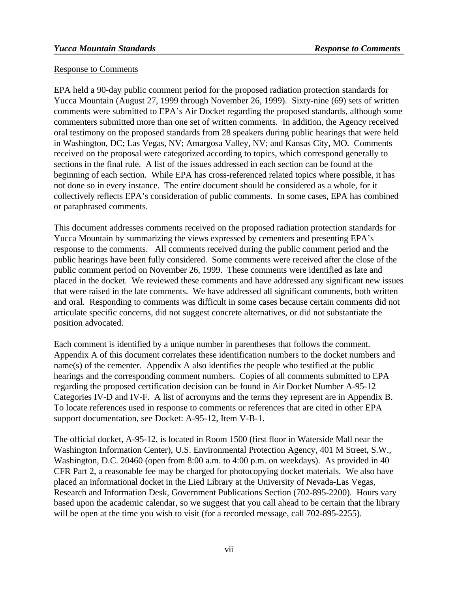#### Response to Comments

EPA held a 90-day public comment period for the proposed radiation protection standards for Yucca Mountain (August 27, 1999 through November 26, 1999). Sixty-nine (69) sets of written comments were submitted to EPA's Air Docket regarding the proposed standards, although some commenters submitted more than one set of written comments. In addition, the Agency received oral testimony on the proposed standards from 28 speakers during public hearings that were held in Washington, DC; Las Vegas, NV; Amargosa Valley, NV; and Kansas City, MO. Comments received on the proposal were categorized according to topics, which correspond generally to sections in the final rule. A list of the issues addressed in each section can be found at the beginning of each section. While EPA has cross-referenced related topics where possible, it has not done so in every instance. The entire document should be considered as a whole, for it collectively reflects EPA's consideration of public comments. In some cases, EPA has combined or paraphrased comments.

This document addresses comments received on the proposed radiation protection standards for Yucca Mountain by summarizing the views expressed by cementers and presenting EPA's response to the comments. All comments received during the public comment period and the public hearings have been fully considered. Some comments were received after the close of the public comment period on November 26, 1999. These comments were identified as late and placed in the docket. We reviewed these comments and have addressed any significant new issues that were raised in the late comments. We have addressed all significant comments, both written and oral. Responding to comments was difficult in some cases because certain comments did not articulate specific concerns, did not suggest concrete alternatives, or did not substantiate the position advocated.

Each comment is identified by a unique number in parentheses that follows the comment. Appendix A of this document correlates these identification numbers to the docket numbers and name(s) of the cementer. Appendix A also identifies the people who testified at the public hearings and the corresponding comment numbers. Copies of all comments submitted to EPA regarding the proposed certification decision can be found in Air Docket Number A-95-12 Categories IV-D and IV-F. A list of acronyms and the terms they represent are in Appendix B. To locate references used in response to comments or references that are cited in other EPA support documentation, see Docket: A-95-12, Item V-B-1.

The official docket, A-95-12, is located in Room 1500 (first floor in Waterside Mall near the Washington Information Center), U.S. Environmental Protection Agency, 401 M Street, S.W., Washington, D.C. 20460 (open from 8:00 a.m. to 4:00 p.m. on weekdays). As provided in 40 CFR Part 2, a reasonable fee may be charged for photocopying docket materials. We also have placed an informational docket in the Lied Library at the University of Nevada-Las Vegas, Research and Information Desk, Government Publications Section (702-895-2200). Hours vary based upon the academic calendar, so we suggest that you call ahead to be certain that the library will be open at the time you wish to visit (for a recorded message, call 702-895-2255).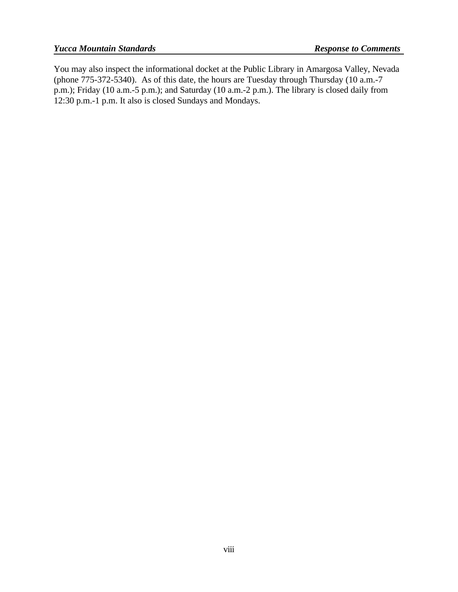You may also inspect the informational docket at the Public Library in Amargosa Valley, Nevada (phone 775-372-5340). As of this date, the hours are Tuesday through Thursday (10 a.m.-7 p.m.); Friday (10 a.m.-5 p.m.); and Saturday (10 a.m.-2 p.m.). The library is closed daily from 12:30 p.m.-1 p.m. It also is closed Sundays and Mondays.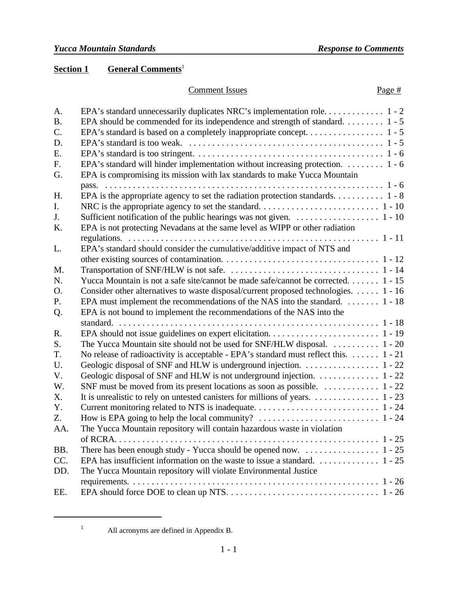# <span id="page-9-0"></span>**Section 1 General Comments**<sup>1</sup>

# Comment Issues Page #

| C.<br>D.<br>Ε.<br>EPA's standard will hinder implementation without increasing protection. $\dots \dots \dots 1 - 6$<br>F.<br>EPA is compromising its mission with lax standards to make Yucca Mountain<br>G.<br>EPA is the appropriate agency to set the radiation protection standards. 1 - 8<br>H.<br>$I_{\cdot}$<br>J.<br>EPA is not protecting Nevadans at the same level as WIPP or other radiation<br>K.<br>EPA's standard should consider the cumulative/additive impact of NTS and<br>L.<br>M.<br>Yucca Mountain is not a safe site/cannot be made safe/cannot be corrected. 1 - 15<br>N.<br>Consider other alternatives to waste disposal/current proposed technologies. 1 - 16<br>O.<br>EPA must implement the recommendations of the NAS into the standard.  1 - 18<br>P.<br>EPA is not bound to implement the recommendations of the NAS into the<br>Q.<br>R.<br>S.<br>The Yucca Mountain site should not be used for SNF/HLW disposal.  1 - 20<br>No release of radioactivity is acceptable - EPA's standard must reflect this. 1 - 21<br>T.<br>U.<br>Geologic disposal of SNF and HLW is underground injection. $\ldots \ldots \ldots \ldots \ldots 1$ - 22<br>V.<br>Geologic disposal of SNF and HLW is not underground injection. $\dots \dots \dots \dots \dots \dots$ 1 - 22<br>SNF must be moved from its present locations as soon as possible. 1 - 22<br>W.<br>X.<br>Y.<br>Z.<br>The Yucca Mountain repository will contain hazardous waste in violation<br>AA.<br>BB.<br>There has been enough study - Yucca should be opened now. $\dots \dots \dots \dots \dots \dots \dots \dots \dots \dots \dots$<br>CC.<br>EPA has insufficient information on the waste to issue a standard. 1 - 25<br>The Yucca Mountain repository will violate Environmental Justice<br>DD.<br>EE. | A.<br><b>B.</b> | EPA should be commended for its independence and strength of standard 1 - 5 |
|-----------------------------------------------------------------------------------------------------------------------------------------------------------------------------------------------------------------------------------------------------------------------------------------------------------------------------------------------------------------------------------------------------------------------------------------------------------------------------------------------------------------------------------------------------------------------------------------------------------------------------------------------------------------------------------------------------------------------------------------------------------------------------------------------------------------------------------------------------------------------------------------------------------------------------------------------------------------------------------------------------------------------------------------------------------------------------------------------------------------------------------------------------------------------------------------------------------------------------------------------------------------------------------------------------------------------------------------------------------------------------------------------------------------------------------------------------------------------------------------------------------------------------------------------------------------------------------------------------------------------------------------------------------------------------------------------------------------------------------------------------------------------------------------------------|-----------------|-----------------------------------------------------------------------------|
|                                                                                                                                                                                                                                                                                                                                                                                                                                                                                                                                                                                                                                                                                                                                                                                                                                                                                                                                                                                                                                                                                                                                                                                                                                                                                                                                                                                                                                                                                                                                                                                                                                                                                                                                                                                                     |                 |                                                                             |
|                                                                                                                                                                                                                                                                                                                                                                                                                                                                                                                                                                                                                                                                                                                                                                                                                                                                                                                                                                                                                                                                                                                                                                                                                                                                                                                                                                                                                                                                                                                                                                                                                                                                                                                                                                                                     |                 |                                                                             |
|                                                                                                                                                                                                                                                                                                                                                                                                                                                                                                                                                                                                                                                                                                                                                                                                                                                                                                                                                                                                                                                                                                                                                                                                                                                                                                                                                                                                                                                                                                                                                                                                                                                                                                                                                                                                     |                 |                                                                             |
|                                                                                                                                                                                                                                                                                                                                                                                                                                                                                                                                                                                                                                                                                                                                                                                                                                                                                                                                                                                                                                                                                                                                                                                                                                                                                                                                                                                                                                                                                                                                                                                                                                                                                                                                                                                                     |                 |                                                                             |
|                                                                                                                                                                                                                                                                                                                                                                                                                                                                                                                                                                                                                                                                                                                                                                                                                                                                                                                                                                                                                                                                                                                                                                                                                                                                                                                                                                                                                                                                                                                                                                                                                                                                                                                                                                                                     |                 |                                                                             |
|                                                                                                                                                                                                                                                                                                                                                                                                                                                                                                                                                                                                                                                                                                                                                                                                                                                                                                                                                                                                                                                                                                                                                                                                                                                                                                                                                                                                                                                                                                                                                                                                                                                                                                                                                                                                     |                 |                                                                             |
|                                                                                                                                                                                                                                                                                                                                                                                                                                                                                                                                                                                                                                                                                                                                                                                                                                                                                                                                                                                                                                                                                                                                                                                                                                                                                                                                                                                                                                                                                                                                                                                                                                                                                                                                                                                                     |                 |                                                                             |
|                                                                                                                                                                                                                                                                                                                                                                                                                                                                                                                                                                                                                                                                                                                                                                                                                                                                                                                                                                                                                                                                                                                                                                                                                                                                                                                                                                                                                                                                                                                                                                                                                                                                                                                                                                                                     |                 |                                                                             |
|                                                                                                                                                                                                                                                                                                                                                                                                                                                                                                                                                                                                                                                                                                                                                                                                                                                                                                                                                                                                                                                                                                                                                                                                                                                                                                                                                                                                                                                                                                                                                                                                                                                                                                                                                                                                     |                 |                                                                             |
|                                                                                                                                                                                                                                                                                                                                                                                                                                                                                                                                                                                                                                                                                                                                                                                                                                                                                                                                                                                                                                                                                                                                                                                                                                                                                                                                                                                                                                                                                                                                                                                                                                                                                                                                                                                                     |                 |                                                                             |
|                                                                                                                                                                                                                                                                                                                                                                                                                                                                                                                                                                                                                                                                                                                                                                                                                                                                                                                                                                                                                                                                                                                                                                                                                                                                                                                                                                                                                                                                                                                                                                                                                                                                                                                                                                                                     |                 |                                                                             |
|                                                                                                                                                                                                                                                                                                                                                                                                                                                                                                                                                                                                                                                                                                                                                                                                                                                                                                                                                                                                                                                                                                                                                                                                                                                                                                                                                                                                                                                                                                                                                                                                                                                                                                                                                                                                     |                 |                                                                             |
|                                                                                                                                                                                                                                                                                                                                                                                                                                                                                                                                                                                                                                                                                                                                                                                                                                                                                                                                                                                                                                                                                                                                                                                                                                                                                                                                                                                                                                                                                                                                                                                                                                                                                                                                                                                                     |                 |                                                                             |
|                                                                                                                                                                                                                                                                                                                                                                                                                                                                                                                                                                                                                                                                                                                                                                                                                                                                                                                                                                                                                                                                                                                                                                                                                                                                                                                                                                                                                                                                                                                                                                                                                                                                                                                                                                                                     |                 |                                                                             |
|                                                                                                                                                                                                                                                                                                                                                                                                                                                                                                                                                                                                                                                                                                                                                                                                                                                                                                                                                                                                                                                                                                                                                                                                                                                                                                                                                                                                                                                                                                                                                                                                                                                                                                                                                                                                     |                 |                                                                             |
|                                                                                                                                                                                                                                                                                                                                                                                                                                                                                                                                                                                                                                                                                                                                                                                                                                                                                                                                                                                                                                                                                                                                                                                                                                                                                                                                                                                                                                                                                                                                                                                                                                                                                                                                                                                                     |                 |                                                                             |
|                                                                                                                                                                                                                                                                                                                                                                                                                                                                                                                                                                                                                                                                                                                                                                                                                                                                                                                                                                                                                                                                                                                                                                                                                                                                                                                                                                                                                                                                                                                                                                                                                                                                                                                                                                                                     |                 |                                                                             |
|                                                                                                                                                                                                                                                                                                                                                                                                                                                                                                                                                                                                                                                                                                                                                                                                                                                                                                                                                                                                                                                                                                                                                                                                                                                                                                                                                                                                                                                                                                                                                                                                                                                                                                                                                                                                     |                 |                                                                             |
|                                                                                                                                                                                                                                                                                                                                                                                                                                                                                                                                                                                                                                                                                                                                                                                                                                                                                                                                                                                                                                                                                                                                                                                                                                                                                                                                                                                                                                                                                                                                                                                                                                                                                                                                                                                                     |                 |                                                                             |
|                                                                                                                                                                                                                                                                                                                                                                                                                                                                                                                                                                                                                                                                                                                                                                                                                                                                                                                                                                                                                                                                                                                                                                                                                                                                                                                                                                                                                                                                                                                                                                                                                                                                                                                                                                                                     |                 |                                                                             |
|                                                                                                                                                                                                                                                                                                                                                                                                                                                                                                                                                                                                                                                                                                                                                                                                                                                                                                                                                                                                                                                                                                                                                                                                                                                                                                                                                                                                                                                                                                                                                                                                                                                                                                                                                                                                     |                 |                                                                             |
|                                                                                                                                                                                                                                                                                                                                                                                                                                                                                                                                                                                                                                                                                                                                                                                                                                                                                                                                                                                                                                                                                                                                                                                                                                                                                                                                                                                                                                                                                                                                                                                                                                                                                                                                                                                                     |                 |                                                                             |
|                                                                                                                                                                                                                                                                                                                                                                                                                                                                                                                                                                                                                                                                                                                                                                                                                                                                                                                                                                                                                                                                                                                                                                                                                                                                                                                                                                                                                                                                                                                                                                                                                                                                                                                                                                                                     |                 |                                                                             |
|                                                                                                                                                                                                                                                                                                                                                                                                                                                                                                                                                                                                                                                                                                                                                                                                                                                                                                                                                                                                                                                                                                                                                                                                                                                                                                                                                                                                                                                                                                                                                                                                                                                                                                                                                                                                     |                 |                                                                             |
|                                                                                                                                                                                                                                                                                                                                                                                                                                                                                                                                                                                                                                                                                                                                                                                                                                                                                                                                                                                                                                                                                                                                                                                                                                                                                                                                                                                                                                                                                                                                                                                                                                                                                                                                                                                                     |                 |                                                                             |
|                                                                                                                                                                                                                                                                                                                                                                                                                                                                                                                                                                                                                                                                                                                                                                                                                                                                                                                                                                                                                                                                                                                                                                                                                                                                                                                                                                                                                                                                                                                                                                                                                                                                                                                                                                                                     |                 |                                                                             |
|                                                                                                                                                                                                                                                                                                                                                                                                                                                                                                                                                                                                                                                                                                                                                                                                                                                                                                                                                                                                                                                                                                                                                                                                                                                                                                                                                                                                                                                                                                                                                                                                                                                                                                                                                                                                     |                 |                                                                             |
|                                                                                                                                                                                                                                                                                                                                                                                                                                                                                                                                                                                                                                                                                                                                                                                                                                                                                                                                                                                                                                                                                                                                                                                                                                                                                                                                                                                                                                                                                                                                                                                                                                                                                                                                                                                                     |                 |                                                                             |
|                                                                                                                                                                                                                                                                                                                                                                                                                                                                                                                                                                                                                                                                                                                                                                                                                                                                                                                                                                                                                                                                                                                                                                                                                                                                                                                                                                                                                                                                                                                                                                                                                                                                                                                                                                                                     |                 |                                                                             |
|                                                                                                                                                                                                                                                                                                                                                                                                                                                                                                                                                                                                                                                                                                                                                                                                                                                                                                                                                                                                                                                                                                                                                                                                                                                                                                                                                                                                                                                                                                                                                                                                                                                                                                                                                                                                     |                 |                                                                             |
|                                                                                                                                                                                                                                                                                                                                                                                                                                                                                                                                                                                                                                                                                                                                                                                                                                                                                                                                                                                                                                                                                                                                                                                                                                                                                                                                                                                                                                                                                                                                                                                                                                                                                                                                                                                                     |                 |                                                                             |
|                                                                                                                                                                                                                                                                                                                                                                                                                                                                                                                                                                                                                                                                                                                                                                                                                                                                                                                                                                                                                                                                                                                                                                                                                                                                                                                                                                                                                                                                                                                                                                                                                                                                                                                                                                                                     |                 |                                                                             |
|                                                                                                                                                                                                                                                                                                                                                                                                                                                                                                                                                                                                                                                                                                                                                                                                                                                                                                                                                                                                                                                                                                                                                                                                                                                                                                                                                                                                                                                                                                                                                                                                                                                                                                                                                                                                     |                 |                                                                             |
|                                                                                                                                                                                                                                                                                                                                                                                                                                                                                                                                                                                                                                                                                                                                                                                                                                                                                                                                                                                                                                                                                                                                                                                                                                                                                                                                                                                                                                                                                                                                                                                                                                                                                                                                                                                                     |                 |                                                                             |

<sup>1</sup> All acronyms are defined in Appendix B.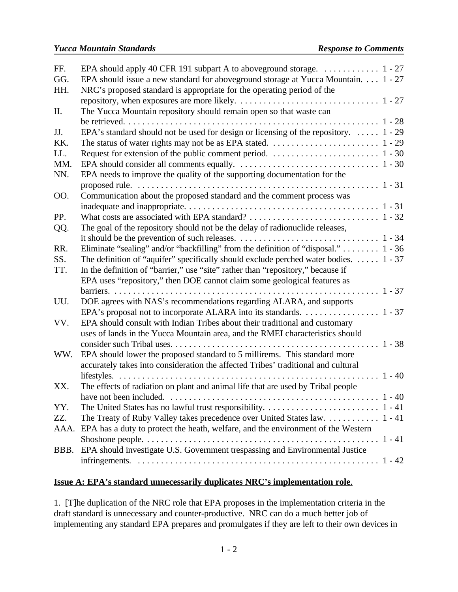<span id="page-10-0"></span>

| FF.        | EPA should apply 40 CFR 191 subpart A to above ground storage. $\dots \dots \dots \dots 1 - 27$ |
|------------|-------------------------------------------------------------------------------------------------|
| GG.        | EPA should issue a new standard for above ground storage at Yucca Mountain. 1 - 27              |
| HH.        | NRC's proposed standard is appropriate for the operating period of the                          |
|            |                                                                                                 |
| Π.         | The Yucca Mountain repository should remain open so that waste can                              |
|            |                                                                                                 |
| JJ.        | EPA's standard should not be used for design or licensing of the repository. $1 - 29$           |
| KK.        |                                                                                                 |
| LL.<br>MM. |                                                                                                 |
|            |                                                                                                 |
| NN.        | EPA needs to improve the quality of the supporting documentation for the                        |
|            | Communication about the proposed standard and the comment process was                           |
| OO.        |                                                                                                 |
| PP.        |                                                                                                 |
|            | The goal of the repository should not be the delay of radionuclide releases,                    |
| QQ.        |                                                                                                 |
| RR.        | Eliminate "sealing" and/or "backfilling" from the definition of "disposal." 1 - 36              |
| SS.        | The definition of "aquifer" specifically should exclude perched water bodies. $\dots$ 1 - 37    |
| TT.        | In the definition of "barrier," use "site" rather than "repository," because if                 |
|            | EPA uses "repository," then DOE cannot claim some geological features as                        |
|            |                                                                                                 |
| UU.        | DOE agrees with NAS's recommendations regarding ALARA, and supports                             |
|            | EPA's proposal not to incorporate ALARA into its standards. 1 - 37                              |
| VV.        | EPA should consult with Indian Tribes about their traditional and customary                     |
|            | uses of lands in the Yucca Mountain area, and the RMEI characteristics should                   |
|            |                                                                                                 |
| WW.        | EPA should lower the proposed standard to 5 millirems. This standard more                       |
|            | accurately takes into consideration the affected Tribes' traditional and cultural               |
|            |                                                                                                 |
| XX.        | The effects of radiation on plant and animal life that are used by Tribal people                |
|            |                                                                                                 |
| YY.        |                                                                                                 |
| ZZ.        | The Treaty of Ruby Valley takes precedence over United States law. 1 - 41                       |
| AAA.       | EPA has a duty to protect the heath, welfare, and the environment of the Western                |
|            | $1 - 41$                                                                                        |
| BBB.       | EPA should investigate U.S. Government trespassing and Environmental Justice                    |
|            |                                                                                                 |
|            |                                                                                                 |

# **Issue A: EPA's standard unnecessarily duplicates NRC's implementation role**.

1. [T]he duplication of the NRC role that EPA proposes in the implementation criteria in the draft standard is unnecessary and counter-productive. NRC can do a much better job of implementing any standard EPA prepares and promulgates if they are left to their own devices in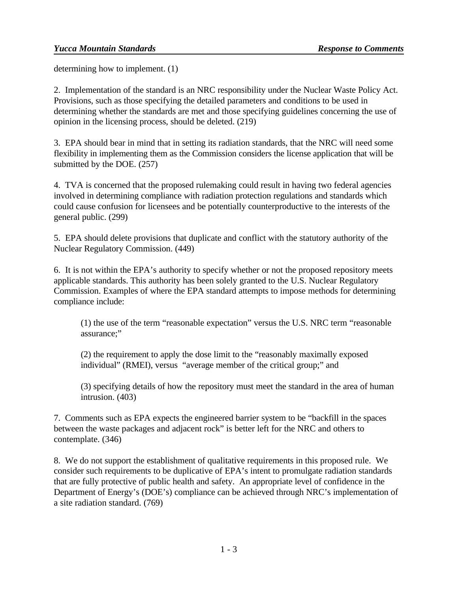determining how to implement. (1)

2. Implementation of the standard is an NRC responsibility under the Nuclear Waste Policy Act. Provisions, such as those specifying the detailed parameters and conditions to be used in determining whether the standards are met and those specifying guidelines concerning the use of opinion in the licensing process, should be deleted. (219)

3. EPA should bear in mind that in setting its radiation standards, that the NRC will need some flexibility in implementing them as the Commission considers the license application that will be submitted by the DOE. (257)

4. TVA is concerned that the proposed rulemaking could result in having two federal agencies involved in determining compliance with radiation protection regulations and standards which could cause confusion for licensees and be potentially counterproductive to the interests of the general public. (299)

5. EPA should delete provisions that duplicate and conflict with the statutory authority of the Nuclear Regulatory Commission. (449)

6. It is not within the EPA's authority to specify whether or not the proposed repository meets applicable standards. This authority has been solely granted to the U.S. Nuclear Regulatory Commission. Examples of where the EPA standard attempts to impose methods for determining compliance include:

(1) the use of the term "reasonable expectation" versus the U.S. NRC term "reasonable assurance;"

(2) the requirement to apply the dose limit to the "reasonably maximally exposed individual" (RMEI), versus "average member of the critical group;" and

(3) specifying details of how the repository must meet the standard in the area of human intrusion. (403)

7. Comments such as EPA expects the engineered barrier system to be "backfill in the spaces between the waste packages and adjacent rock" is better left for the NRC and others to contemplate. (346)

8. We do not support the establishment of qualitative requirements in this proposed rule. We consider such requirements to be duplicative of EPA's intent to promulgate radiation standards that are fully protective of public health and safety. An appropriate level of confidence in the Department of Energy's (DOE's) compliance can be achieved through NRC's implementation of a site radiation standard. (769)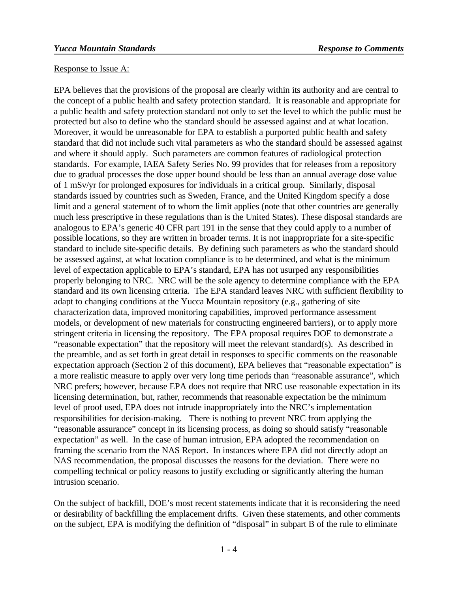#### Response to Issue A:

EPA believes that the provisions of the proposal are clearly within its authority and are central to the concept of a public health and safety protection standard. It is reasonable and appropriate for a public health and safety protection standard not only to set the level to which the public must be protected but also to define who the standard should be assessed against and at what location. Moreover, it would be unreasonable for EPA to establish a purported public health and safety standard that did not include such vital parameters as who the standard should be assessed against and where it should apply. Such parameters are common features of radiological protection standards. For example, IAEA Safety Series No. 99 provides that for releases from a repository due to gradual processes the dose upper bound should be less than an annual average dose value of 1 mSv/yr for prolonged exposures for individuals in a critical group. Similarly, disposal standards issued by countries such as Sweden, France, and the United Kingdom specify a dose limit and a general statement of to whom the limit applies (note that other countries are generally much less prescriptive in these regulations than is the United States). These disposal standards are analogous to EPA's generic 40 CFR part 191 in the sense that they could apply to a number of possible locations, so they are written in broader terms. It is not inappropriate for a site-specific standard to include site-specific details. By defining such parameters as who the standard should be assessed against, at what location compliance is to be determined, and what is the minimum level of expectation applicable to EPA's standard, EPA has not usurped any responsibilities properly belonging to NRC. NRC will be the sole agency to determine compliance with the EPA standard and its own licensing criteria. The EPA standard leaves NRC with sufficient flexibility to adapt to changing conditions at the Yucca Mountain repository (e.g., gathering of site characterization data, improved monitoring capabilities, improved performance assessment models, or development of new materials for constructing engineered barriers), or to apply more stringent criteria in licensing the repository. The EPA proposal requires DOE to demonstrate a "reasonable expectation" that the repository will meet the relevant standard(s). As described in the preamble, and as set forth in great detail in responses to specific comments on the reasonable expectation approach (Section 2 of this document), EPA believes that "reasonable expectation" is a more realistic measure to apply over very long time periods than "reasonable assurance", which NRC prefers; however, because EPA does not require that NRC use reasonable expectation in its licensing determination, but, rather, recommends that reasonable expectation be the minimum level of proof used, EPA does not intrude inappropriately into the NRC's implementation responsibilities for decision-making. There is nothing to prevent NRC from applying the "reasonable assurance" concept in its licensing process, as doing so should satisfy "reasonable expectation" as well. In the case of human intrusion, EPA adopted the recommendation on framing the scenario from the NAS Report. In instances where EPA did not directly adopt an NAS recommendation, the proposal discusses the reasons for the deviation. There were no compelling technical or policy reasons to justify excluding or significantly altering the human intrusion scenario.

On the subject of backfill, DOE's most recent statements indicate that it is reconsidering the need or desirability of backfilling the emplacement drifts. Given these statements, and other comments on the subject, EPA is modifying the definition of "disposal" in subpart B of the rule to eliminate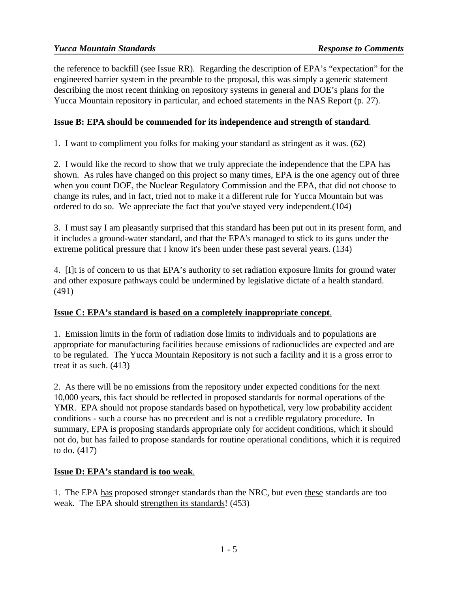<span id="page-13-0"></span>the reference to backfill (see Issue RR). Regarding the description of EPA's "expectation" for the engineered barrier system in the preamble to the proposal, this was simply a generic statement describing the most recent thinking on repository systems in general and DOE's plans for the Yucca Mountain repository in particular, and echoed statements in the NAS Report (p. 27).

#### **Issue B: EPA should be commended for its independence and strength of standard**.

1. I want to compliment you folks for making your standard as stringent as it was. (62)

2. I would like the record to show that we truly appreciate the independence that the EPA has shown. As rules have changed on this project so many times, EPA is the one agency out of three when you count DOE, the Nuclear Regulatory Commission and the EPA, that did not choose to change its rules, and in fact, tried not to make it a different rule for Yucca Mountain but was ordered to do so. We appreciate the fact that you've stayed very independent.(104)

3. I must say I am pleasantly surprised that this standard has been put out in its present form, and it includes a ground-water standard, and that the EPA's managed to stick to its guns under the extreme political pressure that I know it's been under these past several years. (134)

4. [I]t is of concern to us that EPA's authority to set radiation exposure limits for ground water and other exposure pathways could be undermined by legislative dictate of a health standard. (491)

#### **Issue C: EPA's standard is based on a completely inappropriate concept**.

1. Emission limits in the form of radiation dose limits to individuals and to populations are appropriate for manufacturing facilities because emissions of radionuclides are expected and are to be regulated. The Yucca Mountain Repository is not such a facility and it is a gross error to treat it as such. (413)

2. As there will be no emissions from the repository under expected conditions for the next 10,000 years, this fact should be reflected in proposed standards for normal operations of the YMR. EPA should not propose standards based on hypothetical, very low probability accident conditions - such a course has no precedent and is not a credible regulatory procedure. In summary, EPA is proposing standards appropriate only for accident conditions, which it should not do, but has failed to propose standards for routine operational conditions, which it is required to do. (417)

#### **Issue D: EPA's standard is too weak**.

1. The EPA has proposed stronger standards than the NRC, but even these standards are too weak. The EPA should strengthen its standards! (453)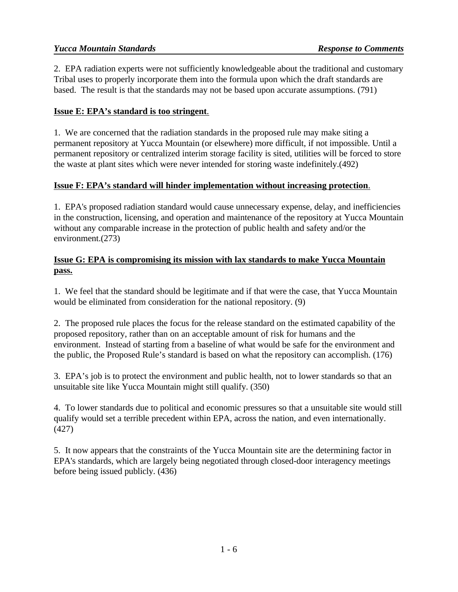<span id="page-14-0"></span>2. EPA radiation experts were not sufficiently knowledgeable about the traditional and customary Tribal uses to properly incorporate them into the formula upon which the draft standards are based. The result is that the standards may not be based upon accurate assumptions. (791)

# **Issue E: EPA's standard is too stringent**.

1. We are concerned that the radiation standards in the proposed rule may make siting a permanent repository at Yucca Mountain (or elsewhere) more difficult, if not impossible. Until a permanent repository or centralized interim storage facility is sited, utilities will be forced to store the waste at plant sites which were never intended for storing waste indefinitely.(492)

# **Issue F: EPA's standard will hinder implementation without increasing protection**.

1. EPA's proposed radiation standard would cause unnecessary expense, delay, and inefficiencies in the construction, licensing, and operation and maintenance of the repository at Yucca Mountain without any comparable increase in the protection of public health and safety and/or the environment.(273)

# **Issue G: EPA is compromising its mission with lax standards to make Yucca Mountain pass.**

1. We feel that the standard should be legitimate and if that were the case, that Yucca Mountain would be eliminated from consideration for the national repository. (9)

2. The proposed rule places the focus for the release standard on the estimated capability of the proposed repository, rather than on an acceptable amount of risk for humans and the environment. Instead of starting from a baseline of what would be safe for the environment and the public, the Proposed Rule's standard is based on what the repository can accomplish. (176)

3. EPA's job is to protect the environment and public health, not to lower standards so that an unsuitable site like Yucca Mountain might still qualify. (350)

4. To lower standards due to political and economic pressures so that a unsuitable site would still qualify would set a terrible precedent within EPA, across the nation, and even internationally. (427)

5. It now appears that the constraints of the Yucca Mountain site are the determining factor in EPA's standards, which are largely being negotiated through closed-door interagency meetings before being issued publicly. (436)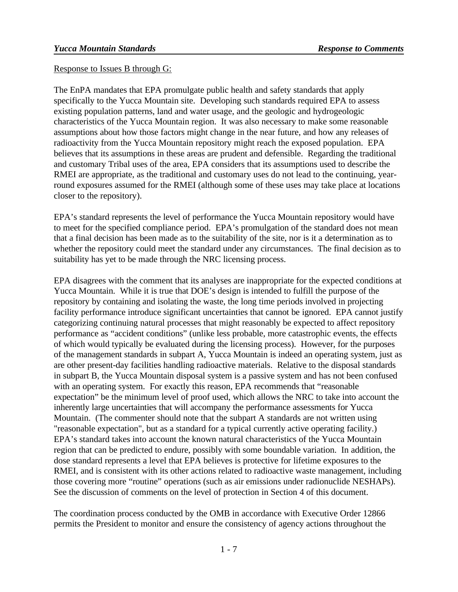#### Response to Issues B through G:

The EnPA mandates that EPA promulgate public health and safety standards that apply specifically to the Yucca Mountain site. Developing such standards required EPA to assess existing population patterns, land and water usage, and the geologic and hydrogeologic characteristics of the Yucca Mountain region. It was also necessary to make some reasonable assumptions about how those factors might change in the near future, and how any releases of radioactivity from the Yucca Mountain repository might reach the exposed population. EPA believes that its assumptions in these areas are prudent and defensible. Regarding the traditional and customary Tribal uses of the area, EPA considers that its assumptions used to describe the RMEI are appropriate, as the traditional and customary uses do not lead to the continuing, yearround exposures assumed for the RMEI (although some of these uses may take place at locations closer to the repository).

EPA's standard represents the level of performance the Yucca Mountain repository would have to meet for the specified compliance period. EPA's promulgation of the standard does not mean that a final decision has been made as to the suitability of the site, nor is it a determination as to whether the repository could meet the standard under any circumstances. The final decision as to suitability has yet to be made through the NRC licensing process.

EPA disagrees with the comment that its analyses are inappropriate for the expected conditions at Yucca Mountain. While it is true that DOE's design is intended to fulfill the purpose of the repository by containing and isolating the waste, the long time periods involved in projecting facility performance introduce significant uncertainties that cannot be ignored. EPA cannot justify categorizing continuing natural processes that might reasonably be expected to affect repository performance as "accident conditions" (unlike less probable, more catastrophic events, the effects of which would typically be evaluated during the licensing process). However, for the purposes of the management standards in subpart A, Yucca Mountain is indeed an operating system, just as are other present-day facilities handling radioactive materials. Relative to the disposal standards in subpart B, the Yucca Mountain disposal system is a passive system and has not been confused with an operating system. For exactly this reason, EPA recommends that "reasonable" expectation" be the minimum level of proof used, which allows the NRC to take into account the inherently large uncertainties that will accompany the performance assessments for Yucca Mountain. (The commenter should note that the subpart A standards are not written using "reasonable expectation", but as a standard for a typical currently active operating facility.) EPA's standard takes into account the known natural characteristics of the Yucca Mountain region that can be predicted to endure, possibly with some boundable variation. In addition, the dose standard represents a level that EPA believes is protective for lifetime exposures to the RMEI, and is consistent with its other actions related to radioactive waste management, including those covering more "routine" operations (such as air emissions under radionuclide NESHAPs). See the discussion of comments on the level of protection in Section 4 of this document.

The coordination process conducted by the OMB in accordance with Executive Order 12866 permits the President to monitor and ensure the consistency of agency actions throughout the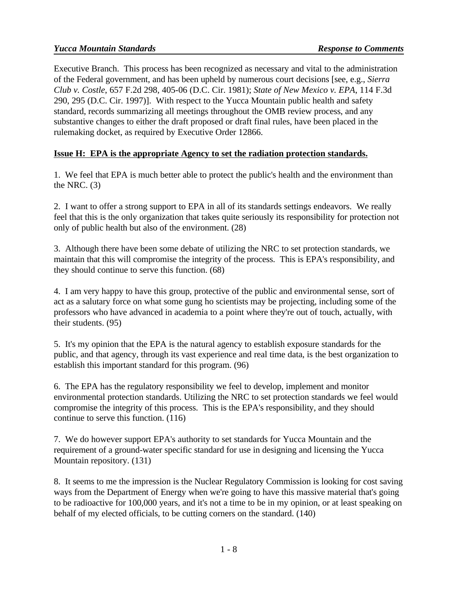<span id="page-16-0"></span>Executive Branch. This process has been recognized as necessary and vital to the administration of the Federal government, and has been upheld by numerous court decisions [see, e.g., *Sierra Club v. Costle*, 657 F.2d 298, 405-06 (D.C. Cir. 1981); *State of New Mexico v. EPA*, 114 F.3d 290, 295 (D.C. Cir. 1997)]. With respect to the Yucca Mountain public health and safety standard, records summarizing all meetings throughout the OMB review process, and any substantive changes to either the draft proposed or draft final rules, have been placed in the rulemaking docket, as required by Executive Order 12866.

# **Issue H: EPA is the appropriate Agency to set the radiation protection standards.**

1. We feel that EPA is much better able to protect the public's health and the environment than the NRC.  $(3)$ 

2. I want to offer a strong support to EPA in all of its standards settings endeavors. We really feel that this is the only organization that takes quite seriously its responsibility for protection not only of public health but also of the environment. (28)

3. Although there have been some debate of utilizing the NRC to set protection standards, we maintain that this will compromise the integrity of the process. This is EPA's responsibility, and they should continue to serve this function. (68)

4. I am very happy to have this group, protective of the public and environmental sense, sort of act as a salutary force on what some gung ho scientists may be projecting, including some of the professors who have advanced in academia to a point where they're out of touch, actually, with their students. (95)

5. It's my opinion that the EPA is the natural agency to establish exposure standards for the public, and that agency, through its vast experience and real time data, is the best organization to establish this important standard for this program. (96)

6. The EPA has the regulatory responsibility we feel to develop, implement and monitor environmental protection standards. Utilizing the NRC to set protection standards we feel would compromise the integrity of this process. This is the EPA's responsibility, and they should continue to serve this function. (116)

7. We do however support EPA's authority to set standards for Yucca Mountain and the requirement of a ground-water specific standard for use in designing and licensing the Yucca Mountain repository. (131)

8. It seems to me the impression is the Nuclear Regulatory Commission is looking for cost saving ways from the Department of Energy when we're going to have this massive material that's going to be radioactive for 100,000 years, and it's not a time to be in my opinion, or at least speaking on behalf of my elected officials, to be cutting corners on the standard. (140)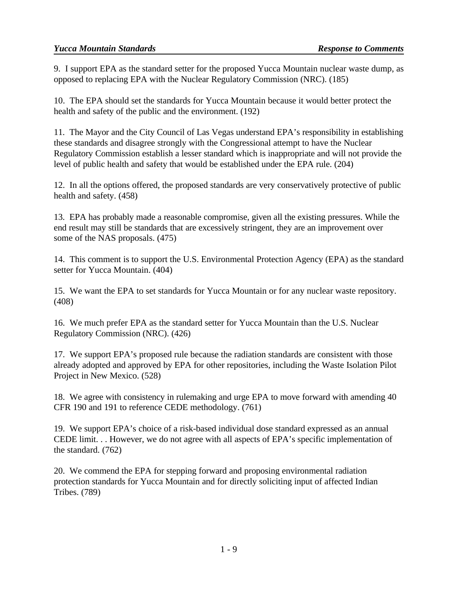9. I support EPA as the standard setter for the proposed Yucca Mountain nuclear waste dump, as opposed to replacing EPA with the Nuclear Regulatory Commission (NRC). (185)

10. The EPA should set the standards for Yucca Mountain because it would better protect the health and safety of the public and the environment. (192)

11. The Mayor and the City Council of Las Vegas understand EPA's responsibility in establishing these standards and disagree strongly with the Congressional attempt to have the Nuclear Regulatory Commission establish a lesser standard which is inappropriate and will not provide the level of public health and safety that would be established under the EPA rule. (204)

12. In all the options offered, the proposed standards are very conservatively protective of public health and safety. (458)

13. EPA has probably made a reasonable compromise, given all the existing pressures. While the end result may still be standards that are excessively stringent, they are an improvement over some of the NAS proposals. (475)

14. This comment is to support the U.S. Environmental Protection Agency (EPA) as the standard setter for Yucca Mountain. (404)

15. We want the EPA to set standards for Yucca Mountain or for any nuclear waste repository. (408)

16. We much prefer EPA as the standard setter for Yucca Mountain than the U.S. Nuclear Regulatory Commission (NRC). (426)

17. We support EPA's proposed rule because the radiation standards are consistent with those already adopted and approved by EPA for other repositories, including the Waste Isolation Pilot Project in New Mexico. (528)

18. We agree with consistency in rulemaking and urge EPA to move forward with amending 40 CFR 190 and 191 to reference CEDE methodology. (761)

19. We support EPA's choice of a risk-based individual dose standard expressed as an annual CEDE limit. . . However, we do not agree with all aspects of EPA's specific implementation of the standard. (762)

20. We commend the EPA for stepping forward and proposing environmental radiation protection standards for Yucca Mountain and for directly soliciting input of affected Indian Tribes. (789)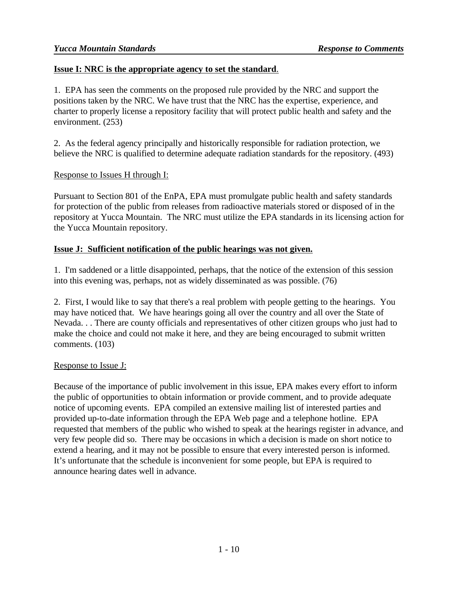#### <span id="page-18-0"></span>**Issue I: NRC is the appropriate agency to set the standard**.

1. EPA has seen the comments on the proposed rule provided by the NRC and support the positions taken by the NRC. We have trust that the NRC has the expertise, experience, and charter to properly license a repository facility that will protect public health and safety and the environment. (253)

2. As the federal agency principally and historically responsible for radiation protection, we believe the NRC is qualified to determine adequate radiation standards for the repository. (493)

#### Response to Issues H through I:

Pursuant to Section 801 of the EnPA, EPA must promulgate public health and safety standards for protection of the public from releases from radioactive materials stored or disposed of in the repository at Yucca Mountain. The NRC must utilize the EPA standards in its licensing action for the Yucca Mountain repository.

#### **Issue J: Sufficient notification of the public hearings was not given.**

1. I'm saddened or a little disappointed, perhaps, that the notice of the extension of this session into this evening was, perhaps, not as widely disseminated as was possible. (76)

2. First, I would like to say that there's a real problem with people getting to the hearings. You may have noticed that. We have hearings going all over the country and all over the State of Nevada. . . There are county officials and representatives of other citizen groups who just had to make the choice and could not make it here, and they are being encouraged to submit written comments. (103)

#### Response to Issue J:

Because of the importance of public involvement in this issue, EPA makes every effort to inform the public of opportunities to obtain information or provide comment, and to provide adequate notice of upcoming events. EPA compiled an extensive mailing list of interested parties and provided up-to-date information through the EPA Web page and a telephone hotline. EPA requested that members of the public who wished to speak at the hearings register in advance, and very few people did so. There may be occasions in which a decision is made on short notice to extend a hearing, and it may not be possible to ensure that every interested person is informed. It's unfortunate that the schedule is inconvenient for some people, but EPA is required to announce hearing dates well in advance.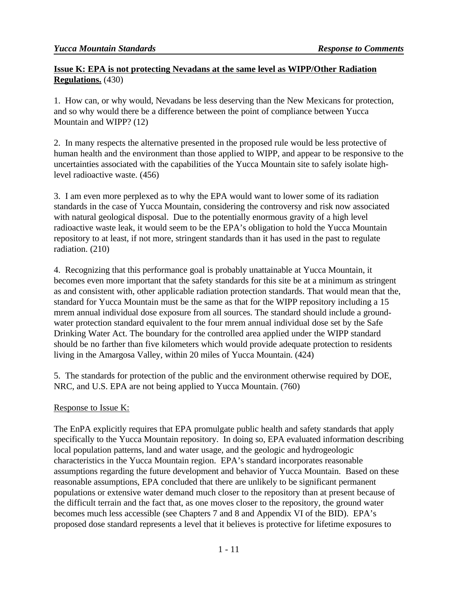# <span id="page-19-0"></span>**Issue K: EPA is not protecting Nevadans at the same level as WIPP/Other Radiation Regulations.** (430)

1. How can, or why would, Nevadans be less deserving than the New Mexicans for protection, and so why would there be a difference between the point of compliance between Yucca Mountain and WIPP? (12)

2. In many respects the alternative presented in the proposed rule would be less protective of human health and the environment than those applied to WIPP, and appear to be responsive to the uncertainties associated with the capabilities of the Yucca Mountain site to safely isolate highlevel radioactive waste. (456)

3. I am even more perplexed as to why the EPA would want to lower some of its radiation standards in the case of Yucca Mountain, considering the controversy and risk now associated with natural geological disposal. Due to the potentially enormous gravity of a high level radioactive waste leak, it would seem to be the EPA's obligation to hold the Yucca Mountain repository to at least, if not more, stringent standards than it has used in the past to regulate radiation. (210)

4. Recognizing that this performance goal is probably unattainable at Yucca Mountain, it becomes even more important that the safety standards for this site be at a minimum as stringent as and consistent with, other applicable radiation protection standards. That would mean that the, standard for Yucca Mountain must be the same as that for the WIPP repository including a 15 mrem annual individual dose exposure from all sources. The standard should include a groundwater protection standard equivalent to the four mrem annual individual dose set by the Safe Drinking Water Act. The boundary for the controlled area applied under the WIPP standard should be no farther than five kilometers which would provide adequate protection to residents living in the Amargosa Valley, within 20 miles of Yucca Mountain. (424)

5. The standards for protection of the public and the environment otherwise required by DOE, NRC, and U.S. EPA are not being applied to Yucca Mountain. (760)

# Response to Issue K:

The EnPA explicitly requires that EPA promulgate public health and safety standards that apply specifically to the Yucca Mountain repository. In doing so, EPA evaluated information describing local population patterns, land and water usage, and the geologic and hydrogeologic characteristics in the Yucca Mountain region. EPA's standard incorporates reasonable assumptions regarding the future development and behavior of Yucca Mountain. Based on these reasonable assumptions, EPA concluded that there are unlikely to be significant permanent populations or extensive water demand much closer to the repository than at present because of the difficult terrain and the fact that, as one moves closer to the repository, the ground water becomes much less accessible (see Chapters 7 and 8 and Appendix VI of the BID). EPA's proposed dose standard represents a level that it believes is protective for lifetime exposures to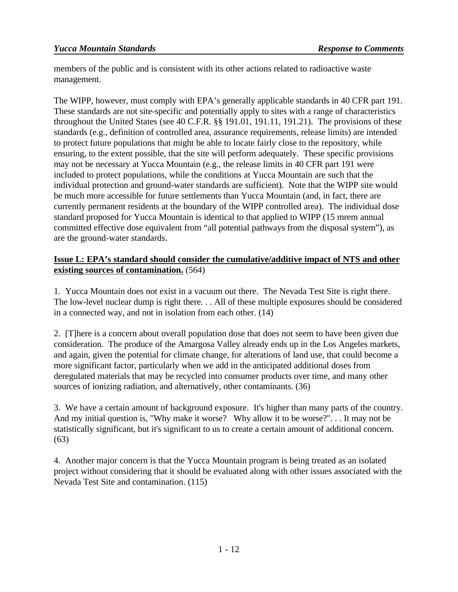<span id="page-20-0"></span>members of the public and is consistent with its other actions related to radioactive waste management.

The WIPP, however, must comply with EPA's generally applicable standards in 40 CFR part 191. These standards are not site-specific and potentially apply to sites with a range of characteristics throughout the United States (see 40 C.F.R. §§ 191.01, 191.11, 191.21). The provisions of these standards (e.g., definition of controlled area, assurance requirements, release limits) are intended to protect future populations that might be able to locate fairly close to the repository, while ensuring, to the extent possible, that the site will perform adequately. These specific provisions may not be necessary at Yucca Mountain (e.g., the release limits in 40 CFR part 191 were included to protect populations, while the conditions at Yucca Mountain are such that the individual protection and ground-water standards are sufficient). Note that the WIPP site would be much more accessible for future settlements than Yucca Mountain (and, in fact, there are currently permanent residents at the boundary of the WIPP controlled area). The individual dose standard proposed for Yucca Mountain is identical to that applied to WIPP (15 mrem annual committed effective dose equivalent from "all potential pathways from the disposal system"), as are the ground-water standards.

# **Issue L: EPA's standard should consider the cumulative/additive impact of NTS and other existing sources of contamination.** (564)

1. Yucca Mountain does not exist in a vacuum out there. The Nevada Test Site is right there. The low-level nuclear dump is right there. . . All of these multiple exposures should be considered in a connected way, and not in isolation from each other. (14)

2. [T]here is a concern about overall population dose that does not seem to have been given due consideration. The produce of the Amargosa Valley already ends up in the Los Angeles markets, and again, given the potential for climate change, for alterations of land use, that could become a more significant factor, particularly when we add in the anticipated additional doses from deregulated materials that may be recycled into consumer products over time, and many other sources of ionizing radiation, and alternatively, other contaminants. (36)

3. We have a certain amount of background exposure. It's higher than many parts of the country. And my initial question is, "Why make it worse? Why allow it to be worse?". . . It may not be statistically significant, but it's significant to us to create a certain amount of additional concern. (63)

4. Another major concern is that the Yucca Mountain program is being treated as an isolated project without considering that it should be evaluated along with other issues associated with the Nevada Test Site and contamination. (115)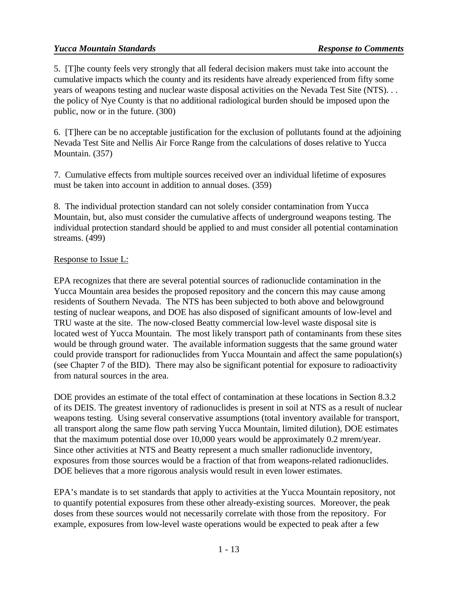5. [T]he county feels very strongly that all federal decision makers must take into account the cumulative impacts which the county and its residents have already experienced from fifty some years of weapons testing and nuclear waste disposal activities on the Nevada Test Site (NTS). . . the policy of Nye County is that no additional radiological burden should be imposed upon the public, now or in the future. (300)

6. [T]here can be no acceptable justification for the exclusion of pollutants found at the adjoining Nevada Test Site and Nellis Air Force Range from the calculations of doses relative to Yucca Mountain. (357)

7. Cumulative effects from multiple sources received over an individual lifetime of exposures must be taken into account in addition to annual doses. (359)

8. The individual protection standard can not solely consider contamination from Yucca Mountain, but, also must consider the cumulative affects of underground weapons testing. The individual protection standard should be applied to and must consider all potential contamination streams. (499)

# Response to Issue L:

EPA recognizes that there are several potential sources of radionuclide contamination in the Yucca Mountain area besides the proposed repository and the concern this may cause among residents of Southern Nevada. The NTS has been subjected to both above and belowground testing of nuclear weapons, and DOE has also disposed of significant amounts of low-level and TRU waste at the site. The now-closed Beatty commercial low-level waste disposal site is located west of Yucca Mountain. The most likely transport path of contaminants from these sites would be through ground water. The available information suggests that the same ground water could provide transport for radionuclides from Yucca Mountain and affect the same population(s) (see Chapter 7 of the BID). There may also be significant potential for exposure to radioactivity from natural sources in the area.

DOE provides an estimate of the total effect of contamination at these locations in Section 8.3.2 of its DEIS. The greatest inventory of radionuclides is present in soil at NTS as a result of nuclear weapons testing. Using several conservative assumptions (total inventory available for transport, all transport along the same flow path serving Yucca Mountain, limited dilution), DOE estimates that the maximum potential dose over 10,000 years would be approximately 0.2 mrem/year. Since other activities at NTS and Beatty represent a much smaller radionuclide inventory, exposures from those sources would be a fraction of that from weapons-related radionuclides. DOE believes that a more rigorous analysis would result in even lower estimates.

EPA's mandate is to set standards that apply to activities at the Yucca Mountain repository, not to quantify potential exposures from these other already-existing sources. Moreover, the peak doses from these sources would not necessarily correlate with those from the repository. For example, exposures from low-level waste operations would be expected to peak after a few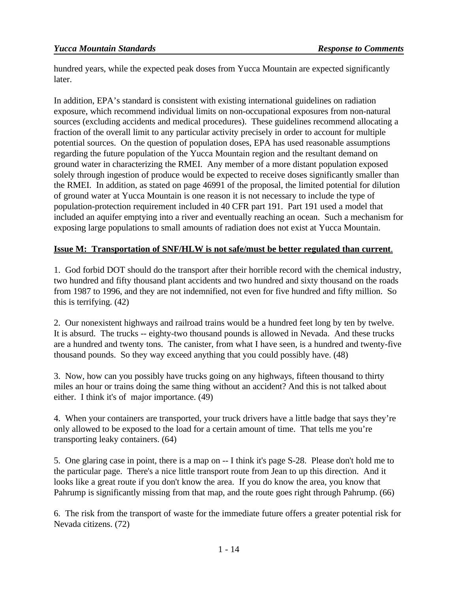<span id="page-22-0"></span>hundred years, while the expected peak doses from Yucca Mountain are expected significantly later.

In addition, EPA's standard is consistent with existing international guidelines on radiation exposure, which recommend individual limits on non-occupational exposures from non-natural sources (excluding accidents and medical procedures). These guidelines recommend allocating a fraction of the overall limit to any particular activity precisely in order to account for multiple potential sources. On the question of population doses, EPA has used reasonable assumptions regarding the future population of the Yucca Mountain region and the resultant demand on ground water in characterizing the RMEI. Any member of a more distant population exposed solely through ingestion of produce would be expected to receive doses significantly smaller than the RMEI. In addition, as stated on page 46991 of the proposal, the limited potential for dilution of ground water at Yucca Mountain is one reason it is not necessary to include the type of population-protection requirement included in 40 CFR part 191. Part 191 used a model that included an aquifer emptying into a river and eventually reaching an ocean. Such a mechanism for exposing large populations to small amounts of radiation does not exist at Yucca Mountain.

# **Issue M: Transportation of SNF/HLW is not safe/must be better regulated than current**.

1. God forbid DOT should do the transport after their horrible record with the chemical industry, two hundred and fifty thousand plant accidents and two hundred and sixty thousand on the roads from 1987 to 1996, and they are not indemnified, not even for five hundred and fifty million. So this is terrifying. (42)

2. Our nonexistent highways and railroad trains would be a hundred feet long by ten by twelve. It is absurd. The trucks -- eighty-two thousand pounds is allowed in Nevada. And these trucks are a hundred and twenty tons. The canister, from what I have seen, is a hundred and twenty-five thousand pounds. So they way exceed anything that you could possibly have. (48)

3. Now, how can you possibly have trucks going on any highways, fifteen thousand to thirty miles an hour or trains doing the same thing without an accident? And this is not talked about either. I think it's of major importance. (49)

4. When your containers are transported, your truck drivers have a little badge that says they're only allowed to be exposed to the load for a certain amount of time. That tells me you're transporting leaky containers. (64)

5. One glaring case in point, there is a map on -- I think it's page S-28. Please don't hold me to the particular page. There's a nice little transport route from Jean to up this direction. And it looks like a great route if you don't know the area. If you do know the area, you know that Pahrump is significantly missing from that map, and the route goes right through Pahrump. (66)

6. The risk from the transport of waste for the immediate future offers a greater potential risk for Nevada citizens. (72)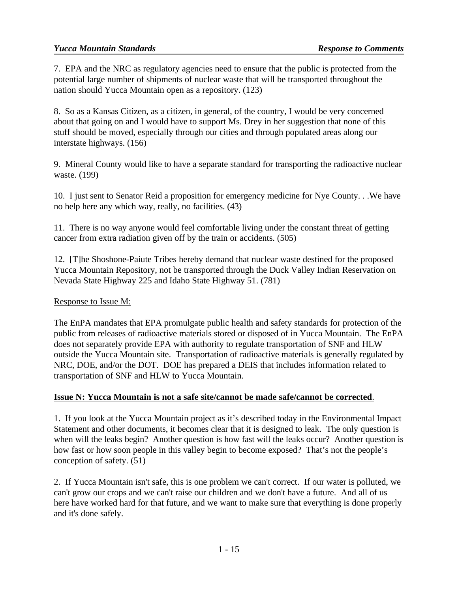<span id="page-23-0"></span>7. EPA and the NRC as regulatory agencies need to ensure that the public is protected from the potential large number of shipments of nuclear waste that will be transported throughout the nation should Yucca Mountain open as a repository. (123)

8. So as a Kansas Citizen, as a citizen, in general, of the country, I would be very concerned about that going on and I would have to support Ms. Drey in her suggestion that none of this stuff should be moved, especially through our cities and through populated areas along our interstate highways. (156)

9. Mineral County would like to have a separate standard for transporting the radioactive nuclear waste. (199)

10. I just sent to Senator Reid a proposition for emergency medicine for Nye County. . .We have no help here any which way, really, no facilities. (43)

11. There is no way anyone would feel comfortable living under the constant threat of getting cancer from extra radiation given off by the train or accidents. (505)

12. [T]he Shoshone-Paiute Tribes hereby demand that nuclear waste destined for the proposed Yucca Mountain Repository, not be transported through the Duck Valley Indian Reservation on Nevada State Highway 225 and Idaho State Highway 51. (781)

# Response to Issue M:

The EnPA mandates that EPA promulgate public health and safety standards for protection of the public from releases of radioactive materials stored or disposed of in Yucca Mountain. The EnPA does not separately provide EPA with authority to regulate transportation of SNF and HLW outside the Yucca Mountain site. Transportation of radioactive materials is generally regulated by NRC, DOE, and/or the DOT. DOE has prepared a DEIS that includes information related to transportation of SNF and HLW to Yucca Mountain.

# **Issue N: Yucca Mountain is not a safe site/cannot be made safe/cannot be corrected**.

1. If you look at the Yucca Mountain project as it's described today in the Environmental Impact Statement and other documents, it becomes clear that it is designed to leak. The only question is when will the leaks begin? Another question is how fast will the leaks occur? Another question is how fast or how soon people in this valley begin to become exposed? That's not the people's conception of safety. (51)

2. If Yucca Mountain isn't safe, this is one problem we can't correct. If our water is polluted, we can't grow our crops and we can't raise our children and we don't have a future. And all of us here have worked hard for that future, and we want to make sure that everything is done properly and it's done safely.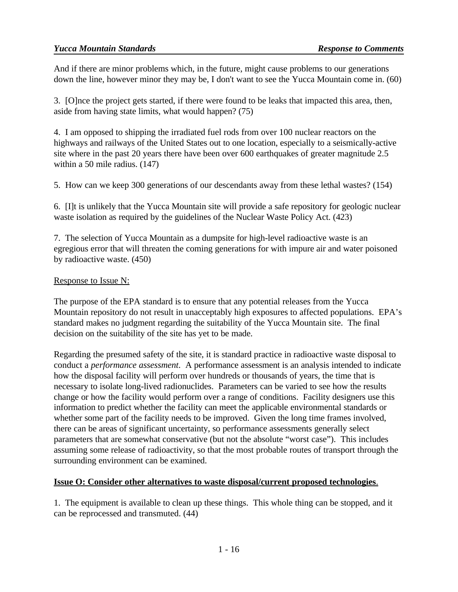<span id="page-24-0"></span>And if there are minor problems which, in the future, might cause problems to our generations down the line, however minor they may be, I don't want to see the Yucca Mountain come in. (60)

3. [O]nce the project gets started, if there were found to be leaks that impacted this area, then, aside from having state limits, what would happen? (75)

4. I am opposed to shipping the irradiated fuel rods from over 100 nuclear reactors on the highways and railways of the United States out to one location, especially to a seismically-active site where in the past 20 years there have been over 600 earthquakes of greater magnitude 2.5 within a 50 mile radius. (147)

5. How can we keep 300 generations of our descendants away from these lethal wastes? (154)

6. [I]t is unlikely that the Yucca Mountain site will provide a safe repository for geologic nuclear waste isolation as required by the guidelines of the Nuclear Waste Policy Act. (423)

7. The selection of Yucca Mountain as a dumpsite for high-level radioactive waste is an egregious error that will threaten the coming generations for with impure air and water poisoned by radioactive waste. (450)

#### Response to Issue N:

The purpose of the EPA standard is to ensure that any potential releases from the Yucca Mountain repository do not result in unacceptably high exposures to affected populations. EPA's standard makes no judgment regarding the suitability of the Yucca Mountain site. The final decision on the suitability of the site has yet to be made.

Regarding the presumed safety of the site, it is standard practice in radioactive waste disposal to conduct a *performance assessment*. A performance assessment is an analysis intended to indicate how the disposal facility will perform over hundreds or thousands of years, the time that is necessary to isolate long-lived radionuclides. Parameters can be varied to see how the results change or how the facility would perform over a range of conditions. Facility designers use this information to predict whether the facility can meet the applicable environmental standards or whether some part of the facility needs to be improved. Given the long time frames involved, there can be areas of significant uncertainty, so performance assessments generally select parameters that are somewhat conservative (but not the absolute "worst case"). This includes assuming some release of radioactivity, so that the most probable routes of transport through the surrounding environment can be examined.

#### **Issue O: Consider other alternatives to waste disposal/current proposed technologies**.

1. The equipment is available to clean up these things. This whole thing can be stopped, and it can be reprocessed and transmuted. (44)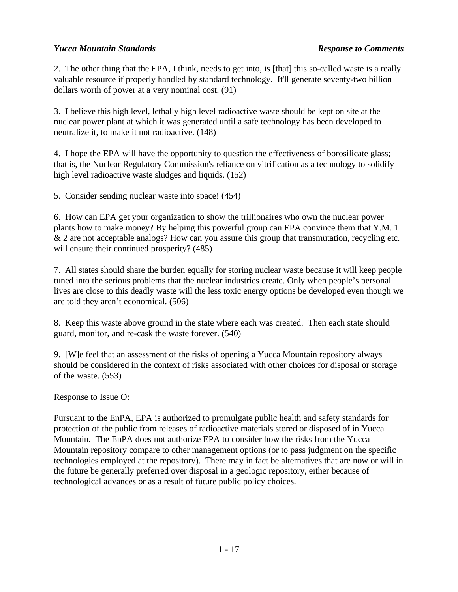2. The other thing that the EPA, I think, needs to get into, is [that] this so-called waste is a really valuable resource if properly handled by standard technology. It'll generate seventy-two billion dollars worth of power at a very nominal cost. (91)

3. I believe this high level, lethally high level radioactive waste should be kept on site at the nuclear power plant at which it was generated until a safe technology has been developed to neutralize it, to make it not radioactive. (148)

4. I hope the EPA will have the opportunity to question the effectiveness of borosilicate glass; that is, the Nuclear Regulatory Commission's reliance on vitrification as a technology to solidify high level radioactive waste sludges and liquids. (152)

5. Consider sending nuclear waste into space! (454)

6. How can EPA get your organization to show the trillionaires who own the nuclear power plants how to make money? By helping this powerful group can EPA convince them that Y.M. 1 & 2 are not acceptable analogs? How can you assure this group that transmutation, recycling etc. will ensure their continued prosperity?  $(485)$ 

7. All states should share the burden equally for storing nuclear waste because it will keep people tuned into the serious problems that the nuclear industries create. Only when people's personal lives are close to this deadly waste will the less toxic energy options be developed even though we are told they aren't economical. (506)

8. Keep this waste above ground in the state where each was created. Then each state should guard, monitor, and re-cask the waste forever. (540)

9. [W]e feel that an assessment of the risks of opening a Yucca Mountain repository always should be considered in the context of risks associated with other choices for disposal or storage of the waste. (553)

# Response to Issue O:

Pursuant to the EnPA, EPA is authorized to promulgate public health and safety standards for protection of the public from releases of radioactive materials stored or disposed of in Yucca Mountain. The EnPA does not authorize EPA to consider how the risks from the Yucca Mountain repository compare to other management options (or to pass judgment on the specific technologies employed at the repository). There may in fact be alternatives that are now or will in the future be generally preferred over disposal in a geologic repository, either because of technological advances or as a result of future public policy choices.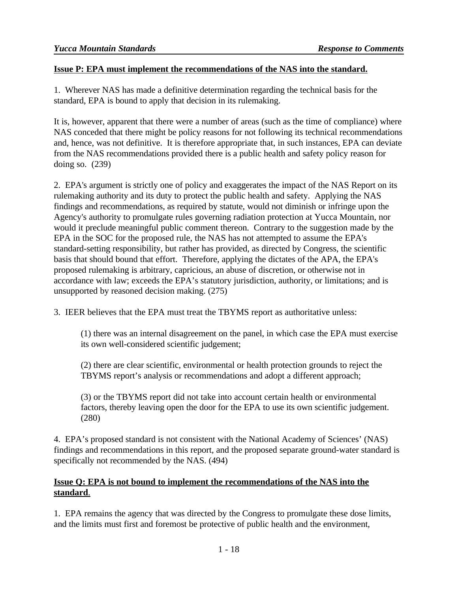#### <span id="page-26-0"></span>**Issue P: EPA must implement the recommendations of the NAS into the standard.**

1. Wherever NAS has made a definitive determination regarding the technical basis for the standard, EPA is bound to apply that decision in its rulemaking.

It is, however, apparent that there were a number of areas (such as the time of compliance) where NAS conceded that there might be policy reasons for not following its technical recommendations and, hence, was not definitive. It is therefore appropriate that, in such instances, EPA can deviate from the NAS recommendations provided there is a public health and safety policy reason for doing so. (239)

2. EPA's argument is strictly one of policy and exaggerates the impact of the NAS Report on its rulemaking authority and its duty to protect the public health and safety. Applying the NAS findings and recommendations, as required by statute, would not diminish or infringe upon the Agency's authority to promulgate rules governing radiation protection at Yucca Mountain, nor would it preclude meaningful public comment thereon. Contrary to the suggestion made by the EPA in the SOC for the proposed rule, the NAS has not attempted to assume the EPA's standard-setting responsibility, but rather has provided, as directed by Congress, the scientific basis that should bound that effort. Therefore, applying the dictates of the APA, the EPA's proposed rulemaking is arbitrary, capricious, an abuse of discretion, or otherwise not in accordance with law; exceeds the EPA's statutory jurisdiction, authority, or limitations; and is unsupported by reasoned decision making. (275)

3. IEER believes that the EPA must treat the TBYMS report as authoritative unless:

(1) there was an internal disagreement on the panel, in which case the EPA must exercise its own well-considered scientific judgement;

(2) there are clear scientific, environmental or health protection grounds to reject the TBYMS report's analysis or recommendations and adopt a different approach;

(3) or the TBYMS report did not take into account certain health or environmental factors, thereby leaving open the door for the EPA to use its own scientific judgement. (280)

4. EPA's proposed standard is not consistent with the National Academy of Sciences' (NAS) findings and recommendations in this report, and the proposed separate ground-water standard is specifically not recommended by the NAS. (494)

# **Issue Q: EPA is not bound to implement the recommendations of the NAS into the standard**.

1. EPA remains the agency that was directed by the Congress to promulgate these dose limits, and the limits must first and foremost be protective of public health and the environment,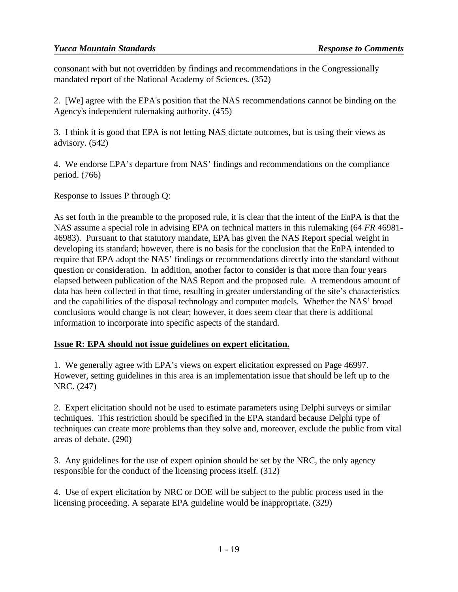<span id="page-27-0"></span>consonant with but not overridden by findings and recommendations in the Congressionally mandated report of the National Academy of Sciences. (352)

2. [We] agree with the EPA's position that the NAS recommendations cannot be binding on the Agency's independent rulemaking authority. (455)

3. I think it is good that EPA is not letting NAS dictate outcomes, but is using their views as advisory. (542)

4. We endorse EPA's departure from NAS' findings and recommendations on the compliance period. (766)

#### Response to Issues P through Q:

As set forth in the preamble to the proposed rule, it is clear that the intent of the EnPA is that the NAS assume a special role in advising EPA on technical matters in this rulemaking (64 *FR* 46981 46983). Pursuant to that statutory mandate, EPA has given the NAS Report special weight in developing its standard; however, there is no basis for the conclusion that the EnPA intended to require that EPA adopt the NAS' findings or recommendations directly into the standard without question or consideration. In addition, another factor to consider is that more than four years elapsed between publication of the NAS Report and the proposed rule. A tremendous amount of data has been collected in that time, resulting in greater understanding of the site's characteristics and the capabilities of the disposal technology and computer models. Whether the NAS' broad conclusions would change is not clear; however, it does seem clear that there is additional information to incorporate into specific aspects of the standard.

#### **Issue R: EPA should not issue guidelines on expert elicitation.**

1. We generally agree with EPA's views on expert elicitation expressed on Page 46997. However, setting guidelines in this area is an implementation issue that should be left up to the NRC. (247)

2. Expert elicitation should not be used to estimate parameters using Delphi surveys or similar techniques. This restriction should be specified in the EPA standard because Delphi type of techniques can create more problems than they solve and, moreover, exclude the public from vital areas of debate. (290)

3. Any guidelines for the use of expert opinion should be set by the NRC, the only agency responsible for the conduct of the licensing process itself. (312)

4. Use of expert elicitation by NRC or DOE will be subject to the public process used in the licensing proceeding. A separate EPA guideline would be inappropriate. (329)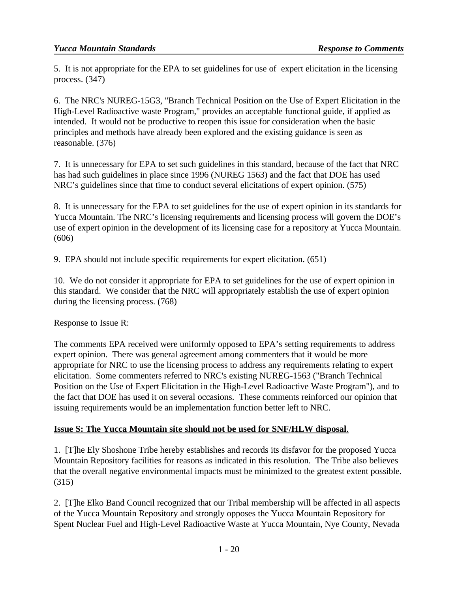<span id="page-28-0"></span>5. It is not appropriate for the EPA to set guidelines for use of expert elicitation in the licensing process. (347)

6. The NRC's NUREG-15G3, "Branch Technical Position on the Use of Expert Elicitation in the High-Level Radioactive waste Program," provides an acceptable functional guide, if applied as intended. It would not be productive to reopen this issue for consideration when the basic principles and methods have already been explored and the existing guidance is seen as reasonable. (376)

7. It is unnecessary for EPA to set such guidelines in this standard, because of the fact that NRC has had such guidelines in place since 1996 (NUREG 1563) and the fact that DOE has used NRC's guidelines since that time to conduct several elicitations of expert opinion. (575)

8. It is unnecessary for the EPA to set guidelines for the use of expert opinion in its standards for Yucca Mountain. The NRC's licensing requirements and licensing process will govern the DOE's use of expert opinion in the development of its licensing case for a repository at Yucca Mountain. (606)

9. EPA should not include specific requirements for expert elicitation. (651)

10. We do not consider it appropriate for EPA to set guidelines for the use of expert opinion in this standard. We consider that the NRC will appropriately establish the use of expert opinion during the licensing process. (768)

# Response to Issue R:

The comments EPA received were uniformly opposed to EPA's setting requirements to address expert opinion. There was general agreement among commenters that it would be more appropriate for NRC to use the licensing process to address any requirements relating to expert elicitation. Some commenters referred to NRC's existing NUREG-1563 ("Branch Technical Position on the Use of Expert Elicitation in the High-Level Radioactive Waste Program"), and to the fact that DOE has used it on several occasions. These comments reinforced our opinion that issuing requirements would be an implementation function better left to NRC.

# **Issue S: The Yucca Mountain site should not be used for SNF/HLW disposal**.

1. [T]he Ely Shoshone Tribe hereby establishes and records its disfavor for the proposed Yucca Mountain Repository facilities for reasons as indicated in this resolution. The Tribe also believes that the overall negative environmental impacts must be minimized to the greatest extent possible. (315)

2. [T]he Elko Band Council recognized that our Tribal membership will be affected in all aspects of the Yucca Mountain Repository and strongly opposes the Yucca Mountain Repository for Spent Nuclear Fuel and High-Level Radioactive Waste at Yucca Mountain, Nye County, Nevada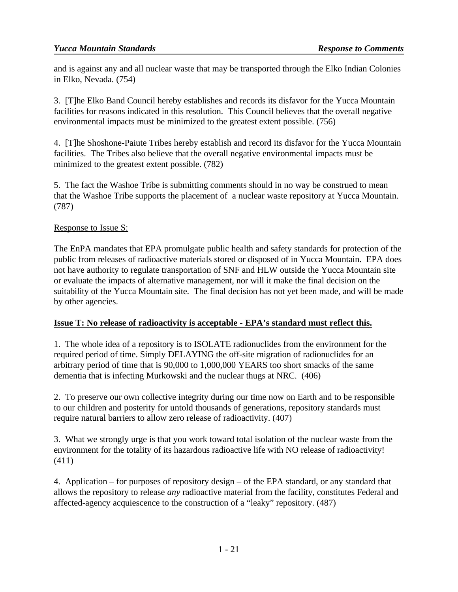<span id="page-29-0"></span>and is against any and all nuclear waste that may be transported through the Elko Indian Colonies in Elko, Nevada. (754)

3. [T]he Elko Band Council hereby establishes and records its disfavor for the Yucca Mountain facilities for reasons indicated in this resolution. This Council believes that the overall negative environmental impacts must be minimized to the greatest extent possible. (756)

4. [T]he Shoshone-Paiute Tribes hereby establish and record its disfavor for the Yucca Mountain facilities. The Tribes also believe that the overall negative environmental impacts must be minimized to the greatest extent possible. (782)

5. The fact the Washoe Tribe is submitting comments should in no way be construed to mean that the Washoe Tribe supports the placement of a nuclear waste repository at Yucca Mountain. (787)

# Response to Issue S:

The EnPA mandates that EPA promulgate public health and safety standards for protection of the public from releases of radioactive materials stored or disposed of in Yucca Mountain. EPA does not have authority to regulate transportation of SNF and HLW outside the Yucca Mountain site or evaluate the impacts of alternative management, nor will it make the final decision on the suitability of the Yucca Mountain site. The final decision has not yet been made, and will be made by other agencies.

# **Issue T: No release of radioactivity is acceptable - EPA's standard must reflect this.**

1. The whole idea of a repository is to ISOLATE radionuclides from the environment for the required period of time. Simply DELAYING the off-site migration of radionuclides for an arbitrary period of time that is 90,000 to 1,000,000 YEARS too short smacks of the same dementia that is infecting Murkowski and the nuclear thugs at NRC. (406)

2. To preserve our own collective integrity during our time now on Earth and to be responsible to our children and posterity for untold thousands of generations, repository standards must require natural barriers to allow zero release of radioactivity. (407)

3. What we strongly urge is that you work toward total isolation of the nuclear waste from the environment for the totality of its hazardous radioactive life with NO release of radioactivity! (411)

4. Application – for purposes of repository design – of the EPA standard, or any standard that allows the repository to release *any* radioactive material from the facility, constitutes Federal and affected-agency acquiescence to the construction of a "leaky" repository. (487)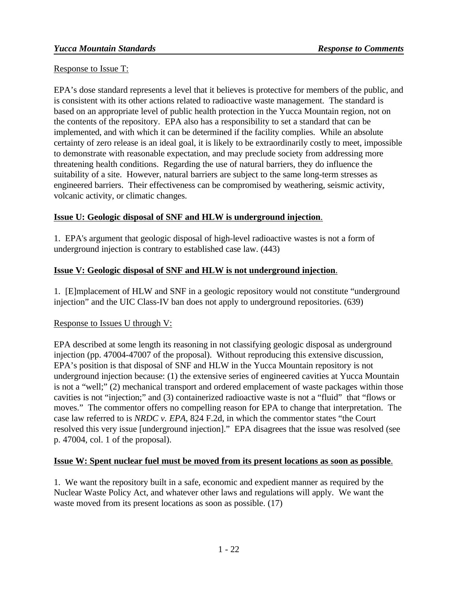#### <span id="page-30-0"></span>Response to Issue T:

EPA's dose standard represents a level that it believes is protective for members of the public, and is consistent with its other actions related to radioactive waste management. The standard is based on an appropriate level of public health protection in the Yucca Mountain region, not on the contents of the repository. EPA also has a responsibility to set a standard that can be implemented, and with which it can be determined if the facility complies. While an absolute certainty of zero release is an ideal goal, it is likely to be extraordinarily costly to meet, impossible to demonstrate with reasonable expectation, and may preclude society from addressing more threatening health conditions. Regarding the use of natural barriers, they do influence the suitability of a site. However, natural barriers are subject to the same long-term stresses as engineered barriers. Their effectiveness can be compromised by weathering, seismic activity, volcanic activity, or climatic changes.

# **Issue U: Geologic disposal of SNF and HLW is underground injection**.

1. EPA's argument that geologic disposal of high-level radioactive wastes is not a form of underground injection is contrary to established case law. (443)

#### **Issue V: Geologic disposal of SNF and HLW is not underground injection**.

1. [E]mplacement of HLW and SNF in a geologic repository would not constitute "underground injection" and the UIC Class-IV ban does not apply to underground repositories. (639)

#### Response to Issues U through V:

EPA described at some length its reasoning in not classifying geologic disposal as underground injection (pp. 47004-47007 of the proposal). Without reproducing this extensive discussion, EPA's position is that disposal of SNF and HLW in the Yucca Mountain repository is not underground injection because: (1) the extensive series of engineered cavities at Yucca Mountain is not a "well;" (2) mechanical transport and ordered emplacement of waste packages within those cavities is not "injection;" and (3) containerized radioactive waste is not a "fluid" that "flows or moves." The commentor offers no compelling reason for EPA to change that interpretation. The case law referred to is *NRDC v. EPA*, 824 F.2d, in which the commentor states "the Court resolved this very issue [underground injection]." EPA disagrees that the issue was resolved (see p. 47004, col. 1 of the proposal).

#### **Issue W: Spent nuclear fuel must be moved from its present locations as soon as possible**.

1. We want the repository built in a safe, economic and expedient manner as required by the Nuclear Waste Policy Act, and whatever other laws and regulations will apply. We want the waste moved from its present locations as soon as possible. (17)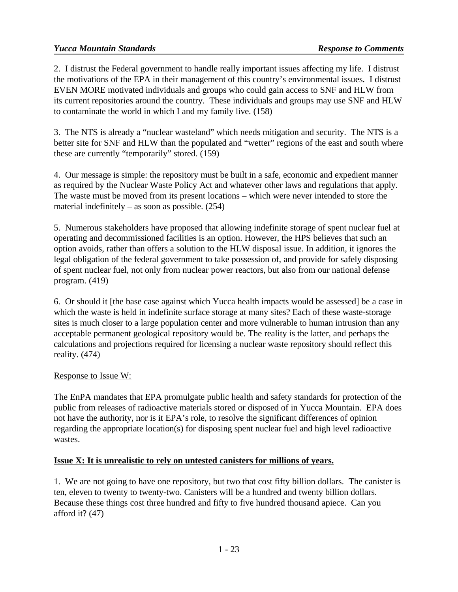<span id="page-31-0"></span>2. I distrust the Federal government to handle really important issues affecting my life. I distrust the motivations of the EPA in their management of this country's environmental issues. I distrust EVEN MORE motivated individuals and groups who could gain access to SNF and HLW from its current repositories around the country. These individuals and groups may use SNF and HLW to contaminate the world in which I and my family live. (158)

3. The NTS is already a "nuclear wasteland" which needs mitigation and security. The NTS is a better site for SNF and HLW than the populated and "wetter" regions of the east and south where these are currently "temporarily" stored. (159)

4. Our message is simple: the repository must be built in a safe, economic and expedient manner as required by the Nuclear Waste Policy Act and whatever other laws and regulations that apply. The waste must be moved from its present locations – which were never intended to store the material indefinitely – as soon as possible.  $(254)$ 

5. Numerous stakeholders have proposed that allowing indefinite storage of spent nuclear fuel at operating and decommissioned facilities is an option. However, the HPS believes that such an option avoids, rather than offers a solution to the HLW disposal issue. In addition, it ignores the legal obligation of the federal government to take possession of, and provide for safely disposing of spent nuclear fuel, not only from nuclear power reactors, but also from our national defense program. (419)

6. Or should it [the base case against which Yucca health impacts would be assessed] be a case in which the waste is held in indefinite surface storage at many sites? Each of these waste-storage sites is much closer to a large population center and more vulnerable to human intrusion than any acceptable permanent geological repository would be. The reality is the latter, and perhaps the calculations and projections required for licensing a nuclear waste repository should reflect this reality. (474)

# Response to Issue W:

The EnPA mandates that EPA promulgate public health and safety standards for protection of the public from releases of radioactive materials stored or disposed of in Yucca Mountain. EPA does not have the authority, nor is it EPA's role, to resolve the significant differences of opinion regarding the appropriate location(s) for disposing spent nuclear fuel and high level radioactive wastes.

# **Issue X: It is unrealistic to rely on untested canisters for millions of years.**

1. We are not going to have one repository, but two that cost fifty billion dollars. The canister is ten, eleven to twenty to twenty-two. Canisters will be a hundred and twenty billion dollars. Because these things cost three hundred and fifty to five hundred thousand apiece. Can you afford it? (47)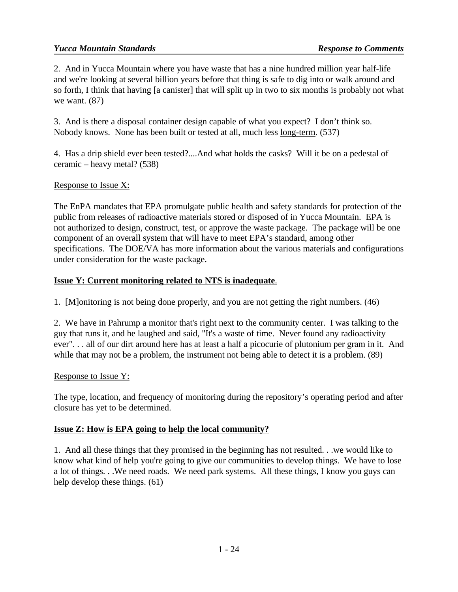<span id="page-32-0"></span>2. And in Yucca Mountain where you have waste that has a nine hundred million year half-life and we're looking at several billion years before that thing is safe to dig into or walk around and so forth, I think that having [a canister] that will split up in two to six months is probably not what we want. (87)

3. And is there a disposal container design capable of what you expect? I don't think so. Nobody knows. None has been built or tested at all, much less long-term. (537)

4. Has a drip shield ever been tested?....And what holds the casks? Will it be on a pedestal of ceramic – heavy metal? (538)

#### Response to Issue X:

The EnPA mandates that EPA promulgate public health and safety standards for protection of the public from releases of radioactive materials stored or disposed of in Yucca Mountain. EPA is not authorized to design, construct, test, or approve the waste package. The package will be one component of an overall system that will have to meet EPA's standard, among other specifications. The DOE/VA has more information about the various materials and configurations under consideration for the waste package.

#### **Issue Y: Current monitoring related to NTS is inadequate**.

1. [M]onitoring is not being done properly, and you are not getting the right numbers. (46)

2. We have in Pahrump a monitor that's right next to the community center. I was talking to the guy that runs it, and he laughed and said, "It's a waste of time. Never found any radioactivity ever". . . all of our dirt around here has at least a half a picocurie of plutonium per gram in it. And while that may not be a problem, the instrument not being able to detect it is a problem. (89)

#### Response to Issue Y:

The type, location, and frequency of monitoring during the repository's operating period and after closure has yet to be determined.

# **Issue Z: How is EPA going to help the local community?**

1. And all these things that they promised in the beginning has not resulted. . .we would like to know what kind of help you're going to give our communities to develop things. We have to lose a lot of things. . .We need roads. We need park systems. All these things, I know you guys can help develop these things. (61)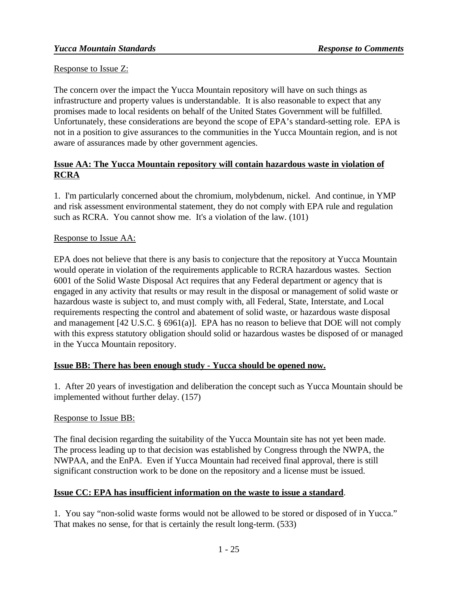#### <span id="page-33-0"></span>Response to Issue Z:

The concern over the impact the Yucca Mountain repository will have on such things as infrastructure and property values is understandable. It is also reasonable to expect that any promises made to local residents on behalf of the United States Government will be fulfilled. Unfortunately, these considerations are beyond the scope of EPA's standard-setting role. EPA is not in a position to give assurances to the communities in the Yucca Mountain region, and is not aware of assurances made by other government agencies.

# **Issue AA: The Yucca Mountain repository will contain hazardous waste in violation of RCRA**

1. I'm particularly concerned about the chromium, molybdenum, nickel. And continue, in YMP and risk assessment environmental statement, they do not comply with EPA rule and regulation such as RCRA. You cannot show me. It's a violation of the law. (101)

# Response to Issue AA:

EPA does not believe that there is any basis to conjecture that the repository at Yucca Mountain would operate in violation of the requirements applicable to RCRA hazardous wastes. Section 6001 of the Solid Waste Disposal Act requires that any Federal department or agency that is engaged in any activity that results or may result in the disposal or management of solid waste or hazardous waste is subject to, and must comply with, all Federal, State, Interstate, and Local requirements respecting the control and abatement of solid waste, or hazardous waste disposal and management [42 U.S.C. § 6961(a)]. EPA has no reason to believe that DOE will not comply with this express statutory obligation should solid or hazardous wastes be disposed of or managed in the Yucca Mountain repository.

# **Issue BB: There has been enough study - Yucca should be opened now.**

1. After 20 years of investigation and deliberation the concept such as Yucca Mountain should be implemented without further delay. (157)

# Response to Issue BB:

The final decision regarding the suitability of the Yucca Mountain site has not yet been made. The process leading up to that decision was established by Congress through the NWPA, the NWPAA, and the EnPA. Even if Yucca Mountain had received final approval, there is still significant construction work to be done on the repository and a license must be issued.

# **Issue CC: EPA has insufficient information on the waste to issue a standard**.

1. You say "non-solid waste forms would not be allowed to be stored or disposed of in Yucca." That makes no sense, for that is certainly the result long-term. (533)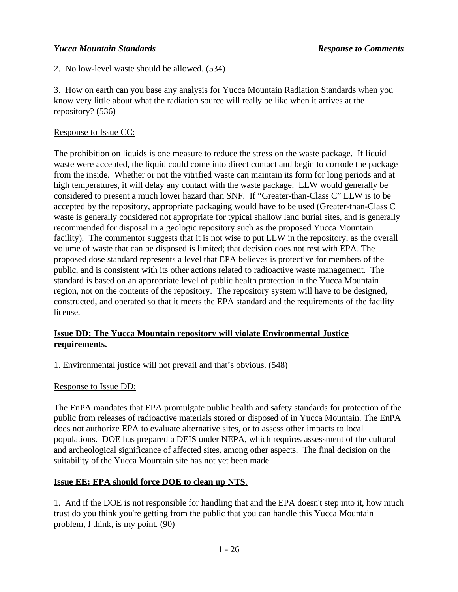<span id="page-34-0"></span>2. No low-level waste should be allowed. (534)

3. How on earth can you base any analysis for Yucca Mountain Radiation Standards when you know very little about what the radiation source will really be like when it arrives at the repository? (536)

#### Response to Issue CC:

The prohibition on liquids is one measure to reduce the stress on the waste package. If liquid waste were accepted, the liquid could come into direct contact and begin to corrode the package from the inside. Whether or not the vitrified waste can maintain its form for long periods and at high temperatures, it will delay any contact with the waste package. LLW would generally be considered to present a much lower hazard than SNF. If "Greater-than-Class C" LLW is to be accepted by the repository, appropriate packaging would have to be used (Greater-than-Class C waste is generally considered not appropriate for typical shallow land burial sites, and is generally recommended for disposal in a geologic repository such as the proposed Yucca Mountain facility). The commentor suggests that it is not wise to put LLW in the repository, as the overall volume of waste that can be disposed is limited; that decision does not rest with EPA. The proposed dose standard represents a level that EPA believes is protective for members of the public, and is consistent with its other actions related to radioactive waste management. The standard is based on an appropriate level of public health protection in the Yucca Mountain region, not on the contents of the repository. The repository system will have to be designed, constructed, and operated so that it meets the EPA standard and the requirements of the facility license.

# **Issue DD: The Yucca Mountain repository will violate Environmental Justice requirements.**

1. Environmental justice will not prevail and that's obvious. (548)

#### Response to Issue DD:

The EnPA mandates that EPA promulgate public health and safety standards for protection of the public from releases of radioactive materials stored or disposed of in Yucca Mountain. The EnPA does not authorize EPA to evaluate alternative sites, or to assess other impacts to local populations. DOE has prepared a DEIS under NEPA, which requires assessment of the cultural and archeological significance of affected sites, among other aspects. The final decision on the suitability of the Yucca Mountain site has not yet been made.

#### **Issue EE: EPA should force DOE to clean up NTS**.

1. And if the DOE is not responsible for handling that and the EPA doesn't step into it, how much trust do you think you're getting from the public that you can handle this Yucca Mountain problem, I think, is my point. (90)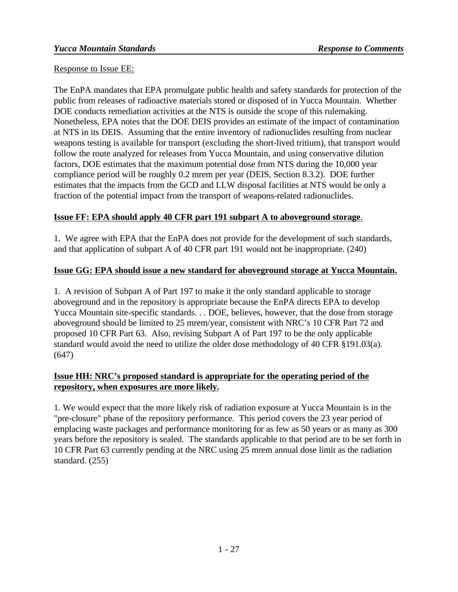#### <span id="page-35-0"></span>Response to Issue EE:

The EnPA mandates that EPA promulgate public health and safety standards for protection of the public from releases of radioactive materials stored or disposed of in Yucca Mountain. Whether DOE conducts remediation activities at the NTS is outside the scope of this rulemaking. Nonetheless, EPA notes that the DOE DEIS provides an estimate of the impact of contamination at NTS in its DEIS. Assuming that the entire inventory of radionuclides resulting from nuclear weapons testing is available for transport (excluding the short-lived tritium), that transport would follow the route analyzed for releases from Yucca Mountain, and using conservative dilution factors, DOE estimates that the maximum potential dose from NTS during the 10,000 year compliance period will be roughly 0.2 mrem per year (DEIS, Section 8.3.2). DOE further estimates that the impacts from the GCD and LLW disposal facilities at NTS would be only a fraction of the potential impact from the transport of weapons-related radionuclides.

# **Issue FF: EPA should apply 40 CFR part 191 subpart A to aboveground storage**.

1. We agree with EPA that the EnPA does not provide for the development of such standards, and that application of subpart A of 40 CFR part 191 would not be inappropriate. (240)

#### **Issue GG: EPA should issue a new standard for aboveground storage at Yucca Mountain.**

1. A revision of Subpart A of Part 197 to make it the only standard applicable to storage aboveground and in the repository is appropriate because the EnPA directs EPA to develop Yucca Mountain site-specific standards. . . DOE, believes, however, that the dose from storage aboveground should be limited to 25 mrem/year, consistent with NRC's 10 CFR Part 72 and proposed 10 CFR Part 63. Also, revising Subpart A of Part 197 to be the only applicable standard would avoid the need to utilize the older dose methodology of 40 CFR §191.03(a). (647)

# **Issue HH: NRC's proposed standard is appropriate for the operating period of the repository, when exposures are more likely.**

1. We would expect that the more likely risk of radiation exposure at Yucca Mountain is in the "pre-closure" phase of the repository performance. This period covers the 23 year period of emplacing waste packages and performance monitoring for as few as 50 years or as many as 300 years before the repository is sealed. The standards applicable to that period are to be set forth in 10 CFR Part 63 currently pending at the NRC using 25 mrem annual dose limit as the radiation standard. (255)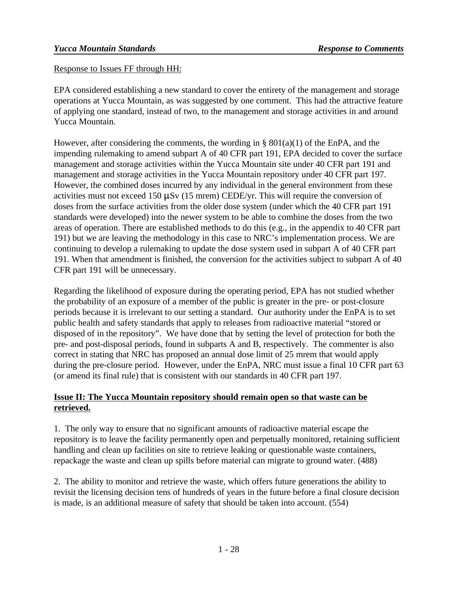Response to Issues FF through HH:

EPA considered establishing a new standard to cover the entirety of the management and storage operations at Yucca Mountain, as was suggested by one comment. This had the attractive feature of applying one standard, instead of two, to the management and storage activities in and around Yucca Mountain.

However, after considering the comments, the wording in  $\S 801(a)(1)$  of the EnPA, and the impending rulemaking to amend subpart A of 40 CFR part 191, EPA decided to cover the surface management and storage activities within the Yucca Mountain site under 40 CFR part 191 and management and storage activities in the Yucca Mountain repository under 40 CFR part 197. However, the combined doses incurred by any individual in the general environment from these activities must not exceed 150  $\mu$ Sv (15 mrem) CEDE/yr. This will require the conversion of doses from the surface activities from the older dose system (under which the 40 CFR part 191 standards were developed) into the newer system to be able to combine the doses from the two areas of operation. There are established methods to do this (e.g., in the appendix to 40 CFR part 191) but we are leaving the methodology in this case to NRC's implementation process. We are continuing to develop a rulemaking to update the dose system used in subpart A of 40 CFR part 191. When that amendment is finished, the conversion for the activities subject to subpart A of 40 CFR part 191 will be unnecessary.

Regarding the likelihood of exposure during the operating period, EPA has not studied whether the probability of an exposure of a member of the public is greater in the pre- or post-closure periods because it is irrelevant to our setting a standard. Our authority under the EnPA is to set public health and safety standards that apply to releases from radioactive material "stored or disposed of in the repository". We have done that by setting the level of protection for both the pre- and post-disposal periods, found in subparts A and B, respectively. The commenter is also correct in stating that NRC has proposed an annual dose limit of 25 mrem that would apply during the pre-closure period. However, under the EnPA, NRC must issue a final 10 CFR part 63 (or amend its final rule) that is consistent with our standards in 40 CFR part 197.

# **Issue II: The Yucca Mountain repository should remain open so that waste can be retrieved.**

1. The only way to ensure that no significant amounts of radioactive material escape the repository is to leave the facility permanently open and perpetually monitored, retaining sufficient handling and clean up facilities on site to retrieve leaking or questionable waste containers, repackage the waste and clean up spills before material can migrate to ground water. (488)

2. The ability to monitor and retrieve the waste, which offers future generations the ability to revisit the licensing decision tens of hundreds of years in the future before a final closure decision is made, is an additional measure of safety that should be taken into account. (554)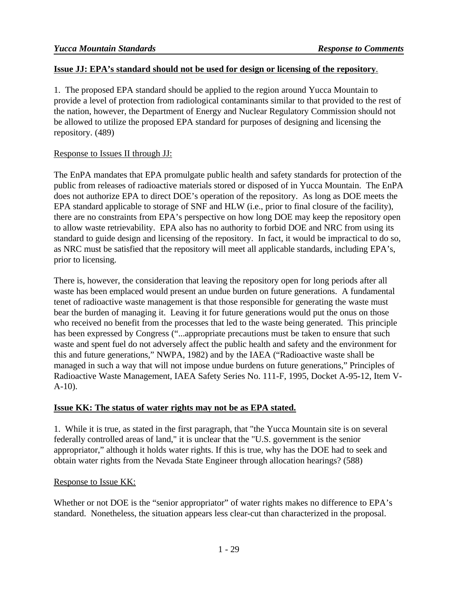# **Issue JJ: EPA's standard should not be used for design or licensing of the repository**.

1. The proposed EPA standard should be applied to the region around Yucca Mountain to provide a level of protection from radiological contaminants similar to that provided to the rest of the nation, however, the Department of Energy and Nuclear Regulatory Commission should not be allowed to utilize the proposed EPA standard for purposes of designing and licensing the repository. (489)

# Response to Issues II through JJ:

The EnPA mandates that EPA promulgate public health and safety standards for protection of the public from releases of radioactive materials stored or disposed of in Yucca Mountain. The EnPA does not authorize EPA to direct DOE's operation of the repository. As long as DOE meets the EPA standard applicable to storage of SNF and HLW (i.e., prior to final closure of the facility), there are no constraints from EPA's perspective on how long DOE may keep the repository open to allow waste retrievability. EPA also has no authority to forbid DOE and NRC from using its standard to guide design and licensing of the repository. In fact, it would be impractical to do so, as NRC must be satisfied that the repository will meet all applicable standards, including EPA's, prior to licensing.

There is, however, the consideration that leaving the repository open for long periods after all waste has been emplaced would present an undue burden on future generations. A fundamental tenet of radioactive waste management is that those responsible for generating the waste must bear the burden of managing it. Leaving it for future generations would put the onus on those who received no benefit from the processes that led to the waste being generated. This principle has been expressed by Congress ("...appropriate precautions must be taken to ensure that such waste and spent fuel do not adversely affect the public health and safety and the environment for this and future generations," NWPA, 1982) and by the IAEA ("Radioactive waste shall be managed in such a way that will not impose undue burdens on future generations," Principles of Radioactive Waste Management, IAEA Safety Series No. 111-F, 1995, Docket A-95-12, Item V-A-10).

# **Issue KK: The status of water rights may not be as EPA stated.**

1. While it is true, as stated in the first paragraph, that "the Yucca Mountain site is on several federally controlled areas of land," it is unclear that the "U.S. government is the senior appropriator," although it holds water rights. If this is true, why has the DOE had to seek and obtain water rights from the Nevada State Engineer through allocation hearings? (588)

# Response to Issue KK:

Whether or not DOE is the "senior appropriator" of water rights makes no difference to EPA's standard. Nonetheless, the situation appears less clear-cut than characterized in the proposal.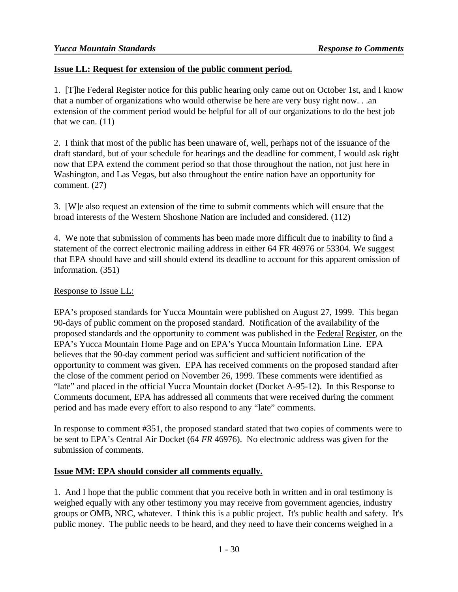## **Issue LL: Request for extension of the public comment period.**

1. [T]he Federal Register notice for this public hearing only came out on October 1st, and I know that a number of organizations who would otherwise be here are very busy right now. . .an extension of the comment period would be helpful for all of our organizations to do the best job that we can.  $(11)$ 

2. I think that most of the public has been unaware of, well, perhaps not of the issuance of the draft standard, but of your schedule for hearings and the deadline for comment, I would ask right now that EPA extend the comment period so that those throughout the nation, not just here in Washington, and Las Vegas, but also throughout the entire nation have an opportunity for comment. (27)

3. [W]e also request an extension of the time to submit comments which will ensure that the broad interests of the Western Shoshone Nation are included and considered. (112)

4. We note that submission of comments has been made more difficult due to inability to find a statement of the correct electronic mailing address in either 64 FR 46976 or 53304. We suggest that EPA should have and still should extend its deadline to account for this apparent omission of information. (351)

## Response to Issue LL:

EPA's proposed standards for Yucca Mountain were published on August 27, 1999. This began 90-days of public comment on the proposed standard. Notification of the availability of the proposed standards and the opportunity to comment was published in the Federal Register, on the EPA's Yucca Mountain Home Page and on EPA's Yucca Mountain Information Line. EPA believes that the 90-day comment period was sufficient and sufficient notification of the opportunity to comment was given. EPA has received comments on the proposed standard after the close of the comment period on November 26, 1999. These comments were identified as "late" and placed in the official Yucca Mountain docket (Docket A-95-12). In this Response to Comments document, EPA has addressed all comments that were received during the comment period and has made every effort to also respond to any "late" comments.

In response to comment #351, the proposed standard stated that two copies of comments were to be sent to EPA's Central Air Docket (64 *FR* 46976). No electronic address was given for the submission of comments.

### **Issue MM: EPA should consider all comments equally.**

1. And I hope that the public comment that you receive both in written and in oral testimony is weighed equally with any other testimony you may receive from government agencies, industry groups or OMB, NRC, whatever. I think this is a public project. It's public health and safety. It's public money. The public needs to be heard, and they need to have their concerns weighed in a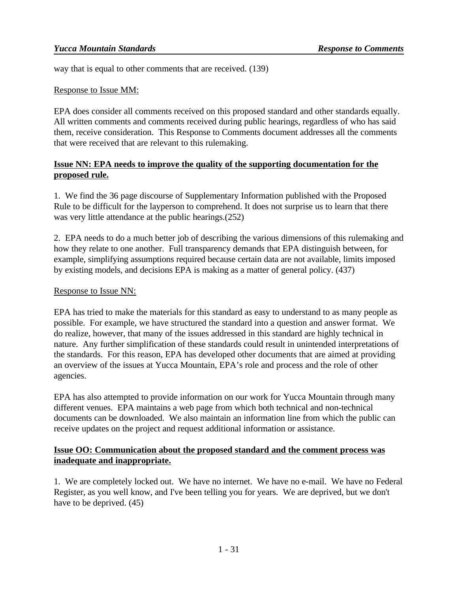way that is equal to other comments that are received. (139)

### Response to Issue MM:

EPA does consider all comments received on this proposed standard and other standards equally. All written comments and comments received during public hearings, regardless of who has said them, receive consideration. This Response to Comments document addresses all the comments that were received that are relevant to this rulemaking.

## **Issue NN: EPA needs to improve the quality of the supporting documentation for the proposed rule.**

1. We find the 36 page discourse of Supplementary Information published with the Proposed Rule to be difficult for the layperson to comprehend. It does not surprise us to learn that there was very little attendance at the public hearings.(252)

2. EPA needs to do a much better job of describing the various dimensions of this rulemaking and how they relate to one another. Full transparency demands that EPA distinguish between, for example, simplifying assumptions required because certain data are not available, limits imposed by existing models, and decisions EPA is making as a matter of general policy. (437)

### Response to Issue NN:

EPA has tried to make the materials for this standard as easy to understand to as many people as possible. For example, we have structured the standard into a question and answer format. We do realize, however, that many of the issues addressed in this standard are highly technical in nature. Any further simplification of these standards could result in unintended interpretations of the standards. For this reason, EPA has developed other documents that are aimed at providing an overview of the issues at Yucca Mountain, EPA's role and process and the role of other agencies.

EPA has also attempted to provide information on our work for Yucca Mountain through many different venues. EPA maintains a web page from which both technical and non-technical documents can be downloaded. We also maintain an information line from which the public can receive updates on the project and request additional information or assistance.

## **Issue OO: Communication about the proposed standard and the comment process was inadequate and inappropriate.**

1. We are completely locked out. We have no internet. We have no e-mail. We have no Federal Register, as you well know, and I've been telling you for years. We are deprived, but we don't have to be deprived. (45)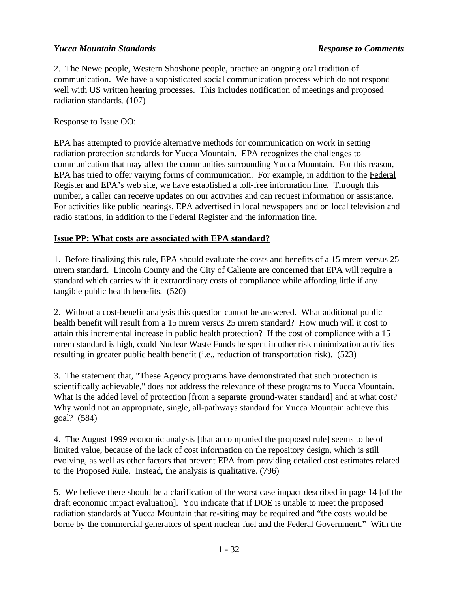2. The Newe people, Western Shoshone people, practice an ongoing oral tradition of communication. We have a sophisticated social communication process which do not respond well with US written hearing processes. This includes notification of meetings and proposed radiation standards. (107)

# Response to Issue OO:

EPA has attempted to provide alternative methods for communication on work in setting radiation protection standards for Yucca Mountain. EPA recognizes the challenges to communication that may affect the communities surrounding Yucca Mountain. For this reason, EPA has tried to offer varying forms of communication. For example, in addition to the Federal Register and EPA's web site, we have established a toll-free information line. Through this number, a caller can receive updates on our activities and can request information or assistance. For activities like public hearings, EPA advertised in local newspapers and on local television and radio stations, in addition to the Federal Register and the information line.

# **Issue PP: What costs are associated with EPA standard?**

1. Before finalizing this rule, EPA should evaluate the costs and benefits of a 15 mrem versus 25 mrem standard. Lincoln County and the City of Caliente are concerned that EPA will require a standard which carries with it extraordinary costs of compliance while affording little if any tangible public health benefits. (520)

2. Without a cost-benefit analysis this question cannot be answered. What additional public health benefit will result from a 15 mrem versus 25 mrem standard? How much will it cost to attain this incremental increase in public health protection? If the cost of compliance with a 15 mrem standard is high, could Nuclear Waste Funds be spent in other risk minimization activities resulting in greater public health benefit (i.e., reduction of transportation risk). (523)

3. The statement that, "These Agency programs have demonstrated that such protection is scientifically achievable," does not address the relevance of these programs to Yucca Mountain. What is the added level of protection [from a separate ground-water standard] and at what cost? Why would not an appropriate, single, all-pathways standard for Yucca Mountain achieve this goal? (584)

4. The August 1999 economic analysis [that accompanied the proposed rule] seems to be of limited value, because of the lack of cost information on the repository design, which is still evolving, as well as other factors that prevent EPA from providing detailed cost estimates related to the Proposed Rule. Instead, the analysis is qualitative. (796)

5. We believe there should be a clarification of the worst case impact described in page 14 [of the draft economic impact evaluation]. You indicate that if DOE is unable to meet the proposed radiation standards at Yucca Mountain that re-siting may be required and "the costs would be borne by the commercial generators of spent nuclear fuel and the Federal Government." With the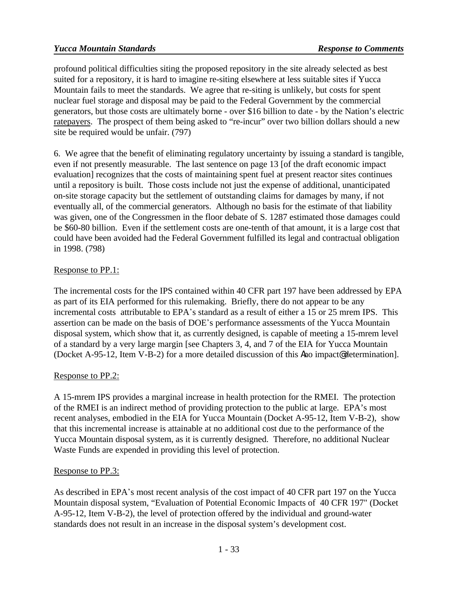profound political difficulties siting the proposed repository in the site already selected as best suited for a repository, it is hard to imagine re-siting elsewhere at less suitable sites if Yucca Mountain fails to meet the standards. We agree that re-siting is unlikely, but costs for spent nuclear fuel storage and disposal may be paid to the Federal Government by the commercial generators, but those costs are ultimately borne - over \$16 billion to date - by the Nation's electric ratepayers. The prospect of them being asked to "re-incur" over two billion dollars should a new site be required would be unfair. (797)

6. We agree that the benefit of eliminating regulatory uncertainty by issuing a standard is tangible, even if not presently measurable. The last sentence on page 13 [of the draft economic impact evaluation] recognizes that the costs of maintaining spent fuel at present reactor sites continues until a repository is built. Those costs include not just the expense of additional, unanticipated on-site storage capacity but the settlement of outstanding claims for damages by many, if not eventually all, of the commercial generators. Although no basis for the estimate of that liability was given, one of the Congressmen in the floor debate of S. 1287 estimated those damages could be \$60-80 billion. Even if the settlement costs are one-tenth of that amount, it is a large cost that could have been avoided had the Federal Government fulfilled its legal and contractual obligation in 1998. (798)

# Response to PP.1:

The incremental costs for the IPS contained within 40 CFR part 197 have been addressed by EPA as part of its EIA performed for this rulemaking. Briefly, there do not appear to be any incremental costs attributable to EPA's standard as a result of either a 15 or 25 mrem IPS. This assertion can be made on the basis of DOE\*s performance assessments of the Yucca Mountain disposal system, which show that it, as currently designed, is capable of meeting a 15-mrem level of a standard by a very large margin [see Chapters 3, 4, and 7 of the EIA for Yucca Mountain (Docket A-95-12, Item V-B-2) for a more detailed discussion of this Ano impact@ determination].

# Response to PP.2:

A 15-mrem IPS provides a marginal increase in health protection for the RMEI. The protection of the RMEI is an indirect method of providing protection to the public at large. EPA's most recent analyses, embodied in the EIA for Yucca Mountain (Docket A-95-12, Item V-B-2), show that this incremental increase is attainable at no additional cost due to the performance of the Yucca Mountain disposal system, as it is currently designed. Therefore, no additional Nuclear Waste Funds are expended in providing this level of protection.

# Response to PP.3:

As described in EPA's most recent analysis of the cost impact of 40 CFR part 197 on the Yucca Mountain disposal system, "Evaluation of Potential Economic Impacts of 40 CFR 197" (Docket A-95-12, Item V-B-2), the level of protection offered by the individual and ground-water standards does not result in an increase in the disposal system's development cost.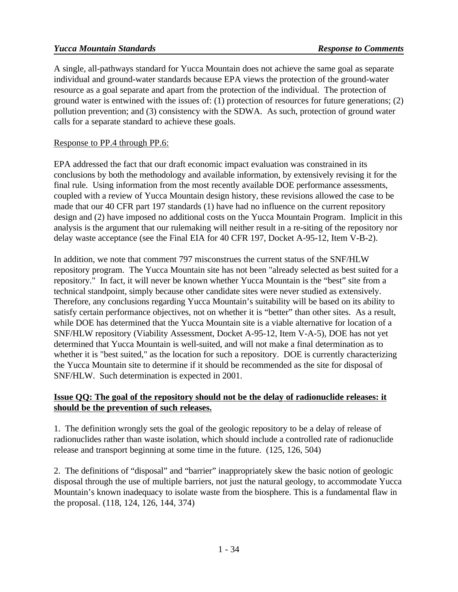## *Yucca Mountain Standards Response to Comments*

A single, all-pathways standard for Yucca Mountain does not achieve the same goal as separate individual and ground-water standards because EPA views the protection of the ground-water resource as a goal separate and apart from the protection of the individual. The protection of ground water is entwined with the issues of: (1) protection of resources for future generations; (2) pollution prevention; and (3) consistency with the SDWA. As such, protection of ground water calls for a separate standard to achieve these goals.

## Response to PP.4 through PP.6:

EPA addressed the fact that our draft economic impact evaluation was constrained in its conclusions by both the methodology and available information, by extensively revising it for the final rule. Using information from the most recently available DOE performance assessments, coupled with a review of Yucca Mountain design history, these revisions allowed the case to be made that our 40 CFR part 197 standards (1) have had no influence on the current repository design and (2) have imposed no additional costs on the Yucca Mountain Program. Implicit in this analysis is the argument that our rulemaking will neither result in a re-siting of the repository nor delay waste acceptance (see the Final EIA for 40 CFR 197, Docket A-95-12, Item V-B-2).

In addition, we note that comment 797 misconstrues the current status of the SNF/HLW repository program. The Yucca Mountain site has not been "already selected as best suited for a repository." In fact, it will never be known whether Yucca Mountain is the "best" site from a technical standpoint, simply because other candidate sites were never studied as extensively. Therefore, any conclusions regarding Yucca Mountain's suitability will be based on its ability to satisfy certain performance objectives, not on whether it is "better" than other sites. As a result, while DOE has determined that the Yucca Mountain site is a viable alternative for location of a SNF/HLW repository (Viability Assessment, Docket A-95-12, Item V-A-5), DOE has not yet determined that Yucca Mountain is well-suited, and will not make a final determination as to whether it is "best suited," as the location for such a repository. DOE is currently characterizing the Yucca Mountain site to determine if it should be recommended as the site for disposal of SNF/HLW. Such determination is expected in 2001.

# **Issue QQ: The goal of the repository should not be the delay of radionuclide releases: it should be the prevention of such releases.**

1. The definition wrongly sets the goal of the geologic repository to be a delay of release of radionuclides rather than waste isolation, which should include a controlled rate of radionuclide release and transport beginning at some time in the future. (125, 126, 504)

2. The definitions of "disposal" and "barrier" inappropriately skew the basic notion of geologic disposal through the use of multiple barriers, not just the natural geology, to accommodate Yucca Mountain's known inadequacy to isolate waste from the biosphere. This is a fundamental flaw in the proposal. (118, 124, 126, 144, 374)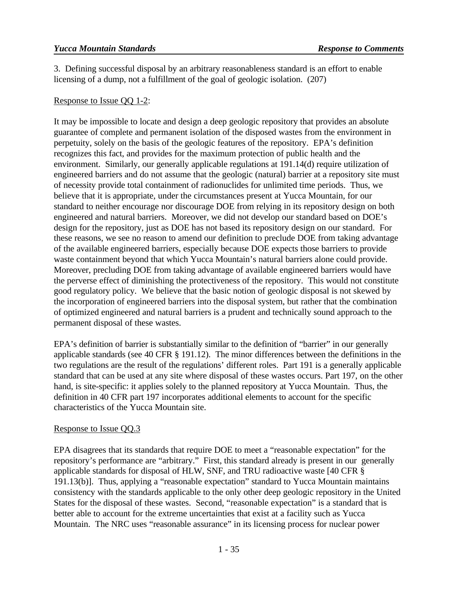3. Defining successful disposal by an arbitrary reasonableness standard is an effort to enable licensing of a dump, not a fulfillment of the goal of geologic isolation. (207)

### Response to Issue QQ 1-2:

It may be impossible to locate and design a deep geologic repository that provides an absolute guarantee of complete and permanent isolation of the disposed wastes from the environment in perpetuity, solely on the basis of the geologic features of the repository. EPA's definition recognizes this fact, and provides for the maximum protection of public health and the environment. Similarly, our generally applicable regulations at 191.14(d) require utilization of engineered barriers and do not assume that the geologic (natural) barrier at a repository site must of necessity provide total containment of radionuclides for unlimited time periods. Thus, we believe that it is appropriate, under the circumstances present at Yucca Mountain, for our standard to neither encourage nor discourage DOE from relying in its repository design on both engineered and natural barriers. Moreover, we did not develop our standard based on DOE's design for the repository, just as DOE has not based its repository design on our standard. For these reasons, we see no reason to amend our definition to preclude DOE from taking advantage of the available engineered barriers, especially because DOE expects those barriers to provide waste containment beyond that which Yucca Mountain's natural barriers alone could provide. Moreover, precluding DOE from taking advantage of available engineered barriers would have the perverse effect of diminishing the protectiveness of the repository. This would not constitute good regulatory policy. We believe that the basic notion of geologic disposal is not skewed by the incorporation of engineered barriers into the disposal system, but rather that the combination of optimized engineered and natural barriers is a prudent and technically sound approach to the permanent disposal of these wastes.

EPA's definition of barrier is substantially similar to the definition of "barrier" in our generally applicable standards (see 40 CFR § 191.12). The minor differences between the definitions in the two regulations are the result of the regulations' different roles. Part 191 is a generally applicable standard that can be used at any site where disposal of these wastes occurs. Part 197, on the other hand, is site-specific: it applies solely to the planned repository at Yucca Mountain. Thus, the definition in 40 CFR part 197 incorporates additional elements to account for the specific characteristics of the Yucca Mountain site.

### Response to Issue QQ.3

EPA disagrees that its standards that require DOE to meet a "reasonable expectation" for the repository's performance are "arbitrary." First, this standard already is present in our generally applicable standards for disposal of HLW, SNF, and TRU radioactive waste [40 CFR § 191.13(b)]. Thus, applying a "reasonable expectation" standard to Yucca Mountain maintains consistency with the standards applicable to the only other deep geologic repository in the United States for the disposal of these wastes. Second, "reasonable expectation" is a standard that is better able to account for the extreme uncertainties that exist at a facility such as Yucca Mountain. The NRC uses "reasonable assurance" in its licensing process for nuclear power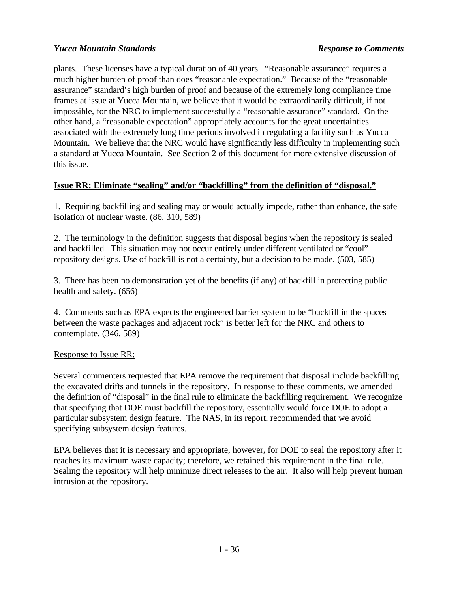plants. These licenses have a typical duration of 40 years. "Reasonable assurance" requires a much higher burden of proof than does "reasonable expectation." Because of the "reasonable assurance" standard's high burden of proof and because of the extremely long compliance time frames at issue at Yucca Mountain, we believe that it would be extraordinarily difficult, if not impossible, for the NRC to implement successfully a "reasonable assurance" standard. On the other hand, a "reasonable expectation" appropriately accounts for the great uncertainties associated with the extremely long time periods involved in regulating a facility such as Yucca Mountain. We believe that the NRC would have significantly less difficulty in implementing such a standard at Yucca Mountain. See Section 2 of this document for more extensive discussion of this issue.

# **Issue RR: Eliminate "sealing" and/or "backfilling" from the definition of "disposal."**

1. Requiring backfilling and sealing may or would actually impede, rather than enhance, the safe isolation of nuclear waste. (86, 310, 589)

2. The terminology in the definition suggests that disposal begins when the repository is sealed and backfilled. This situation may not occur entirely under different ventilated or "cool" repository designs. Use of backfill is not a certainty, but a decision to be made. (503, 585)

3. There has been no demonstration yet of the benefits (if any) of backfill in protecting public health and safety. (656)

4. Comments such as EPA expects the engineered barrier system to be "backfill in the spaces between the waste packages and adjacent rock" is better left for the NRC and others to contemplate. (346, 589)

# Response to Issue RR:

Several commenters requested that EPA remove the requirement that disposal include backfilling the excavated drifts and tunnels in the repository. In response to these comments, we amended the definition of "disposal" in the final rule to eliminate the backfilling requirement. We recognize that specifying that DOE must backfill the repository, essentially would force DOE to adopt a particular subsystem design feature. The NAS, in its report, recommended that we avoid specifying subsystem design features.

EPA believes that it is necessary and appropriate, however, for DOE to seal the repository after it reaches its maximum waste capacity; therefore, we retained this requirement in the final rule. Sealing the repository will help minimize direct releases to the air. It also will help prevent human intrusion at the repository.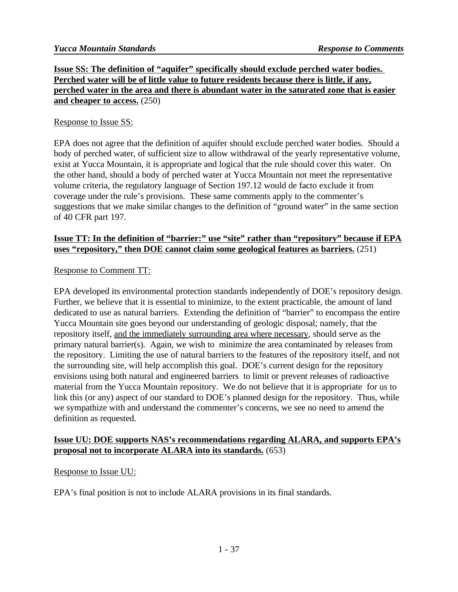# **Issue SS: The definition of "aquifer" specifically should exclude perched water bodies. Perched water will be of little value to future residents because there is little, if any, perched water in the area and there is abundant water in the saturated zone that is easier and cheaper to access.** (250)

# Response to Issue SS:

EPA does not agree that the definition of aquifer should exclude perched water bodies. Should a body of perched water, of sufficient size to allow withdrawal of the yearly representative volume, exist at Yucca Mountain, it is appropriate and logical that the rule should cover this water. On the other hand, should a body of perched water at Yucca Mountain not meet the representative volume criteria, the regulatory language of Section 197.12 would de facto exclude it from coverage under the rule's provisions. These same comments apply to the commenter's suggestions that we make similar changes to the definition of "ground water" in the same section of 40 CFR part 197.

# **Issue TT: In the definition of "barrier:" use "site" rather than "repository" because if EPA uses "repository," then DOE cannot claim some geological features as barriers.** (251)

# Response to Comment TT:

EPA developed its environmental protection standards independently of DOE's repository design. Further, we believe that it is essential to minimize, to the extent practicable, the amount of land dedicated to use as natural barriers. Extending the definition of "barrier" to encompass the entire Yucca Mountain site goes beyond our understanding of geologic disposal; namely, that the repository itself, and the immediately surrounding area where necessary, should serve as the primary natural barrier(s). Again, we wish to minimize the area contaminated by releases from the repository. Limiting the use of natural barriers to the features of the repository itself, and not the surrounding site, will help accomplish this goal. DOE's current design for the repository envisions using both natural and engineered barriers to limit or prevent releases of radioactive material from the Yucca Mountain repository. We do not believe that it is appropriate for us to link this (or any) aspect of our standard to DOE's planned design for the repository. Thus, while we sympathize with and understand the commenter's concerns, we see no need to amend the definition as requested.

# **Issue UU: DOE supports NAS's recommendations regarding ALARA, and supports EPA's proposal not to incorporate ALARA into its standards.** (653)

# Response to Issue UU:

EPA's final position is not to include ALARA provisions in its final standards.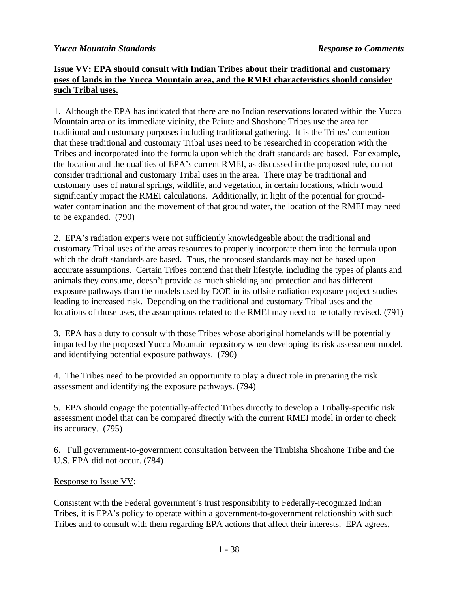# **Issue VV: EPA should consult with Indian Tribes about their traditional and customary uses of lands in the Yucca Mountain area, and the RMEI characteristics should consider such Tribal uses.**

1. Although the EPA has indicated that there are no Indian reservations located within the Yucca Mountain area or its immediate vicinity, the Paiute and Shoshone Tribes use the area for traditional and customary purposes including traditional gathering. It is the Tribes' contention that these traditional and customary Tribal uses need to be researched in cooperation with the Tribes and incorporated into the formula upon which the draft standards are based. For example, the location and the qualities of EPA's current RMEI, as discussed in the proposed rule, do not consider traditional and customary Tribal uses in the area. There may be traditional and customary uses of natural springs, wildlife, and vegetation, in certain locations, which would significantly impact the RMEI calculations. Additionally, in light of the potential for groundwater contamination and the movement of that ground water, the location of the RMEI may need to be expanded. (790)

2. EPA's radiation experts were not sufficiently knowledgeable about the traditional and customary Tribal uses of the areas resources to properly incorporate them into the formula upon which the draft standards are based. Thus, the proposed standards may not be based upon accurate assumptions. Certain Tribes contend that their lifestyle, including the types of plants and animals they consume, doesn't provide as much shielding and protection and has different exposure pathways than the models used by DOE in its offsite radiation exposure project studies leading to increased risk. Depending on the traditional and customary Tribal uses and the locations of those uses, the assumptions related to the RMEI may need to be totally revised. (791)

3. EPA has a duty to consult with those Tribes whose aboriginal homelands will be potentially impacted by the proposed Yucca Mountain repository when developing its risk assessment model, and identifying potential exposure pathways. (790)

4. The Tribes need to be provided an opportunity to play a direct role in preparing the risk assessment and identifying the exposure pathways. (794)

5. EPA should engage the potentially-affected Tribes directly to develop a Tribally-specific risk assessment model that can be compared directly with the current RMEI model in order to check its accuracy. (795)

6. Full government-to-government consultation between the Timbisha Shoshone Tribe and the U.S. EPA did not occur. (784)

# Response to Issue VV:

Consistent with the Federal government's trust responsibility to Federally-recognized Indian Tribes, it is EPA's policy to operate within a government-to-government relationship with such Tribes and to consult with them regarding EPA actions that affect their interests. EPA agrees,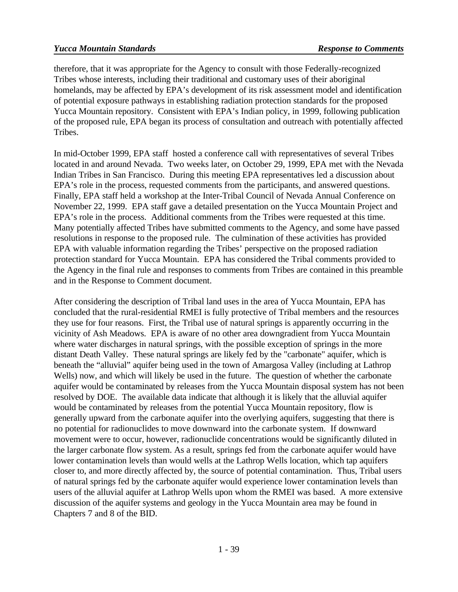#### *Yucca Mountain Standards Response to Comments*

therefore, that it was appropriate for the Agency to consult with those Federally-recognized Tribes whose interests, including their traditional and customary uses of their aboriginal homelands, may be affected by EPA's development of its risk assessment model and identification of potential exposure pathways in establishing radiation protection standards for the proposed Yucca Mountain repository. Consistent with EPA's Indian policy, in 1999, following publication of the proposed rule, EPA began its process of consultation and outreach with potentially affected Tribes.

In mid-October 1999, EPA staff hosted a conference call with representatives of several Tribes located in and around Nevada. Two weeks later, on October 29, 1999, EPA met with the Nevada Indian Tribes in San Francisco. During this meeting EPA representatives led a discussion about EPA's role in the process, requested comments from the participants, and answered questions. Finally, EPA staff held a workshop at the Inter-Tribal Council of Nevada Annual Conference on November 22, 1999. EPA staff gave a detailed presentation on the Yucca Mountain Project and EPA's role in the process. Additional comments from the Tribes were requested at this time. Many potentially affected Tribes have submitted comments to the Agency, and some have passed resolutions in response to the proposed rule. The culmination of these activities has provided EPA with valuable information regarding the Tribes' perspective on the proposed radiation protection standard for Yucca Mountain. EPA has considered the Tribal comments provided to the Agency in the final rule and responses to comments from Tribes are contained in this preamble and in the Response to Comment document.

After considering the description of Tribal land uses in the area of Yucca Mountain, EPA has concluded that the rural-residential RMEI is fully protective of Tribal members and the resources they use for four reasons. First, the Tribal use of natural springs is apparently occurring in the vicinity of Ash Meadows. EPA is aware of no other area downgradient from Yucca Mountain where water discharges in natural springs, with the possible exception of springs in the more distant Death Valley. These natural springs are likely fed by the "carbonate" aquifer, which is beneath the "alluvial" aquifer being used in the town of Amargosa Valley (including at Lathrop Wells) now, and which will likely be used in the future. The question of whether the carbonate aquifer would be contaminated by releases from the Yucca Mountain disposal system has not been resolved by DOE. The available data indicate that although it is likely that the alluvial aquifer would be contaminated by releases from the potential Yucca Mountain repository, flow is generally upward from the carbonate aquifer into the overlying aquifers, suggesting that there is no potential for radionuclides to move downward into the carbonate system. If downward movement were to occur, however, radionuclide concentrations would be significantly diluted in the larger carbonate flow system. As a result, springs fed from the carbonate aquifer would have lower contamination levels than would wells at the Lathrop Wells location, which tap aquifers closer to, and more directly affected by, the source of potential contamination. Thus, Tribal users of natural springs fed by the carbonate aquifer would experience lower contamination levels than users of the alluvial aquifer at Lathrop Wells upon whom the RMEI was based. A more extensive discussion of the aquifer systems and geology in the Yucca Mountain area may be found in Chapters 7 and 8 of the BID.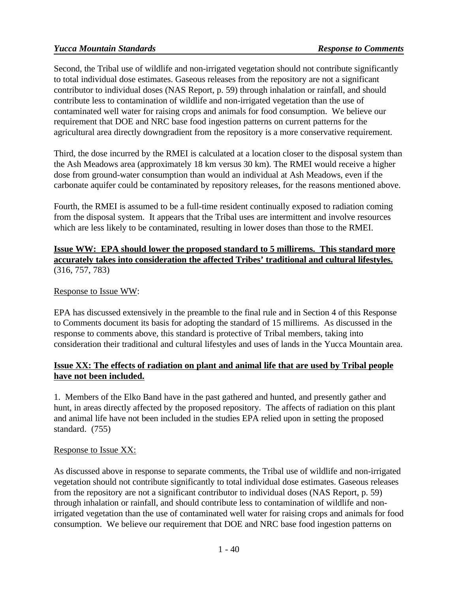Second, the Tribal use of wildlife and non-irrigated vegetation should not contribute significantly to total individual dose estimates. Gaseous releases from the repository are not a significant contributor to individual doses (NAS Report, p. 59) through inhalation or rainfall, and should contribute less to contamination of wildlife and non-irrigated vegetation than the use of contaminated well water for raising crops and animals for food consumption. We believe our requirement that DOE and NRC base food ingestion patterns on current patterns for the agricultural area directly downgradient from the repository is a more conservative requirement.

Third, the dose incurred by the RMEI is calculated at a location closer to the disposal system than the Ash Meadows area (approximately 18 km versus 30 km). The RMEI would receive a higher dose from ground-water consumption than would an individual at Ash Meadows, even if the carbonate aquifer could be contaminated by repository releases, for the reasons mentioned above.

Fourth, the RMEI is assumed to be a full-time resident continually exposed to radiation coming from the disposal system. It appears that the Tribal uses are intermittent and involve resources which are less likely to be contaminated, resulting in lower doses than those to the RMEI.

# **Issue WW: EPA should lower the proposed standard to 5 millirems. This standard more accurately takes into consideration the affected Tribes' traditional and cultural lifestyles.**  (316, 757, 783)

# Response to Issue WW:

EPA has discussed extensively in the preamble to the final rule and in Section 4 of this Response to Comments document its basis for adopting the standard of 15 millirems. As discussed in the response to comments above, this standard is protective of Tribal members, taking into consideration their traditional and cultural lifestyles and uses of lands in the Yucca Mountain area.

# **Issue XX: The effects of radiation on plant and animal life that are used by Tribal people have not been included.**

1. Members of the Elko Band have in the past gathered and hunted, and presently gather and hunt, in areas directly affected by the proposed repository. The affects of radiation on this plant and animal life have not been included in the studies EPA relied upon in setting the proposed standard. (755)

# Response to Issue XX:

As discussed above in response to separate comments, the Tribal use of wildlife and non-irrigated vegetation should not contribute significantly to total individual dose estimates. Gaseous releases from the repository are not a significant contributor to individual doses (NAS Report, p. 59) through inhalation or rainfall, and should contribute less to contamination of wildlife and nonirrigated vegetation than the use of contaminated well water for raising crops and animals for food consumption. We believe our requirement that DOE and NRC base food ingestion patterns on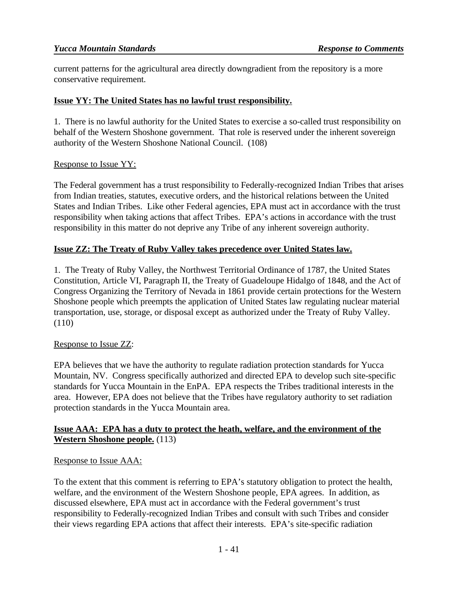## *Yucca Mountain Standards Response to Comments*

current patterns for the agricultural area directly downgradient from the repository is a more conservative requirement.

## **Issue YY: The United States has no lawful trust responsibility.**

1. There is no lawful authority for the United States to exercise a so-called trust responsibility on behalf of the Western Shoshone government. That role is reserved under the inherent sovereign authority of the Western Shoshone National Council. (108)

### Response to Issue YY:

The Federal government has a trust responsibility to Federally-recognized Indian Tribes that arises from Indian treaties, statutes, executive orders, and the historical relations between the United States and Indian Tribes. Like other Federal agencies, EPA must act in accordance with the trust responsibility when taking actions that affect Tribes. EPA's actions in accordance with the trust responsibility in this matter do not deprive any Tribe of any inherent sovereign authority.

## **Issue ZZ: The Treaty of Ruby Valley takes precedence over United States law.**

1. The Treaty of Ruby Valley, the Northwest Territorial Ordinance of 1787, the United States Constitution, Article VI, Paragraph II, the Treaty of Guadeloupe Hidalgo of 1848, and the Act of Congress Organizing the Territory of Nevada in 1861 provide certain protections for the Western Shoshone people which preempts the application of United States law regulating nuclear material transportation, use, storage, or disposal except as authorized under the Treaty of Ruby Valley. (110)

### Response to Issue ZZ:

EPA believes that we have the authority to regulate radiation protection standards for Yucca Mountain, NV. Congress specifically authorized and directed EPA to develop such site-specific standards for Yucca Mountain in the EnPA. EPA respects the Tribes traditional interests in the area. However, EPA does not believe that the Tribes have regulatory authority to set radiation protection standards in the Yucca Mountain area.

## **Issue AAA: EPA has a duty to protect the heath, welfare, and the environment of the Western Shoshone people.** (113)

### Response to Issue AAA:

To the extent that this comment is referring to EPA's statutory obligation to protect the health, welfare, and the environment of the Western Shoshone people, EPA agrees. In addition, as discussed elsewhere, EPA must act in accordance with the Federal government's trust responsibility to Federally-recognized Indian Tribes and consult with such Tribes and consider their views regarding EPA actions that affect their interests. EPA's site-specific radiation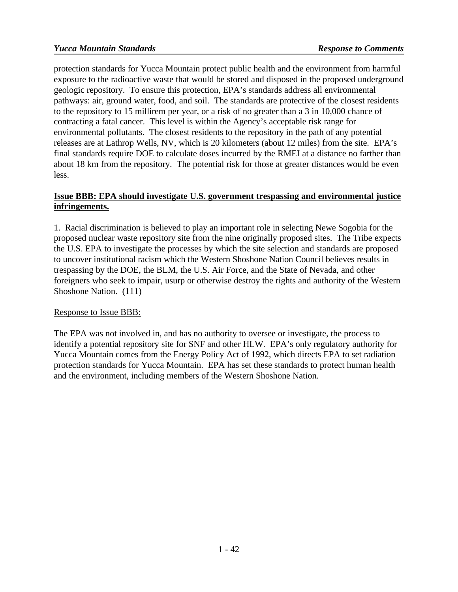protection standards for Yucca Mountain protect public health and the environment from harmful exposure to the radioactive waste that would be stored and disposed in the proposed underground geologic repository. To ensure this protection, EPA's standards address all environmental pathways: air, ground water, food, and soil. The standards are protective of the closest residents to the repository to 15 millirem per year, or a risk of no greater than a 3 in 10,000 chance of contracting a fatal cancer. This level is within the Agency's acceptable risk range for environmental pollutants. The closest residents to the repository in the path of any potential releases are at Lathrop Wells, NV, which is 20 kilometers (about 12 miles) from the site. EPA's final standards require DOE to calculate doses incurred by the RMEI at a distance no farther than about 18 km from the repository. The potential risk for those at greater distances would be even less.

# **Issue BBB: EPA should investigate U.S. government trespassing and environmental justice infringements.**

1. Racial discrimination is believed to play an important role in selecting Newe Sogobia for the proposed nuclear waste repository site from the nine originally proposed sites. The Tribe expects the U.S. EPA to investigate the processes by which the site selection and standards are proposed to uncover institutional racism which the Western Shoshone Nation Council believes results in trespassing by the DOE, the BLM, the U.S. Air Force, and the State of Nevada, and other foreigners who seek to impair, usurp or otherwise destroy the rights and authority of the Western Shoshone Nation. (111)

# Response to Issue BBB:

The EPA was not involved in, and has no authority to oversee or investigate, the process to identify a potential repository site for SNF and other HLW. EPA's only regulatory authority for Yucca Mountain comes from the Energy Policy Act of 1992, which directs EPA to set radiation protection standards for Yucca Mountain. EPA has set these standards to protect human health and the environment, including members of the Western Shoshone Nation.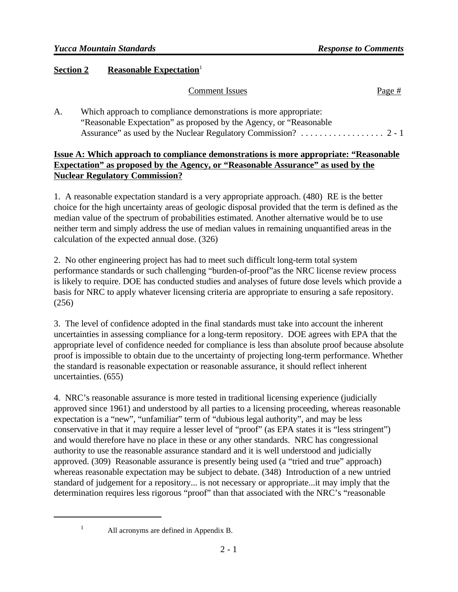# **<u>Section 2</u>** Reasonable Expectation<sup>1</sup>

|    | <b>Comment Issues</b>                                               | <u>Page #</u> |
|----|---------------------------------------------------------------------|---------------|
| А. | Which approach to compliance demonstrations is more appropriate:    |               |
|    | "Reasonable Expectation" as proposed by the Agency, or "Reasonable" |               |
|    |                                                                     |               |

## **Issue A: Which approach to compliance demonstrations is more appropriate: "Reasonable Expectation" as proposed by the Agency, or "Reasonable Assurance" as used by the Nuclear Regulatory Commission?**

1. A reasonable expectation standard is a very appropriate approach. (480) RE is the better choice for the high uncertainty areas of geologic disposal provided that the term is defined as the median value of the spectrum of probabilities estimated. Another alternative would be to use neither term and simply address the use of median values in remaining unquantified areas in the calculation of the expected annual dose. (326)

2. No other engineering project has had to meet such difficult long-term total system performance standards or such challenging "burden-of-proof"as the NRC license review process is likely to require. DOE has conducted studies and analyses of future dose levels which provide a basis for NRC to apply whatever licensing criteria are appropriate to ensuring a safe repository. (256)

3. The level of confidence adopted in the final standards must take into account the inherent uncertainties in assessing compliance for a long-term repository. DOE agrees with EPA that the appropriate level of confidence needed for compliance is less than absolute proof because absolute proof is impossible to obtain due to the uncertainty of projecting long-term performance. Whether the standard is reasonable expectation or reasonable assurance, it should reflect inherent uncertainties. (655)

4. NRC's reasonable assurance is more tested in traditional licensing experience (judicially approved since 1961) and understood by all parties to a licensing proceeding, whereas reasonable expectation is a "new", "unfamiliar" term of "dubious legal authority", and may be less conservative in that it may require a lesser level of "proof" (as EPA states it is "less stringent") and would therefore have no place in these or any other standards. NRC has congressional authority to use the reasonable assurance standard and it is well understood and judicially approved. (309) Reasonable assurance is presently being used (a "tried and true" approach) whereas reasonable expectation may be subject to debate. (348) Introduction of a new untried standard of judgement for a repository... is not necessary or appropriate...it may imply that the determination requires less rigorous "proof" than that associated with the NRC's "reasonable

<sup>&</sup>lt;sup>1</sup> All acronyms are defined in Appendix B.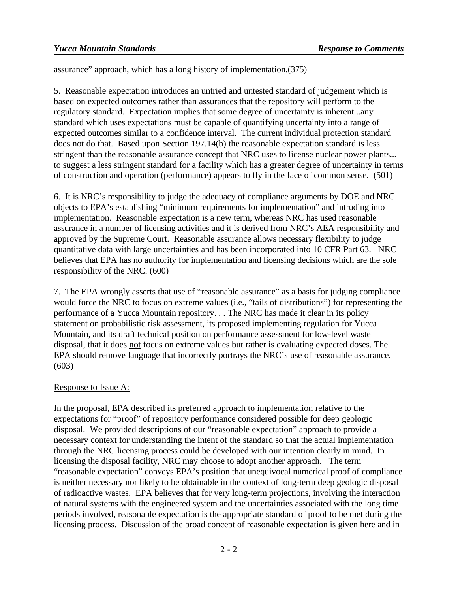assurance" approach, which has a long history of implementation.(375)

5. Reasonable expectation introduces an untried and untested standard of judgement which is based on expected outcomes rather than assurances that the repository will perform to the regulatory standard. Expectation implies that some degree of uncertainty is inherent...any standard which uses expectations must be capable of quantifying uncertainty into a range of expected outcomes similar to a confidence interval. The current individual protection standard does not do that. Based upon Section 197.14(b) the reasonable expectation standard is less stringent than the reasonable assurance concept that NRC uses to license nuclear power plants... to suggest a less stringent standard for a facility which has a greater degree of uncertainty in terms of construction and operation (performance) appears to fly in the face of common sense. (501)

6. It is NRC's responsibility to judge the adequacy of compliance arguments by DOE and NRC objects to EPA's establishing "minimum requirements for implementation" and intruding into implementation. Reasonable expectation is a new term, whereas NRC has used reasonable assurance in a number of licensing activities and it is derived from NRC's AEA responsibility and approved by the Supreme Court. Reasonable assurance allows necessary flexibility to judge quantitative data with large uncertainties and has been incorporated into 10 CFR Part 63. NRC believes that EPA has no authority for implementation and licensing decisions which are the sole responsibility of the NRC. (600)

7. The EPA wrongly asserts that use of "reasonable assurance" as a basis for judging compliance would force the NRC to focus on extreme values (i.e., "tails of distributions") for representing the performance of a Yucca Mountain repository. . . The NRC has made it clear in its policy statement on probabilistic risk assessment, its proposed implementing regulation for Yucca Mountain, and its draft technical position on performance assessment for low-level waste disposal, that it does not focus on extreme values but rather is evaluating expected doses. The EPA should remove language that incorrectly portrays the NRC's use of reasonable assurance. (603)

### Response to Issue A:

In the proposal, EPA described its preferred approach to implementation relative to the expectations for "proof" of repository performance considered possible for deep geologic disposal. We provided descriptions of our "reasonable expectation" approach to provide a necessary context for understanding the intent of the standard so that the actual implementation through the NRC licensing process could be developed with our intention clearly in mind. In licensing the disposal facility, NRC may choose to adopt another approach. The term "reasonable expectation" conveys EPA's position that unequivocal numerical proof of compliance is neither necessary nor likely to be obtainable in the context of long-term deep geologic disposal of radioactive wastes. EPA believes that for very long-term projections, involving the interaction of natural systems with the engineered system and the uncertainties associated with the long time periods involved, reasonable expectation is the appropriate standard of proof to be met during the licensing process. Discussion of the broad concept of reasonable expectation is given here and in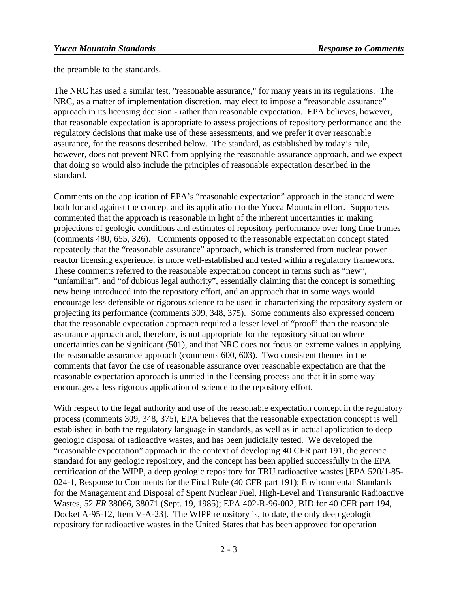the preamble to the standards.

The NRC has used a similar test, "reasonable assurance," for many years in its regulations. The NRC, as a matter of implementation discretion, may elect to impose a "reasonable assurance" approach in its licensing decision - rather than reasonable expectation. EPA believes, however, that reasonable expectation is appropriate to assess projections of repository performance and the regulatory decisions that make use of these assessments, and we prefer it over reasonable assurance, for the reasons described below. The standard, as established by today's rule, however, does not prevent NRC from applying the reasonable assurance approach, and we expect that doing so would also include the principles of reasonable expectation described in the standard.

Comments on the application of EPA's "reasonable expectation" approach in the standard were both for and against the concept and its application to the Yucca Mountain effort. Supporters commented that the approach is reasonable in light of the inherent uncertainties in making projections of geologic conditions and estimates of repository performance over long time frames (comments 480, 655, 326). Comments opposed to the reasonable expectation concept stated repeatedly that the "reasonable assurance" approach, which is transferred from nuclear power reactor licensing experience, is more well-established and tested within a regulatory framework. These comments referred to the reasonable expectation concept in terms such as "new", "unfamiliar", and "of dubious legal authority", essentially claiming that the concept is something new being introduced into the repository effort, and an approach that in some ways would encourage less defensible or rigorous science to be used in characterizing the repository system or projecting its performance (comments 309, 348, 375). Some comments also expressed concern that the reasonable expectation approach required a lesser level of "proof" than the reasonable assurance approach and, therefore, is not appropriate for the repository situation where uncertainties can be significant (501), and that NRC does not focus on extreme values in applying the reasonable assurance approach (comments 600, 603). Two consistent themes in the comments that favor the use of reasonable assurance over reasonable expectation are that the reasonable expectation approach is untried in the licensing process and that it in some way encourages a less rigorous application of science to the repository effort.

With respect to the legal authority and use of the reasonable expectation concept in the regulatory process (comments 309, 348, 375), EPA believes that the reasonable expectation concept is well established in both the regulatory language in standards, as well as in actual application to deep geologic disposal of radioactive wastes, and has been judicially tested. We developed the "reasonable expectation" approach in the context of developing 40 CFR part 191, the generic standard for any geologic repository, and the concept has been applied successfully in the EPA certification of the WIPP, a deep geologic repository for TRU radioactive wastes [EPA 520/1-85 024-1, Response to Comments for the Final Rule (40 CFR part 191); Environmental Standards for the Management and Disposal of Spent Nuclear Fuel, High-Level and Transuranic Radioactive Wastes, 52 *FR* 38066, 38071 (Sept. 19, 1985); EPA 402-R-96-002, BID for 40 CFR part 194, Docket A-95-12, Item V-A-23]. The WIPP repository is, to date, the only deep geologic repository for radioactive wastes in the United States that has been approved for operation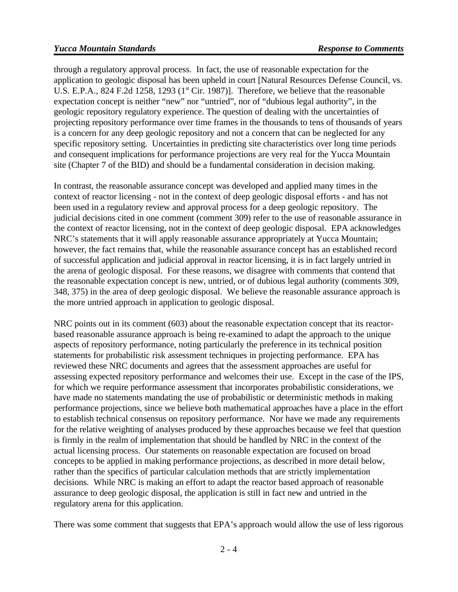through a regulatory approval process. In fact, the use of reasonable expectation for the application to geologic disposal has been upheld in court [Natural Resources Defense Council, vs. U.S. E.P.A., 824 F.2d 1258, 1293 ( $1<sup>st</sup>$  Cir. 1987)]. Therefore, we believe that the reasonable expectation concept is neither "new" nor "untried", nor of "dubious legal authority", in the geologic repository regulatory experience. The question of dealing with the uncertainties of projecting repository performance over time frames in the thousands to tens of thousands of years is a concern for any deep geologic repository and not a concern that can be neglected for any specific repository setting. Uncertainties in predicting site characteristics over long time periods and consequent implications for performance projections are very real for the Yucca Mountain site (Chapter 7 of the BID) and should be a fundamental consideration in decision making.

In contrast, the reasonable assurance concept was developed and applied many times in the context of reactor licensing - not in the context of deep geologic disposal efforts - and has not been used in a regulatory review and approval process for a deep geologic repository. The judicial decisions cited in one comment (comment 309) refer to the use of reasonable assurance in the context of reactor licensing, not in the context of deep geologic disposal. EPA acknowledges NRC's statements that it will apply reasonable assurance appropriately at Yucca Mountain; however, the fact remains that, while the reasonable assurance concept has an established record of successful application and judicial approval in reactor licensing, it is in fact largely untried in the arena of geologic disposal. For these reasons, we disagree with comments that contend that the reasonable expectation concept is new, untried, or of dubious legal authority (comments 309, 348, 375) in the area of deep geologic disposal. We believe the reasonable assurance approach is the more untried approach in application to geologic disposal.

NRC points out in its comment (603) about the reasonable expectation concept that its reactorbased reasonable assurance approach is being re-examined to adapt the approach to the unique aspects of repository performance, noting particularly the preference in its technical position statements for probabilistic risk assessment techniques in projecting performance. EPA has reviewed these NRC documents and agrees that the assessment approaches are useful for assessing expected repository performance and welcomes their use. Except in the case of the IPS, for which we require performance assessment that incorporates probabilistic considerations, we have made no statements mandating the use of probabilistic or deterministic methods in making performance projections, since we believe both mathematical approaches have a place in the effort to establish technical consensus on repository performance. Nor have we made any requirements for the relative weighting of analyses produced by these approaches because we feel that question is firmly in the realm of implementation that should be handled by NRC in the context of the actual licensing process. Our statements on reasonable expectation are focused on broad concepts to be applied in making performance projections, as described in more detail below, rather than the specifics of particular calculation methods that are strictly implementation decisions. While NRC is making an effort to adapt the reactor based approach of reasonable assurance to deep geologic disposal, the application is still in fact new and untried in the regulatory arena for this application.

There was some comment that suggests that EPA's approach would allow the use of less rigorous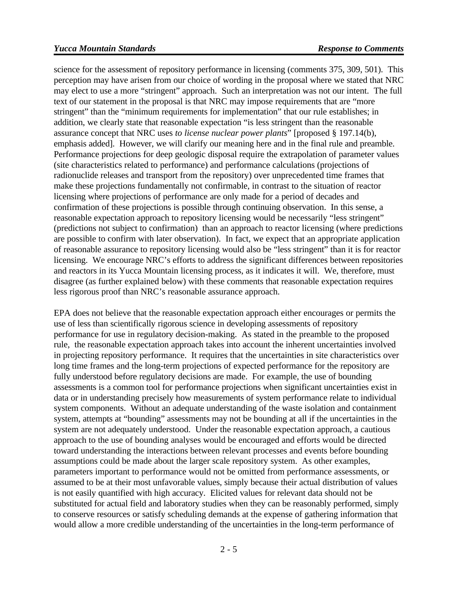science for the assessment of repository performance in licensing (comments 375, 309, 501). This perception may have arisen from our choice of wording in the proposal where we stated that NRC may elect to use a more "stringent" approach. Such an interpretation was not our intent. The full text of our statement in the proposal is that NRC may impose requirements that are "more stringent" than the "minimum requirements for implementation" that our rule establishes; in addition, we clearly state that reasonable expectation "is less stringent than the reasonable assurance concept that NRC uses *to license nuclear power plants*" [proposed § 197.14(b), emphasis added]. However, we will clarify our meaning here and in the final rule and preamble. Performance projections for deep geologic disposal require the extrapolation of parameter values (site characteristics related to performance) and performance calculations (projections of radionuclide releases and transport from the repository) over unprecedented time frames that make these projections fundamentally not confirmable, in contrast to the situation of reactor licensing where projections of performance are only made for a period of decades and confirmation of these projections is possible through continuing observation. In this sense, a reasonable expectation approach to repository licensing would be necessarily "less stringent" (predictions not subject to confirmation) than an approach to reactor licensing (where predictions are possible to confirm with later observation). In fact, we expect that an appropriate application of reasonable assurance to repository licensing would also be "less stringent" than it is for reactor licensing. We encourage NRC's efforts to address the significant differences between repositories and reactors in its Yucca Mountain licensing process, as it indicates it will. We, therefore, must disagree (as further explained below) with these comments that reasonable expectation requires less rigorous proof than NRC's reasonable assurance approach.

EPA does not believe that the reasonable expectation approach either encourages or permits the use of less than scientifically rigorous science in developing assessments of repository performance for use in regulatory decision-making. As stated in the preamble to the proposed rule, the reasonable expectation approach takes into account the inherent uncertainties involved in projecting repository performance. It requires that the uncertainties in site characteristics over long time frames and the long-term projections of expected performance for the repository are fully understood before regulatory decisions are made. For example, the use of bounding assessments is a common tool for performance projections when significant uncertainties exist in data or in understanding precisely how measurements of system performance relate to individual system components. Without an adequate understanding of the waste isolation and containment system, attempts at "bounding" assessments may not be bounding at all if the uncertainties in the system are not adequately understood. Under the reasonable expectation approach, a cautious approach to the use of bounding analyses would be encouraged and efforts would be directed toward understanding the interactions between relevant processes and events before bounding assumptions could be made about the larger scale repository system. As other examples, parameters important to performance would not be omitted from performance assessments, or assumed to be at their most unfavorable values, simply because their actual distribution of values is not easily quantified with high accuracy. Elicited values for relevant data should not be substituted for actual field and laboratory studies when they can be reasonably performed, simply to conserve resources or satisfy scheduling demands at the expense of gathering information that would allow a more credible understanding of the uncertainties in the long-term performance of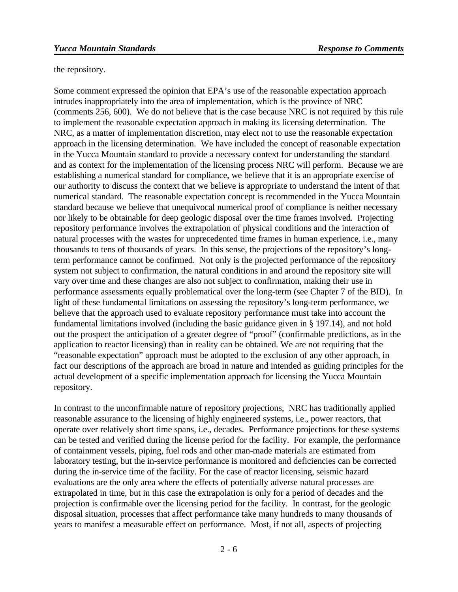the repository.

Some comment expressed the opinion that EPA's use of the reasonable expectation approach intrudes inappropriately into the area of implementation, which is the province of NRC (comments 256, 600). We do not believe that is the case because NRC is not required by this rule to implement the reasonable expectation approach in making its licensing determination. The NRC, as a matter of implementation discretion, may elect not to use the reasonable expectation approach in the licensing determination. We have included the concept of reasonable expectation in the Yucca Mountain standard to provide a necessary context for understanding the standard and as context for the implementation of the licensing process NRC will perform. Because we are establishing a numerical standard for compliance, we believe that it is an appropriate exercise of our authority to discuss the context that we believe is appropriate to understand the intent of that numerical standard. The reasonable expectation concept is recommended in the Yucca Mountain standard because we believe that unequivocal numerical proof of compliance is neither necessary nor likely to be obtainable for deep geologic disposal over the time frames involved. Projecting repository performance involves the extrapolation of physical conditions and the interaction of natural processes with the wastes for unprecedented time frames in human experience, i.e., many thousands to tens of thousands of years. In this sense, the projections of the repository's longterm performance cannot be confirmed. Not only is the projected performance of the repository system not subject to confirmation, the natural conditions in and around the repository site will vary over time and these changes are also not subject to confirmation, making their use in performance assessments equally problematical over the long-term (see Chapter 7 of the BID). In light of these fundamental limitations on assessing the repository's long-term performance, we believe that the approach used to evaluate repository performance must take into account the fundamental limitations involved (including the basic guidance given in § 197.14), and not hold out the prospect the anticipation of a greater degree of "proof" (confirmable predictions, as in the application to reactor licensing) than in reality can be obtained. We are not requiring that the "reasonable expectation" approach must be adopted to the exclusion of any other approach, in fact our descriptions of the approach are broad in nature and intended as guiding principles for the actual development of a specific implementation approach for licensing the Yucca Mountain repository.

In contrast to the unconfirmable nature of repository projections, NRC has traditionally applied reasonable assurance to the licensing of highly engineered systems, i.e., power reactors, that operate over relatively short time spans, i.e., decades. Performance projections for these systems can be tested and verified during the license period for the facility. For example, the performance of containment vessels, piping, fuel rods and other man-made materials are estimated from laboratory testing, but the in-service performance is monitored and deficiencies can be corrected during the in-service time of the facility. For the case of reactor licensing, seismic hazard evaluations are the only area where the effects of potentially adverse natural processes are extrapolated in time, but in this case the extrapolation is only for a period of decades and the projection is confirmable over the licensing period for the facility. In contrast, for the geologic disposal situation, processes that affect performance take many hundreds to many thousands of years to manifest a measurable effect on performance. Most, if not all, aspects of projecting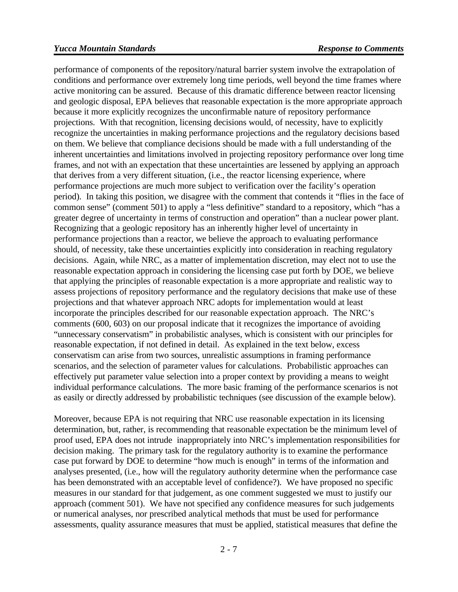#### *Yucca Mountain Standards Response to Comments*

performance of components of the repository/natural barrier system involve the extrapolation of conditions and performance over extremely long time periods, well beyond the time frames where active monitoring can be assured. Because of this dramatic difference between reactor licensing and geologic disposal, EPA believes that reasonable expectation is the more appropriate approach because it more explicitly recognizes the unconfirmable nature of repository performance projections. With that recognition, licensing decisions would, of necessity, have to explicitly recognize the uncertainties in making performance projections and the regulatory decisions based on them. We believe that compliance decisions should be made with a full understanding of the inherent uncertainties and limitations involved in projecting repository performance over long time frames, and not with an expectation that these uncertainties are lessened by applying an approach that derives from a very different situation, (i.e., the reactor licensing experience, where performance projections are much more subject to verification over the facility's operation period). In taking this position, we disagree with the comment that contends it "flies in the face of common sense" (comment 501) to apply a "less definitive" standard to a repository, which "has a greater degree of uncertainty in terms of construction and operation" than a nuclear power plant. Recognizing that a geologic repository has an inherently higher level of uncertainty in performance projections than a reactor, we believe the approach to evaluating performance should, of necessity, take these uncertainties explicitly into consideration in reaching regulatory decisions. Again, while NRC, as a matter of implementation discretion, may elect not to use the reasonable expectation approach in considering the licensing case put forth by DOE, we believe that applying the principles of reasonable expectation is a more appropriate and realistic way to assess projections of repository performance and the regulatory decisions that make use of these projections and that whatever approach NRC adopts for implementation would at least incorporate the principles described for our reasonable expectation approach. The NRC's comments (600, 603) on our proposal indicate that it recognizes the importance of avoiding "unnecessary conservatism" in probabilistic analyses, which is consistent with our principles for reasonable expectation, if not defined in detail. As explained in the text below, excess conservatism can arise from two sources, unrealistic assumptions in framing performance scenarios, and the selection of parameter values for calculations. Probabilistic approaches can effectively put parameter value selection into a proper context by providing a means to weight individual performance calculations. The more basic framing of the performance scenarios is not as easily or directly addressed by probabilistic techniques (see discussion of the example below).

Moreover, because EPA is not requiring that NRC use reasonable expectation in its licensing determination, but, rather, is recommending that reasonable expectation be the minimum level of proof used, EPA does not intrude inappropriately into NRC's implementation responsibilities for decision making. The primary task for the regulatory authority is to examine the performance case put forward by DOE to determine "how much is enough" in terms of the information and analyses presented, (i.e., how will the regulatory authority determine when the performance case has been demonstrated with an acceptable level of confidence?). We have proposed no specific measures in our standard for that judgement, as one comment suggested we must to justify our approach (comment 501). We have not specified any confidence measures for such judgements or numerical analyses, nor prescribed analytical methods that must be used for performance assessments, quality assurance measures that must be applied, statistical measures that define the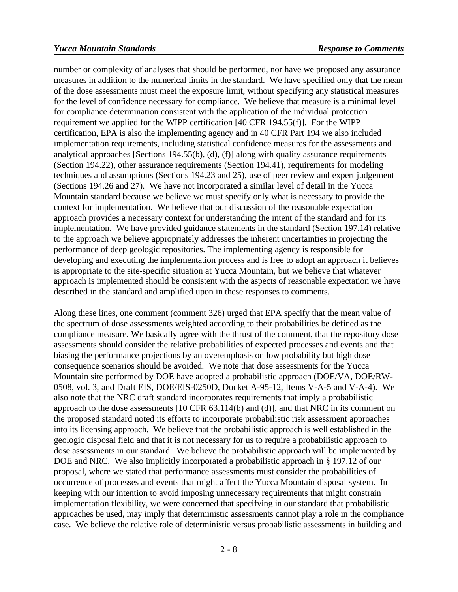number or complexity of analyses that should be performed, nor have we proposed any assurance measures in addition to the numerical limits in the standard. We have specified only that the mean of the dose assessments must meet the exposure limit, without specifying any statistical measures for the level of confidence necessary for compliance. We believe that measure is a minimal level for compliance determination consistent with the application of the individual protection requirement we applied for the WIPP certification [40 CFR 194.55(f)]. For the WIPP certification, EPA is also the implementing agency and in 40 CFR Part 194 we also included implementation requirements, including statistical confidence measures for the assessments and analytical approaches [Sections 194.55(b), (d), (f)] along with quality assurance requirements (Section 194.22), other assurance requirements (Section 194.41), requirements for modeling techniques and assumptions (Sections 194.23 and 25), use of peer review and expert judgement (Sections 194.26 and 27). We have not incorporated a similar level of detail in the Yucca Mountain standard because we believe we must specify only what is necessary to provide the context for implementation. We believe that our discussion of the reasonable expectation approach provides a necessary context for understanding the intent of the standard and for its implementation. We have provided guidance statements in the standard (Section 197.14) relative to the approach we believe appropriately addresses the inherent uncertainties in projecting the performance of deep geologic repositories. The implementing agency is responsible for developing and executing the implementation process and is free to adopt an approach it believes is appropriate to the site-specific situation at Yucca Mountain, but we believe that whatever approach is implemented should be consistent with the aspects of reasonable expectation we have described in the standard and amplified upon in these responses to comments.

Along these lines, one comment (comment 326) urged that EPA specify that the mean value of the spectrum of dose assessments weighted according to their probabilities be defined as the compliance measure. We basically agree with the thrust of the comment, that the repository dose assessments should consider the relative probabilities of expected processes and events and that biasing the performance projections by an overemphasis on low probability but high dose consequence scenarios should be avoided. We note that dose assessments for the Yucca Mountain site performed by DOE have adopted a probabilistic approach (DOE/VA, DOE/RW-0508, vol. 3, and Draft EIS, DOE/EIS-0250D, Docket A-95-12, Items V-A-5 and V-A-4). We also note that the NRC draft standard incorporates requirements that imply a probabilistic approach to the dose assessments [10 CFR 63.114(b) and (d)], and that NRC in its comment on the proposed standard noted its efforts to incorporate probabilistic risk assessment approaches into its licensing approach. We believe that the probabilistic approach is well established in the geologic disposal field and that it is not necessary for us to require a probabilistic approach to dose assessments in our standard. We believe the probabilistic approach will be implemented by DOE and NRC. We also implicitly incorporated a probabilistic approach in § 197.12 of our proposal, where we stated that performance assessments must consider the probabilities of occurrence of processes and events that might affect the Yucca Mountain disposal system. In keeping with our intention to avoid imposing unnecessary requirements that might constrain implementation flexibility, we were concerned that specifying in our standard that probabilistic approaches be used, may imply that deterministic assessments cannot play a role in the compliance case. We believe the relative role of deterministic versus probabilistic assessments in building and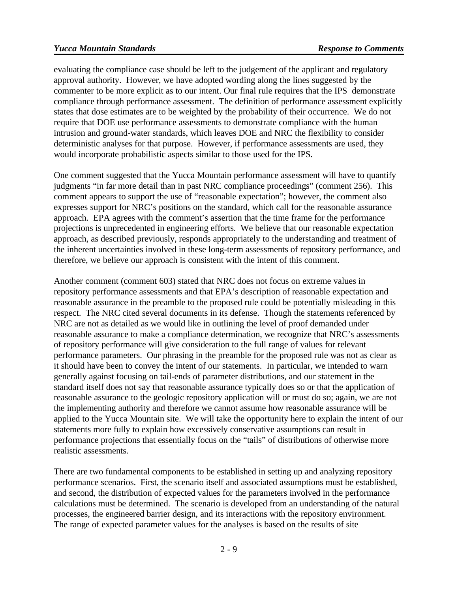evaluating the compliance case should be left to the judgement of the applicant and regulatory approval authority. However, we have adopted wording along the lines suggested by the commenter to be more explicit as to our intent. Our final rule requires that the IPS demonstrate compliance through performance assessment. The definition of performance assessment explicitly states that dose estimates are to be weighted by the probability of their occurrence. We do not require that DOE use performance assessments to demonstrate compliance with the human intrusion and ground-water standards, which leaves DOE and NRC the flexibility to consider deterministic analyses for that purpose. However, if performance assessments are used, they would incorporate probabilistic aspects similar to those used for the IPS.

One comment suggested that the Yucca Mountain performance assessment will have to quantify judgments "in far more detail than in past NRC compliance proceedings" (comment 256). This comment appears to support the use of "reasonable expectation"; however, the comment also expresses support for NRC's positions on the standard, which call for the reasonable assurance approach. EPA agrees with the comment's assertion that the time frame for the performance projections is unprecedented in engineering efforts. We believe that our reasonable expectation approach, as described previously, responds appropriately to the understanding and treatment of the inherent uncertainties involved in these long-term assessments of repository performance, and therefore, we believe our approach is consistent with the intent of this comment.

Another comment (comment 603) stated that NRC does not focus on extreme values in repository performance assessments and that EPA's description of reasonable expectation and reasonable assurance in the preamble to the proposed rule could be potentially misleading in this respect. The NRC cited several documents in its defense. Though the statements referenced by NRC are not as detailed as we would like in outlining the level of proof demanded under reasonable assurance to make a compliance determination, we recognize that NRC's assessments of repository performance will give consideration to the full range of values for relevant performance parameters. Our phrasing in the preamble for the proposed rule was not as clear as it should have been to convey the intent of our statements. In particular, we intended to warn generally against focusing on tail-ends of parameter distributions, and our statement in the standard itself does not say that reasonable assurance typically does so or that the application of reasonable assurance to the geologic repository application will or must do so; again, we are not the implementing authority and therefore we cannot assume how reasonable assurance will be applied to the Yucca Mountain site. We will take the opportunity here to explain the intent of our statements more fully to explain how excessively conservative assumptions can result in performance projections that essentially focus on the "tails" of distributions of otherwise more realistic assessments.

There are two fundamental components to be established in setting up and analyzing repository performance scenarios. First, the scenario itself and associated assumptions must be established, and second, the distribution of expected values for the parameters involved in the performance calculations must be determined. The scenario is developed from an understanding of the natural processes, the engineered barrier design, and its interactions with the repository environment. The range of expected parameter values for the analyses is based on the results of site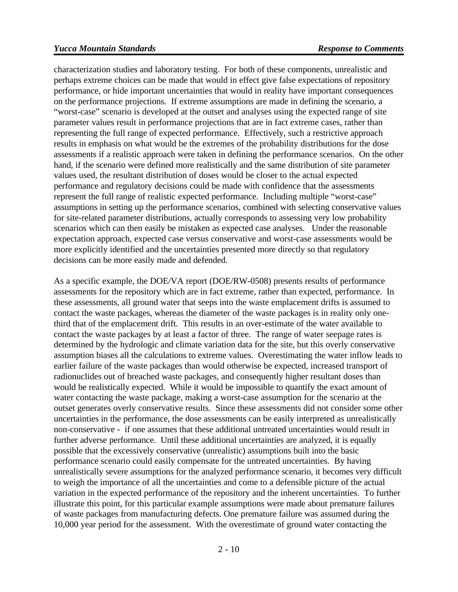characterization studies and laboratory testing. For both of these components, unrealistic and perhaps extreme choices can be made that would in effect give false expectations of repository performance, or hide important uncertainties that would in reality have important consequences on the performance projections. If extreme assumptions are made in defining the scenario, a "worst-case" scenario is developed at the outset and analyses using the expected range of site parameter values result in performance projections that are in fact extreme cases, rather than representing the full range of expected performance. Effectively, such a restrictive approach results in emphasis on what would be the extremes of the probability distributions for the dose assessments if a realistic approach were taken in defining the performance scenarios. On the other hand, if the scenario were defined more realistically and the same distribution of site parameter values used, the resultant distribution of doses would be closer to the actual expected performance and regulatory decisions could be made with confidence that the assessments represent the full range of realistic expected performance. Including multiple "worst-case" assumptions in setting up the performance scenarios, combined with selecting conservative values for site-related parameter distributions, actually corresponds to assessing very low probability scenarios which can then easily be mistaken as expected case analyses. Under the reasonable expectation approach, expected case versus conservative and worst-case assessments would be more explicitly identified and the uncertainties presented more directly so that regulatory decisions can be more easily made and defended.

As a specific example, the DOE/VA report (DOE/RW-0508) presents results of performance assessments for the repository which are in fact extreme, rather than expected, performance. In these assessments, all ground water that seeps into the waste emplacement drifts is assumed to contact the waste packages, whereas the diameter of the waste packages is in reality only onethird that of the emplacement drift. This results in an over-estimate of the water available to contact the waste packages by at least a factor of three. The range of water seepage rates is determined by the hydrologic and climate variation data for the site, but this overly conservative assumption biases all the calculations to extreme values. Overestimating the water inflow leads to earlier failure of the waste packages than would otherwise be expected, increased transport of radionuclides out of breached waste packages, and consequently higher resultant doses than would be realistically expected. While it would be impossible to quantify the exact amount of water contacting the waste package, making a worst-case assumption for the scenario at the outset generates overly conservative results. Since these assessments did not consider some other uncertainties in the performance, the dose assessments can be easily interpreted as unrealistically non-conservative - if one assumes that these additional untreated uncertainties would result in further adverse performance. Until these additional uncertainties are analyzed, it is equally possible that the excessively conservative (unrealistic) assumptions built into the basic performance scenario could easily compensate for the untreated uncertainties. By having unrealistically severe assumptions for the analyzed performance scenario, it becomes very difficult to weigh the importance of all the uncertainties and come to a defensible picture of the actual variation in the expected performance of the repository and the inherent uncertainties. To further illustrate this point, for this particular example assumptions were made about premature failures of waste packages from manufacturing defects. One premature failure was assumed during the 10,000 year period for the assessment. With the overestimate of ground water contacting the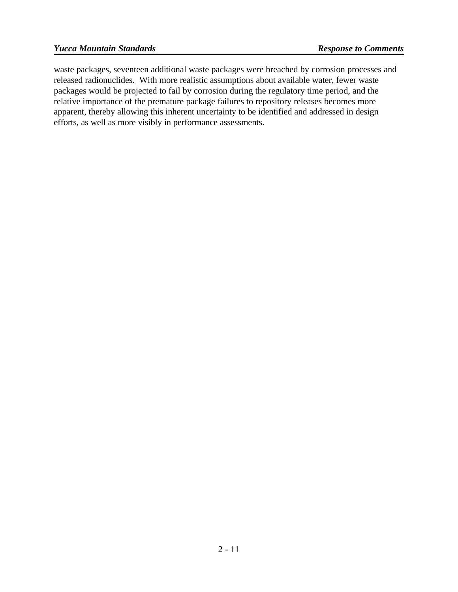waste packages, seventeen additional waste packages were breached by corrosion processes and released radionuclides. With more realistic assumptions about available water, fewer waste packages would be projected to fail by corrosion during the regulatory time period, and the relative importance of the premature package failures to repository releases becomes more apparent, thereby allowing this inherent uncertainty to be identified and addressed in design efforts, as well as more visibly in performance assessments.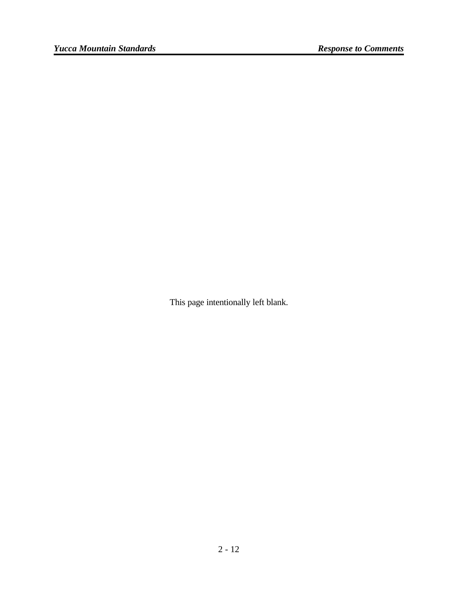This page intentionally left blank.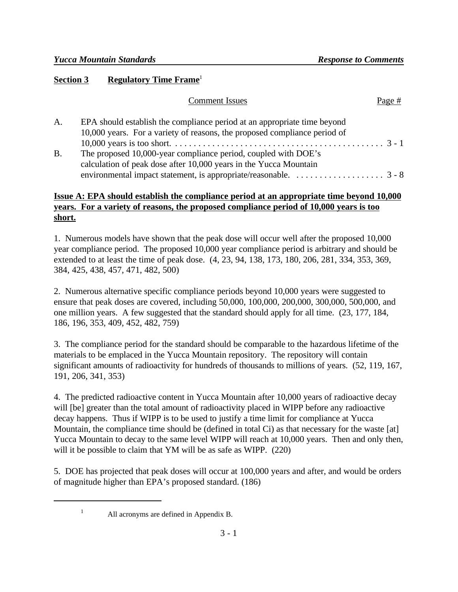## **Section 3 Regulatory Time Frame**<sup>1</sup>

|    | <b>Comment Issues</b>                                                                                                                                                                                                                         | Page # |
|----|-----------------------------------------------------------------------------------------------------------------------------------------------------------------------------------------------------------------------------------------------|--------|
| A. | EPA should establish the compliance period at an appropriate time beyond<br>10,000 years. For a variety of reasons, the proposed compliance period of                                                                                         |        |
| B. | The proposed 10,000-year compliance period, coupled with DOE's<br>calculation of peak dose after 10,000 years in the Yucca Mountain<br>environmental impact statement, is appropriate/reasonable. $\dots \dots \dots \dots \dots \dots$ 3 - 8 |        |

# **Issue A: EPA should establish the compliance period at an appropriate time beyond 10,000 years. For a variety of reasons, the proposed compliance period of 10,000 years is too short.**

1. Numerous models have shown that the peak dose will occur well after the proposed 10,000 year compliance period. The proposed 10,000 year compliance period is arbitrary and should be extended to at least the time of peak dose. (4, 23, 94, 138, 173, 180, 206, 281, 334, 353, 369, 384, 425, 438, 457, 471, 482, 500)

2. Numerous alternative specific compliance periods beyond 10,000 years were suggested to ensure that peak doses are covered, including 50,000, 100,000, 200,000, 300,000, 500,000, and one million years. A few suggested that the standard should apply for all time. (23, 177, 184, 186, 196, 353, 409, 452, 482, 759)

3. The compliance period for the standard should be comparable to the hazardous lifetime of the materials to be emplaced in the Yucca Mountain repository. The repository will contain significant amounts of radioactivity for hundreds of thousands to millions of years. (52, 119, 167, 191, 206, 341, 353)

4. The predicted radioactive content in Yucca Mountain after 10,000 years of radioactive decay will [be] greater than the total amount of radioactivity placed in WIPP before any radioactive decay happens. Thus if WIPP is to be used to justify a time limit for compliance at Yucca Mountain, the compliance time should be (defined in total Ci) as that necessary for the waste [at] Yucca Mountain to decay to the same level WIPP will reach at 10,000 years. Then and only then, will it be possible to claim that YM will be as safe as WIPP. (220)

5. DOE has projected that peak doses will occur at 100,000 years and after, and would be orders of magnitude higher than EPA's proposed standard. (186)

<sup>&</sup>lt;sup>1</sup> All acronyms are defined in Appendix B.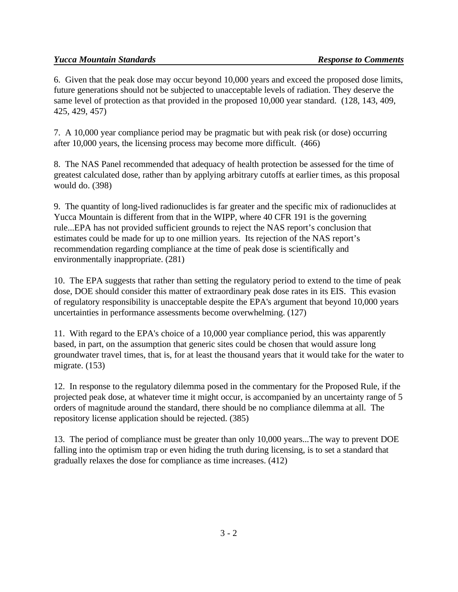6. Given that the peak dose may occur beyond 10,000 years and exceed the proposed dose limits, future generations should not be subjected to unacceptable levels of radiation. They deserve the same level of protection as that provided in the proposed 10,000 year standard. (128, 143, 409, 425, 429, 457)

7. A 10,000 year compliance period may be pragmatic but with peak risk (or dose) occurring after 10,000 years, the licensing process may become more difficult. (466)

8. The NAS Panel recommended that adequacy of health protection be assessed for the time of greatest calculated dose, rather than by applying arbitrary cutoffs at earlier times, as this proposal would do. (398)

9. The quantity of long-lived radionuclides is far greater and the specific mix of radionuclides at Yucca Mountain is different from that in the WIPP, where 40 CFR 191 is the governing rule...EPA has not provided sufficient grounds to reject the NAS report's conclusion that estimates could be made for up to one million years. Its rejection of the NAS report's recommendation regarding compliance at the time of peak dose is scientifically and environmentally inappropriate. (281)

10. The EPA suggests that rather than setting the regulatory period to extend to the time of peak dose, DOE should consider this matter of extraordinary peak dose rates in its EIS. This evasion of regulatory responsibility is unacceptable despite the EPA's argument that beyond 10,000 years uncertainties in performance assessments become overwhelming. (127)

11. With regard to the EPA's choice of a 10,000 year compliance period, this was apparently based, in part, on the assumption that generic sites could be chosen that would assure long groundwater travel times, that is, for at least the thousand years that it would take for the water to migrate. (153)

12. In response to the regulatory dilemma posed in the commentary for the Proposed Rule, if the projected peak dose, at whatever time it might occur, is accompanied by an uncertainty range of 5 orders of magnitude around the standard, there should be no compliance dilemma at all. The repository license application should be rejected. (385)

13. The period of compliance must be greater than only 10,000 years...The way to prevent DOE falling into the optimism trap or even hiding the truth during licensing, is to set a standard that gradually relaxes the dose for compliance as time increases. (412)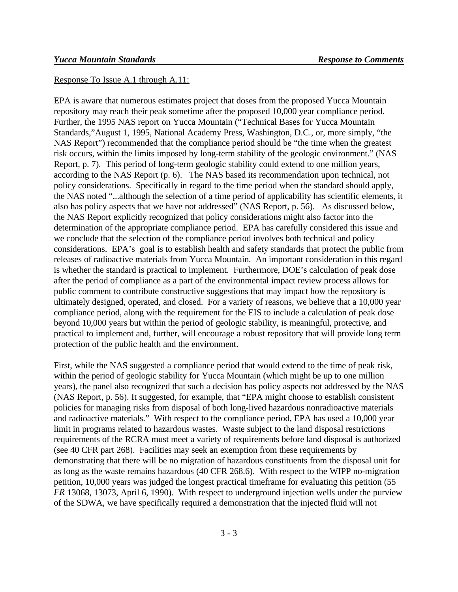#### Response To Issue A.1 through A.11:

EPA is aware that numerous estimates project that doses from the proposed Yucca Mountain repository may reach their peak sometime after the proposed 10,000 year compliance period. Further, the 1995 NAS report on Yucca Mountain ("Technical Bases for Yucca Mountain Standards,"August 1, 1995, National Academy Press, Washington, D.C., or, more simply, "the NAS Report") recommended that the compliance period should be "the time when the greatest risk occurs, within the limits imposed by long-term stability of the geologic environment." (NAS Report, p. 7). This period of long-term geologic stability could extend to one million years, according to the NAS Report (p. 6). The NAS based its recommendation upon technical, not policy considerations. Specifically in regard to the time period when the standard should apply, the NAS noted "...although the selection of a time period of applicability has scientific elements, it also has policy aspects that we have not addressed" (NAS Report, p. 56). As discussed below, the NAS Report explicitly recognized that policy considerations might also factor into the determination of the appropriate compliance period. EPA has carefully considered this issue and we conclude that the selection of the compliance period involves both technical and policy considerations. EPA's goal is to establish health and safety standards that protect the public from releases of radioactive materials from Yucca Mountain. An important consideration in this regard is whether the standard is practical to implement. Furthermore, DOE's calculation of peak dose after the period of compliance as a part of the environmental impact review process allows for public comment to contribute constructive suggestions that may impact how the repository is ultimately designed, operated, and closed. For a variety of reasons, we believe that a 10,000 year compliance period, along with the requirement for the EIS to include a calculation of peak dose beyond 10,000 years but within the period of geologic stability, is meaningful, protective, and practical to implement and, further, will encourage a robust repository that will provide long term protection of the public health and the environment.

First, while the NAS suggested a compliance period that would extend to the time of peak risk, within the period of geologic stability for Yucca Mountain (which might be up to one million years), the panel also recognized that such a decision has policy aspects not addressed by the NAS (NAS Report, p. 56). It suggested, for example, that "EPA might choose to establish consistent policies for managing risks from disposal of both long-lived hazardous nonradioactive materials and radioactive materials." With respect to the compliance period, EPA has used a 10,000 year limit in programs related to hazardous wastes. Waste subject to the land disposal restrictions requirements of the RCRA must meet a variety of requirements before land disposal is authorized (see 40 CFR part 268). Facilities may seek an exemption from these requirements by demonstrating that there will be no migration of hazardous constituents from the disposal unit for as long as the waste remains hazardous (40 CFR 268.6). With respect to the WIPP no-migration petition, 10,000 years was judged the longest practical timeframe for evaluating this petition (55 *FR* 13068, 13073, April 6, 1990). With respect to underground injection wells under the purview of the SDWA, we have specifically required a demonstration that the injected fluid will not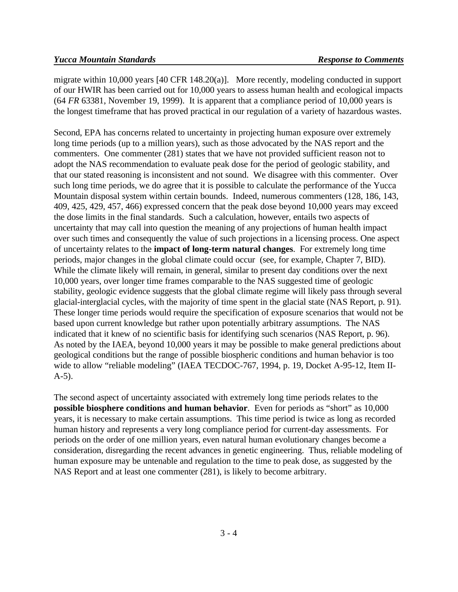migrate within 10,000 years [40 CFR 148.20(a)]. More recently, modeling conducted in support of our HWIR has been carried out for 10,000 years to assess human health and ecological impacts (64 *FR* 63381, November 19, 1999). It is apparent that a compliance period of 10,000 years is the longest timeframe that has proved practical in our regulation of a variety of hazardous wastes.

Second, EPA has concerns related to uncertainty in projecting human exposure over extremely long time periods (up to a million years), such as those advocated by the NAS report and the commenters. One commenter (281) states that we have not provided sufficient reason not to adopt the NAS recommendation to evaluate peak dose for the period of geologic stability, and that our stated reasoning is inconsistent and not sound. We disagree with this commenter. Over such long time periods, we do agree that it is possible to calculate the performance of the Yucca Mountain disposal system within certain bounds. Indeed, numerous commenters (128, 186, 143, 409, 425, 429, 457, 466) expressed concern that the peak dose beyond 10,000 years may exceed the dose limits in the final standards. Such a calculation, however, entails two aspects of uncertainty that may call into question the meaning of any projections of human health impact over such times and consequently the value of such projections in a licensing process. One aspect of uncertainty relates to the **impact of long-term natural changes**. For extremely long time periods, major changes in the global climate could occur (see, for example, Chapter 7, BID). While the climate likely will remain, in general, similar to present day conditions over the next 10,000 years, over longer time frames comparable to the NAS suggested time of geologic stability, geologic evidence suggests that the global climate regime will likely pass through several glacial-interglacial cycles, with the majority of time spent in the glacial state (NAS Report, p. 91). These longer time periods would require the specification of exposure scenarios that would not be based upon current knowledge but rather upon potentially arbitrary assumptions. The NAS indicated that it knew of no scientific basis for identifying such scenarios (NAS Report, p. 96). As noted by the IAEA, beyond 10,000 years it may be possible to make general predictions about geological conditions but the range of possible biospheric conditions and human behavior is too wide to allow "reliable modeling" (IAEA TECDOC-767, 1994, p. 19, Docket A-95-12, Item II-A-5).

The second aspect of uncertainty associated with extremely long time periods relates to the **possible biosphere conditions and human behavior**. Even for periods as "short" as 10,000 years, it is necessary to make certain assumptions. This time period is twice as long as recorded human history and represents a very long compliance period for current-day assessments. For periods on the order of one million years, even natural human evolutionary changes become a consideration, disregarding the recent advances in genetic engineering. Thus, reliable modeling of human exposure may be untenable and regulation to the time to peak dose, as suggested by the NAS Report and at least one commenter (281), is likely to become arbitrary.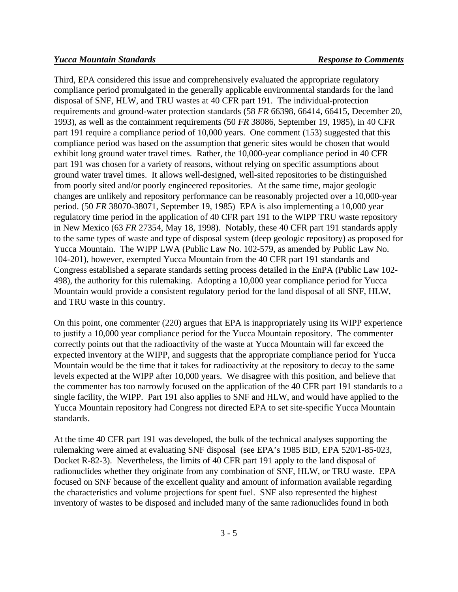Third, EPA considered this issue and comprehensively evaluated the appropriate regulatory compliance period promulgated in the generally applicable environmental standards for the land disposal of SNF, HLW, and TRU wastes at 40 CFR part 191. The individual-protection requirements and ground-water protection standards (58 *FR* 66398, 66414, 66415, December 20, 1993), as well as the containment requirements (50 *FR* 38086, September 19, 1985), in 40 CFR part 191 require a compliance period of 10,000 years. One comment (153) suggested that this compliance period was based on the assumption that generic sites would be chosen that would exhibit long ground water travel times. Rather, the 10,000-year compliance period in 40 CFR part 191 was chosen for a variety of reasons, without relying on specific assumptions about ground water travel times. It allows well-designed, well-sited repositories to be distinguished from poorly sited and/or poorly engineered repositories. At the same time, major geologic changes are unlikely and repository performance can be reasonably projected over a 10,000-year period. (50 *FR* 38070-38071, September 19, 1985) EPA is also implementing a 10,000 year regulatory time period in the application of 40 CFR part 191 to the WIPP TRU waste repository in New Mexico (63 *FR* 27354, May 18, 1998). Notably, these 40 CFR part 191 standards apply to the same types of waste and type of disposal system (deep geologic repository) as proposed for Yucca Mountain. The WIPP LWA (Public Law No. 102-579, as amended by Public Law No. 104-201), however, exempted Yucca Mountain from the 40 CFR part 191 standards and Congress established a separate standards setting process detailed in the EnPA (Public Law 102 498), the authority for this rulemaking. Adopting a 10,000 year compliance period for Yucca Mountain would provide a consistent regulatory period for the land disposal of all SNF, HLW, and TRU waste in this country.

On this point, one commenter (220) argues that EPA is inappropriately using its WIPP experience to justify a 10,000 year compliance period for the Yucca Mountain repository. The commenter correctly points out that the radioactivity of the waste at Yucca Mountain will far exceed the expected inventory at the WIPP, and suggests that the appropriate compliance period for Yucca Mountain would be the time that it takes for radioactivity at the repository to decay to the same levels expected at the WIPP after 10,000 years. We disagree with this position, and believe that the commenter has too narrowly focused on the application of the 40 CFR part 191 standards to a single facility, the WIPP. Part 191 also applies to SNF and HLW, and would have applied to the Yucca Mountain repository had Congress not directed EPA to set site-specific Yucca Mountain standards.

At the time 40 CFR part 191 was developed, the bulk of the technical analyses supporting the rulemaking were aimed at evaluating SNF disposal (see EPA's 1985 BID, EPA 520/1-85-023, Docket R-82-3). Nevertheless, the limits of 40 CFR part 191 apply to the land disposal of radionuclides whether they originate from any combination of SNF, HLW, or TRU waste. EPA focused on SNF because of the excellent quality and amount of information available regarding the characteristics and volume projections for spent fuel. SNF also represented the highest inventory of wastes to be disposed and included many of the same radionuclides found in both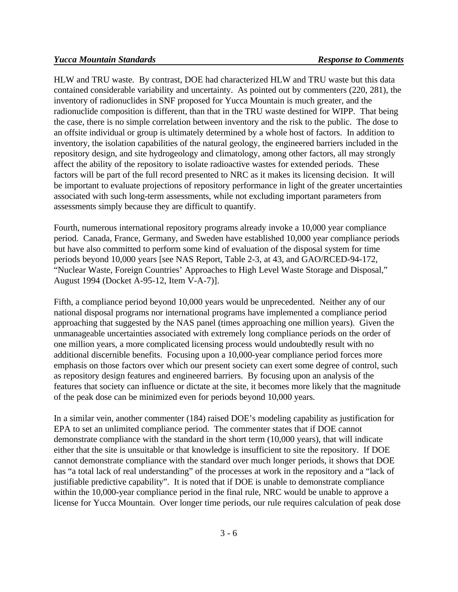HLW and TRU waste. By contrast, DOE had characterized HLW and TRU waste but this data contained considerable variability and uncertainty. As pointed out by commenters (220, 281), the inventory of radionuclides in SNF proposed for Yucca Mountain is much greater, and the radionuclide composition is different, than that in the TRU waste destined for WIPP. That being the case, there is no simple correlation between inventory and the risk to the public. The dose to an offsite individual or group is ultimately determined by a whole host of factors. In addition to inventory, the isolation capabilities of the natural geology, the engineered barriers included in the repository design, and site hydrogeology and climatology, among other factors, all may strongly affect the ability of the repository to isolate radioactive wastes for extended periods. These factors will be part of the full record presented to NRC as it makes its licensing decision. It will be important to evaluate projections of repository performance in light of the greater uncertainties associated with such long-term assessments, while not excluding important parameters from assessments simply because they are difficult to quantify.

Fourth, numerous international repository programs already invoke a 10,000 year compliance period. Canada, France, Germany, and Sweden have established 10,000 year compliance periods but have also committed to perform some kind of evaluation of the disposal system for time periods beyond 10,000 years [see NAS Report, Table 2-3, at 43, and GAO/RCED-94-172, "Nuclear Waste, Foreign Countries' Approaches to High Level Waste Storage and Disposal," August 1994 (Docket A-95-12, Item V-A-7)].

Fifth, a compliance period beyond 10,000 years would be unprecedented. Neither any of our national disposal programs nor international programs have implemented a compliance period approaching that suggested by the NAS panel (times approaching one million years). Given the unmanageable uncertainties associated with extremely long compliance periods on the order of one million years, a more complicated licensing process would undoubtedly result with no additional discernible benefits. Focusing upon a 10,000-year compliance period forces more emphasis on those factors over which our present society can exert some degree of control, such as repository design features and engineered barriers. By focusing upon an analysis of the features that society can influence or dictate at the site, it becomes more likely that the magnitude of the peak dose can be minimized even for periods beyond 10,000 years.

In a similar vein, another commenter (184) raised DOE's modeling capability as justification for EPA to set an unlimited compliance period. The commenter states that if DOE cannot demonstrate compliance with the standard in the short term (10,000 years), that will indicate either that the site is unsuitable or that knowledge is insufficient to site the repository. If DOE cannot demonstrate compliance with the standard over much longer periods, it shows that DOE has "a total lack of real understanding" of the processes at work in the repository and a "lack of justifiable predictive capability". It is noted that if DOE is unable to demonstrate compliance within the 10,000-year compliance period in the final rule, NRC would be unable to approve a license for Yucca Mountain. Over longer time periods, our rule requires calculation of peak dose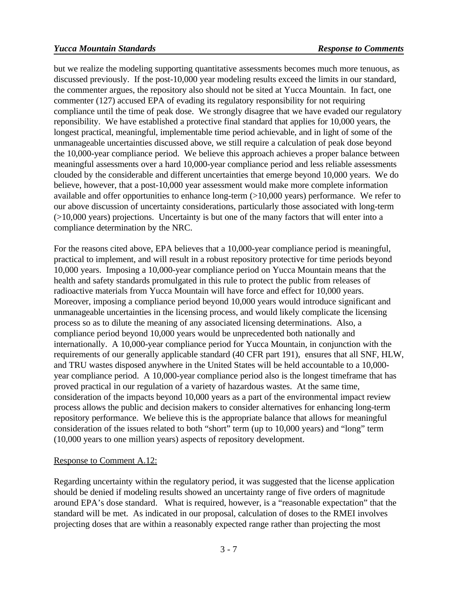but we realize the modeling supporting quantitative assessments becomes much more tenuous, as discussed previously. If the post-10,000 year modeling results exceed the limits in our standard, the commenter argues, the repository also should not be sited at Yucca Mountain. In fact, one commenter (127) accused EPA of evading its regulatory responsibility for not requiring compliance until the time of peak dose. We strongly disagree that we have evaded our regulatory reponsibility. We have established a protective final standard that applies for 10,000 years, the longest practical, meaningful, implementable time period achievable, and in light of some of the unmanageable uncertainties discussed above, we still require a calculation of peak dose beyond the 10,000-year compliance period. We believe this approach achieves a proper balance between meaningful assessments over a hard 10,000-year compliance period and less reliable assessments clouded by the considerable and different uncertainties that emerge beyond 10,000 years. We do believe, however, that a post-10,000 year assessment would make more complete information available and offer opportunities to enhance long-term (>10,000 years) performance. We refer to our above discussion of uncertainty considerations, particularly those associated with long-term (>10,000 years) projections. Uncertainty is but one of the many factors that will enter into a compliance determination by the NRC.

For the reasons cited above, EPA believes that a 10,000-year compliance period is meaningful, practical to implement, and will result in a robust repository protective for time periods beyond 10,000 years. Imposing a 10,000-year compliance period on Yucca Mountain means that the health and safety standards promulgated in this rule to protect the public from releases of radioactive materials from Yucca Mountain will have force and effect for 10,000 years. Moreover, imposing a compliance period beyond 10,000 years would introduce significant and unmanageable uncertainties in the licensing process, and would likely complicate the licensing process so as to dilute the meaning of any associated licensing determinations. Also, a compliance period beyond 10,000 years would be unprecedented both nationally and internationally. A 10,000-year compliance period for Yucca Mountain, in conjunction with the requirements of our generally applicable standard (40 CFR part 191), ensures that all SNF, HLW, and TRU wastes disposed anywhere in the United States will be held accountable to a 10,000 year compliance period. A 10,000-year compliance period also is the longest timeframe that has proved practical in our regulation of a variety of hazardous wastes. At the same time, consideration of the impacts beyond 10,000 years as a part of the environmental impact review process allows the public and decision makers to consider alternatives for enhancing long-term repository performance. We believe this is the appropriate balance that allows for meaningful consideration of the issues related to both "short" term (up to 10,000 years) and "long" term (10,000 years to one million years) aspects of repository development.

### Response to Comment A.12:

Regarding uncertainty within the regulatory period, it was suggested that the license application should be denied if modeling results showed an uncertainty range of five orders of magnitude around EPA's dose standard. What is required, however, is a "reasonable expectation" that the standard will be met. As indicated in our proposal, calculation of doses to the RMEI involves projecting doses that are within a reasonably expected range rather than projecting the most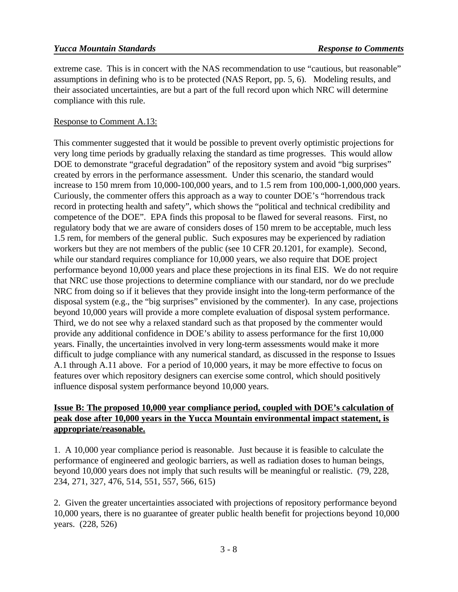<span id="page-70-0"></span>extreme case. This is in concert with the NAS recommendation to use "cautious, but reasonable" assumptions in defining who is to be protected (NAS Report, pp. 5, 6). Modeling results, and their associated uncertainties, are but a part of the full record upon which NRC will determine compliance with this rule.

# Response to Comment A.13:

This commenter suggested that it would be possible to prevent overly optimistic projections for very long time periods by gradually relaxing the standard as time progresses. This would allow DOE to demonstrate "graceful degradation" of the repository system and avoid "big surprises" created by errors in the performance assessment. Under this scenario, the standard would increase to 150 mrem from 10,000-100,000 years, and to 1.5 rem from 100,000-1,000,000 years. Curiously, the commenter offers this approach as a way to counter DOE's "horrendous track record in protecting health and safety", which shows the "political and technical credibility and competence of the DOE". EPA finds this proposal to be flawed for several reasons. First, no regulatory body that we are aware of considers doses of 150 mrem to be acceptable, much less 1.5 rem, for members of the general public. Such exposures may be experienced by radiation workers but they are not members of the public (see 10 CFR 20.1201, for example). Second, while our standard requires compliance for 10,000 years, we also require that DOE project performance beyond 10,000 years and place these projections in its final EIS. We do not require that NRC use those projections to determine compliance with our standard, nor do we preclude NRC from doing so if it believes that they provide insight into the long-term performance of the disposal system (e.g., the "big surprises" envisioned by the commenter). In any case, projections beyond 10,000 years will provide a more complete evaluation of disposal system performance. Third, we do not see why a relaxed standard such as that proposed by the commenter would provide any additional confidence in DOE's ability to assess performance for the first 10,000 years. Finally, the uncertainties involved in very long-term assessments would make it more difficult to judge compliance with any numerical standard, as discussed in the response to Issues A.1 through A.11 above. For a period of 10,000 years, it may be more effective to focus on features over which repository designers can exercise some control, which should positively influence disposal system performance beyond 10,000 years.

# **Issue B: The proposed 10,000 year compliance period, coupled with DOE's calculation of peak dose after 10,000 years in the Yucca Mountain environmental impact statement, is appropriate/reasonable.**

1. A 10,000 year compliance period is reasonable. Just because it is feasible to calculate the performance of engineered and geologic barriers, as well as radiation doses to human beings, beyond 10,000 years does not imply that such results will be meaningful or realistic. (79, 228, 234, 271, 327, 476, 514, 551, 557, 566, 615)

2. Given the greater uncertainties associated with projections of repository performance beyond 10,000 years, there is no guarantee of greater public health benefit for projections beyond 10,000 years. (228, 526)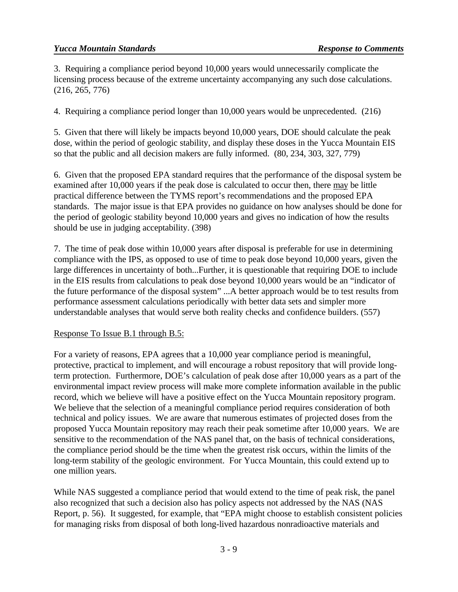## *Yucca Mountain Standards Response to Comments*

3. Requiring a compliance period beyond 10,000 years would unnecessarily complicate the licensing process because of the extreme uncertainty accompanying any such dose calculations. (216, 265, 776)

4. Requiring a compliance period longer than 10,000 years would be unprecedented. (216)

5. Given that there will likely be impacts beyond 10,000 years, DOE should calculate the peak dose, within the period of geologic stability, and display these doses in the Yucca Mountain EIS so that the public and all decision makers are fully informed. (80, 234, 303, 327, 779)

6. Given that the proposed EPA standard requires that the performance of the disposal system be examined after 10,000 years if the peak dose is calculated to occur then, there may be little practical difference between the TYMS report's recommendations and the proposed EPA standards. The major issue is that EPA provides no guidance on how analyses should be done for the period of geologic stability beyond 10,000 years and gives no indication of how the results should be use in judging acceptability. (398)

7. The time of peak dose within 10,000 years after disposal is preferable for use in determining compliance with the IPS, as opposed to use of time to peak dose beyond 10,000 years, given the large differences in uncertainty of both...Further, it is questionable that requiring DOE to include in the EIS results from calculations to peak dose beyond 10,000 years would be an "indicator of the future performance of the disposal system" ...A better approach would be to test results from performance assessment calculations periodically with better data sets and simpler more understandable analyses that would serve both reality checks and confidence builders. (557)

### Response To Issue B.1 through B.5:

For a variety of reasons, EPA agrees that a 10,000 year compliance period is meaningful, protective, practical to implement, and will encourage a robust repository that will provide longterm protection. Furthermore, DOE's calculation of peak dose after 10,000 years as a part of the environmental impact review process will make more complete information available in the public record, which we believe will have a positive effect on the Yucca Mountain repository program. We believe that the selection of a meaningful compliance period requires consideration of both technical and policy issues. We are aware that numerous estimates of projected doses from the proposed Yucca Mountain repository may reach their peak sometime after 10,000 years. We are sensitive to the recommendation of the NAS panel that, on the basis of technical considerations, the compliance period should be the time when the greatest risk occurs, within the limits of the long-term stability of the geologic environment. For Yucca Mountain, this could extend up to one million years.

While NAS suggested a compliance period that would extend to the time of peak risk, the panel also recognized that such a decision also has policy aspects not addressed by the NAS (NAS Report, p. 56). It suggested, for example, that "EPA might choose to establish consistent policies for managing risks from disposal of both long-lived hazardous nonradioactive materials and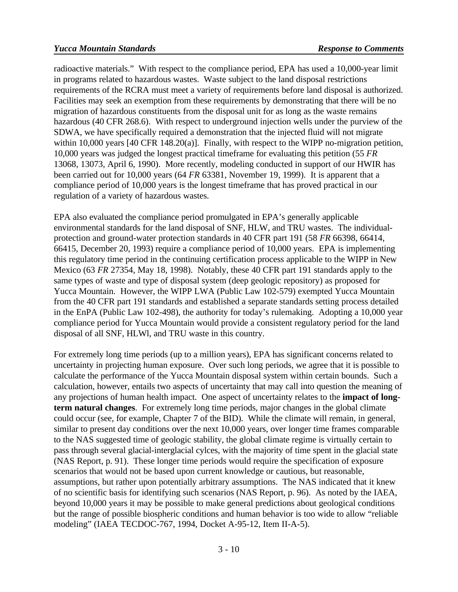radioactive materials." With respect to the compliance period, EPA has used a 10,000-year limit in programs related to hazardous wastes. Waste subject to the land disposal restrictions requirements of the RCRA must meet a variety of requirements before land disposal is authorized. Facilities may seek an exemption from these requirements by demonstrating that there will be no migration of hazardous constituents from the disposal unit for as long as the waste remains hazardous (40 CFR 268.6). With respect to underground injection wells under the purview of the SDWA, we have specifically required a demonstration that the injected fluid will not migrate within 10,000 years [40 CFR 148.20(a)]. Finally, with respect to the WIPP no-migration petition, 10,000 years was judged the longest practical timeframe for evaluating this petition (55 *FR*  13068, 13073, April 6, 1990). More recently, modeling conducted in support of our HWIR has been carried out for 10,000 years (64 *FR* 63381, November 19, 1999). It is apparent that a compliance period of 10,000 years is the longest timeframe that has proved practical in our regulation of a variety of hazardous wastes.

EPA also evaluated the compliance period promulgated in EPA's generally applicable environmental standards for the land disposal of SNF, HLW, and TRU wastes. The individualprotection and ground-water protection standards in 40 CFR part 191 (58 *FR* 66398, 66414, 66415, December 20, 1993) require a compliance period of 10,000 years. EPA is implementing this regulatory time period in the continuing certification process applicable to the WIPP in New Mexico (63 *FR* 27354, May 18, 1998). Notably, these 40 CFR part 191 standards apply to the same types of waste and type of disposal system (deep geologic repository) as proposed for Yucca Mountain. However, the WIPP LWA (Public Law 102-579) exempted Yucca Mountain from the 40 CFR part 191 standards and established a separate standards setting process detailed in the EnPA (Public Law 102-498), the authority for today's rulemaking. Adopting a 10,000 year compliance period for Yucca Mountain would provide a consistent regulatory period for the land disposal of all SNF, HLWl, and TRU waste in this country.

For extremely long time periods (up to a million years), EPA has significant concerns related to uncertainty in projecting human exposure. Over such long periods, we agree that it is possible to calculate the performance of the Yucca Mountain disposal system within certain bounds. Such a calculation, however, entails two aspects of uncertainty that may call into question the meaning of any projections of human health impact. One aspect of uncertainty relates to the **impact of longterm natural changes**. For extremely long time periods, major changes in the global climate could occur (see, for example, Chapter 7 of the BID). While the climate will remain, in general, similar to present day conditions over the next 10,000 years, over longer time frames comparable to the NAS suggested time of geologic stability, the global climate regime is virtually certain to pass through several glacial-interglacial cylces, with the majority of time spent in the glacial state (NAS Report, p. 91). These longer time periods would require the specification of exposure scenarios that would not be based upon current knowledge or cautious, but reasonable, assumptions, but rather upon potentially arbitrary assumptions. The NAS indicated that it knew of no scientific basis for identifying such scenarios (NAS Report, p. 96). As noted by the IAEA, beyond 10,000 years it may be possible to make general predictions about geological conditions but the range of possible biospheric conditions and human behavior is too wide to allow "reliable modeling" (IAEA TECDOC-767, 1994, Docket A-95-12, Item II-A-5).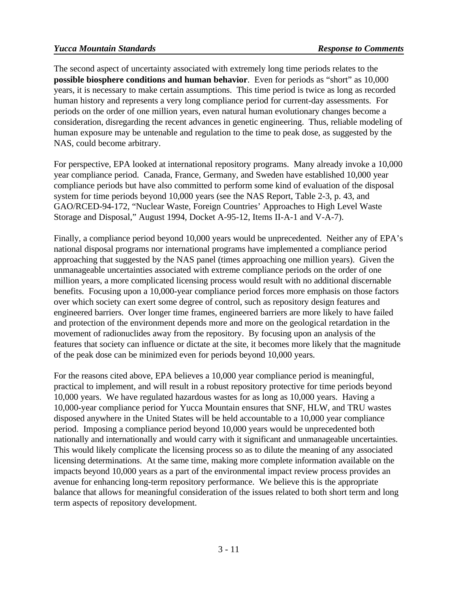#### *Yucca Mountain Standards Response to Comments*

The second aspect of uncertainty associated with extremely long time periods relates to the **possible biosphere conditions and human behavior**. Even for periods as "short" as 10,000 years, it is necessary to make certain assumptions. This time period is twice as long as recorded human history and represents a very long compliance period for current-day assessments. For periods on the order of one million years, even natural human evolutionary changes become a consideration, disregarding the recent advances in genetic engineering. Thus, reliable modeling of human exposure may be untenable and regulation to the time to peak dose, as suggested by the NAS, could become arbitrary.

For perspective, EPA looked at international repository programs. Many already invoke a 10,000 year compliance period. Canada, France, Germany, and Sweden have established 10,000 year compliance periods but have also committed to perform some kind of evaluation of the disposal system for time periods beyond 10,000 years (see the NAS Report, Table 2-3, p. 43, and GAO/RCED-94-172, "Nuclear Waste, Foreign Countries' Approaches to High Level Waste Storage and Disposal," August 1994, Docket A-95-12, Items II-A-1 and V-A-7).

Finally, a compliance period beyond 10,000 years would be unprecedented. Neither any of EPA's national disposal programs nor international programs have implemented a compliance period approaching that suggested by the NAS panel (times approaching one million years). Given the unmanageable uncertainties associated with extreme compliance periods on the order of one million years, a more complicated licensing process would result with no additional discernable benefits. Focusing upon a 10,000-year compliance period forces more emphasis on those factors over which society can exert some degree of control, such as repository design features and engineered barriers. Over longer time frames, engineered barriers are more likely to have failed and protection of the environment depends more and more on the geological retardation in the movement of radionuclides away from the repository. By focusing upon an analysis of the features that society can influence or dictate at the site, it becomes more likely that the magnitude of the peak dose can be minimized even for periods beyond 10,000 years.

For the reasons cited above, EPA believes a 10,000 year compliance period is meaningful, practical to implement, and will result in a robust repository protective for time periods beyond 10,000 years. We have regulated hazardous wastes for as long as 10,000 years. Having a 10,000-year compliance period for Yucca Mountain ensures that SNF, HLW, and TRU wastes disposed anywhere in the United States will be held accountable to a 10,000 year compliance period. Imposing a compliance period beyond 10,000 years would be unprecedented both nationally and internationally and would carry with it significant and unmanageable uncertainties. This would likely complicate the licensing process so as to dilute the meaning of any associated licensing determinations. At the same time, making more complete information available on the impacts beyond 10,000 years as a part of the environmental impact review process provides an avenue for enhancing long-term repository performance. We believe this is the appropriate balance that allows for meaningful consideration of the issues related to both short term and long term aspects of repository development.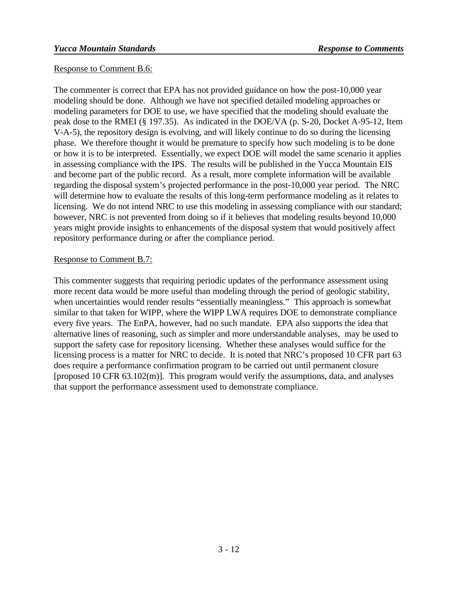### Response to Comment B.6:

The commenter is correct that EPA has not provided guidance on how the post-10,000 year modeling should be done. Although we have not specified detailed modeling approaches or modeling parameters for DOE to use, we have specified that the modeling should evaluate the peak dose to the RMEI (§ 197.35). As indicated in the DOE/VA (p. S-20, Docket A-95-12, Item V-A-5), the repository design is evolving, and will likely continue to do so during the licensing phase. We therefore thought it would be premature to specify how such modeling is to be done or how it is to be interpreted. Essentially, we expect DOE will model the same scenario it applies in assessing compliance with the IPS. The results will be published in the Yucca Mountain EIS and become part of the public record. As a result, more complete information will be available regarding the disposal system's projected performance in the post-10,000 year period. The NRC will determine how to evaluate the results of this long-term performance modeling as it relates to licensing. We do not intend NRC to use this modeling in assessing compliance with our standard; however, NRC is not prevented from doing so if it believes that modeling results beyond 10,000 years might provide insights to enhancements of the disposal system that would positively affect repository performance during or after the compliance period.

#### Response to Comment B.7:

This commenter suggests that requiring periodic updates of the performance assessment using more recent data would be more useful than modeling through the period of geologic stability, when uncertainties would render results "essentially meaningless." This approach is somewhat similar to that taken for WIPP, where the WIPP LWA requires DOE to demonstrate compliance every five years. The EnPA, however, had no such mandate. EPA also supports the idea that alternative lines of reasoning, such as simpler and more understandable analyses, may be used to support the safety case for repository licensing. Whether these analyses would suffice for the licensing process is a matter for NRC to decide. It is noted that NRC's proposed 10 CFR part 63 does require a performance confirmation program to be carried out until permanent closure [proposed 10 CFR 63.102(m)]. This program would verify the assumptions, data, and analyses that support the performance assessment used to demonstrate compliance.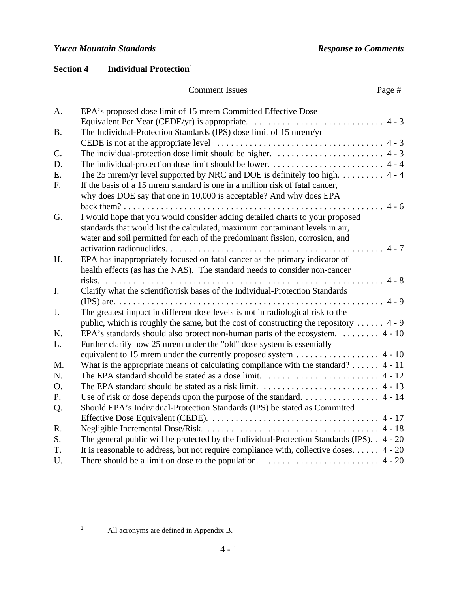# **<u>Section 4</u> Individual Protection**<sup>1</sup>

# Comment Issues

|--|--|--|

| A.        | EPA's proposed dose limit of 15 mrem Committed Effective Dose                                                  |
|-----------|----------------------------------------------------------------------------------------------------------------|
|           | Equivalent Per Year (CEDE/yr) is appropriate. $\dots\dots\dots\dots\dots\dots\dots\dots\dots\dots$ 4 - 3       |
| <b>B.</b> | The Individual-Protection Standards (IPS) dose limit of 15 mrem/yr                                             |
|           |                                                                                                                |
| C.        | The individual-protection dose limit should be higher. $\dots \dots \dots \dots \dots \dots \dots \dots$ 4 - 3 |
| D.        |                                                                                                                |
| E.        | The 25 mrem/yr level supported by NRC and DOE is definitely too high 4 - 4                                     |
| F.        | If the basis of a 15 mrem standard is one in a million risk of fatal cancer,                                   |
|           | why does DOE say that one in 10,000 is acceptable? And why does EPA                                            |
|           |                                                                                                                |
| G.        | I would hope that you would consider adding detailed charts to your proposed                                   |
|           | standards that would list the calculated, maximum contaminant levels in air,                                   |
|           | water and soil permitted for each of the predominant fission, corrosion, and                                   |
|           |                                                                                                                |
| H.        | EPA has inappropriately focused on fatal cancer as the primary indicator of                                    |
|           | health effects (as has the NAS). The standard needs to consider non-cancer                                     |
|           |                                                                                                                |
| I.        | Clarify what the scientific/risk bases of the Individual-Protection Standards                                  |
|           | . 4 - 9                                                                                                        |
| J.        | The greatest impact in different dose levels is not in radiological risk to the                                |
|           | public, which is roughly the same, but the cost of constructing the repository $4 - 9$                         |
| K.        | EPA's standards should also protect non-human parts of the ecosystem. $\dots \dots$ 4 - 10                     |
| L.        | Further clarify how 25 mrem under the "old" dose system is essentially                                         |
|           |                                                                                                                |
| M.        | What is the appropriate means of calculating compliance with the standard? $4 - 11$                            |
| N.        |                                                                                                                |
| O.        | The EPA standard should be stated as a risk limit. $\ldots \ldots \ldots \ldots \ldots \ldots \ldots$ 4 - 13   |
| P.        |                                                                                                                |
| Q.        | Should EPA's Individual-Protection Standards (IPS) be stated as Committed                                      |
|           |                                                                                                                |
| R.        |                                                                                                                |
| S.        | The general public will be protected by the Individual-Protection Standards (IPS). . 4 - 20                    |
| T.        | It is reasonable to address, but not require compliance with, collective doses. 4 - 20                         |
| U.        |                                                                                                                |

<sup>&</sup>lt;sup>1</sup> All acronyms are defined in Appendix B.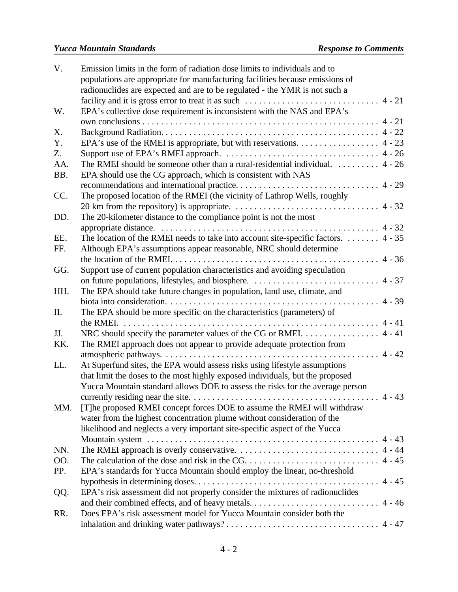# *Yucca Mountain Standards Response to Comments*

| V.  | Emission limits in the form of radiation dose limits to individuals and to                                                      |
|-----|---------------------------------------------------------------------------------------------------------------------------------|
|     | populations are appropriate for manufacturing facilities because emissions of                                                   |
|     | radionuclides are expected and are to be regulated - the YMR is not such a                                                      |
|     |                                                                                                                                 |
| W.  | EPA's collective dose requirement is inconsistent with the NAS and EPA's                                                        |
|     |                                                                                                                                 |
| Χ.  |                                                                                                                                 |
| Y.  | EPA's use of the RMEI is appropriate, but with reservations. 4 - 23                                                             |
| Z.  | Support use of EPA's RMEI approach. $\ldots \ldots \ldots \ldots \ldots \ldots \ldots \ldots \ldots \ldots \ldots \cdot 4 - 26$ |
| AA. | The RMEI should be someone other than a rural-residential individual. $\dots \dots \dots$ 4 - 26                                |
| BB. | EPA should use the CG approach, which is consistent with NAS                                                                    |
|     |                                                                                                                                 |
| CC. | The proposed location of the RMEI (the vicinity of Lathrop Wells, roughly                                                       |
|     |                                                                                                                                 |
| DD. | The 20-kilometer distance to the compliance point is not the most                                                               |
|     |                                                                                                                                 |
| EE. | The location of the RMEI needs to take into account site-specific factors. $4 - 35$                                             |
| FF. | Although EPA's assumptions appear reasonable, NRC should determine                                                              |
|     |                                                                                                                                 |
| GG. | Support use of current population characteristics and avoiding speculation                                                      |
|     |                                                                                                                                 |
| HH. | The EPA should take future changes in population, land use, climate, and                                                        |
|     |                                                                                                                                 |
| Π.  | The EPA should be more specific on the characteristics (parameters) of                                                          |
|     |                                                                                                                                 |
| JJ. | NRC should specify the parameter values of the CG or RMEI. 4 - 41                                                               |
| KK. | The RMEI approach does not appear to provide adequate protection from                                                           |
|     | . 4 - 42                                                                                                                        |
| LL. | At Superfund sites, the EPA would assess risks using lifestyle assumptions                                                      |
|     | that limit the doses to the most highly exposed individuals, but the proposed                                                   |
|     | Yucca Mountain standard allows DOE to assess the risks for the average person                                                   |
|     |                                                                                                                                 |
| MM. | [T] he proposed RMEI concept forces DOE to assume the RMEI will withdraw                                                        |
|     | water from the highest concentration plume without consideration of the                                                         |
|     | likelihood and neglects a very important site-specific aspect of the Yucca                                                      |
|     |                                                                                                                                 |
| NN. |                                                                                                                                 |
| OO. |                                                                                                                                 |
| PP. | EPA's standards for Yucca Mountain should employ the linear, no-threshold                                                       |
|     |                                                                                                                                 |
| QQ. | EPA's risk assessment did not properly consider the mixtures of radionuclides                                                   |
|     |                                                                                                                                 |
| RR. | Does EPA's risk assessment model for Yucca Mountain consider both the                                                           |
|     |                                                                                                                                 |
|     |                                                                                                                                 |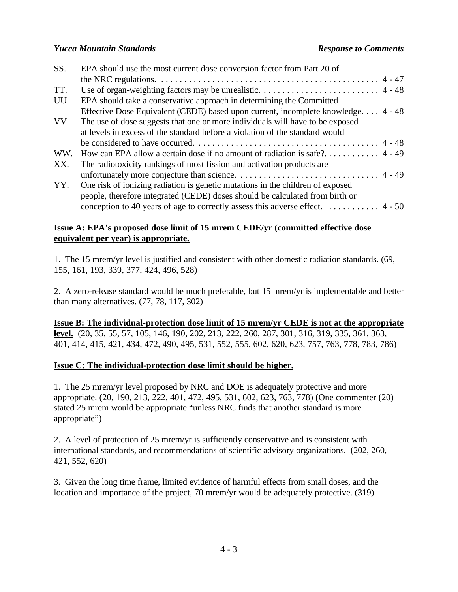<span id="page-77-0"></span>

| SS. | EPA should use the most current dose conversion factor from Part 20 of                            |
|-----|---------------------------------------------------------------------------------------------------|
|     |                                                                                                   |
| TT. |                                                                                                   |
| UU. | EPA should take a conservative approach in determining the Committed                              |
|     | Effective Dose Equivalent (CEDE) based upon current, incomplete knowledge. 4 - 48                 |
| VV. | The use of dose suggests that one or more individuals will have to be exposed                     |
|     | at levels in excess of the standard before a violation of the standard would                      |
|     |                                                                                                   |
| WW. |                                                                                                   |
| XX. | The radiotoxicity rankings of most fission and activation products are                            |
|     |                                                                                                   |
| YY. | One risk of ionizing radiation is genetic mutations in the children of exposed                    |
|     | people, therefore integrated (CEDE) doses should be calculated from birth or                      |
|     | conception to 40 years of age to correctly assess this adverse effect. $\dots \dots \dots$ 4 - 50 |

# **Issue A: EPA's proposed dose limit of 15 mrem CEDE/yr (committed effective dose equivalent per year) is appropriate.**

1. The 15 mrem/yr level is justified and consistent with other domestic radiation standards. (69, 155, 161, 193, 339, 377, 424, 496, 528)

2. A zero-release standard would be much preferable, but 15 mrem/yr is implementable and better than many alternatives. (77, 78, 117, 302)

**Issue B: The individual-protection dose limit of 15 mrem/yr CEDE is not at the appropriate level.** (20, 35, 55, 57, 105, 146, 190, 202, 213, 222, 260, 287, 301, 316, 319, 335, 361, 363, 401, 414, 415, 421, 434, 472, 490, 495, 531, 552, 555, 602, 620, 623, 757, 763, 778, 783, 786)

# **Issue C: The individual-protection dose limit should be higher.**

1. The 25 mrem/yr level proposed by NRC and DOE is adequately protective and more appropriate. (20, 190, 213, 222, 401, 472, 495, 531, 602, 623, 763, 778) (One commenter (20) stated 25 mrem would be appropriate "unless NRC finds that another standard is more appropriate")

2. A level of protection of 25 mrem/yr is sufficiently conservative and is consistent with international standards, and recommendations of scientific advisory organizations. (202, 260, 421, 552, 620)

3. Given the long time frame, limited evidence of harmful effects from small doses, and the location and importance of the project, 70 mrem/yr would be adequately protective. (319)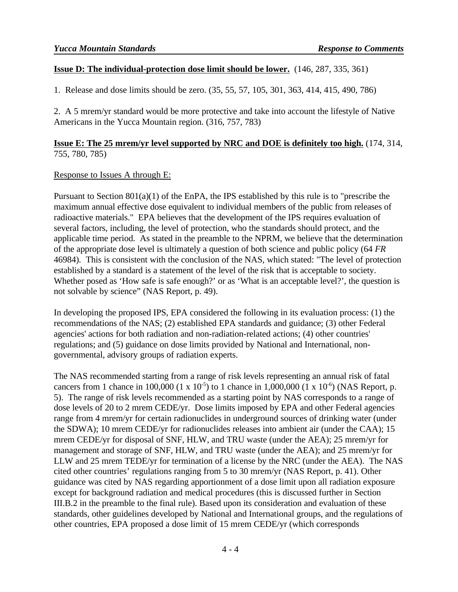### <span id="page-78-0"></span>**Issue D: The individual-protection dose limit should be lower.** (146, 287, 335, 361)

1. Release and dose limits should be zero. (35, 55, 57, 105, 301, 363, 414, 415, 490, 786)

2. A 5 mrem/yr standard would be more protective and take into account the lifestyle of Native Americans in the Yucca Mountain region. (316, 757, 783)

# **Issue E: The 25 mrem/yr level supported by NRC and DOE is definitely too high.** (174, 314, 755, 780, 785)

### Response to Issues A through E:

Pursuant to Section 801(a)(1) of the EnPA, the IPS established by this rule is to "prescribe the maximum annual effective dose equivalent to individual members of the public from releases of radioactive materials." EPA believes that the development of the IPS requires evaluation of several factors, including, the level of protection, who the standards should protect, and the applicable time period. As stated in the preamble to the NPRM, we believe that the determination of the appropriate dose level is ultimately a question of both science and public policy (64 *FR*  46984). This is consistent with the conclusion of the NAS, which stated: "The level of protection established by a standard is a statement of the level of the risk that is acceptable to society. Whether posed as 'How safe is safe enough?' or as 'What is an acceptable level?', the question is not solvable by science" (NAS Report, p. 49).

In developing the proposed IPS, EPA considered the following in its evaluation process: (1) the recommendations of the NAS; (2) established EPA standards and guidance; (3) other Federal agencies' actions for both radiation and non-radiation-related actions; (4) other countries' regulations; and (5) guidance on dose limits provided by National and International, nongovernmental, advisory groups of radiation experts.

The NAS recommended starting from a range of risk levels representing an annual risk of fatal cancers from 1 chance in 100,000 (1 x  $10^{-5}$ ) to 1 chance in 1,000,000 (1 x  $10^{-6}$ ) (NAS Report, p. 5). The range of risk levels recommended as a starting point by NAS corresponds to a range of dose levels of 20 to 2 mrem CEDE/yr. Dose limits imposed by EPA and other Federal agencies range from 4 mrem/yr for certain radionuclides in underground sources of drinking water (under the SDWA); 10 mrem CEDE/yr for radionuclides releases into ambient air (under the CAA); 15 mrem CEDE/yr for disposal of SNF, HLW, and TRU waste (under the AEA); 25 mrem/yr for management and storage of SNF, HLW, and TRU waste (under the AEA); and 25 mrem/yr for LLW and 25 mrem TEDE/yr for termination of a license by the NRC (under the AEA). The NAS cited other countries' regulations ranging from 5 to 30 mrem/yr (NAS Report, p. 41). Other guidance was cited by NAS regarding apportionment of a dose limit upon all radiation exposure except for background radiation and medical procedures (this is discussed further in Section III.B.2 in the preamble to the final rule). Based upon its consideration and evaluation of these standards, other guidelines developed by National and International groups, and the regulations of other countries, EPA proposed a dose limit of 15 mrem CEDE/yr (which corresponds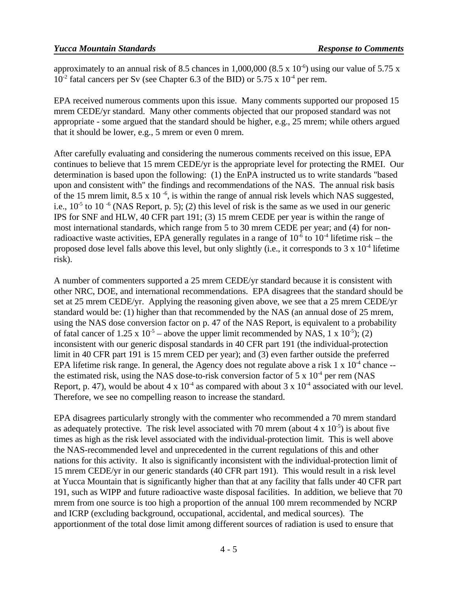approximately to an annual risk of 8.5 chances in 1,000,000 (8.5 x 10<sup>-6</sup>) using our value of 5.75 x  $10^{-2}$  fatal cancers per Sv (see Chapter 6.3 of the BID) or 5.75 x  $10^{-4}$  per rem.

EPA received numerous comments upon this issue. Many comments supported our proposed 15 mrem CEDE/yr standard. Many other comments objected that our proposed standard was not appropriate - some argued that the standard should be higher, e.g., 25 mrem; while others argued that it should be lower, e.g., 5 mrem or even 0 mrem.

After carefully evaluating and considering the numerous comments received on this issue, EPA continues to believe that 15 mrem CEDE/yr is the appropriate level for protecting the RMEI. Our determination is based upon the following: (1) the EnPA instructed us to write standards "based upon and consistent with" the findings and recommendations of the NAS. The annual risk basis of the 15 mrem limit, 8.5 x 10 $^{-6}$ , is within the range of annual risk levels which NAS suggested, i.e.,  $10^{-5}$  to 10<sup>-6</sup> (NAS Report, p. 5); (2) this level of risk is the same as we used in our generic IPS for SNF and HLW, 40 CFR part 191; (3) 15 mrem CEDE per year is within the range of most international standards, which range from 5 to 30 mrem CEDE per year; and (4) for nonradioactive waste activities, EPA generally regulates in a range of  $10^{-6}$  to  $10^{-4}$  lifetime risk – the proposed dose level falls above this level, but only slightly (i.e., it corresponds to  $3 \times 10^{-4}$  lifetime risk).

A number of commenters supported a 25 mrem CEDE/yr standard because it is consistent with other NRC, DOE, and international recommendations. EPA disagrees that the standard should be set at 25 mrem CEDE/yr. Applying the reasoning given above, we see that a 25 mrem CEDE/yr standard would be: (1) higher than that recommended by the NAS (an annual dose of 25 mrem, using the NAS dose conversion factor on p. 47 of the NAS Report, is equivalent to a probability of fatal cancer of 1.25 x  $10^{-5}$  – above the upper limit recommended by NAS, 1 x  $10^{-5}$ ); (2) inconsistent with our generic disposal standards in 40 CFR part 191 (the individual-protection limit in 40 CFR part 191 is 15 mrem CED per year); and (3) even farther outside the preferred EPA lifetime risk range. In general, the Agency does not regulate above a risk  $1 \times 10^{-4}$  chance  $$ the estimated risk, using the NAS dose-to-risk conversion factor of  $5 \times 10^{-4}$  per rem (NAS Report, p. 47), would be about 4 x  $10^4$  as compared with about 3 x  $10^4$  associated with our level. Therefore, we see no compelling reason to increase the standard.

EPA disagrees particularly strongly with the commenter who recommended a 70 mrem standard as adequately protective. The risk level associated with 70 mrem (about  $4 \times 10^{-5}$ ) is about five times as high as the risk level associated with the individual-protection limit. This is well above the NAS-recommended level and unprecedented in the current regulations of this and other nations for this activity. It also is significantly inconsistent with the individual-protection limit of 15 mrem CEDE/yr in our generic standards (40 CFR part 191). This would result in a risk level at Yucca Mountain that is significantly higher than that at any facility that falls under 40 CFR part 191, such as WIPP and future radioactive waste disposal facilities. In addition, we believe that 70 mrem from one source is too high a proportion of the annual 100 mrem recommended by NCRP and ICRP (excluding background, occupational, accidental, and medical sources). The apportionment of the total dose limit among different sources of radiation is used to ensure that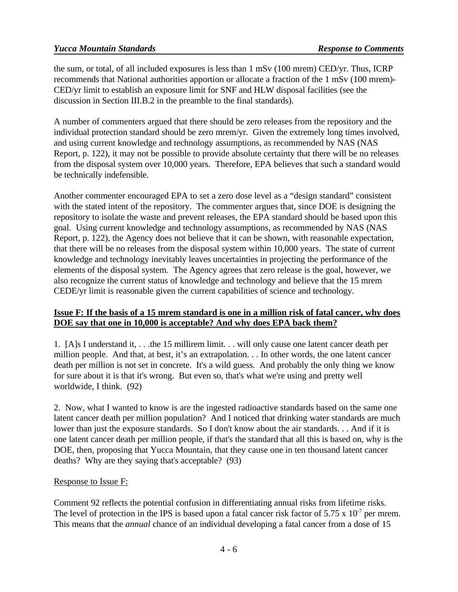### <span id="page-80-0"></span>*Yucca Mountain Standards Response to Comments*

the sum, or total, of all included exposures is less than 1 mSv (100 mrem) CED/yr. Thus, ICRP recommends that National authorities apportion or allocate a fraction of the 1 mSv (100 mrem)- CED/yr limit to establish an exposure limit for SNF and HLW disposal facilities (see the discussion in Section III.B.2 in the preamble to the final standards).

A number of commenters argued that there should be zero releases from the repository and the individual protection standard should be zero mrem/yr. Given the extremely long times involved, and using current knowledge and technology assumptions, as recommended by NAS (NAS Report, p. 122), it may not be possible to provide absolute certainty that there will be no releases from the disposal system over 10,000 years. Therefore, EPA believes that such a standard would be technically indefensible.

Another commenter encouraged EPA to set a zero dose level as a "design standard" consistent with the stated intent of the repository. The commenter argues that, since DOE is designing the repository to isolate the waste and prevent releases, the EPA standard should be based upon this goal. Using current knowledge and technology assumptions, as recommended by NAS (NAS Report, p. 122), the Agency does not believe that it can be shown, with reasonable expectation, that there will be no releases from the disposal system within 10,000 years. The state of current knowledge and technology inevitably leaves uncertainties in projecting the performance of the elements of the disposal system. The Agency agrees that zero release is the goal, however, we also recognize the current status of knowledge and technology and believe that the 15 mrem CEDE/yr limit is reasonable given the current capabilities of science and technology.

#### **Issue F: If the basis of a 15 mrem standard is one in a million risk of fatal cancer, why does DOE say that one in 10,000 is acceptable? And why does EPA back them?**

1. [A]s I understand it, . . .the 15 millirem limit. . . will only cause one latent cancer death per million people. And that, at best, it's an extrapolation. . . In other words, the one latent cancer death per million is not set in concrete. It's a wild guess. And probably the only thing we know for sure about it is that it's wrong. But even so, that's what we're using and pretty well worldwide, I think. (92)

2. Now, what I wanted to know is are the ingested radioactive standards based on the same one latent cancer death per million population? And I noticed that drinking water standards are much lower than just the exposure standards. So I don't know about the air standards. . . And if it is one latent cancer death per million people, if that's the standard that all this is based on, why is the DOE, then, proposing that Yucca Mountain, that they cause one in ten thousand latent cancer deaths? Why are they saying that's acceptable? (93)

#### Response to Issue F:

Comment 92 reflects the potential confusion in differentiating annual risks from lifetime risks. The level of protection in the IPS is based upon a fatal cancer risk factor of 5.75 x  $10^{-7}$  per mrem. This means that the *annual* chance of an individual developing a fatal cancer from a dose of 15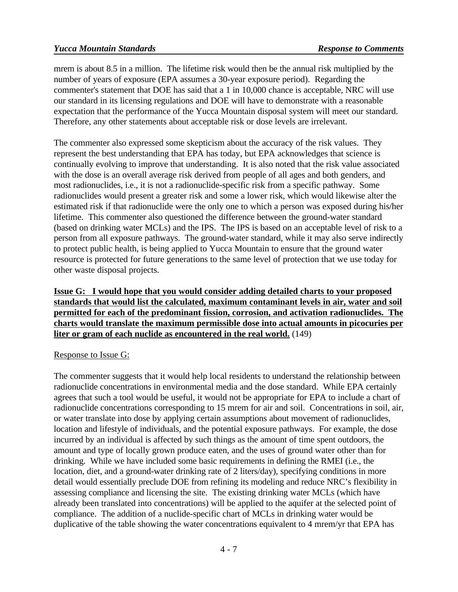<span id="page-81-0"></span>mrem is about 8.5 in a million. The lifetime risk would then be the annual risk multiplied by the number of years of exposure (EPA assumes a 30-year exposure period). Regarding the commenter's statement that DOE has said that a 1 in 10,000 chance is acceptable, NRC will use our standard in its licensing regulations and DOE will have to demonstrate with a reasonable expectation that the performance of the Yucca Mountain disposal system will meet our standard. Therefore, any other statements about acceptable risk or dose levels are irrelevant.

The commenter also expressed some skepticism about the accuracy of the risk values. They represent the best understanding that EPA has today, but EPA acknowledges that science is continually evolving to improve that understanding. It is also noted that the risk value associated with the dose is an overall average risk derived from people of all ages and both genders, and most radionuclides, i.e., it is not a radionuclide-specific risk from a specific pathway. Some radionuclides would present a greater risk and some a lower risk, which would likewise alter the estimated risk if that radionuclide were the only one to which a person was exposed during his/her lifetime. This commenter also questioned the difference between the ground-water standard (based on drinking water MCLs) and the IPS. The IPS is based on an acceptable level of risk to a person from all exposure pathways. The ground-water standard, while it may also serve indirectly to protect public health, is being applied to Yucca Mountain to ensure that the ground water resource is protected for future generations to the same level of protection that we use today for other waste disposal projects.

**Issue G: I would hope that you would consider adding detailed charts to your proposed standards that would list the calculated, maximum contaminant levels in air, water and soil permitted for each of the predominant fission, corrosion, and activation radionuclides. The charts would translate the maximum permissible dose into actual amounts in picocuries per liter or gram of each nuclide as encountered in the real world.** (149)

#### Response to Issue G:

The commenter suggests that it would help local residents to understand the relationship between radionuclide concentrations in environmental media and the dose standard. While EPA certainly agrees that such a tool would be useful, it would not be appropriate for EPA to include a chart of radionuclide concentrations corresponding to 15 mrem for air and soil. Concentrations in soil, air, or water translate into dose by applying certain assumptions about movement of radionuclides, location and lifestyle of individuals, and the potential exposure pathways. For example, the dose incurred by an individual is affected by such things as the amount of time spent outdoors, the amount and type of locally grown produce eaten, and the uses of ground water other than for drinking. While we have included some basic requirements in defining the RMEI (i.e., the location, diet, and a ground-water drinking rate of 2 liters/day), specifying conditions in more detail would essentially preclude DOE from refining its modeling and reduce NRC's flexibility in assessing compliance and licensing the site. The existing drinking water MCLs (which have already been translated into concentrations) will be applied to the aquifer at the selected point of compliance. The addition of a nuclide-specific chart of MCLs in drinking water would be duplicative of the table showing the water concentrations equivalent to 4 mrem/yr that EPA has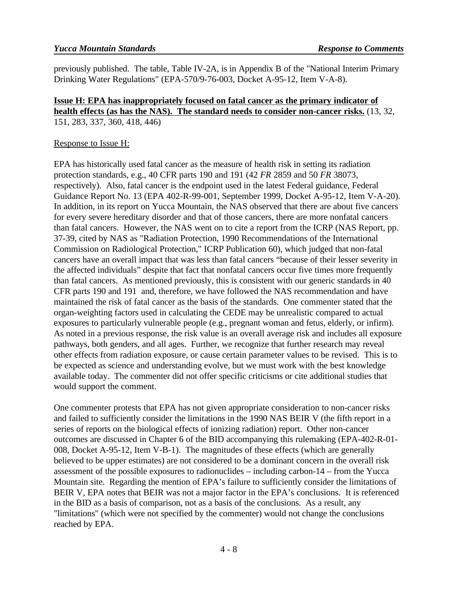### <span id="page-82-0"></span>*Yucca Mountain Standards Response to Comments*

previously published. The table, Table IV-2A, is in Appendix B of the "National Interim Primary Drinking Water Regulations" (EPA-570/9-76-003, Docket A-95-12, Item V-A-8).

### **Issue H: EPA has inappropriately focused on fatal cancer as the primary indicator of health effects (as has the NAS). The standard needs to consider non-cancer risks.** (13, 32, 151, 283, 337, 360, 418, 446)

#### Response to Issue H:

EPA has historically used fatal cancer as the measure of health risk in setting its radiation protection standards, e.g., 40 CFR parts 190 and 191 (42 *FR* 2859 and 50 *FR* 38073, respectively). Also, fatal cancer is the endpoint used in the latest Federal guidance, Federal Guidance Report No. 13 (EPA 402-R-99-001, September 1999, Docket A-95-12, Item V-A-20). In addition, in its report on Yucca Mountain, the NAS observed that there are about five cancers for every severe hereditary disorder and that of those cancers, there are more nonfatal cancers than fatal cancers. However, the NAS went on to cite a report from the ICRP (NAS Report, pp. 37-39, cited by NAS as "Radiation Protection, 1990 Recommendations of the International Commission on Radiological Protection," ICRP Publication 60), which judged that non-fatal cancers have an overall impact that was less than fatal cancers "because of their lesser severity in the affected individuals" despite that fact that nonfatal cancers occur five times more frequently than fatal cancers. As mentioned previously, this is consistent with our generic standards in 40 CFR parts 190 and 191 and, therefore, we have followed the NAS recommendation and have maintained the risk of fatal cancer as the basis of the standards. One commenter stated that the organ-weighting factors used in calculating the CEDE may be unrealistic compared to actual exposures to particularly vulnerable people (e.g., pregnant woman and fetus, elderly, or infirm). As noted in a previous response, the risk value is an overall average risk and includes all exposure pathways, both genders, and all ages. Further, we recognize that further research may reveal other effects from radiation exposure, or cause certain parameter values to be revised. This is to be expected as science and understanding evolve, but we must work with the best knowledge available today. The commenter did not offer specific criticisms or cite additional studies that would support the comment.

One commenter protests that EPA has not given appropriate consideration to non-cancer risks and failed to sufficiently consider the limitations in the 1990 NAS BEIR V (the fifth report in a series of reports on the biological effects of ionizing radiation) report. Other non-cancer outcomes are discussed in Chapter 6 of the BID accompanying this rulemaking (EPA-402-R-01 008, Docket A-95-12, Item V-B-1). The magnitudes of these effects (which are generally believed to be upper estimates) are not considered to be a dominant concern in the overall risk assessment of the possible exposures to radionuclides – including carbon-14 – from the Yucca Mountain site. Regarding the mention of EPA's failure to sufficiently consider the limitations of BEIR V, EPA notes that BEIR was not a major factor in the EPA's conclusions. It is referenced in the BID as a basis of comparison, not as a basis of the conclusions. As a result, any "limitations" (which were not specified by the commenter) would not change the conclusions reached by EPA.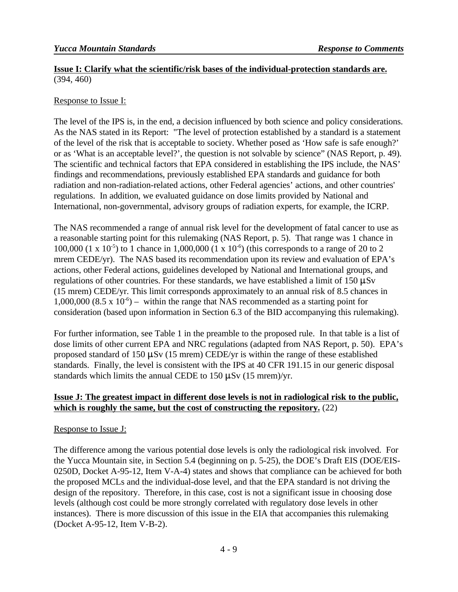## <span id="page-83-0"></span>**Issue I: Clarify what the scientific/risk bases of the individual-protection standards are.**  (394, 460)

### Response to Issue I:

The level of the IPS is, in the end, a decision influenced by both science and policy considerations. As the NAS stated in its Report: "The level of protection established by a standard is a statement of the level of the risk that is acceptable to society. Whether posed as 'How safe is safe enough?' or as 'What is an acceptable level?', the question is not solvable by science" (NAS Report, p. 49). The scientific and technical factors that EPA considered in establishing the IPS include, the NAS' findings and recommendations, previously established EPA standards and guidance for both radiation and non-radiation-related actions, other Federal agencies' actions, and other countries' regulations. In addition, we evaluated guidance on dose limits provided by National and International, non-governmental, advisory groups of radiation experts, for example, the ICRP.

The NAS recommended a range of annual risk level for the development of fatal cancer to use as a reasonable starting point for this rulemaking (NAS Report, p. 5). That range was 1 chance in 100,000 (1 x 10<sup>-5</sup>) to 1 chance in 1,000,000 (1 x 10<sup>-6</sup>) (this corresponds to a range of 20 to 2 mrem CEDE/yr). The NAS based its recommendation upon its review and evaluation of EPA's actions, other Federal actions, guidelines developed by National and International groups, and regulations of other countries. For these standards, we have established a limit of 150  $\mu$ Sv (15 mrem) CEDE/yr. This limit corresponds approximately to an annual risk of 8.5 chances in 1,000,000 (8.5 x 10<sup>-6</sup>) – within the range that NAS recommended as a starting point for consideration (based upon information in Section 6.3 of the BID accompanying this rulemaking).

For further information, see Table 1 in the preamble to the proposed rule. In that table is a list of dose limits of other current EPA and NRC regulations (adapted from NAS Report, p. 50). EPA's proposed standard of 150  $\mu$ Sv (15 mrem) CEDE/yr is within the range of these established standards. Finally, the level is consistent with the IPS at 40 CFR 191.15 in our generic disposal standards which limits the annual CEDE to 150  $\mu$ Sv (15 mrem)/yr.

### **Issue J: The greatest impact in different dose levels is not in radiological risk to the public, which is roughly the same, but the cost of constructing the repository.** (22)

# Response to Issue J:

The difference among the various potential dose levels is only the radiological risk involved. For the Yucca Mountain site, in Section 5.4 (beginning on p. 5-25), the DOE's Draft EIS (DOE/EIS-0250D, Docket A-95-12, Item V-A-4) states and shows that compliance can be achieved for both the proposed MCLs and the individual-dose level, and that the EPA standard is not driving the design of the repository. Therefore, in this case, cost is not a significant issue in choosing dose levels (although cost could be more strongly correlated with regulatory dose levels in other instances). There is more discussion of this issue in the EIA that accompanies this rulemaking (Docket A-95-12, Item V-B-2).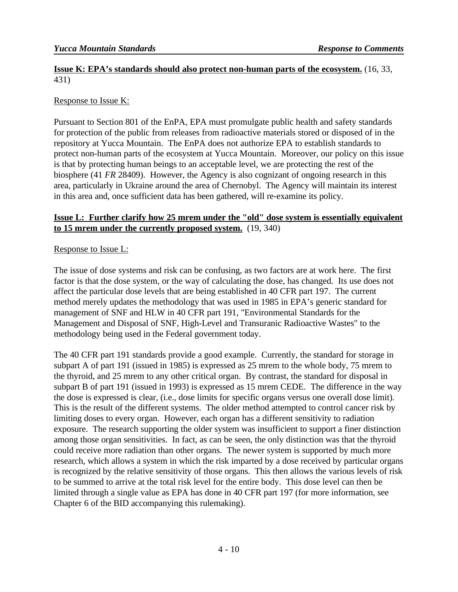# <span id="page-84-0"></span>**Issue K: EPA's standards should also protect non-human parts of the ecosystem.** (16, 33, 431)

# Response to Issue K:

Pursuant to Section 801 of the EnPA, EPA must promulgate public health and safety standards for protection of the public from releases from radioactive materials stored or disposed of in the repository at Yucca Mountain. The EnPA does not authorize EPA to establish standards to protect non-human parts of the ecosystem at Yucca Mountain. Moreover, our policy on this issue is that by protecting human beings to an acceptable level, we are protecting the rest of the biosphere (41 *FR* 28409). However, the Agency is also cognizant of ongoing research in this area, particularly in Ukraine around the area of Chernobyl. The Agency will maintain its interest in this area and, once sufficient data has been gathered, will re-examine its policy.

# **Issue L: Further clarify how 25 mrem under the "old" dose system is essentially equivalent to 15 mrem under the currently proposed system.** (19, 340)

# Response to Issue L:

The issue of dose systems and risk can be confusing, as two factors are at work here. The first factor is that the dose system, or the way of calculating the dose, has changed. Its use does not affect the particular dose levels that are being established in 40 CFR part 197. The current method merely updates the methodology that was used in 1985 in EPA's generic standard for management of SNF and HLW in 40 CFR part 191, "Environmental Standards for the Management and Disposal of SNF, High-Level and Transuranic Radioactive Wastes" to the methodology being used in the Federal government today.

The 40 CFR part 191 standards provide a good example. Currently, the standard for storage in subpart A of part 191 (issued in 1985) is expressed as 25 mrem to the whole body, 75 mrem to the thyroid, and 25 mrem to any other critical organ. By contrast, the standard for disposal in subpart B of part 191 (issued in 1993) is expressed as 15 mrem CEDE. The difference in the way the dose is expressed is clear, (i.e., dose limits for specific organs versus one overall dose limit). This is the result of the different systems. The older method attempted to control cancer risk by limiting doses to every organ. However, each organ has a different sensitivity to radiation exposure. The research supporting the older system was insufficient to support a finer distinction among those organ sensitivities. In fact, as can be seen, the only distinction was that the thyroid could receive more radiation than other organs. The newer system is supported by much more research, which allows a system in which the risk imparted by a dose received by particular organs is recognized by the relative sensitivity of those organs. This then allows the various levels of risk to be summed to arrive at the total risk level for the entire body. This dose level can then be limited through a single value as EPA has done in 40 CFR part 197 (for more information, see Chapter 6 of the BID accompanying this rulemaking).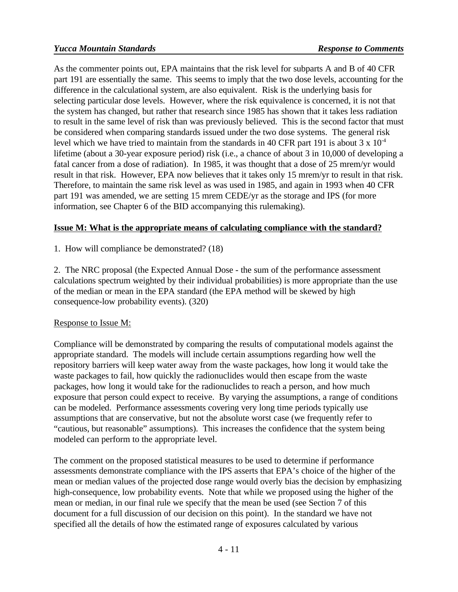<span id="page-85-0"></span>As the commenter points out, EPA maintains that the risk level for subparts A and B of 40 CFR part 191 are essentially the same. This seems to imply that the two dose levels, accounting for the difference in the calculational system, are also equivalent. Risk is the underlying basis for selecting particular dose levels. However, where the risk equivalence is concerned, it is not that the system has changed, but rather that research since 1985 has shown that it takes less radiation to result in the same level of risk than was previously believed. This is the second factor that must be considered when comparing standards issued under the two dose systems. The general risk level which we have tried to maintain from the standards in 40 CFR part 191 is about  $3 \times 10^{-4}$ lifetime (about a 30-year exposure period) risk (i.e., a chance of about 3 in 10,000 of developing a fatal cancer from a dose of radiation). In 1985, it was thought that a dose of 25 mrem/yr would result in that risk. However, EPA now believes that it takes only 15 mrem/yr to result in that risk. Therefore, to maintain the same risk level as was used in 1985, and again in 1993 when 40 CFR part 191 was amended, we are setting 15 mrem CEDE/yr as the storage and IPS (for more information, see Chapter 6 of the BID accompanying this rulemaking).

# **Issue M: What is the appropriate means of calculating compliance with the standard?**

1. How will compliance be demonstrated? (18)

2. The NRC proposal (the Expected Annual Dose - the sum of the performance assessment calculations spectrum weighted by their individual probabilities) is more appropriate than the use of the median or mean in the EPA standard (the EPA method will be skewed by high consequence-low probability events). (320)

# Response to Issue M:

Compliance will be demonstrated by comparing the results of computational models against the appropriate standard. The models will include certain assumptions regarding how well the repository barriers will keep water away from the waste packages, how long it would take the waste packages to fail, how quickly the radionuclides would then escape from the waste packages, how long it would take for the radionuclides to reach a person, and how much exposure that person could expect to receive. By varying the assumptions, a range of conditions can be modeled. Performance assessments covering very long time periods typically use assumptions that are conservative, but not the absolute worst case (we frequently refer to "cautious, but reasonable" assumptions). This increases the confidence that the system being modeled can perform to the appropriate level.

The comment on the proposed statistical measures to be used to determine if performance assessments demonstrate compliance with the IPS asserts that EPA's choice of the higher of the mean or median values of the projected dose range would overly bias the decision by emphasizing high-consequence, low probability events. Note that while we proposed using the higher of the mean or median, in our final rule we specify that the mean be used (see Section 7 of this document for a full discussion of our decision on this point). In the standard we have not specified all the details of how the estimated range of exposures calculated by various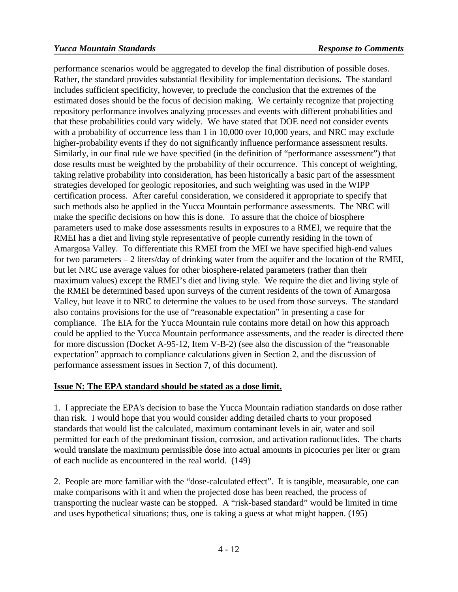<span id="page-86-0"></span>performance scenarios would be aggregated to develop the final distribution of possible doses. Rather, the standard provides substantial flexibility for implementation decisions. The standard includes sufficient specificity, however, to preclude the conclusion that the extremes of the estimated doses should be the focus of decision making. We certainly recognize that projecting repository performance involves analyzing processes and events with different probabilities and that these probabilities could vary widely. We have stated that DOE need not consider events with a probability of occurrence less than 1 in 10,000 over 10,000 years, and NRC may exclude higher-probability events if they do not significantly influence performance assessment results. Similarly, in our final rule we have specified (in the definition of "performance assessment") that dose results must be weighted by the probability of their occurrence. This concept of weighting, taking relative probability into consideration, has been historically a basic part of the assessment strategies developed for geologic repositories, and such weighting was used in the WIPP certification process. After careful consideration, we considered it appropriate to specify that such methods also be applied in the Yucca Mountain performance assessments. The NRC will make the specific decisions on how this is done. To assure that the choice of biosphere parameters used to make dose assessments results in exposures to a RMEI, we require that the RMEI has a diet and living style representative of people currently residing in the town of Amargosa Valley. To differentiate this RMEI from the MEI we have specified high-end values for two parameters  $-2$  liters/day of drinking water from the aquifer and the location of the RMEI, but let NRC use average values for other biosphere-related parameters (rather than their maximum values) except the RMEI's diet and living style. We require the diet and living style of the RMEI be determined based upon surveys of the current residents of the town of Amargosa Valley, but leave it to NRC to determine the values to be used from those surveys. The standard also contains provisions for the use of "reasonable expectation" in presenting a case for compliance. The EIA for the Yucca Mountain rule contains more detail on how this approach could be applied to the Yucca Mountain performance assessments, and the reader is directed there for more discussion (Docket A-95-12, Item V-B-2) (see also the discussion of the "reasonable expectation" approach to compliance calculations given in Section 2, and the discussion of performance assessment issues in Section 7, of this document).

# **Issue N: The EPA standard should be stated as a dose limit.**

1. I appreciate the EPA's decision to base the Yucca Mountain radiation standards on dose rather than risk. I would hope that you would consider adding detailed charts to your proposed standards that would list the calculated, maximum contaminant levels in air, water and soil permitted for each of the predominant fission, corrosion, and activation radionuclides. The charts would translate the maximum permissible dose into actual amounts in picocuries per liter or gram of each nuclide as encountered in the real world. (149)

2. People are more familiar with the "dose-calculated effect". It is tangible, measurable, one can make comparisons with it and when the projected dose has been reached, the process of transporting the nuclear waste can be stopped. A "risk-based standard" would be limited in time and uses hypothetical situations; thus, one is taking a guess at what might happen. (195)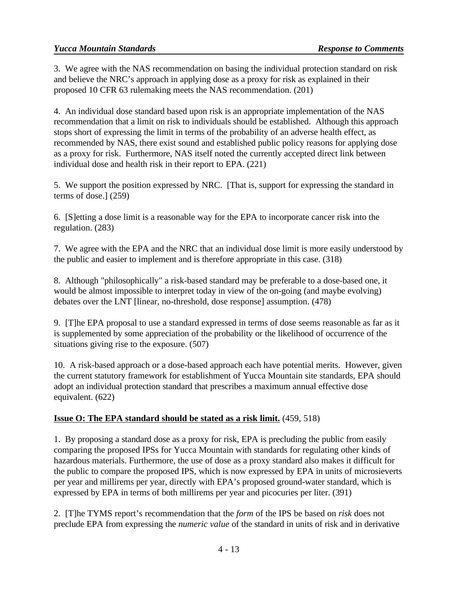<span id="page-87-0"></span>3. We agree with the NAS recommendation on basing the individual protection standard on risk and believe the NRC's approach in applying dose as a proxy for risk as explained in their proposed 10 CFR 63 rulemaking meets the NAS recommendation. (201)

4. An individual dose standard based upon risk is an appropriate implementation of the NAS recommendation that a limit on risk to individuals should be established. Although this approach stops short of expressing the limit in terms of the probability of an adverse health effect, as recommended by NAS, there exist sound and established public policy reasons for applying dose as a proxy for risk. Furthermore, NAS itself noted the currently accepted direct link between individual dose and health risk in their report to EPA. (221)

5. We support the position expressed by NRC. [That is, support for expressing the standard in terms of dose.] (259)

6. [S]etting a dose limit is a reasonable way for the EPA to incorporate cancer risk into the regulation. (283)

7. We agree with the EPA and the NRC that an individual dose limit is more easily understood by the public and easier to implement and is therefore appropriate in this case. (318)

8. Although "philosophically" a risk-based standard may be preferable to a dose-based one, it would be almost impossible to interpret today in view of the on-going (and maybe evolving) debates over the LNT [linear, no-threshold, dose response] assumption. (478)

9. [T]he EPA proposal to use a standard expressed in terms of dose seems reasonable as far as it is supplemented by some appreciation of the probability or the likelihood of occurrence of the situations giving rise to the exposure. (507)

10. A risk-based approach or a dose-based approach each have potential merits. However, given the current statutory framework for establishment of Yucca Mountain site standards, EPA should adopt an individual protection standard that prescribes a maximum annual effective dose equivalent. (622)

# **Issue O: The EPA standard should be stated as a risk limit.** (459, 518)

1. By proposing a standard dose as a proxy for risk, EPA is precluding the public from easily comparing the proposed IPSs for Yucca Mountain with standards for regulating other kinds of hazardous materials. Furthermore, the use of dose as a proxy standard also makes it difficult for the public to compare the proposed IPS, which is now expressed by EPA in units of microsieverts per year and millirems per year, directly with EPA's proposed ground-water standard, which is expressed by EPA in terms of both millirems per year and picocuries per liter. (391)

2. [T]he TYMS report's recommendation that the *form* of the IPS be based on *risk* does not preclude EPA from expressing the *numeric value* of the standard in units of risk and in derivative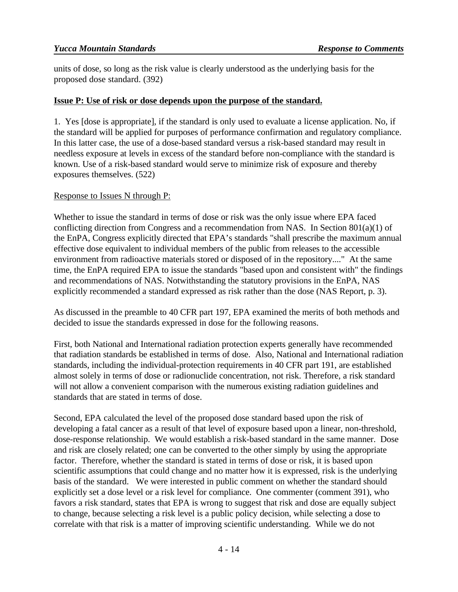<span id="page-88-0"></span>units of dose, so long as the risk value is clearly understood as the underlying basis for the proposed dose standard. (392)

# **Issue P: Use of risk or dose depends upon the purpose of the standard.**

1. Yes [dose is appropriate], if the standard is only used to evaluate a license application. No, if the standard will be applied for purposes of performance confirmation and regulatory compliance. In this latter case, the use of a dose-based standard versus a risk-based standard may result in needless exposure at levels in excess of the standard before non-compliance with the standard is known. Use of a risk-based standard would serve to minimize risk of exposure and thereby exposures themselves. (522)

# Response to Issues N through P:

Whether to issue the standard in terms of dose or risk was the only issue where EPA faced conflicting direction from Congress and a recommendation from NAS. In Section  $801(a)(1)$  of the EnPA, Congress explicitly directed that EPA's standards "shall prescribe the maximum annual effective dose equivalent to individual members of the public from releases to the accessible environment from radioactive materials stored or disposed of in the repository...." At the same time, the EnPA required EPA to issue the standards "based upon and consistent with" the findings and recommendations of NAS. Notwithstanding the statutory provisions in the EnPA, NAS explicitly recommended a standard expressed as risk rather than the dose (NAS Report, p. 3).

As discussed in the preamble to 40 CFR part 197, EPA examined the merits of both methods and decided to issue the standards expressed in dose for the following reasons.

First, both National and International radiation protection experts generally have recommended that radiation standards be established in terms of dose. Also, National and International radiation standards, including the individual-protection requirements in 40 CFR part 191, are established almost solely in terms of dose or radionuclide concentration, not risk. Therefore, a risk standard will not allow a convenient comparison with the numerous existing radiation guidelines and standards that are stated in terms of dose.

Second, EPA calculated the level of the proposed dose standard based upon the risk of developing a fatal cancer as a result of that level of exposure based upon a linear, non-threshold, dose-response relationship. We would establish a risk-based standard in the same manner. Dose and risk are closely related; one can be converted to the other simply by using the appropriate factor. Therefore, whether the standard is stated in terms of dose or risk, it is based upon scientific assumptions that could change and no matter how it is expressed, risk is the underlying basis of the standard. We were interested in public comment on whether the standard should explicitly set a dose level or a risk level for compliance. One commenter (comment 391), who favors a risk standard, states that EPA is wrong to suggest that risk and dose are equally subject to change, because selecting a risk level is a public policy decision, while selecting a dose to correlate with that risk is a matter of improving scientific understanding. While we do not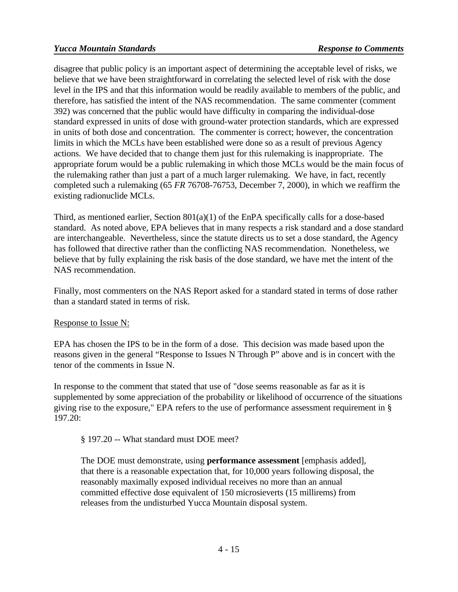disagree that public policy is an important aspect of determining the acceptable level of risks, we believe that we have been straightforward in correlating the selected level of risk with the dose level in the IPS and that this information would be readily available to members of the public, and therefore, has satisfied the intent of the NAS recommendation. The same commenter (comment 392) was concerned that the public would have difficulty in comparing the individual-dose standard expressed in units of dose with ground-water protection standards, which are expressed in units of both dose and concentration. The commenter is correct; however, the concentration limits in which the MCLs have been established were done so as a result of previous Agency actions. We have decided that to change them just for this rulemaking is inappropriate. The appropriate forum would be a public rulemaking in which those MCLs would be the main focus of the rulemaking rather than just a part of a much larger rulemaking. We have, in fact, recently completed such a rulemaking (65 *FR* 76708-76753, December 7, 2000), in which we reaffirm the existing radionuclide MCLs.

Third, as mentioned earlier, Section  $801(a)(1)$  of the EnPA specifically calls for a dose-based standard. As noted above, EPA believes that in many respects a risk standard and a dose standard are interchangeable. Nevertheless, since the statute directs us to set a dose standard, the Agency has followed that directive rather than the conflicting NAS recommendation. Nonetheless, we believe that by fully explaining the risk basis of the dose standard, we have met the intent of the NAS recommendation.

Finally, most commenters on the NAS Report asked for a standard stated in terms of dose rather than a standard stated in terms of risk.

# Response to Issue N:

EPA has chosen the IPS to be in the form of a dose. This decision was made based upon the reasons given in the general "Response to Issues N Through P" above and is in concert with the tenor of the comments in Issue N.

In response to the comment that stated that use of "dose seems reasonable as far as it is supplemented by some appreciation of the probability or likelihood of occurrence of the situations giving rise to the exposure," EPA refers to the use of performance assessment requirement in § 197.20:

# § 197.20 -- What standard must DOE meet?

The DOE must demonstrate, using **performance assessment** [emphasis added], that there is a reasonable expectation that, for 10,000 years following disposal, the reasonably maximally exposed individual receives no more than an annual committed effective dose equivalent of 150 microsieverts (15 millirems) from releases from the undisturbed Yucca Mountain disposal system.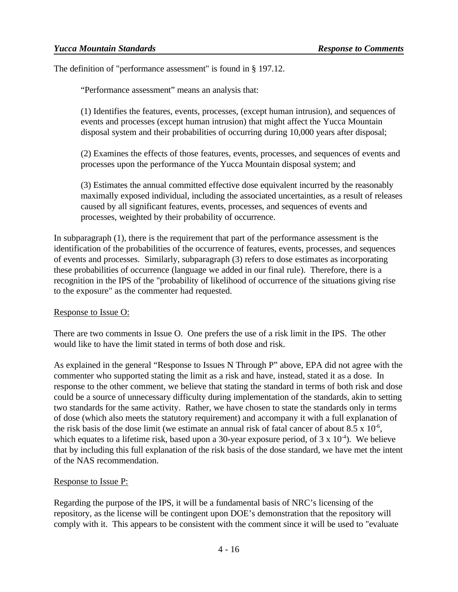The definition of "performance assessment" is found in § 197.12.

"Performance assessment" means an analysis that:

(1) Identifies the features, events, processes, (except human intrusion), and sequences of events and processes (except human intrusion) that might affect the Yucca Mountain disposal system and their probabilities of occurring during 10,000 years after disposal;

(2) Examines the effects of those features, events, processes, and sequences of events and processes upon the performance of the Yucca Mountain disposal system; and

(3) Estimates the annual committed effective dose equivalent incurred by the reasonably maximally exposed individual, including the associated uncertainties, as a result of releases caused by all significant features, events, processes, and sequences of events and processes, weighted by their probability of occurrence.

In subparagraph (1), there is the requirement that part of the performance assessment is the identification of the probabilities of the occurrence of features, events, processes, and sequences of events and processes. Similarly, subparagraph (3) refers to dose estimates as incorporating these probabilities of occurrence (language we added in our final rule). Therefore, there is a recognition in the IPS of the "probability of likelihood of occurrence of the situations giving rise to the exposure" as the commenter had requested.

#### Response to Issue O:

There are two comments in Issue O. One prefers the use of a risk limit in the IPS. The other would like to have the limit stated in terms of both dose and risk.

As explained in the general "Response to Issues N Through P" above, EPA did not agree with the commenter who supported stating the limit as a risk and have, instead, stated it as a dose. In response to the other comment, we believe that stating the standard in terms of both risk and dose could be a source of unnecessary difficulty during implementation of the standards, akin to setting two standards for the same activity. Rather, we have chosen to state the standards only in terms of dose (which also meets the statutory requirement) and accompany it with a full explanation of the risk basis of the dose limit (we estimate an annual risk of fatal cancer of about 8.5 x  $10^{-6}$ , which equates to a lifetime risk, based upon a 30-year exposure period, of  $3 \times 10^{-4}$ ). We believe that by including this full explanation of the risk basis of the dose standard, we have met the intent of the NAS recommendation.

#### Response to Issue P:

Regarding the purpose of the IPS, it will be a fundamental basis of NRC's licensing of the repository, as the license will be contingent upon DOE's demonstration that the repository will comply with it. This appears to be consistent with the comment since it will be used to "evaluate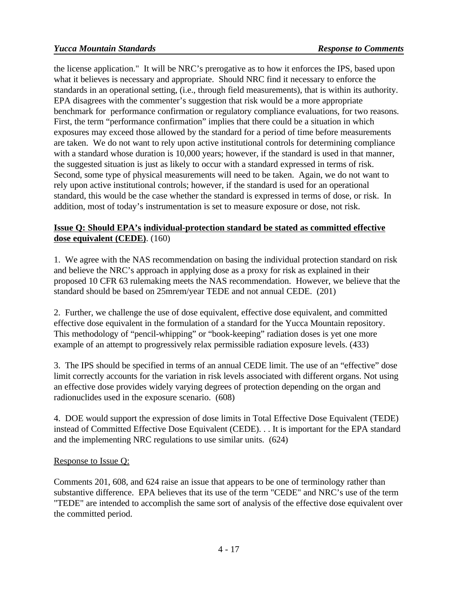<span id="page-91-0"></span>the license application." It will be NRC's prerogative as to how it enforces the IPS, based upon what it believes is necessary and appropriate. Should NRC find it necessary to enforce the standards in an operational setting, (i.e., through field measurements), that is within its authority. EPA disagrees with the commenter's suggestion that risk would be a more appropriate benchmark for performance confirmation or regulatory compliance evaluations, for two reasons. First, the term "performance confirmation" implies that there could be a situation in which exposures may exceed those allowed by the standard for a period of time before measurements are taken. We do not want to rely upon active institutional controls for determining compliance with a standard whose duration is 10,000 years; however, if the standard is used in that manner, the suggested situation is just as likely to occur with a standard expressed in terms of risk. Second, some type of physical measurements will need to be taken. Again, we do not want to rely upon active institutional controls; however, if the standard is used for an operational standard, this would be the case whether the standard is expressed in terms of dose, or risk. In addition, most of today's instrumentation is set to measure exposure or dose, not risk.

# **Issue Q: Should EPA's individual-protection standard be stated as committed effective dose equivalent (CEDE)**. (160)

1. We agree with the NAS recommendation on basing the individual protection standard on risk and believe the NRC's approach in applying dose as a proxy for risk as explained in their proposed 10 CFR 63 rulemaking meets the NAS recommendation. However, we believe that the standard should be based on 25mrem/year TEDE and not annual CEDE. (201)

2. Further, we challenge the use of dose equivalent, effective dose equivalent, and committed effective dose equivalent in the formulation of a standard for the Yucca Mountain repository. This methodology of "pencil-whipping" or "book-keeping" radiation doses is yet one more example of an attempt to progressively relax permissible radiation exposure levels. (433)

3. The IPS should be specified in terms of an annual CEDE limit. The use of an "effective" dose limit correctly accounts for the variation in risk levels associated with different organs. Not using an effective dose provides widely varying degrees of protection depending on the organ and radionuclides used in the exposure scenario. (608)

4. DOE would support the expression of dose limits in Total Effective Dose Equivalent (TEDE) instead of Committed Effective Dose Equivalent (CEDE). . . It is important for the EPA standard and the implementing NRC regulations to use similar units. (624)

# Response to Issue Q:

Comments 201, 608, and 624 raise an issue that appears to be one of terminology rather than substantive difference. EPA believes that its use of the term "CEDE" and NRC's use of the term "TEDE" are intended to accomplish the same sort of analysis of the effective dose equivalent over the committed period.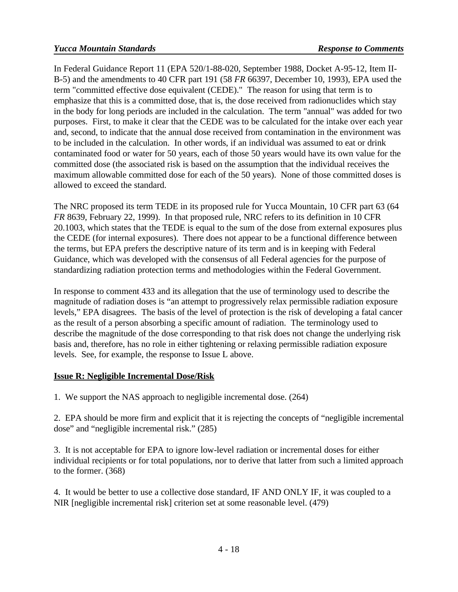<span id="page-92-0"></span>In Federal Guidance Report 11 (EPA 520/1-88-020, September 1988, Docket A-95-12, Item II-B-5) and the amendments to 40 CFR part 191 (58 *FR* 66397, December 10, 1993), EPA used the term "committed effective dose equivalent (CEDE)." The reason for using that term is to emphasize that this is a committed dose, that is, the dose received from radionuclides which stay in the body for long periods are included in the calculation. The term "annual" was added for two purposes. First, to make it clear that the CEDE was to be calculated for the intake over each year and, second, to indicate that the annual dose received from contamination in the environment was to be included in the calculation. In other words, if an individual was assumed to eat or drink contaminated food or water for 50 years, each of those 50 years would have its own value for the committed dose (the associated risk is based on the assumption that the individual receives the maximum allowable committed dose for each of the 50 years). None of those committed doses is allowed to exceed the standard.

The NRC proposed its term TEDE in its proposed rule for Yucca Mountain, 10 CFR part 63 (64 *FR* 8639, February 22, 1999). In that proposed rule, NRC refers to its definition in 10 CFR 20.1003, which states that the TEDE is equal to the sum of the dose from external exposures plus the CEDE (for internal exposures). There does not appear to be a functional difference between the terms, but EPA prefers the descriptive nature of its term and is in keeping with Federal Guidance, which was developed with the consensus of all Federal agencies for the purpose of standardizing radiation protection terms and methodologies within the Federal Government.

In response to comment 433 and its allegation that the use of terminology used to describe the magnitude of radiation doses is "an attempt to progressively relax permissible radiation exposure levels," EPA disagrees. The basis of the level of protection is the risk of developing a fatal cancer as the result of a person absorbing a specific amount of radiation. The terminology used to describe the magnitude of the dose corresponding to that risk does not change the underlying risk basis and, therefore, has no role in either tightening or relaxing permissible radiation exposure levels. See, for example, the response to Issue L above.

# **Issue R: Negligible Incremental Dose/Risk**

1. We support the NAS approach to negligible incremental dose. (264)

2. EPA should be more firm and explicit that it is rejecting the concepts of "negligible incremental dose" and "negligible incremental risk." (285)

3. It is not acceptable for EPA to ignore low-level radiation or incremental doses for either individual recipients or for total populations, nor to derive that latter from such a limited approach to the former. (368)

4. It would be better to use a collective dose standard, IF AND ONLY IF, it was coupled to a NIR [negligible incremental risk] criterion set at some reasonable level. (479)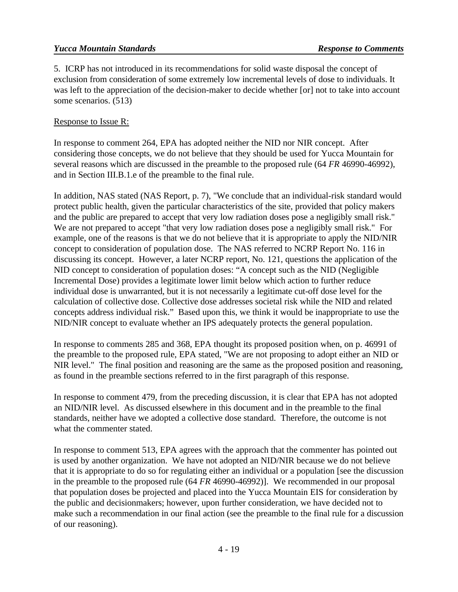5. ICRP has not introduced in its recommendations for solid waste disposal the concept of exclusion from consideration of some extremely low incremental levels of dose to individuals. It was left to the appreciation of the decision-maker to decide whether [or] not to take into account some scenarios. (513)

# Response to Issue R:

In response to comment 264, EPA has adopted neither the NID nor NIR concept. After considering those concepts, we do not believe that they should be used for Yucca Mountain for several reasons which are discussed in the preamble to the proposed rule (64 *FR* 46990-46992), and in Section III.B.1.e of the preamble to the final rule.

In addition, NAS stated (NAS Report, p. 7), "We conclude that an individual-risk standard would protect public health, given the particular characteristics of the site, provided that policy makers and the public are prepared to accept that very low radiation doses pose a negligibly small risk." We are not prepared to accept "that very low radiation doses pose a negligibly small risk." For example, one of the reasons is that we do not believe that it is appropriate to apply the NID/NIR concept to consideration of population dose. The NAS referred to NCRP Report No. 116 in discussing its concept. However, a later NCRP report, No. 121, questions the application of the NID concept to consideration of population doses: "A concept such as the NID (Negligible Incremental Dose) provides a legitimate lower limit below which action to further reduce individual dose is unwarranted, but it is not necessarily a legitimate cut-off dose level for the calculation of collective dose. Collective dose addresses societal risk while the NID and related concepts address individual risk." Based upon this, we think it would be inappropriate to use the NID/NIR concept to evaluate whether an IPS adequately protects the general population.

In response to comments 285 and 368, EPA thought its proposed position when, on p. 46991 of the preamble to the proposed rule, EPA stated, "We are not proposing to adopt either an NID or NIR level." The final position and reasoning are the same as the proposed position and reasoning, as found in the preamble sections referred to in the first paragraph of this response.

In response to comment 479, from the preceding discussion, it is clear that EPA has not adopted an NID/NIR level. As discussed elsewhere in this document and in the preamble to the final standards, neither have we adopted a collective dose standard. Therefore, the outcome is not what the commenter stated.

In response to comment 513, EPA agrees with the approach that the commenter has pointed out is used by another organization. We have not adopted an NID/NIR because we do not believe that it is appropriate to do so for regulating either an individual or a population [see the discussion in the preamble to the proposed rule (64 *FR* 46990-46992)]. We recommended in our proposal that population doses be projected and placed into the Yucca Mountain EIS for consideration by the public and decisionmakers; however, upon further consideration, we have decided not to make such a recommendation in our final action (see the preamble to the final rule for a discussion of our reasoning).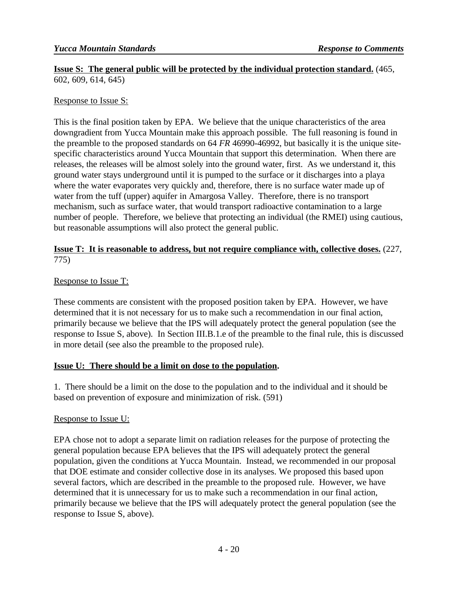# <span id="page-94-0"></span>**Issue S: The general public will be protected by the individual protection standard.** (465, 602, 609, 614, 645)

### Response to Issue S:

This is the final position taken by EPA. We believe that the unique characteristics of the area downgradient from Yucca Mountain make this approach possible. The full reasoning is found in the preamble to the proposed standards on 64 *FR* 46990-46992, but basically it is the unique sitespecific characteristics around Yucca Mountain that support this determination. When there are releases, the releases will be almost solely into the ground water, first. As we understand it, this ground water stays underground until it is pumped to the surface or it discharges into a playa where the water evaporates very quickly and, therefore, there is no surface water made up of water from the tuff (upper) aquifer in Amargosa Valley. Therefore, there is no transport mechanism, such as surface water, that would transport radioactive contamination to a large number of people. Therefore, we believe that protecting an individual (the RMEI) using cautious, but reasonable assumptions will also protect the general public.

### **Issue T: It is reasonable to address, but not require compliance with, collective doses.** (227, 775)

### Response to Issue T:

These comments are consistent with the proposed position taken by EPA. However, we have determined that it is not necessary for us to make such a recommendation in our final action, primarily because we believe that the IPS will adequately protect the general population (see the response to Issue S, above). In Section III.B.1.e of the preamble to the final rule, this is discussed in more detail (see also the preamble to the proposed rule).

# **Issue U: There should be a limit on dose to the population.**

1. There should be a limit on the dose to the population and to the individual and it should be based on prevention of exposure and minimization of risk. (591)

# Response to Issue U:

EPA chose not to adopt a separate limit on radiation releases for the purpose of protecting the general population because EPA believes that the IPS will adequately protect the general population, given the conditions at Yucca Mountain. Instead, we recommended in our proposal that DOE estimate and consider collective dose in its analyses. We proposed this based upon several factors, which are described in the preamble to the proposed rule. However, we have determined that it is unnecessary for us to make such a recommendation in our final action, primarily because we believe that the IPS will adequately protect the general population (see the response to Issue S, above).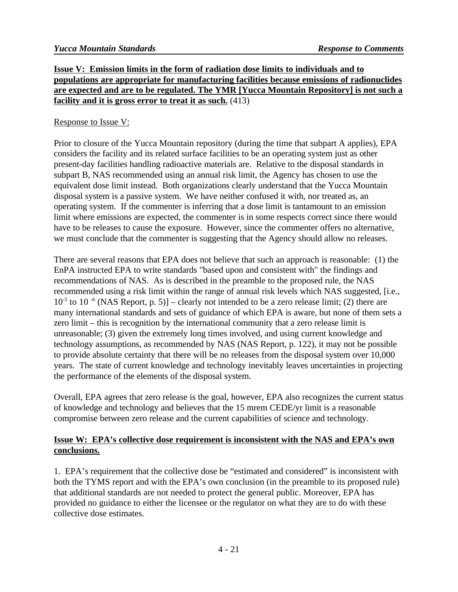<span id="page-95-0"></span>**Issue V: Emission limits in the form of radiation dose limits to individuals and to populations are appropriate for manufacturing facilities because emissions of radionuclides are expected and are to be regulated. The YMR [Yucca Mountain Repository] is not such a facility and it is gross error to treat it as such.** (413)

# Response to Issue V:

Prior to closure of the Yucca Mountain repository (during the time that subpart A applies), EPA considers the facility and its related surface facilities to be an operating system just as other present-day facilities handling radioactive materials are. Relative to the disposal standards in subpart B, NAS recommended using an annual risk limit, the Agency has chosen to use the equivalent dose limit instead. Both organizations clearly understand that the Yucca Mountain disposal system is a passive system. We have neither confused it with, nor treated as, an operating system. If the commenter is inferring that a dose limit is tantamount to an emission limit where emissions are expected, the commenter is in some respects correct since there would have to be releases to cause the exposure. However, since the commenter offers no alternative, we must conclude that the commenter is suggesting that the Agency should allow no releases.

There are several reasons that EPA does not believe that such an approach is reasonable: (1) the EnPA instructed EPA to write standards "based upon and consistent with" the findings and recommendations of NAS. As is described in the preamble to the proposed rule, the NAS recommended using a risk limit within the range of annual risk levels which NAS suggested, [i.e.,  $10^{-5}$  to 10<sup>-6</sup> (NAS Report, p. 5)] – clearly not intended to be a zero release limit; (2) there are many international standards and sets of guidance of which EPA is aware, but none of them sets a zero limit – this is recognition by the international community that a zero release limit is unreasonable; (3) given the extremely long times involved, and using current knowledge and technology assumptions, as recommended by NAS (NAS Report, p. 122), it may not be possible to provide absolute certainty that there will be no releases from the disposal system over 10,000 years. The state of current knowledge and technology inevitably leaves uncertainties in projecting the performance of the elements of the disposal system.

Overall, EPA agrees that zero release is the goal, however, EPA also recognizes the current status of knowledge and technology and believes that the 15 mrem CEDE/yr limit is a reasonable compromise between zero release and the current capabilities of science and technology.

# **Issue W: EPA's collective dose requirement is inconsistent with the NAS and EPA's own conclusions.**

1. EPA's requirement that the collective dose be "estimated and considered" is inconsistent with both the TYMS report and with the EPA's own conclusion (in the preamble to its proposed rule) that additional standards are not needed to protect the general public. Moreover, EPA has provided no guidance to either the licensee or the regulator on what they are to do with these collective dose estimates.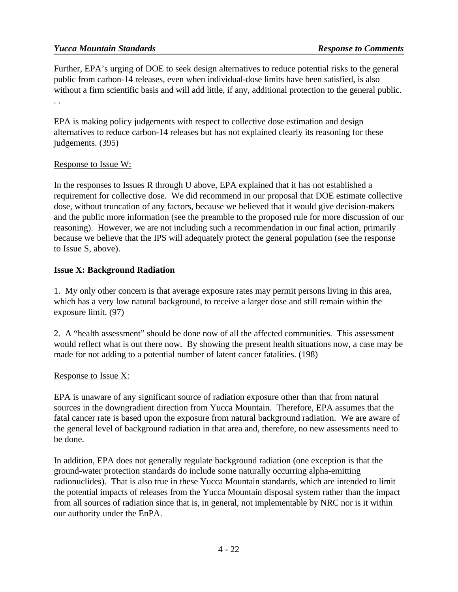# <span id="page-96-0"></span>*Yucca Mountain Standards Response to Comments*

Further, EPA's urging of DOE to seek design alternatives to reduce potential risks to the general public from carbon-14 releases, even when individual-dose limits have been satisfied, is also without a firm scientific basis and will add little, if any, additional protection to the general public. . .

EPA is making policy judgements with respect to collective dose estimation and design alternatives to reduce carbon-14 releases but has not explained clearly its reasoning for these judgements. (395)

### Response to Issue W:

In the responses to Issues R through U above, EPA explained that it has not established a requirement for collective dose. We did recommend in our proposal that DOE estimate collective dose, without truncation of any factors, because we believed that it would give decision-makers and the public more information (see the preamble to the proposed rule for more discussion of our reasoning). However, we are not including such a recommendation in our final action, primarily because we believe that the IPS will adequately protect the general population (see the response to Issue S, above).

### **Issue X: Background Radiation**

1. My only other concern is that average exposure rates may permit persons living in this area, which has a very low natural background, to receive a larger dose and still remain within the exposure limit. (97)

2. A "health assessment" should be done now of all the affected communities. This assessment would reflect what is out there now. By showing the present health situations now, a case may be made for not adding to a potential number of latent cancer fatalities. (198)

#### Response to Issue X:

EPA is unaware of any significant source of radiation exposure other than that from natural sources in the downgradient direction from Yucca Mountain. Therefore, EPA assumes that the fatal cancer rate is based upon the exposure from natural background radiation. We are aware of the general level of background radiation in that area and, therefore, no new assessments need to be done.

In addition, EPA does not generally regulate background radiation (one exception is that the ground-water protection standards do include some naturally occurring alpha-emitting radionuclides). That is also true in these Yucca Mountain standards, which are intended to limit the potential impacts of releases from the Yucca Mountain disposal system rather than the impact from all sources of radiation since that is, in general, not implementable by NRC nor is it within our authority under the EnPA.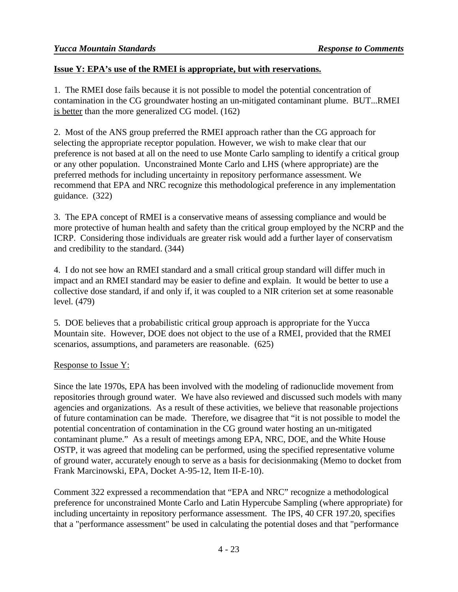# <span id="page-97-0"></span>**Issue Y: EPA's use of the RMEI is appropriate, but with reservations.**

1. The RMEI dose fails because it is not possible to model the potential concentration of contamination in the CG groundwater hosting an un-mitigated contaminant plume. BUT...RMEI is better than the more generalized CG model. (162)

2. Most of the ANS group preferred the RMEI approach rather than the CG approach for selecting the appropriate receptor population. However, we wish to make clear that our preference is not based at all on the need to use Monte Carlo sampling to identify a critical group or any other population. Unconstrained Monte Carlo and LHS (where appropriate) are the preferred methods for including uncertainty in repository performance assessment. We recommend that EPA and NRC recognize this methodological preference in any implementation guidance. (322)

3. The EPA concept of RMEI is a conservative means of assessing compliance and would be more protective of human health and safety than the critical group employed by the NCRP and the ICRP. Considering those individuals are greater risk would add a further layer of conservatism and credibility to the standard. (344)

4. I do not see how an RMEI standard and a small critical group standard will differ much in impact and an RMEI standard may be easier to define and explain. It would be better to use a collective dose standard, if and only if, it was coupled to a NIR criterion set at some reasonable level. (479)

5. DOE believes that a probabilistic critical group approach is appropriate for the Yucca Mountain site. However, DOE does not object to the use of a RMEI, provided that the RMEI scenarios, assumptions, and parameters are reasonable. (625)

# Response to Issue Y:

Since the late 1970s, EPA has been involved with the modeling of radionuclide movement from repositories through ground water. We have also reviewed and discussed such models with many agencies and organizations. As a result of these activities, we believe that reasonable projections of future contamination can be made. Therefore, we disagree that "it is not possible to model the potential concentration of contamination in the CG ground water hosting an un-mitigated contaminant plume." As a result of meetings among EPA, NRC, DOE, and the White House OSTP, it was agreed that modeling can be performed, using the specified representative volume of ground water, accurately enough to serve as a basis for decisionmaking (Memo to docket from Frank Marcinowski, EPA, Docket A-95-12, Item II-E-10).

Comment 322 expressed a recommendation that "EPA and NRC" recognize a methodological preference for unconstrained Monte Carlo and Latin Hypercube Sampling (where appropriate) for including uncertainty in repository performance assessment. The IPS, 40 CFR 197.20, specifies that a "performance assessment" be used in calculating the potential doses and that "performance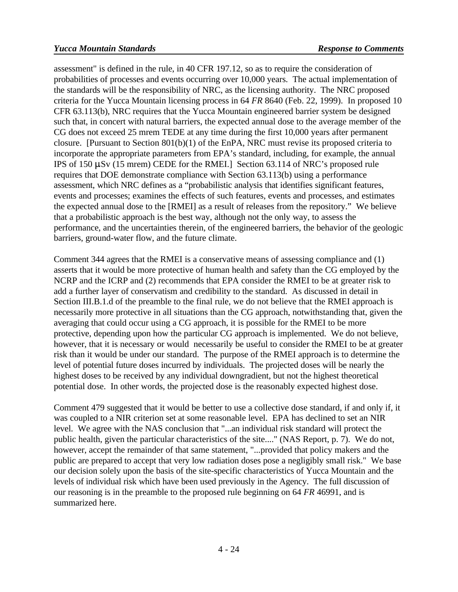assessment" is defined in the rule, in 40 CFR 197.12, so as to require the consideration of probabilities of processes and events occurring over 10,000 years. The actual implementation of the standards will be the responsibility of NRC, as the licensing authority. The NRC proposed criteria for the Yucca Mountain licensing process in 64 *FR* 8640 (Feb. 22, 1999). In proposed 10 CFR 63.113(b), NRC requires that the Yucca Mountain engineered barrier system be designed such that, in concert with natural barriers, the expected annual dose to the average member of the CG does not exceed 25 mrem TEDE at any time during the first 10,000 years after permanent closure. [Pursuant to Section 801(b)(1) of the EnPA, NRC must revise its proposed criteria to incorporate the appropriate parameters from EPA's standard, including, for example, the annual IPS of 150  $\mu$ Sv (15 mrem) CEDE for the RMEI.] Section 63.114 of NRC's proposed rule requires that DOE demonstrate compliance with Section 63.113(b) using a performance assessment, which NRC defines as a "probabilistic analysis that identifies significant features, events and processes; examines the effects of such features, events and processes, and estimates the expected annual dose to the [RMEI] as a result of releases from the repository." We believe that a probabilistic approach is the best way, although not the only way, to assess the performance, and the uncertainties therein, of the engineered barriers, the behavior of the geologic barriers, ground-water flow, and the future climate.

Comment 344 agrees that the RMEI is a conservative means of assessing compliance and (1) asserts that it would be more protective of human health and safety than the CG employed by the NCRP and the ICRP and (2) recommends that EPA consider the RMEI to be at greater risk to add a further layer of conservatism and credibility to the standard. As discussed in detail in Section III.B.1.d of the preamble to the final rule, we do not believe that the RMEI approach is necessarily more protective in all situations than the CG approach, notwithstanding that, given the averaging that could occur using a CG approach, it is possible for the RMEI to be more protective, depending upon how the particular CG approach is implemented. We do not believe, however, that it is necessary or would necessarily be useful to consider the RMEI to be at greater risk than it would be under our standard. The purpose of the RMEI approach is to determine the level of potential future doses incurred by individuals. The projected doses will be nearly the highest doses to be received by any individual downgradient, but not the highest theoretical potential dose. In other words, the projected dose is the reasonably expected highest dose.

Comment 479 suggested that it would be better to use a collective dose standard, if and only if, it was coupled to a NIR criterion set at some reasonable level. EPA has declined to set an NIR level. We agree with the NAS conclusion that "...an individual risk standard will protect the public health, given the particular characteristics of the site...." (NAS Report, p. 7). We do not, however, accept the remainder of that same statement, "...provided that policy makers and the public are prepared to accept that very low radiation doses pose a negligibly small risk." We base our decision solely upon the basis of the site-specific characteristics of Yucca Mountain and the levels of individual risk which have been used previously in the Agency. The full discussion of our reasoning is in the preamble to the proposed rule beginning on 64 *FR* 46991, and is summarized here.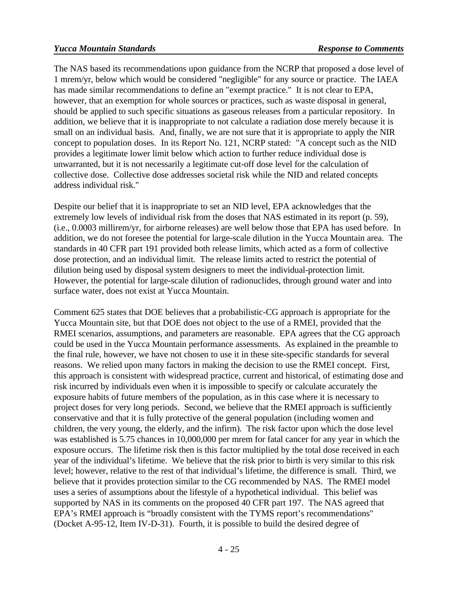The NAS based its recommendations upon guidance from the NCRP that proposed a dose level of 1 mrem/yr, below which would be considered "negligible" for any source or practice. The IAEA has made similar recommendations to define an "exempt practice." It is not clear to EPA, however, that an exemption for whole sources or practices, such as waste disposal in general, should be applied to such specific situations as gaseous releases from a particular repository. In addition, we believe that it is inappropriate to not calculate a radiation dose merely because it is small on an individual basis. And, finally, we are not sure that it is appropriate to apply the NIR concept to population doses. In its Report No. 121, NCRP stated: "A concept such as the NID provides a legitimate lower limit below which action to further reduce individual dose is unwarranted, but it is not necessarily a legitimate cut-off dose level for the calculation of collective dose. Collective dose addresses societal risk while the NID and related concepts address individual risk."

Despite our belief that it is inappropriate to set an NID level, EPA acknowledges that the extremely low levels of individual risk from the doses that NAS estimated in its report (p. 59), (i.e., 0.0003 millirem/yr, for airborne releases) are well below those that EPA has used before. In addition, we do not foresee the potential for large-scale dilution in the Yucca Mountain area. The standards in 40 CFR part 191 provided both release limits, which acted as a form of collective dose protection, and an individual limit. The release limits acted to restrict the potential of dilution being used by disposal system designers to meet the individual-protection limit. However, the potential for large-scale dilution of radionuclides, through ground water and into surface water, does not exist at Yucca Mountain.

Comment 625 states that DOE believes that a probabilistic-CG approach is appropriate for the Yucca Mountain site, but that DOE does not object to the use of a RMEI, provided that the RMEI scenarios, assumptions, and parameters are reasonable. EPA agrees that the CG approach could be used in the Yucca Mountain performance assessments. As explained in the preamble to the final rule, however, we have not chosen to use it in these site-specific standards for several reasons. We relied upon many factors in making the decision to use the RMEI concept. First, this approach is consistent with widespread practice, current and historical, of estimating dose and risk incurred by individuals even when it is impossible to specify or calculate accurately the exposure habits of future members of the population, as in this case where it is necessary to project doses for very long periods. Second, we believe that the RMEI approach is sufficiently conservative and that it is fully protective of the general population (including women and children, the very young, the elderly, and the infirm). The risk factor upon which the dose level was established is 5.75 chances in 10,000,000 per mrem for fatal cancer for any year in which the exposure occurs. The lifetime risk then is this factor multiplied by the total dose received in each year of the individual's lifetime. We believe that the risk prior to birth is very similar to this risk level; however, relative to the rest of that individual's lifetime, the difference is small. Third, we believe that it provides protection similar to the CG recommended by NAS. The RMEI model uses a series of assumptions about the lifestyle of a hypothetical individual. This belief was supported by NAS in its comments on the proposed 40 CFR part 197. The NAS agreed that EPA's RMEI approach is "broadly consistent with the TYMS report's recommendations" (Docket A-95-12, Item IV-D-31). Fourth, it is possible to build the desired degree of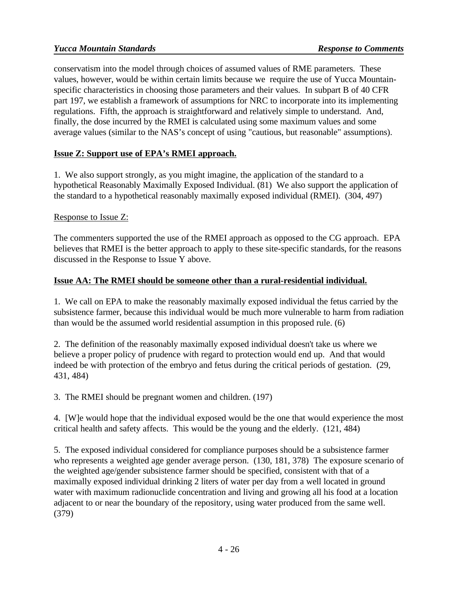<span id="page-100-0"></span>conservatism into the model through choices of assumed values of RME parameters. These values, however, would be within certain limits because we require the use of Yucca Mountainspecific characteristics in choosing those parameters and their values. In subpart B of 40 CFR part 197, we establish a framework of assumptions for NRC to incorporate into its implementing regulations. Fifth, the approach is straightforward and relatively simple to understand. And, finally, the dose incurred by the RMEI is calculated using some maximum values and some average values (similar to the NAS's concept of using "cautious, but reasonable" assumptions).

# **Issue Z: Support use of EPA's RMEI approach.**

1. We also support strongly, as you might imagine, the application of the standard to a hypothetical Reasonably Maximally Exposed Individual. (81) We also support the application of the standard to a hypothetical reasonably maximally exposed individual (RMEI). (304, 497)

# Response to Issue Z:

The commenters supported the use of the RMEI approach as opposed to the CG approach. EPA believes that RMEI is the better approach to apply to these site-specific standards, for the reasons discussed in the Response to Issue Y above.

# **Issue AA: The RMEI should be someone other than a rural-residential individual.**

1. We call on EPA to make the reasonably maximally exposed individual the fetus carried by the subsistence farmer, because this individual would be much more vulnerable to harm from radiation than would be the assumed world residential assumption in this proposed rule. (6)

2. The definition of the reasonably maximally exposed individual doesn't take us where we believe a proper policy of prudence with regard to protection would end up. And that would indeed be with protection of the embryo and fetus during the critical periods of gestation. (29, 431, 484)

3. The RMEI should be pregnant women and children. (197)

4. [W]e would hope that the individual exposed would be the one that would experience the most critical health and safety affects. This would be the young and the elderly. (121, 484)

5. The exposed individual considered for compliance purposes should be a subsistence farmer who represents a weighted age gender average person. (130, 181, 378) The exposure scenario of the weighted age/gender subsistence farmer should be specified, consistent with that of a maximally exposed individual drinking 2 liters of water per day from a well located in ground water with maximum radionuclide concentration and living and growing all his food at a location adjacent to or near the boundary of the repository, using water produced from the same well. (379)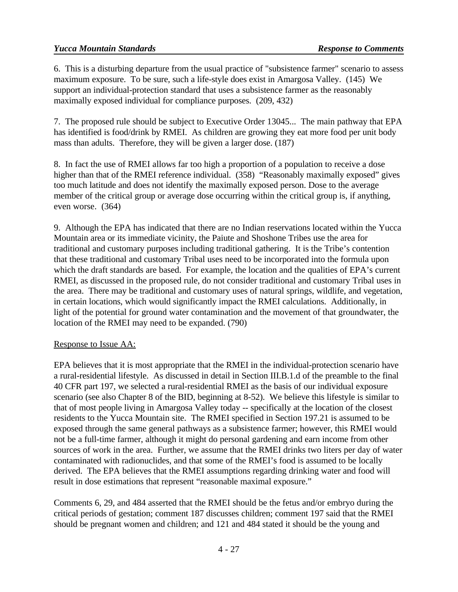6. This is a disturbing departure from the usual practice of "subsistence farmer" scenario to assess maximum exposure. To be sure, such a life-style does exist in Amargosa Valley. (145) We support an individual-protection standard that uses a subsistence farmer as the reasonably maximally exposed individual for compliance purposes. (209, 432)

7. The proposed rule should be subject to Executive Order 13045... The main pathway that EPA has identified is food/drink by RMEI. As children are growing they eat more food per unit body mass than adults. Therefore, they will be given a larger dose. (187)

8. In fact the use of RMEI allows far too high a proportion of a population to receive a dose higher than that of the RMEI reference individual. (358) "Reasonably maximally exposed" gives too much latitude and does not identify the maximally exposed person. Dose to the average member of the critical group or average dose occurring within the critical group is, if anything, even worse. (364)

9. Although the EPA has indicated that there are no Indian reservations located within the Yucca Mountain area or its immediate vicinity, the Paiute and Shoshone Tribes use the area for traditional and customary purposes including traditional gathering. It is the Tribe's contention that these traditional and customary Tribal uses need to be incorporated into the formula upon which the draft standards are based. For example, the location and the qualities of EPA's current RMEI, as discussed in the proposed rule, do not consider traditional and customary Tribal uses in the area. There may be traditional and customary uses of natural springs, wildlife, and vegetation, in certain locations, which would significantly impact the RMEI calculations. Additionally, in light of the potential for ground water contamination and the movement of that groundwater, the location of the RMEI may need to be expanded. (790)

# Response to Issue AA:

EPA believes that it is most appropriate that the RMEI in the individual-protection scenario have a rural-residential lifestyle. As discussed in detail in Section III.B.1.d of the preamble to the final 40 CFR part 197, we selected a rural-residential RMEI as the basis of our individual exposure scenario (see also Chapter 8 of the BID, beginning at 8-52). We believe this lifestyle is similar to that of most people living in Amargosa Valley today -- specifically at the location of the closest residents to the Yucca Mountain site. The RMEI specified in Section 197.21 is assumed to be exposed through the same general pathways as a subsistence farmer; however, this RMEI would not be a full-time farmer, although it might do personal gardening and earn income from other sources of work in the area. Further, we assume that the RMEI drinks two liters per day of water contaminated with radionuclides, and that some of the RMEI's food is assumed to be locally derived. The EPA believes that the RMEI assumptions regarding drinking water and food will result in dose estimations that represent "reasonable maximal exposure."

Comments 6, 29, and 484 asserted that the RMEI should be the fetus and/or embryo during the critical periods of gestation; comment 187 discusses children; comment 197 said that the RMEI should be pregnant women and children; and 121 and 484 stated it should be the young and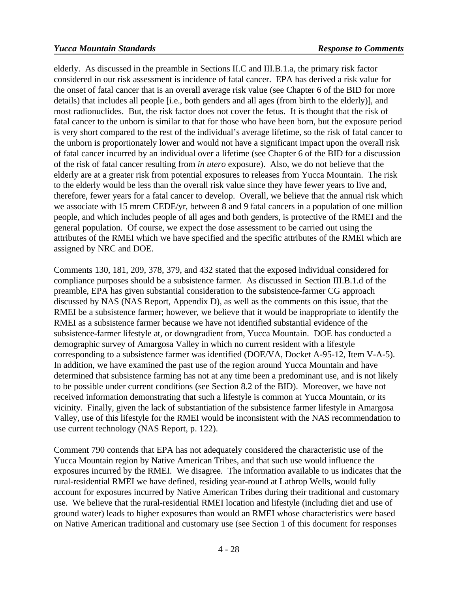elderly. As discussed in the preamble in Sections II.C and III.B.1.a, the primary risk factor considered in our risk assessment is incidence of fatal cancer. EPA has derived a risk value for the onset of fatal cancer that is an overall average risk value (see Chapter 6 of the BID for more details) that includes all people [i.e., both genders and all ages (from birth to the elderly)], and most radionuclides. But, the risk factor does not cover the fetus. It is thought that the risk of fatal cancer to the unborn is similar to that for those who have been born, but the exposure period is very short compared to the rest of the individual's average lifetime, so the risk of fatal cancer to the unborn is proportionately lower and would not have a significant impact upon the overall risk of fatal cancer incurred by an individual over a lifetime (see Chapter 6 of the BID for a discussion of the risk of fatal cancer resulting from *in utero* exposure). Also, we do not believe that the elderly are at a greater risk from potential exposures to releases from Yucca Mountain. The risk to the elderly would be less than the overall risk value since they have fewer years to live and, therefore, fewer years for a fatal cancer to develop. Overall, we believe that the annual risk which we associate with 15 mrem CEDE/yr, between 8 and 9 fatal cancers in a population of one million people, and which includes people of all ages and both genders, is protective of the RMEI and the general population. Of course, we expect the dose assessment to be carried out using the attributes of the RMEI which we have specified and the specific attributes of the RMEI which are assigned by NRC and DOE.

Comments 130, 181, 209, 378, 379, and 432 stated that the exposed individual considered for compliance purposes should be a subsistence farmer. As discussed in Section III.B.1.d of the preamble, EPA has given substantial consideration to the subsistence-farmer CG approach discussed by NAS (NAS Report, Appendix D), as well as the comments on this issue, that the RMEI be a subsistence farmer; however, we believe that it would be inappropriate to identify the RMEI as a subsistence farmer because we have not identified substantial evidence of the subsistence-farmer lifestyle at, or downgradient from, Yucca Mountain. DOE has conducted a demographic survey of Amargosa Valley in which no current resident with a lifestyle corresponding to a subsistence farmer was identified (DOE/VA, Docket A-95-12, Item V-A-5). In addition, we have examined the past use of the region around Yucca Mountain and have determined that subsistence farming has not at any time been a predominant use, and is not likely to be possible under current conditions (see Section 8.2 of the BID). Moreover, we have not received information demonstrating that such a lifestyle is common at Yucca Mountain, or its vicinity. Finally, given the lack of substantiation of the subsistence farmer lifestyle in Amargosa Valley, use of this lifestyle for the RMEI would be inconsistent with the NAS recommendation to use current technology (NAS Report, p. 122).

Comment 790 contends that EPA has not adequately considered the characteristic use of the Yucca Mountain region by Native American Tribes, and that such use would influence the exposures incurred by the RMEI. We disagree. The information available to us indicates that the rural-residential RMEI we have defined, residing year-round at Lathrop Wells, would fully account for exposures incurred by Native American Tribes during their traditional and customary use. We believe that the rural-residential RMEI location and lifestyle (including diet and use of ground water) leads to higher exposures than would an RMEI whose characteristics were based on Native American traditional and customary use (see Section 1 of this document for responses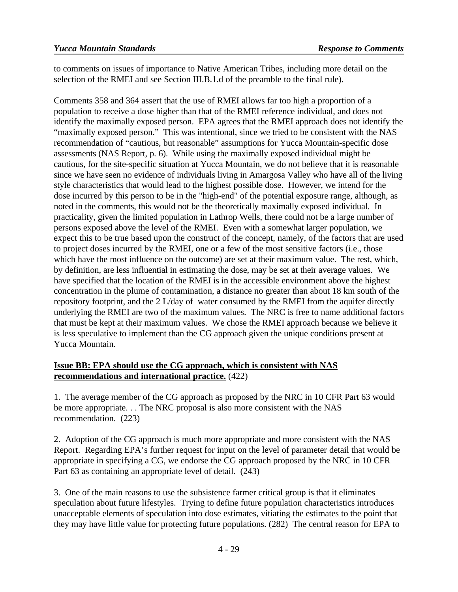<span id="page-103-0"></span>to comments on issues of importance to Native American Tribes, including more detail on the selection of the RMEI and see Section III.B.1.d of the preamble to the final rule).

Comments 358 and 364 assert that the use of RMEI allows far too high a proportion of a population to receive a dose higher than that of the RMEI reference individual, and does not identify the maximally exposed person. EPA agrees that the RMEI approach does not identify the "maximally exposed person." This was intentional, since we tried to be consistent with the NAS recommendation of "cautious, but reasonable" assumptions for Yucca Mountain-specific dose assessments (NAS Report, p. 6). While using the maximally exposed individual might be cautious, for the site-specific situation at Yucca Mountain, we do not believe that it is reasonable since we have seen no evidence of individuals living in Amargosa Valley who have all of the living style characteristics that would lead to the highest possible dose. However, we intend for the dose incurred by this person to be in the "high-end" of the potential exposure range, although, as noted in the comments, this would not be the theoretically maximally exposed individual. In practicality, given the limited population in Lathrop Wells, there could not be a large number of persons exposed above the level of the RMEI. Even with a somewhat larger population, we expect this to be true based upon the construct of the concept, namely, of the factors that are used to project doses incurred by the RMEI, one or a few of the most sensitive factors (i.e., those which have the most influence on the outcome) are set at their maximum value. The rest, which, by definition, are less influential in estimating the dose, may be set at their average values. We have specified that the location of the RMEI is in the accessible environment above the highest concentration in the plume of contamination, a distance no greater than about 18 km south of the repository footprint, and the 2 L/day of water consumed by the RMEI from the aquifer directly underlying the RMEI are two of the maximum values. The NRC is free to name additional factors that must be kept at their maximum values. We chose the RMEI approach because we believe it is less speculative to implement than the CG approach given the unique conditions present at Yucca Mountain.

# **Issue BB: EPA should use the CG approach, which is consistent with NAS recommendations and international practice.** (422)

1. The average member of the CG approach as proposed by the NRC in 10 CFR Part 63 would be more appropriate. . . The NRC proposal is also more consistent with the NAS recommendation. (223)

2. Adoption of the CG approach is much more appropriate and more consistent with the NAS Report. Regarding EPA's further request for input on the level of parameter detail that would be appropriate in specifying a CG, we endorse the CG approach proposed by the NRC in 10 CFR Part 63 as containing an appropriate level of detail. (243)

3. One of the main reasons to use the subsistence farmer critical group is that it eliminates speculation about future lifestyles. Trying to define future population characteristics introduces unacceptable elements of speculation into dose estimates, vitiating the estimates to the point that they may have little value for protecting future populations. (282) The central reason for EPA to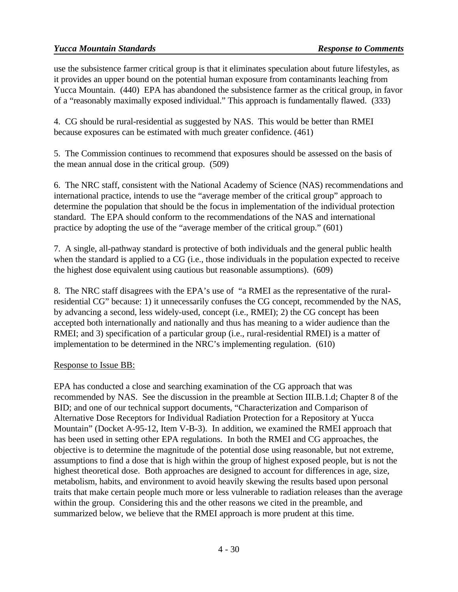use the subsistence farmer critical group is that it eliminates speculation about future lifestyles, as it provides an upper bound on the potential human exposure from contaminants leaching from Yucca Mountain. (440) EPA has abandoned the subsistence farmer as the critical group, in favor of a "reasonably maximally exposed individual." This approach is fundamentally flawed. (333)

4. CG should be rural-residential as suggested by NAS. This would be better than RMEI because exposures can be estimated with much greater confidence. (461)

5. The Commission continues to recommend that exposures should be assessed on the basis of the mean annual dose in the critical group. (509)

6. The NRC staff, consistent with the National Academy of Science (NAS) recommendations and international practice, intends to use the "average member of the critical group" approach to determine the population that should be the focus in implementation of the individual protection standard. The EPA should conform to the recommendations of the NAS and international practice by adopting the use of the "average member of the critical group." (601)

7. A single, all-pathway standard is protective of both individuals and the general public health when the standard is applied to a CG (i.e., those individuals in the population expected to receive the highest dose equivalent using cautious but reasonable assumptions). (609)

8. The NRC staff disagrees with the EPA's use of "a RMEI as the representative of the ruralresidential CG" because: 1) it unnecessarily confuses the CG concept, recommended by the NAS, by advancing a second, less widely-used, concept (i.e., RMEI); 2) the CG concept has been accepted both internationally and nationally and thus has meaning to a wider audience than the RMEI; and 3) specification of a particular group (i.e., rural-residential RMEI) is a matter of implementation to be determined in the NRC's implementing regulation. (610)

# Response to Issue BB:

EPA has conducted a close and searching examination of the CG approach that was recommended by NAS. See the discussion in the preamble at Section III.B.1.d; Chapter 8 of the BID; and one of our technical support documents, "Characterization and Comparison of Alternative Dose Receptors for Individual Radiation Protection for a Repository at Yucca Mountain" (Docket A-95-12, Item V-B-3). In addition, we examined the RMEI approach that has been used in setting other EPA regulations. In both the RMEI and CG approaches, the objective is to determine the magnitude of the potential dose using reasonable, but not extreme, assumptions to find a dose that is high within the group of highest exposed people, but is not the highest theoretical dose. Both approaches are designed to account for differences in age, size, metabolism, habits, and environment to avoid heavily skewing the results based upon personal traits that make certain people much more or less vulnerable to radiation releases than the average within the group. Considering this and the other reasons we cited in the preamble, and summarized below, we believe that the RMEI approach is more prudent at this time.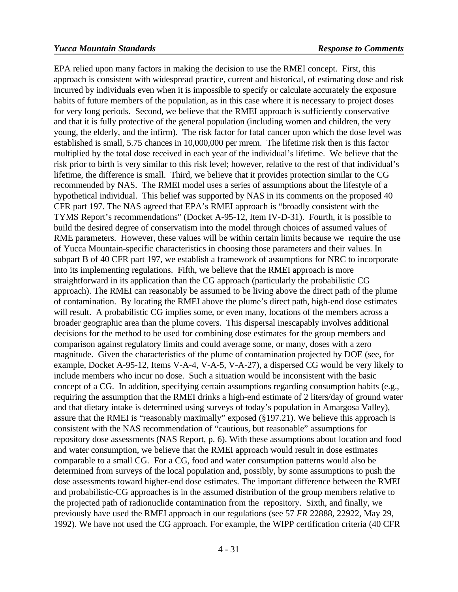EPA relied upon many factors in making the decision to use the RMEI concept. First, this approach is consistent with widespread practice, current and historical, of estimating dose and risk incurred by individuals even when it is impossible to specify or calculate accurately the exposure habits of future members of the population, as in this case where it is necessary to project doses for very long periods. Second, we believe that the RMEI approach is sufficiently conservative and that it is fully protective of the general population (including women and children, the very young, the elderly, and the infirm). The risk factor for fatal cancer upon which the dose level was established is small, 5.75 chances in 10,000,000 per mrem. The lifetime risk then is this factor multiplied by the total dose received in each year of the individual's lifetime. We believe that the risk prior to birth is very similar to this risk level; however, relative to the rest of that individual's lifetime, the difference is small. Third, we believe that it provides protection similar to the CG recommended by NAS. The RMEI model uses a series of assumptions about the lifestyle of a hypothetical individual. This belief was supported by NAS in its comments on the proposed 40 CFR part 197. The NAS agreed that EPA's RMEI approach is "broadly consistent with the TYMS Report's recommendations" (Docket A-95-12, Item IV-D-31). Fourth, it is possible to build the desired degree of conservatism into the model through choices of assumed values of RME parameters. However, these values will be within certain limits because we require the use of Yucca Mountain-specific characteristics in choosing those parameters and their values. In subpart B of 40 CFR part 197, we establish a framework of assumptions for NRC to incorporate into its implementing regulations. Fifth, we believe that the RMEI approach is more straightforward in its application than the CG approach (particularly the probabilistic CG approach). The RMEI can reasonably be assumed to be living above the direct path of the plume of contamination. By locating the RMEI above the plume's direct path, high-end dose estimates will result. A probabilistic CG implies some, or even many, locations of the members across a broader geographic area than the plume covers. This dispersal inescapably involves additional decisions for the method to be used for combining dose estimates for the group members and comparison against regulatory limits and could average some, or many, doses with a zero magnitude. Given the characteristics of the plume of contamination projected by DOE (see, for example, Docket A-95-12, Items V-A-4, V-A-5, V-A-27), a dispersed CG would be very likely to include members who incur no dose. Such a situation would be inconsistent with the basic concept of a CG. In addition, specifying certain assumptions regarding consumption habits (e.g., requiring the assumption that the RMEI drinks a high-end estimate of 2 liters/day of ground water and that dietary intake is determined using surveys of today's population in Amargosa Valley), assure that the RMEI is "reasonably maximally" exposed (§197.21). We believe this approach is consistent with the NAS recommendation of "cautious, but reasonable" assumptions for repository dose assessments (NAS Report, p. 6). With these assumptions about location and food and water consumption, we believe that the RMEI approach would result in dose estimates comparable to a small CG. For a CG, food and water consumption patterns would also be determined from surveys of the local population and, possibly, by some assumptions to push the dose assessments toward higher-end dose estimates. The important difference between the RMEI and probabilistic-CG approaches is in the assumed distribution of the group members relative to the projected path of radionuclide contamination from the repository. Sixth, and finally, we previously have used the RMEI approach in our regulations (see 57 *FR* 22888, 22922, May 29, 1992). We have not used the CG approach. For example, the WIPP certification criteria (40 CFR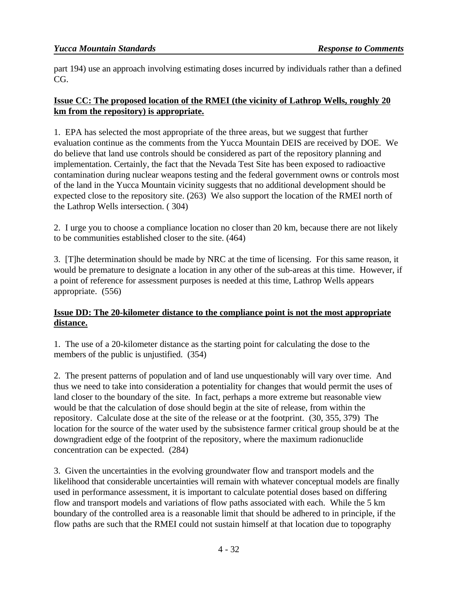<span id="page-106-0"></span>part 194) use an approach involving estimating doses incurred by individuals rather than a defined CG.

# **Issue CC: The proposed location of the RMEI (the vicinity of Lathrop Wells, roughly 20 km from the repository) is appropriate.**

1. EPA has selected the most appropriate of the three areas, but we suggest that further evaluation continue as the comments from the Yucca Mountain DEIS are received by DOE. We do believe that land use controls should be considered as part of the repository planning and implementation. Certainly, the fact that the Nevada Test Site has been exposed to radioactive contamination during nuclear weapons testing and the federal government owns or controls most of the land in the Yucca Mountain vicinity suggests that no additional development should be expected close to the repository site. (263) We also support the location of the RMEI north of the Lathrop Wells intersection. ( 304)

2. I urge you to choose a compliance location no closer than 20 km, because there are not likely to be communities established closer to the site. (464)

3. [T]he determination should be made by NRC at the time of licensing. For this same reason, it would be premature to designate a location in any other of the sub-areas at this time. However, if a point of reference for assessment purposes is needed at this time, Lathrop Wells appears appropriate. (556)

# **Issue DD: The 20-kilometer distance to the compliance point is not the most appropriate distance.**

1. The use of a 20-kilometer distance as the starting point for calculating the dose to the members of the public is unjustified. (354)

2. The present patterns of population and of land use unquestionably will vary over time. And thus we need to take into consideration a potentiality for changes that would permit the uses of land closer to the boundary of the site. In fact, perhaps a more extreme but reasonable view would be that the calculation of dose should begin at the site of release, from within the repository. Calculate dose at the site of the release or at the footprint. (30, 355, 379) The location for the source of the water used by the subsistence farmer critical group should be at the downgradient edge of the footprint of the repository, where the maximum radionuclide concentration can be expected. (284)

3. Given the uncertainties in the evolving groundwater flow and transport models and the likelihood that considerable uncertainties will remain with whatever conceptual models are finally used in performance assessment, it is important to calculate potential doses based on differing flow and transport models and variations of flow paths associated with each. While the 5 km boundary of the controlled area is a reasonable limit that should be adhered to in principle, if the flow paths are such that the RMEI could not sustain himself at that location due to topography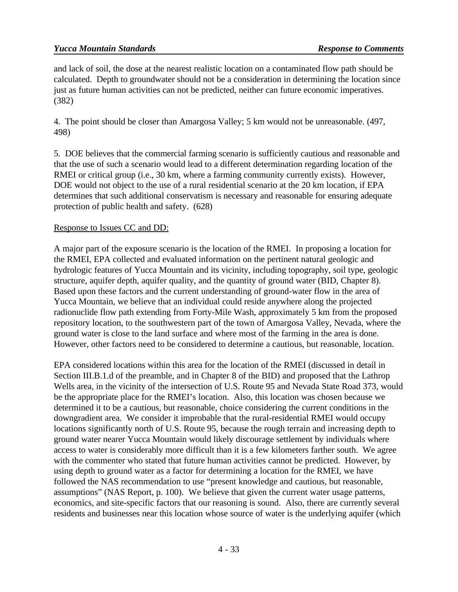### *Yucca Mountain Standards Response to Comments*

and lack of soil, the dose at the nearest realistic location on a contaminated flow path should be calculated. Depth to groundwater should not be a consideration in determining the location since just as future human activities can not be predicted, neither can future economic imperatives. (382)

4. The point should be closer than Amargosa Valley; 5 km would not be unreasonable. (497, 498)

5. DOE believes that the commercial farming scenario is sufficiently cautious and reasonable and that the use of such a scenario would lead to a different determination regarding location of the RMEI or critical group (i.e., 30 km, where a farming community currently exists). However, DOE would not object to the use of a rural residential scenario at the 20 km location, if EPA determines that such additional conservatism is necessary and reasonable for ensuring adequate protection of public health and safety. (628)

#### Response to Issues CC and DD:

A major part of the exposure scenario is the location of the RMEI. In proposing a location for the RMEI, EPA collected and evaluated information on the pertinent natural geologic and hydrologic features of Yucca Mountain and its vicinity, including topography, soil type, geologic structure, aquifer depth, aquifer quality, and the quantity of ground water (BID, Chapter 8). Based upon these factors and the current understanding of ground-water flow in the area of Yucca Mountain, we believe that an individual could reside anywhere along the projected radionuclide flow path extending from Forty-Mile Wash, approximately 5 km from the proposed repository location, to the southwestern part of the town of Amargosa Valley, Nevada, where the ground water is close to the land surface and where most of the farming in the area is done. However, other factors need to be considered to determine a cautious, but reasonable, location.

EPA considered locations within this area for the location of the RMEI (discussed in detail in Section III.B.1.d of the preamble, and in Chapter 8 of the BID) and proposed that the Lathrop Wells area, in the vicinity of the intersection of U.S. Route 95 and Nevada State Road 373, would be the appropriate place for the RMEI's location. Also, this location was chosen because we determined it to be a cautious, but reasonable, choice considering the current conditions in the downgradient area. We consider it improbable that the rural-residential RMEI would occupy locations significantly north of U.S. Route 95, because the rough terrain and increasing depth to ground water nearer Yucca Mountain would likely discourage settlement by individuals where access to water is considerably more difficult than it is a few kilometers farther south. We agree with the commenter who stated that future human activities cannot be predicted. However, by using depth to ground water as a factor for determining a location for the RMEI, we have followed the NAS recommendation to use "present knowledge and cautious, but reasonable, assumptions" (NAS Report, p. 100). We believe that given the current water usage patterns, economics, and site-specific factors that our reasoning is sound. Also, there are currently several residents and businesses near this location whose source of water is the underlying aquifer (which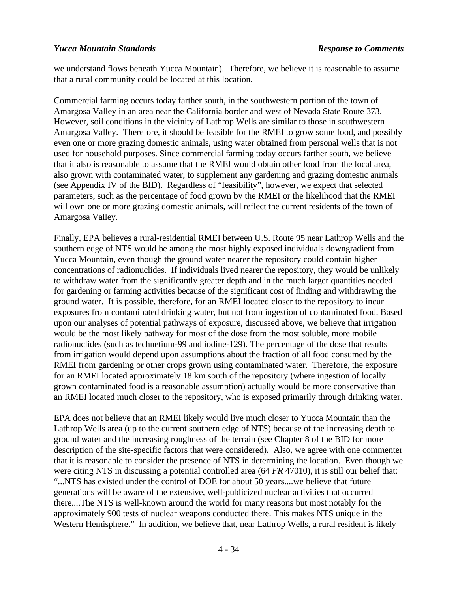we understand flows beneath Yucca Mountain). Therefore, we believe it is reasonable to assume that a rural community could be located at this location.

Commercial farming occurs today farther south, in the southwestern portion of the town of Amargosa Valley in an area near the California border and west of Nevada State Route 373. However, soil conditions in the vicinity of Lathrop Wells are similar to those in southwestern Amargosa Valley. Therefore, it should be feasible for the RMEI to grow some food, and possibly even one or more grazing domestic animals, using water obtained from personal wells that is not used for household purposes. Since commercial farming today occurs farther south, we believe that it also is reasonable to assume that the RMEI would obtain other food from the local area, also grown with contaminated water, to supplement any gardening and grazing domestic animals (see Appendix IV of the BID). Regardless of "feasibility", however, we expect that selected parameters, such as the percentage of food grown by the RMEI or the likelihood that the RMEI will own one or more grazing domestic animals, will reflect the current residents of the town of Amargosa Valley.

Finally, EPA believes a rural-residential RMEI between U.S. Route 95 near Lathrop Wells and the southern edge of NTS would be among the most highly exposed individuals downgradient from Yucca Mountain, even though the ground water nearer the repository could contain higher concentrations of radionuclides. If individuals lived nearer the repository, they would be unlikely to withdraw water from the significantly greater depth and in the much larger quantities needed for gardening or farming activities because of the significant cost of finding and withdrawing the ground water. It is possible, therefore, for an RMEI located closer to the repository to incur exposures from contaminated drinking water, but not from ingestion of contaminated food. Based upon our analyses of potential pathways of exposure, discussed above, we believe that irrigation would be the most likely pathway for most of the dose from the most soluble, more mobile radionuclides (such as technetium-99 and iodine-129). The percentage of the dose that results from irrigation would depend upon assumptions about the fraction of all food consumed by the RMEI from gardening or other crops grown using contaminated water. Therefore, the exposure for an RMEI located approximately 18 km south of the repository (where ingestion of locally grown contaminated food is a reasonable assumption) actually would be more conservative than an RMEI located much closer to the repository, who is exposed primarily through drinking water.

EPA does not believe that an RMEI likely would live much closer to Yucca Mountain than the Lathrop Wells area (up to the current southern edge of NTS) because of the increasing depth to ground water and the increasing roughness of the terrain (see Chapter 8 of the BID for more description of the site-specific factors that were considered). Also, we agree with one commenter that it is reasonable to consider the presence of NTS in determining the location. Even though we were citing NTS in discussing a potential controlled area (64 *FR* 47010), it is still our belief that: "...NTS has existed under the control of DOE for about 50 years....we believe that future generations will be aware of the extensive, well-publicized nuclear activities that occurred there....The NTS is well-known around the world for many reasons but most notably for the approximately 900 tests of nuclear weapons conducted there. This makes NTS unique in the Western Hemisphere." In addition, we believe that, near Lathrop Wells, a rural resident is likely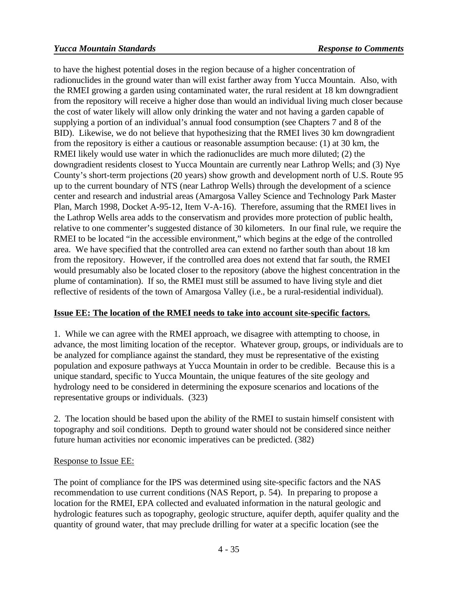to have the highest potential doses in the region because of a higher concentration of radionuclides in the ground water than will exist farther away from Yucca Mountain. Also, with the RMEI growing a garden using contaminated water, the rural resident at 18 km downgradient from the repository will receive a higher dose than would an individual living much closer because the cost of water likely will allow only drinking the water and not having a garden capable of supplying a portion of an individual's annual food consumption (see Chapters 7 and 8 of the BID). Likewise, we do not believe that hypothesizing that the RMEI lives 30 km downgradient from the repository is either a cautious or reasonable assumption because: (1) at 30 km, the RMEI likely would use water in which the radionuclides are much more diluted; (2) the downgradient residents closest to Yucca Mountain are currently near Lathrop Wells; and (3) Nye County's short-term projections (20 years) show growth and development north of U.S. Route 95 up to the current boundary of NTS (near Lathrop Wells) through the development of a science center and research and industrial areas (Amargosa Valley Science and Technology Park Master Plan, March 1998, Docket A-95-12, Item V-A-16). Therefore, assuming that the RMEI lives in the Lathrop Wells area adds to the conservatism and provides more protection of public health, relative to one commenter's suggested distance of 30 kilometers. In our final rule, we require the RMEI to be located "in the accessible environment," which begins at the edge of the controlled area. We have specified that the controlled area can extend no farther south than about 18 km from the repository. However, if the controlled area does not extend that far south, the RMEI would presumably also be located closer to the repository (above the highest concentration in the plume of contamination). If so, the RMEI must still be assumed to have living style and diet reflective of residents of the town of Amargosa Valley (i.e., be a rural-residential individual).

### **Issue EE: The location of the RMEI needs to take into account site-specific factors.**

1. While we can agree with the RMEI approach, we disagree with attempting to choose, in advance, the most limiting location of the receptor. Whatever group, groups, or individuals are to be analyzed for compliance against the standard, they must be representative of the existing population and exposure pathways at Yucca Mountain in order to be credible. Because this is a unique standard, specific to Yucca Mountain, the unique features of the site geology and hydrology need to be considered in determining the exposure scenarios and locations of the representative groups or individuals. (323)

2. The location should be based upon the ability of the RMEI to sustain himself consistent with topography and soil conditions. Depth to ground water should not be considered since neither future human activities nor economic imperatives can be predicted. (382)

### Response to Issue EE:

The point of compliance for the IPS was determined using site-specific factors and the NAS recommendation to use current conditions (NAS Report, p. 54). In preparing to propose a location for the RMEI, EPA collected and evaluated information in the natural geologic and hydrologic features such as topography, geologic structure, aquifer depth, aquifer quality and the quantity of ground water, that may preclude drilling for water at a specific location (see the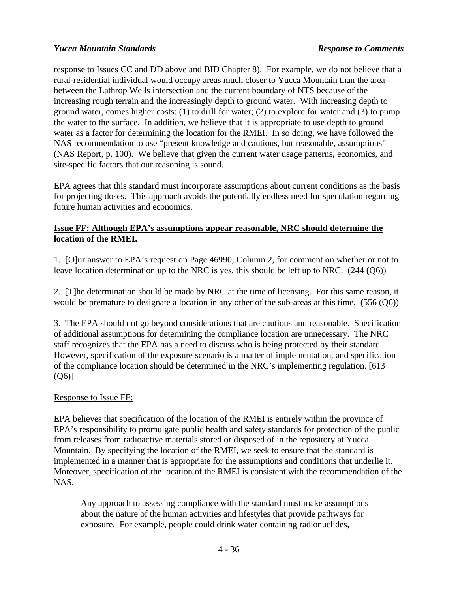response to Issues CC and DD above and BID Chapter 8). For example, we do not believe that a rural-residential individual would occupy areas much closer to Yucca Mountain than the area between the Lathrop Wells intersection and the current boundary of NTS because of the increasing rough terrain and the increasingly depth to ground water. With increasing depth to ground water, comes higher costs: (1) to drill for water; (2) to explore for water and (3) to pump the water to the surface. In addition, we believe that it is appropriate to use depth to ground water as a factor for determining the location for the RMEI. In so doing, we have followed the NAS recommendation to use "present knowledge and cautious, but reasonable, assumptions" (NAS Report, p. 100). We believe that given the current water usage patterns, economics, and site-specific factors that our reasoning is sound.

EPA agrees that this standard must incorporate assumptions about current conditions as the basis for projecting doses. This approach avoids the potentially endless need for speculation regarding future human activities and economics.

### **Issue FF: Although EPA's assumptions appear reasonable, NRC should determine the location of the RMEI.**

1. [O]ur answer to EPA's request on Page 46990, Column 2, for comment on whether or not to leave location determination up to the NRC is yes, this should be left up to NRC. (244 (Q6))

2. [T]he determination should be made by NRC at the time of licensing. For this same reason, it would be premature to designate a location in any other of the sub-areas at this time. (556 (O6))

3. The EPA should not go beyond considerations that are cautious and reasonable. Specification of additional assumptions for determining the compliance location are unnecessary. The NRC staff recognizes that the EPA has a need to discuss who is being protected by their standard. However, specification of the exposure scenario is a matter of implementation, and specification of the compliance location should be determined in the NRC's implementing regulation. [613 (Q6)]

### Response to Issue FF:

EPA believes that specification of the location of the RMEI is entirely within the province of EPA's responsibility to promulgate public health and safety standards for protection of the public from releases from radioactive materials stored or disposed of in the repository at Yucca Mountain. By specifying the location of the RMEI, we seek to ensure that the standard is implemented in a manner that is appropriate for the assumptions and conditions that underlie it. Moreover, specification of the location of the RMEI is consistent with the recommendation of the NAS.

Any approach to assessing compliance with the standard must make assumptions about the nature of the human activities and lifestyles that provide pathways for exposure. For example, people could drink water containing radionuclides,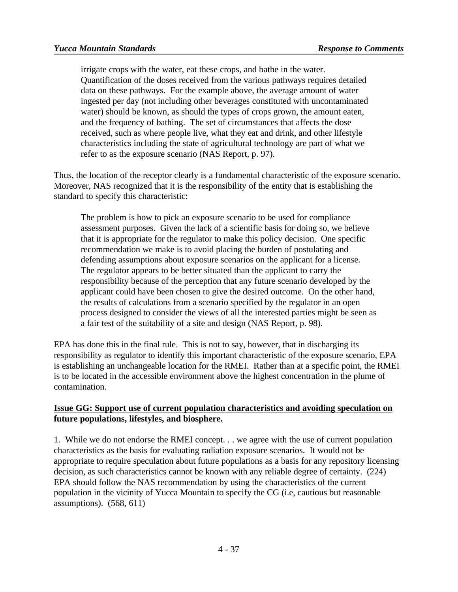irrigate crops with the water, eat these crops, and bathe in the water. Quantification of the doses received from the various pathways requires detailed data on these pathways. For the example above, the average amount of water ingested per day (not including other beverages constituted with uncontaminated water) should be known, as should the types of crops grown, the amount eaten, and the frequency of bathing. The set of circumstances that affects the dose received, such as where people live, what they eat and drink, and other lifestyle characteristics including the state of agricultural technology are part of what we refer to as the exposure scenario (NAS Report, p. 97).

Thus, the location of the receptor clearly is a fundamental characteristic of the exposure scenario. Moreover, NAS recognized that it is the responsibility of the entity that is establishing the standard to specify this characteristic:

The problem is how to pick an exposure scenario to be used for compliance assessment purposes. Given the lack of a scientific basis for doing so, we believe that it is appropriate for the regulator to make this policy decision. One specific recommendation we make is to avoid placing the burden of postulating and defending assumptions about exposure scenarios on the applicant for a license. The regulator appears to be better situated than the applicant to carry the responsibility because of the perception that any future scenario developed by the applicant could have been chosen to give the desired outcome. On the other hand, the results of calculations from a scenario specified by the regulator in an open process designed to consider the views of all the interested parties might be seen as a fair test of the suitability of a site and design (NAS Report, p. 98).

EPA has done this in the final rule. This is not to say, however, that in discharging its responsibility as regulator to identify this important characteristic of the exposure scenario, EPA is establishing an unchangeable location for the RMEI. Rather than at a specific point, the RMEI is to be located in the accessible environment above the highest concentration in the plume of contamination.

### **Issue GG: Support use of current population characteristics and avoiding speculation on future populations, lifestyles, and biosphere.**

1. While we do not endorse the RMEI concept. . . we agree with the use of current population characteristics as the basis for evaluating radiation exposure scenarios. It would not be appropriate to require speculation about future populations as a basis for any repository licensing decision, as such characteristics cannot be known with any reliable degree of certainty. (224) EPA should follow the NAS recommendation by using the characteristics of the current population in the vicinity of Yucca Mountain to specify the CG (i.e, cautious but reasonable assumptions). (568, 611)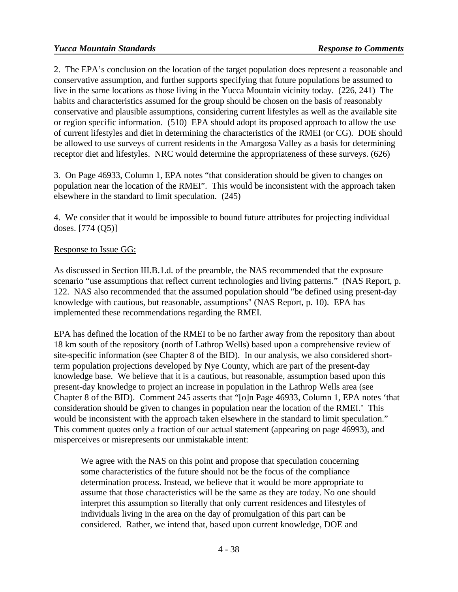2. The EPA's conclusion on the location of the target population does represent a reasonable and conservative assumption, and further supports specifying that future populations be assumed to live in the same locations as those living in the Yucca Mountain vicinity today. (226, 241) The habits and characteristics assumed for the group should be chosen on the basis of reasonably conservative and plausible assumptions, considering current lifestyles as well as the available site or region specific information. (510) EPA should adopt its proposed approach to allow the use of current lifestyles and diet in determining the characteristics of the RMEI (or CG). DOE should be allowed to use surveys of current residents in the Amargosa Valley as a basis for determining receptor diet and lifestyles. NRC would determine the appropriateness of these surveys. (626)

3. On Page 46933, Column 1, EPA notes "that consideration should be given to changes on population near the location of the RMEI". This would be inconsistent with the approach taken elsewhere in the standard to limit speculation. (245)

4. We consider that it would be impossible to bound future attributes for projecting individual doses. [774 (Q5)]

#### Response to Issue GG:

As discussed in Section III.B.1.d. of the preamble, the NAS recommended that the exposure scenario "use assumptions that reflect current technologies and living patterns." (NAS Report, p. 122. NAS also recommended that the assumed population should "be defined using present-day knowledge with cautious, but reasonable, assumptions" (NAS Report, p. 10). EPA has implemented these recommendations regarding the RMEI.

EPA has defined the location of the RMEI to be no farther away from the repository than about 18 km south of the repository (north of Lathrop Wells) based upon a comprehensive review of site-specific information (see Chapter 8 of the BID). In our analysis, we also considered shortterm population projections developed by Nye County, which are part of the present-day knowledge base. We believe that it is a cautious, but reasonable, assumption based upon this present-day knowledge to project an increase in population in the Lathrop Wells area (see Chapter 8 of the BID). Comment 245 asserts that "[o]n Page 46933, Column 1, EPA notes 'that consideration should be given to changes in population near the location of the RMEI.' This would be inconsistent with the approach taken elsewhere in the standard to limit speculation." This comment quotes only a fraction of our actual statement (appearing on page 46993), and misperceives or misrepresents our unmistakable intent:

We agree with the NAS on this point and propose that speculation concerning some characteristics of the future should not be the focus of the compliance determination process. Instead, we believe that it would be more appropriate to assume that those characteristics will be the same as they are today. No one should interpret this assumption so literally that only current residences and lifestyles of individuals living in the area on the day of promulgation of this part can be considered. Rather, we intend that, based upon current knowledge, DOE and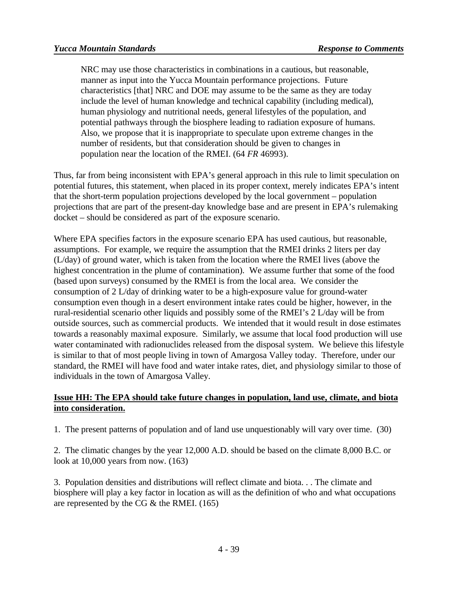NRC may use those characteristics in combinations in a cautious, but reasonable, manner as input into the Yucca Mountain performance projections. Future characteristics [that] NRC and DOE may assume to be the same as they are today include the level of human knowledge and technical capability (including medical), human physiology and nutritional needs, general lifestyles of the population, and potential pathways through the biosphere leading to radiation exposure of humans. Also, we propose that it is inappropriate to speculate upon extreme changes in the number of residents, but that consideration should be given to changes in population near the location of the RMEI. (64 *FR* 46993).

Thus, far from being inconsistent with EPA's general approach in this rule to limit speculation on potential futures, this statement, when placed in its proper context, merely indicates EPA's intent that the short-term population projections developed by the local government – population projections that are part of the present-day knowledge base and are present in EPA's rulemaking docket – should be considered as part of the exposure scenario.

Where EPA specifies factors in the exposure scenario EPA has used cautious, but reasonable, assumptions. For example, we require the assumption that the RMEI drinks 2 liters per day (L/day) of ground water, which is taken from the location where the RMEI lives (above the highest concentration in the plume of contamination). We assume further that some of the food (based upon surveys) consumed by the RMEI is from the local area. We consider the consumption of 2 L/day of drinking water to be a high-exposure value for ground-water consumption even though in a desert environment intake rates could be higher, however, in the rural-residential scenario other liquids and possibly some of the RMEI's 2 L/day will be from outside sources, such as commercial products. We intended that it would result in dose estimates towards a reasonably maximal exposure. Similarly, we assume that local food production will use water contaminated with radionuclides released from the disposal system. We believe this lifestyle is similar to that of most people living in town of Amargosa Valley today. Therefore, under our standard, the RMEI will have food and water intake rates, diet, and physiology similar to those of individuals in the town of Amargosa Valley.

#### **Issue HH: The EPA should take future changes in population, land use, climate, and biota into consideration.**

1. The present patterns of population and of land use unquestionably will vary over time. (30)

2. The climatic changes by the year 12,000 A.D. should be based on the climate 8,000 B.C. or look at 10,000 years from now. (163)

3. Population densities and distributions will reflect climate and biota. . . The climate and biosphere will play a key factor in location as will as the definition of who and what occupations are represented by the CG  $\&$  the RMEI. (165)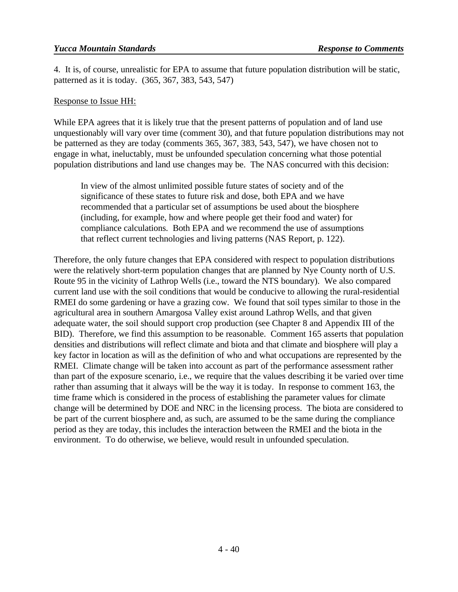4. It is, of course, unrealistic for EPA to assume that future population distribution will be static, patterned as it is today. (365, 367, 383, 543, 547)

#### Response to Issue HH:

While EPA agrees that it is likely true that the present patterns of population and of land use unquestionably will vary over time (comment 30), and that future population distributions may not be patterned as they are today (comments 365, 367, 383, 543, 547), we have chosen not to engage in what, ineluctably, must be unfounded speculation concerning what those potential population distributions and land use changes may be. The NAS concurred with this decision:

In view of the almost unlimited possible future states of society and of the significance of these states to future risk and dose, both EPA and we have recommended that a particular set of assumptions be used about the biosphere (including, for example, how and where people get their food and water) for compliance calculations. Both EPA and we recommend the use of assumptions that reflect current technologies and living patterns (NAS Report, p. 122).

Therefore, the only future changes that EPA considered with respect to population distributions were the relatively short-term population changes that are planned by Nye County north of U.S. Route 95 in the vicinity of Lathrop Wells (i.e., toward the NTS boundary). We also compared current land use with the soil conditions that would be conducive to allowing the rural-residential RMEI do some gardening or have a grazing cow. We found that soil types similar to those in the agricultural area in southern Amargosa Valley exist around Lathrop Wells, and that given adequate water, the soil should support crop production (see Chapter 8 and Appendix III of the BID). Therefore, we find this assumption to be reasonable. Comment 165 asserts that population densities and distributions will reflect climate and biota and that climate and biosphere will play a key factor in location as will as the definition of who and what occupations are represented by the RMEI. Climate change will be taken into account as part of the performance assessment rather than part of the exposure scenario, i.e., we require that the values describing it be varied over time rather than assuming that it always will be the way it is today. In response to comment 163, the time frame which is considered in the process of establishing the parameter values for climate change will be determined by DOE and NRC in the licensing process. The biota are considered to be part of the current biosphere and, as such, are assumed to be the same during the compliance period as they are today, this includes the interaction between the RMEI and the biota in the environment. To do otherwise, we believe, would result in unfounded speculation.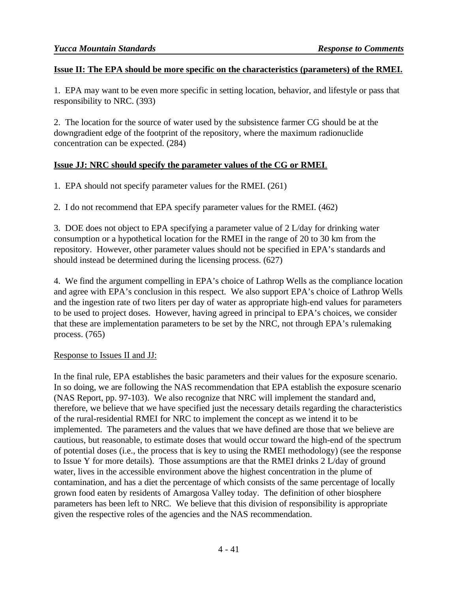#### **Issue II: The EPA should be more specific on the characteristics (parameters) of the RMEI.**

1. EPA may want to be even more specific in setting location, behavior, and lifestyle or pass that responsibility to NRC. (393)

2. The location for the source of water used by the subsistence farmer CG should be at the downgradient edge of the footprint of the repository, where the maximum radionuclide concentration can be expected. (284)

### **Issue JJ: NRC should specify the parameter values of the CG or RMEI**.

1. EPA should not specify parameter values for the RMEI. (261)

2. I do not recommend that EPA specify parameter values for the RMEI. (462)

3. DOE does not object to EPA specifying a parameter value of 2 L/day for drinking water consumption or a hypothetical location for the RMEI in the range of 20 to 30 km from the repository. However, other parameter values should not be specified in EPA's standards and should instead be determined during the licensing process. (627)

4. We find the argument compelling in EPA's choice of Lathrop Wells as the compliance location and agree with EPA's conclusion in this respect. We also support EPA's choice of Lathrop Wells and the ingestion rate of two liters per day of water as appropriate high-end values for parameters to be used to project doses. However, having agreed in principal to EPA's choices, we consider that these are implementation parameters to be set by the NRC, not through EPA's rulemaking process. (765)

#### Response to Issues II and JJ:

In the final rule, EPA establishes the basic parameters and their values for the exposure scenario. In so doing, we are following the NAS recommendation that EPA establish the exposure scenario (NAS Report, pp. 97-103). We also recognize that NRC will implement the standard and, therefore, we believe that we have specified just the necessary details regarding the characteristics of the rural-residential RMEI for NRC to implement the concept as we intend it to be implemented. The parameters and the values that we have defined are those that we believe are cautious, but reasonable, to estimate doses that would occur toward the high-end of the spectrum of potential doses (i.e., the process that is key to using the RMEI methodology) (see the response to Issue Y for more details). Those assumptions are that the RMEI drinks 2 L/day of ground water, lives in the accessible environment above the highest concentration in the plume of contamination, and has a diet the percentage of which consists of the same percentage of locally grown food eaten by residents of Amargosa Valley today. The definition of other biosphere parameters has been left to NRC. We believe that this division of responsibility is appropriate given the respective roles of the agencies and the NAS recommendation.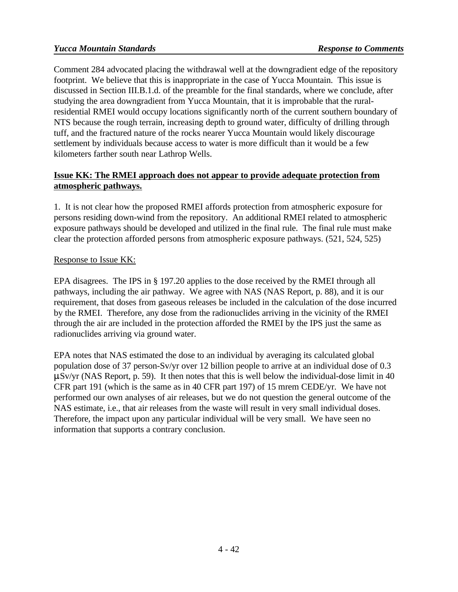#### *Yucca Mountain Standards Response to Comments*

Comment 284 advocated placing the withdrawal well at the downgradient edge of the repository footprint. We believe that this is inappropriate in the case of Yucca Mountain. This issue is discussed in Section III.B.1.d. of the preamble for the final standards, where we conclude, after studying the area downgradient from Yucca Mountain, that it is improbable that the ruralresidential RMEI would occupy locations significantly north of the current southern boundary of NTS because the rough terrain, increasing depth to ground water, difficulty of drilling through tuff, and the fractured nature of the rocks nearer Yucca Mountain would likely discourage settlement by individuals because access to water is more difficult than it would be a few kilometers farther south near Lathrop Wells.

### **Issue KK: The RMEI approach does not appear to provide adequate protection from atmospheric pathways.**

1. It is not clear how the proposed RMEI affords protection from atmospheric exposure for persons residing down-wind from the repository. An additional RMEI related to atmospheric exposure pathways should be developed and utilized in the final rule. The final rule must make clear the protection afforded persons from atmospheric exposure pathways. (521, 524, 525)

#### Response to Issue KK:

EPA disagrees. The IPS in § 197.20 applies to the dose received by the RMEI through all pathways, including the air pathway. We agree with NAS (NAS Report, p. 88), and it is our requirement, that doses from gaseous releases be included in the calculation of the dose incurred by the RMEI. Therefore, any dose from the radionuclides arriving in the vicinity of the RMEI through the air are included in the protection afforded the RMEI by the IPS just the same as radionuclides arriving via ground water.

EPA notes that NAS estimated the dose to an individual by averaging its calculated global population dose of 37 person-Sv/yr over 12 billion people to arrive at an individual dose of 0.3  $\mu$ Sv/yr (NAS Report, p. 59). It then notes that this is well below the individual-dose limit in 40 CFR part 191 (which is the same as in 40 CFR part 197) of 15 mrem CEDE/yr. We have not performed our own analyses of air releases, but we do not question the general outcome of the NAS estimate, i.e., that air releases from the waste will result in very small individual doses. Therefore, the impact upon any particular individual will be very small. We have seen no information that supports a contrary conclusion.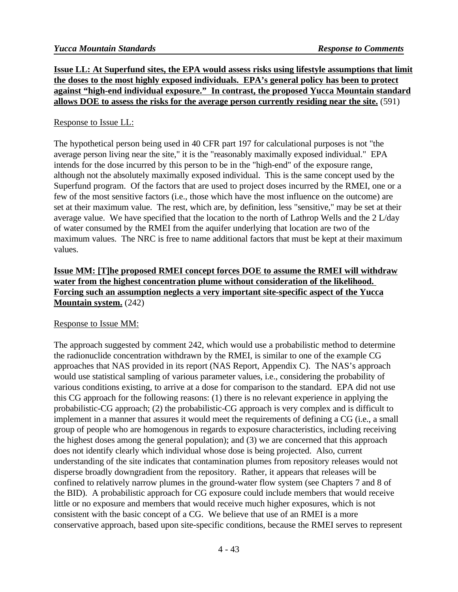**Issue LL: At Superfund sites, the EPA would assess risks using lifestyle assumptions that limit the doses to the most highly exposed individuals. EPA's general policy has been to protect against "high-end individual exposure." In contrast, the proposed Yucca Mountain standard allows DOE to assess the risks for the average person currently residing near the site.** (591)

### Response to Issue LL:

The hypothetical person being used in 40 CFR part 197 for calculational purposes is not "the average person living near the site," it is the "reasonably maximally exposed individual." EPA intends for the dose incurred by this person to be in the "high-end" of the exposure range, although not the absolutely maximally exposed individual. This is the same concept used by the Superfund program. Of the factors that are used to project doses incurred by the RMEI, one or a few of the most sensitive factors (i.e., those which have the most influence on the outcome) are set at their maximum value. The rest, which are, by definition, less "sensitive," may be set at their average value. We have specified that the location to the north of Lathrop Wells and the 2 L/day of water consumed by the RMEI from the aquifer underlying that location are two of the maximum values. The NRC is free to name additional factors that must be kept at their maximum values.

# **Issue MM: [T]he proposed RMEI concept forces DOE to assume the RMEI will withdraw water from the highest concentration plume without consideration of the likelihood. Forcing such an assumption neglects a very important site-specific aspect of the Yucca Mountain system.** (242)

### Response to Issue MM:

The approach suggested by comment 242, which would use a probabilistic method to determine the radionuclide concentration withdrawn by the RMEI, is similar to one of the example CG approaches that NAS provided in its report (NAS Report, Appendix C). The NAS's approach would use statistical sampling of various parameter values, i.e., considering the probability of various conditions existing, to arrive at a dose for comparison to the standard. EPA did not use this CG approach for the following reasons: (1) there is no relevant experience in applying the probabilistic-CG approach; (2) the probabilistic-CG approach is very complex and is difficult to implement in a manner that assures it would meet the requirements of defining a CG (i.e., a small group of people who are homogenous in regards to exposure characteristics, including receiving the highest doses among the general population); and (3) we are concerned that this approach does not identify clearly which individual whose dose is being projected. Also, current understanding of the site indicates that contamination plumes from repository releases would not disperse broadly downgradient from the repository. Rather, it appears that releases will be confined to relatively narrow plumes in the ground-water flow system (see Chapters 7 and 8 of the BID). A probabilistic approach for CG exposure could include members that would receive little or no exposure and members that would receive much higher exposures, which is not consistent with the basic concept of a CG. We believe that use of an RMEI is a more conservative approach, based upon site-specific conditions, because the RMEI serves to represent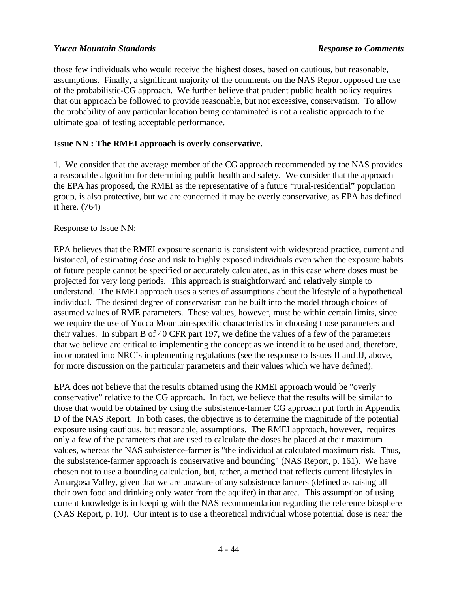#### *Yucca Mountain Standards Response to Comments*

those few individuals who would receive the highest doses, based on cautious, but reasonable, assumptions. Finally, a significant majority of the comments on the NAS Report opposed the use of the probabilistic-CG approach. We further believe that prudent public health policy requires that our approach be followed to provide reasonable, but not excessive, conservatism. To allow the probability of any particular location being contaminated is not a realistic approach to the ultimate goal of testing acceptable performance.

#### **Issue NN : The RMEI approach is overly conservative.**

1. We consider that the average member of the CG approach recommended by the NAS provides a reasonable algorithm for determining public health and safety. We consider that the approach the EPA has proposed, the RMEI as the representative of a future "rural-residential" population group, is also protective, but we are concerned it may be overly conservative, as EPA has defined it here. (764)

#### Response to Issue NN:

EPA believes that the RMEI exposure scenario is consistent with widespread practice, current and historical, of estimating dose and risk to highly exposed individuals even when the exposure habits of future people cannot be specified or accurately calculated, as in this case where doses must be projected for very long periods. This approach is straightforward and relatively simple to understand. The RMEI approach uses a series of assumptions about the lifestyle of a hypothetical individual. The desired degree of conservatism can be built into the model through choices of assumed values of RME parameters. These values, however, must be within certain limits, since we require the use of Yucca Mountain-specific characteristics in choosing those parameters and their values. In subpart B of 40 CFR part 197, we define the values of a few of the parameters that we believe are critical to implementing the concept as we intend it to be used and, therefore, incorporated into NRC's implementing regulations (see the response to Issues II and JJ, above, for more discussion on the particular parameters and their values which we have defined).

EPA does not believe that the results obtained using the RMEI approach would be "overly conservative" relative to the CG approach. In fact, we believe that the results will be similar to those that would be obtained by using the subsistence-farmer CG approach put forth in Appendix D of the NAS Report. In both cases, the objective is to determine the magnitude of the potential exposure using cautious, but reasonable, assumptions. The RMEI approach, however, requires only a few of the parameters that are used to calculate the doses be placed at their maximum values, whereas the NAS subsistence-farmer is "the individual at calculated maximum risk. Thus, the subsistence-farmer approach is conservative and bounding" (NAS Report, p. 161). We have chosen not to use a bounding calculation, but, rather, a method that reflects current lifestyles in Amargosa Valley, given that we are unaware of any subsistence farmers (defined as raising all their own food and drinking only water from the aquifer) in that area. This assumption of using current knowledge is in keeping with the NAS recommendation regarding the reference biosphere (NAS Report, p. 10). Our intent is to use a theoretical individual whose potential dose is near the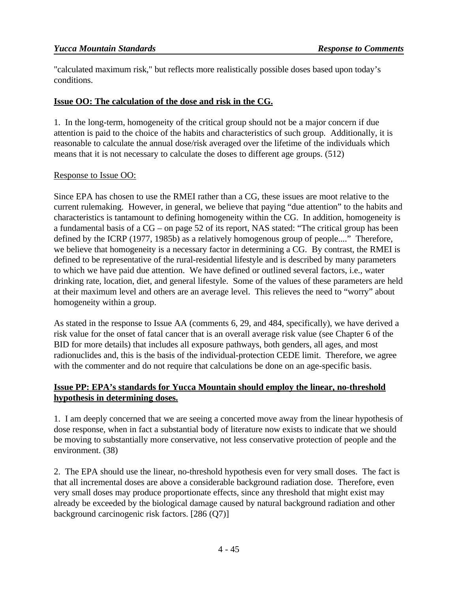"calculated maximum risk," but reflects more realistically possible doses based upon today's conditions.

# **Issue OO: The calculation of the dose and risk in the CG.**

1. In the long-term, homogeneity of the critical group should not be a major concern if due attention is paid to the choice of the habits and characteristics of such group. Additionally, it is reasonable to calculate the annual dose/risk averaged over the lifetime of the individuals which means that it is not necessary to calculate the doses to different age groups. (512)

### Response to Issue OO:

Since EPA has chosen to use the RMEI rather than a CG, these issues are moot relative to the current rulemaking. However, in general, we believe that paying "due attention" to the habits and characteristics is tantamount to defining homogeneity within the CG. In addition, homogeneity is a fundamental basis of a CG – on page 52 of its report, NAS stated: "The critical group has been defined by the ICRP (1977, 1985b) as a relatively homogenous group of people...." Therefore, we believe that homogeneity is a necessary factor in determining a CG. By contrast, the RMEI is defined to be representative of the rural-residential lifestyle and is described by many parameters to which we have paid due attention. We have defined or outlined several factors, i.e., water drinking rate, location, diet, and general lifestyle. Some of the values of these parameters are held at their maximum level and others are an average level. This relieves the need to "worry" about homogeneity within a group.

As stated in the response to Issue AA (comments 6, 29, and 484, specifically), we have derived a risk value for the onset of fatal cancer that is an overall average risk value (see Chapter 6 of the BID for more details) that includes all exposure pathways, both genders, all ages, and most radionuclides and, this is the basis of the individual-protection CEDE limit. Therefore, we agree with the commenter and do not require that calculations be done on an age-specific basis.

### **Issue PP: EPA's standards for Yucca Mountain should employ the linear, no-threshold hypothesis in determining doses.**

1. I am deeply concerned that we are seeing a concerted move away from the linear hypothesis of dose response, when in fact a substantial body of literature now exists to indicate that we should be moving to substantially more conservative, not less conservative protection of people and the environment. (38)

2. The EPA should use the linear, no-threshold hypothesis even for very small doses. The fact is that all incremental doses are above a considerable background radiation dose. Therefore, even very small doses may produce proportionate effects, since any threshold that might exist may already be exceeded by the biological damage caused by natural background radiation and other background carcinogenic risk factors. [286 (Q7)]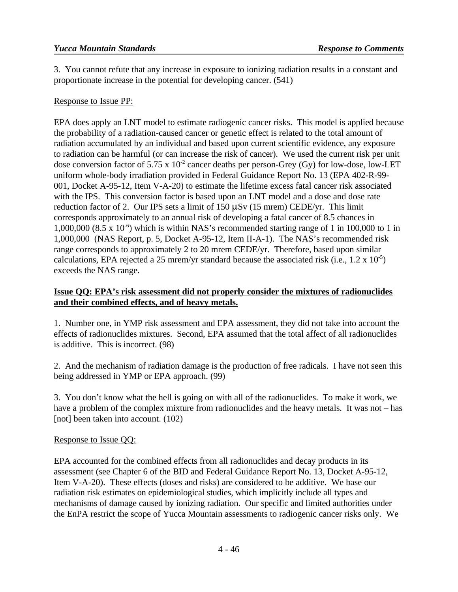3. You cannot refute that any increase in exposure to ionizing radiation results in a constant and proportionate increase in the potential for developing cancer. (541)

## Response to Issue PP:

EPA does apply an LNT model to estimate radiogenic cancer risks. This model is applied because the probability of a radiation-caused cancer or genetic effect is related to the total amount of radiation accumulated by an individual and based upon current scientific evidence, any exposure to radiation can be harmful (or can increase the risk of cancer). We used the current risk per unit dose conversion factor of 5.75 x  $10^{-2}$  cancer deaths per person-Grey (Gy) for low-dose, low-LET uniform whole-body irradiation provided in Federal Guidance Report No. 13 (EPA 402-R-99 001, Docket A-95-12, Item V-A-20) to estimate the lifetime excess fatal cancer risk associated with the IPS. This conversion factor is based upon an LNT model and a dose and dose rate reduction factor of 2. Our IPS sets a limit of 150  $\mu$ Sv (15 mrem) CEDE/yr. This limit corresponds approximately to an annual risk of developing a fatal cancer of 8.5 chances in 1,000,000 (8.5 x 10<sup>-6</sup>) which is within NAS's recommended starting range of 1 in 100,000 to 1 in 1,000,000 (NAS Report, p. 5, Docket A-95-12, Item II-A-1). The NAS's recommended risk range corresponds to approximately 2 to 20 mrem CEDE/yr. Therefore, based upon similar calculations, EPA rejected a 25 mrem/yr standard because the associated risk (i.e.,  $1.2 \times 10^{-5}$ ) exceeds the NAS range.

### **Issue QQ: EPA's risk assessment did not properly consider the mixtures of radionuclides and their combined effects, and of heavy metals.**

1. Number one, in YMP risk assessment and EPA assessment, they did not take into account the effects of radionuclides mixtures. Second, EPA assumed that the total affect of all radionuclides is additive. This is incorrect. (98)

2. And the mechanism of radiation damage is the production of free radicals. I have not seen this being addressed in YMP or EPA approach. (99)

3. You don't know what the hell is going on with all of the radionuclides. To make it work, we have a problem of the complex mixture from radionuclides and the heavy metals. It was not – has [not] been taken into account. (102)

### Response to Issue QQ:

EPA accounted for the combined effects from all radionuclides and decay products in its assessment (see Chapter 6 of the BID and Federal Guidance Report No. 13, Docket A-95-12, Item V-A-20). These effects (doses and risks) are considered to be additive. We base our radiation risk estimates on epidemiological studies, which implicitly include all types and mechanisms of damage caused by ionizing radiation. Our specific and limited authorities under the EnPA restrict the scope of Yucca Mountain assessments to radiogenic cancer risks only. We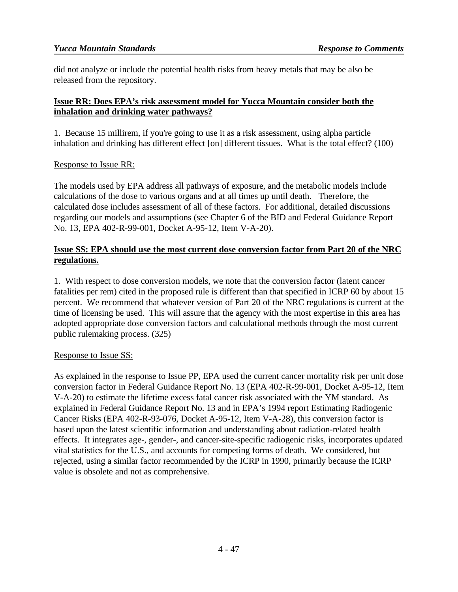#### *Yucca Mountain Standards Response to Comments*

did not analyze or include the potential health risks from heavy metals that may be also be released from the repository.

### **Issue RR: Does EPA's risk assessment model for Yucca Mountain consider both the inhalation and drinking water pathways?**

1. Because 15 millirem, if you're going to use it as a risk assessment, using alpha particle inhalation and drinking has different effect [on] different tissues. What is the total effect? (100)

#### Response to Issue RR:

The models used by EPA address all pathways of exposure, and the metabolic models include calculations of the dose to various organs and at all times up until death. Therefore, the calculated dose includes assessment of all of these factors. For additional, detailed discussions regarding our models and assumptions (see Chapter 6 of the BID and Federal Guidance Report No. 13, EPA 402-R-99-001, Docket A-95-12, Item V-A-20).

### **Issue SS: EPA should use the most current dose conversion factor from Part 20 of the NRC regulations.**

1. With respect to dose conversion models, we note that the conversion factor (latent cancer fatalities per rem) cited in the proposed rule is different than that specified in ICRP 60 by about 15 percent. We recommend that whatever version of Part 20 of the NRC regulations is current at the time of licensing be used. This will assure that the agency with the most expertise in this area has adopted appropriate dose conversion factors and calculational methods through the most current public rulemaking process. (325)

#### Response to Issue SS:

As explained in the response to Issue PP, EPA used the current cancer mortality risk per unit dose conversion factor in Federal Guidance Report No. 13 (EPA 402-R-99-001, Docket A-95-12, Item V-A-20) to estimate the lifetime excess fatal cancer risk associated with the YM standard. As explained in Federal Guidance Report No. 13 and in EPA's 1994 report Estimating Radiogenic Cancer Risks (EPA 402-R-93-076, Docket A-95-12, Item V-A-28), this conversion factor is based upon the latest scientific information and understanding about radiation-related health effects. It integrates age-, gender-, and cancer-site-specific radiogenic risks, incorporates updated vital statistics for the U.S., and accounts for competing forms of death. We considered, but rejected, using a similar factor recommended by the ICRP in 1990, primarily because the ICRP value is obsolete and not as comprehensive.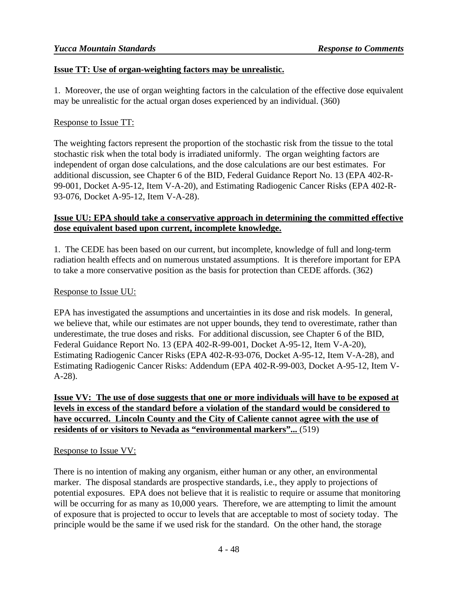#### **Issue TT: Use of organ-weighting factors may be unrealistic.**

1. Moreover, the use of organ weighting factors in the calculation of the effective dose equivalent may be unrealistic for the actual organ doses experienced by an individual. (360)

#### Response to Issue TT:

The weighting factors represent the proportion of the stochastic risk from the tissue to the total stochastic risk when the total body is irradiated uniformly. The organ weighting factors are independent of organ dose calculations, and the dose calculations are our best estimates. For additional discussion, see Chapter 6 of the BID, Federal Guidance Report No. 13 (EPA 402-R-99-001, Docket A-95-12, Item V-A-20), and Estimating Radiogenic Cancer Risks (EPA 402-R-93-076, Docket A-95-12, Item V-A-28).

#### **Issue UU: EPA should take a conservative approach in determining the committed effective dose equivalent based upon current, incomplete knowledge.**

1. The CEDE has been based on our current, but incomplete, knowledge of full and long-term radiation health effects and on numerous unstated assumptions. It is therefore important for EPA to take a more conservative position as the basis for protection than CEDE affords. (362)

#### Response to Issue UU:

EPA has investigated the assumptions and uncertainties in its dose and risk models. In general, we believe that, while our estimates are not upper bounds, they tend to overestimate, rather than underestimate, the true doses and risks. For additional discussion, see Chapter 6 of the BID, Federal Guidance Report No. 13 (EPA 402-R-99-001, Docket A-95-12, Item V-A-20), Estimating Radiogenic Cancer Risks (EPA 402-R-93-076, Docket A-95-12, Item V-A-28), and Estimating Radiogenic Cancer Risks: Addendum (EPA 402-R-99-003, Docket A-95-12, Item V-A-28).

**Issue VV: The use of dose suggests that one or more individuals will have to be exposed at levels in excess of the standard before a violation of the standard would be considered to have occurred. Lincoln County and the City of Caliente cannot agree with the use of residents of or visitors to Nevada as "environmental markers"...** (519)

#### Response to Issue VV:

There is no intention of making any organism, either human or any other, an environmental marker. The disposal standards are prospective standards, i.e., they apply to projections of potential exposures. EPA does not believe that it is realistic to require or assume that monitoring will be occurring for as many as 10,000 years. Therefore, we are attempting to limit the amount of exposure that is projected to occur to levels that are acceptable to most of society today. The principle would be the same if we used risk for the standard. On the other hand, the storage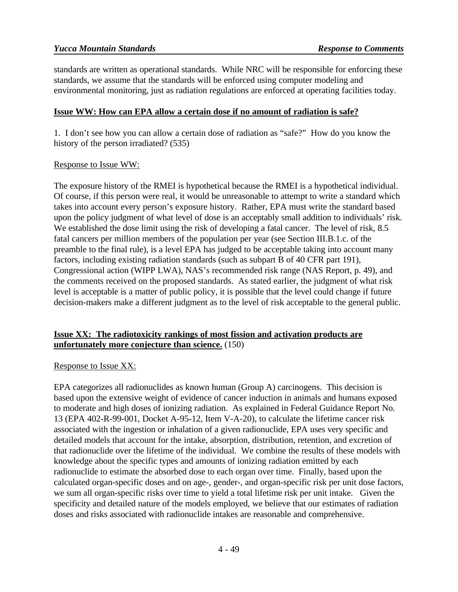#### *Yucca Mountain Standards Response to Comments*

standards are written as operational standards. While NRC will be responsible for enforcing these standards, we assume that the standards will be enforced using computer modeling and environmental monitoring, just as radiation regulations are enforced at operating facilities today.

#### **Issue WW: How can EPA allow a certain dose if no amount of radiation is safe?**

1. I don't see how you can allow a certain dose of radiation as "safe?" How do you know the history of the person irradiated? (535)

#### Response to Issue WW:

The exposure history of the RMEI is hypothetical because the RMEI is a hypothetical individual. Of course, if this person were real, it would be unreasonable to attempt to write a standard which takes into account every person's exposure history. Rather, EPA must write the standard based upon the policy judgment of what level of dose is an acceptably small addition to individuals' risk. We established the dose limit using the risk of developing a fatal cancer. The level of risk, 8.5 fatal cancers per million members of the population per year (see Section III.B.1.c. of the preamble to the final rule), is a level EPA has judged to be acceptable taking into account many factors, including existing radiation standards (such as subpart B of 40 CFR part 191), Congressional action (WIPP LWA), NAS's recommended risk range (NAS Report, p. 49), and the comments received on the proposed standards. As stated earlier, the judgment of what risk level is acceptable is a matter of public policy, it is possible that the level could change if future decision-makers make a different judgment as to the level of risk acceptable to the general public.

### **Issue XX: The radiotoxicity rankings of most fission and activation products are unfortunately more conjecture than science.** (150)

#### Response to Issue XX:

EPA categorizes all radionuclides as known human (Group A) carcinogens. This decision is based upon the extensive weight of evidence of cancer induction in animals and humans exposed to moderate and high doses of ionizing radiation. As explained in Federal Guidance Report No. 13 (EPA 402-R-99-001, Docket A-95-12, Item V-A-20), to calculate the lifetime cancer risk associated with the ingestion or inhalation of a given radionuclide, EPA uses very specific and detailed models that account for the intake, absorption, distribution, retention, and excretion of that radionuclide over the lifetime of the individual. We combine the results of these models with knowledge about the specific types and amounts of ionizing radiation emitted by each radionuclide to estimate the absorbed dose to each organ over time. Finally, based upon the calculated organ-specific doses and on age-, gender-, and organ-specific risk per unit dose factors, we sum all organ-specific risks over time to yield a total lifetime risk per unit intake. Given the specificity and detailed nature of the models employed, we believe that our estimates of radiation doses and risks associated with radionuclide intakes are reasonable and comprehensive.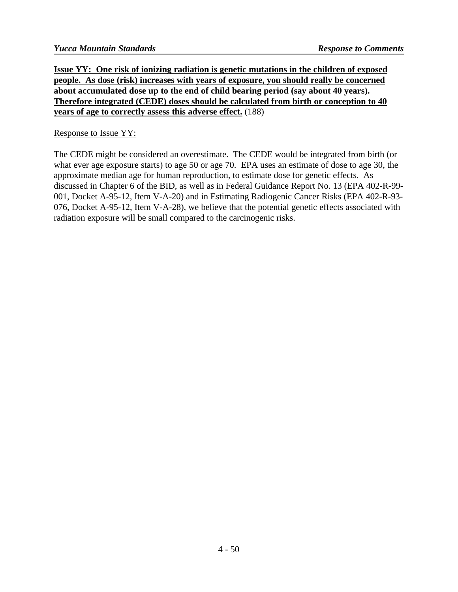**Issue YY: One risk of ionizing radiation is genetic mutations in the children of exposed people. As dose (risk) increases with years of exposure, you should really be concerned about accumulated dose up to the end of child bearing period (say about 40 years). Therefore integrated (CEDE) doses should be calculated from birth or conception to 40 years of age to correctly assess this adverse effect.** (188)

### Response to Issue YY:

The CEDE might be considered an overestimate. The CEDE would be integrated from birth (or what ever age exposure starts) to age 50 or age 70. EPA uses an estimate of dose to age 30, the approximate median age for human reproduction, to estimate dose for genetic effects. As discussed in Chapter 6 of the BID, as well as in Federal Guidance Report No. 13 (EPA 402-R-99 001, Docket A-95-12, Item V-A-20) and in Estimating Radiogenic Cancer Risks (EPA 402-R-93 076, Docket A-95-12, Item V-A-28), we believe that the potential genetic effects associated with radiation exposure will be small compared to the carcinogenic risks.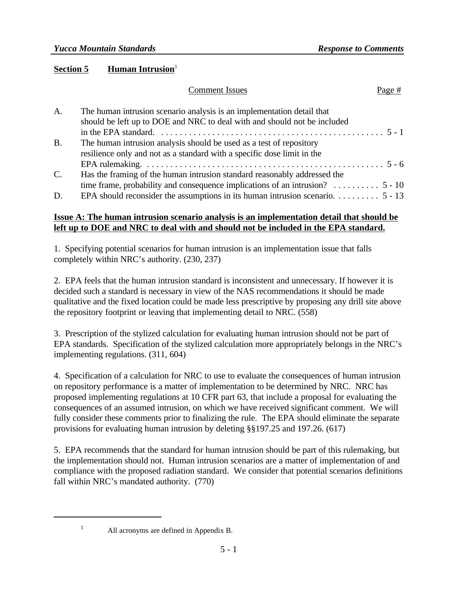### **Section 5 Human Intrusion**<sup>1</sup>

# Comment Issues Page #

| A.<br><b>B.</b> | The human intrusion scenario analysis is an implementation detail that<br>should be left up to DOE and NRC to deal with and should not be included |  |
|-----------------|----------------------------------------------------------------------------------------------------------------------------------------------------|--|
|                 |                                                                                                                                                    |  |
|                 |                                                                                                                                                    |  |
|                 | The human intrusion analysis should be used as a test of repository                                                                                |  |
|                 | resilience only and not as a standard with a specific dose limit in the                                                                            |  |
|                 |                                                                                                                                                    |  |
| $C_{\cdot}$     | Has the framing of the human intrusion standard reasonably addressed the                                                                           |  |
|                 | time frame, probability and consequence implications of an intrusion? $\ldots \ldots \ldots 5 - 10$                                                |  |
| D.              |                                                                                                                                                    |  |

### **Issue A: The human intrusion scenario analysis is an implementation detail that should be left up to DOE and NRC to deal with and should not be included in the EPA standard.**

1. Specifying potential scenarios for human intrusion is an implementation issue that falls completely within NRC's authority. (230, 237)

2. EPA feels that the human intrusion standard is inconsistent and unnecessary. If however it is decided such a standard is necessary in view of the NAS recommendations it should be made qualitative and the fixed location could be made less prescriptive by proposing any drill site above the repository footprint or leaving that implementing detail to NRC. (558)

3. Prescription of the stylized calculation for evaluating human intrusion should not be part of EPA standards. Specification of the stylized calculation more appropriately belongs in the NRC's implementing regulations. (311, 604)

4. Specification of a calculation for NRC to use to evaluate the consequences of human intrusion on repository performance is a matter of implementation to be determined by NRC. NRC has proposed implementing regulations at 10 CFR part 63, that include a proposal for evaluating the consequences of an assumed intrusion, on which we have received significant comment. We will fully consider these comments prior to finalizing the rule. The EPA should eliminate the separate provisions for evaluating human intrusion by deleting §§197.25 and 197.26. (617)

5. EPA recommends that the standard for human intrusion should be part of this rulemaking, but the implementation should not. Human intrusion scenarios are a matter of implementation of and compliance with the proposed radiation standard. We consider that potential scenarios definitions fall within NRC's mandated authority. (770)

<sup>&</sup>lt;sup>1</sup> All acronyms are defined in Appendix B.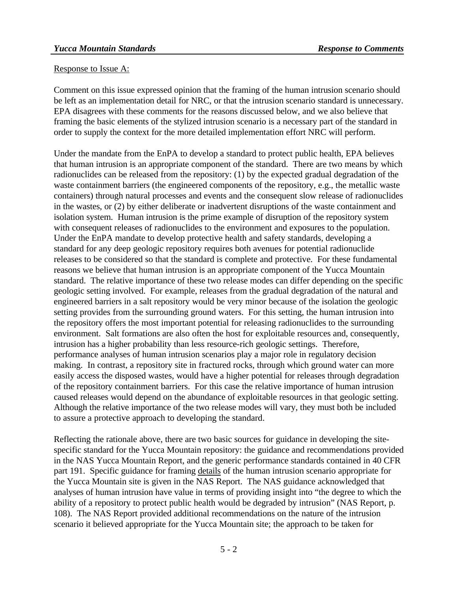#### Response to Issue A:

Comment on this issue expressed opinion that the framing of the human intrusion scenario should be left as an implementation detail for NRC, or that the intrusion scenario standard is unnecessary. EPA disagrees with these comments for the reasons discussed below, and we also believe that framing the basic elements of the stylized intrusion scenario is a necessary part of the standard in order to supply the context for the more detailed implementation effort NRC will perform.

Under the mandate from the EnPA to develop a standard to protect public health, EPA believes that human intrusion is an appropriate component of the standard. There are two means by which radionuclides can be released from the repository: (1) by the expected gradual degradation of the waste containment barriers (the engineered components of the repository, e.g., the metallic waste containers) through natural processes and events and the consequent slow release of radionuclides in the wastes, or (2) by either deliberate or inadvertent disruptions of the waste containment and isolation system. Human intrusion is the prime example of disruption of the repository system with consequent releases of radionuclides to the environment and exposures to the population. Under the EnPA mandate to develop protective health and safety standards, developing a standard for any deep geologic repository requires both avenues for potential radionuclide releases to be considered so that the standard is complete and protective. For these fundamental reasons we believe that human intrusion is an appropriate component of the Yucca Mountain standard. The relative importance of these two release modes can differ depending on the specific geologic setting involved. For example, releases from the gradual degradation of the natural and engineered barriers in a salt repository would be very minor because of the isolation the geologic setting provides from the surrounding ground waters. For this setting, the human intrusion into the repository offers the most important potential for releasing radionuclides to the surrounding environment. Salt formations are also often the host for exploitable resources and, consequently, intrusion has a higher probability than less resource-rich geologic settings. Therefore, performance analyses of human intrusion scenarios play a major role in regulatory decision making. In contrast, a repository site in fractured rocks, through which ground water can more easily access the disposed wastes, would have a higher potential for releases through degradation of the repository containment barriers. For this case the relative importance of human intrusion caused releases would depend on the abundance of exploitable resources in that geologic setting. Although the relative importance of the two release modes will vary, they must both be included to assure a protective approach to developing the standard.

Reflecting the rationale above, there are two basic sources for guidance in developing the sitespecific standard for the Yucca Mountain repository: the guidance and recommendations provided in the NAS Yucca Mountain Report, and the generic performance standards contained in 40 CFR part 191. Specific guidance for framing details of the human intrusion scenario appropriate for the Yucca Mountain site is given in the NAS Report. The NAS guidance acknowledged that analyses of human intrusion have value in terms of providing insight into "the degree to which the ability of a repository to protect public health would be degraded by intrusion" (NAS Report, p. 108). The NAS Report provided additional recommendations on the nature of the intrusion scenario it believed appropriate for the Yucca Mountain site; the approach to be taken for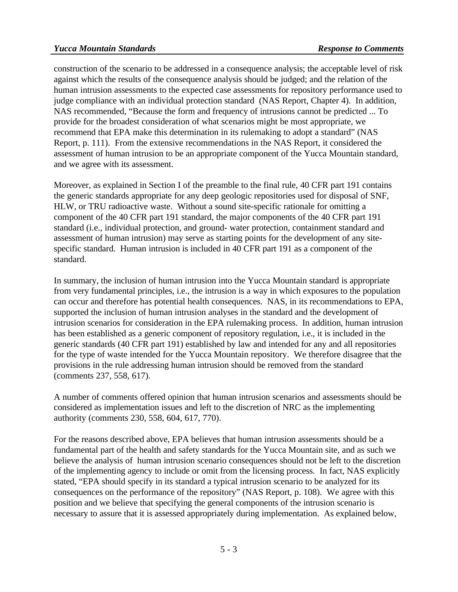construction of the scenario to be addressed in a consequence analysis; the acceptable level of risk against which the results of the consequence analysis should be judged; and the relation of the human intrusion assessments to the expected case assessments for repository performance used to judge compliance with an individual protection standard (NAS Report, Chapter 4). In addition, NAS recommended, "Because the form and frequency of intrusions cannot be predicted ... To provide for the broadest consideration of what scenarios might be most appropriate, we recommend that EPA make this determination in its rulemaking to adopt a standard" (NAS Report, p. 111). From the extensive recommendations in the NAS Report, it considered the assessment of human intrusion to be an appropriate component of the Yucca Mountain standard, and we agree with its assessment.

Moreover, as explained in Section I of the preamble to the final rule, 40 CFR part 191 contains the generic standards appropriate for any deep geologic repositories used for disposal of SNF, HLW, or TRU radioactive waste. Without a sound site-specific rationale for omitting a component of the 40 CFR part 191 standard, the major components of the 40 CFR part 191 standard (i.e., individual protection, and ground- water protection, containment standard and assessment of human intrusion) may serve as starting points for the development of any sitespecific standard. Human intrusion is included in 40 CFR part 191 as a component of the standard.

In summary, the inclusion of human intrusion into the Yucca Mountain standard is appropriate from very fundamental principles, i.e., the intrusion is a way in which exposures to the population can occur and therefore has potential health consequences. NAS, in its recommendations to EPA, supported the inclusion of human intrusion analyses in the standard and the development of intrusion scenarios for consideration in the EPA rulemaking process. In addition, human intrusion has been established as a generic component of repository regulation, i.e., it is included in the generic standards (40 CFR part 191) established by law and intended for any and all repositories for the type of waste intended for the Yucca Mountain repository. We therefore disagree that the provisions in the rule addressing human intrusion should be removed from the standard (comments 237, 558, 617).

A number of comments offered opinion that human intrusion scenarios and assessments should be considered as implementation issues and left to the discretion of NRC as the implementing authority (comments 230, 558, 604, 617, 770).

For the reasons described above, EPA believes that human intrusion assessments should be a fundamental part of the health and safety standards for the Yucca Mountain site, and as such we believe the analysis of human intrusion scenario consequences should not be left to the discretion of the implementing agency to include or omit from the licensing process. In fact, NAS explicitly stated, "EPA should specify in its standard a typical intrusion scenario to be analyzed for its consequences on the performance of the repository" (NAS Report, p. 108). We agree with this position and we believe that specifying the general components of the intrusion scenario is necessary to assure that it is assessed appropriately during implementation. As explained below,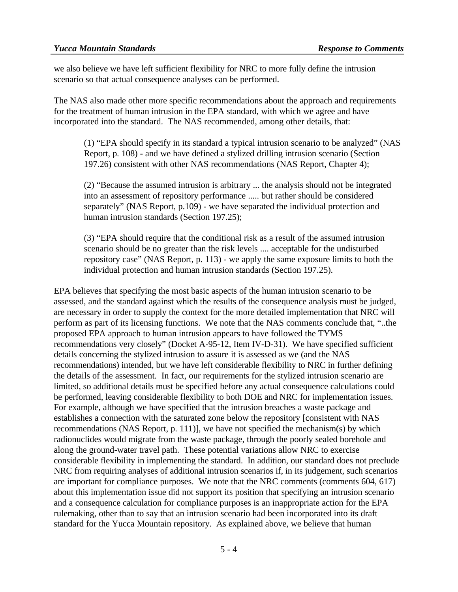we also believe we have left sufficient flexibility for NRC to more fully define the intrusion scenario so that actual consequence analyses can be performed.

The NAS also made other more specific recommendations about the approach and requirements for the treatment of human intrusion in the EPA standard, with which we agree and have incorporated into the standard. The NAS recommended, among other details, that:

(1) "EPA should specify in its standard a typical intrusion scenario to be analyzed" (NAS Report, p. 108) - and we have defined a stylized drilling intrusion scenario (Section 197.26) consistent with other NAS recommendations (NAS Report, Chapter 4);

(2) "Because the assumed intrusion is arbitrary ... the analysis should not be integrated into an assessment of repository performance ..... but rather should be considered separately" (NAS Report, p.109) - we have separated the individual protection and human intrusion standards (Section 197.25);

(3) "EPA should require that the conditional risk as a result of the assumed intrusion scenario should be no greater than the risk levels .... acceptable for the undisturbed repository case" (NAS Report, p. 113) - we apply the same exposure limits to both the individual protection and human intrusion standards (Section 197.25).

EPA believes that specifying the most basic aspects of the human intrusion scenario to be assessed, and the standard against which the results of the consequence analysis must be judged, are necessary in order to supply the context for the more detailed implementation that NRC will perform as part of its licensing functions. We note that the NAS comments conclude that, "..the proposed EPA approach to human intrusion appears to have followed the TYMS recommendations very closely" (Docket A-95-12, Item IV-D-31). We have specified sufficient details concerning the stylized intrusion to assure it is assessed as we (and the NAS recommendations) intended, but we have left considerable flexibility to NRC in further defining the details of the assessment. In fact, our requirements for the stylized intrusion scenario are limited, so additional details must be specified before any actual consequence calculations could be performed, leaving considerable flexibility to both DOE and NRC for implementation issues. For example, although we have specified that the intrusion breaches a waste package and establishes a connection with the saturated zone below the repository [consistent with NAS recommendations (NAS Report, p. 111)], we have not specified the mechanism(s) by which radionuclides would migrate from the waste package, through the poorly sealed borehole and along the ground-water travel path. These potential variations allow NRC to exercise considerable flexibility in implementing the standard. In addition, our standard does not preclude NRC from requiring analyses of additional intrusion scenarios if, in its judgement, such scenarios are important for compliance purposes. We note that the NRC comments (comments 604, 617) about this implementation issue did not support its position that specifying an intrusion scenario and a consequence calculation for compliance purposes is an inappropriate action for the EPA rulemaking, other than to say that an intrusion scenario had been incorporated into its draft standard for the Yucca Mountain repository. As explained above, we believe that human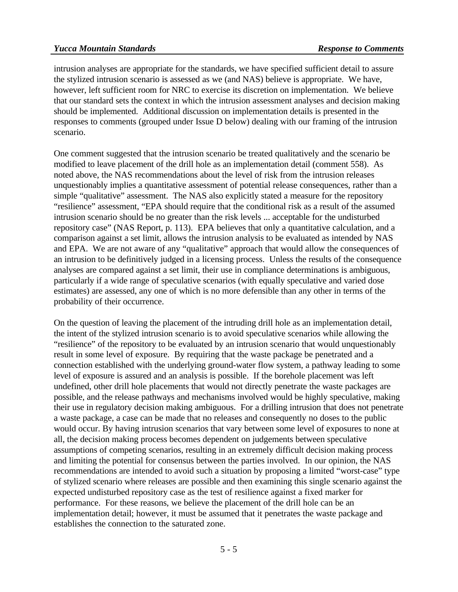intrusion analyses are appropriate for the standards, we have specified sufficient detail to assure the stylized intrusion scenario is assessed as we (and NAS) believe is appropriate. We have, however, left sufficient room for NRC to exercise its discretion on implementation. We believe that our standard sets the context in which the intrusion assessment analyses and decision making should be implemented. Additional discussion on implementation details is presented in the responses to comments (grouped under Issue D below) dealing with our framing of the intrusion scenario.

One comment suggested that the intrusion scenario be treated qualitatively and the scenario be modified to leave placement of the drill hole as an implementation detail (comment 558). As noted above, the NAS recommendations about the level of risk from the intrusion releases unquestionably implies a quantitative assessment of potential release consequences, rather than a simple "qualitative" assessment. The NAS also explicitly stated a measure for the repository "resilience" assessment, "EPA should require that the conditional risk as a result of the assumed intrusion scenario should be no greater than the risk levels ... acceptable for the undisturbed repository case" (NAS Report, p. 113). EPA believes that only a quantitative calculation, and a comparison against a set limit, allows the intrusion analysis to be evaluated as intended by NAS and EPA. We are not aware of any "qualitative" approach that would allow the consequences of an intrusion to be definitively judged in a licensing process. Unless the results of the consequence analyses are compared against a set limit, their use in compliance determinations is ambiguous, particularly if a wide range of speculative scenarios (with equally speculative and varied dose estimates) are assessed, any one of which is no more defensible than any other in terms of the probability of their occurrence.

On the question of leaving the placement of the intruding drill hole as an implementation detail, the intent of the stylized intrusion scenario is to avoid speculative scenarios while allowing the "resilience" of the repository to be evaluated by an intrusion scenario that would unquestionably result in some level of exposure. By requiring that the waste package be penetrated and a connection established with the underlying ground-water flow system, a pathway leading to some level of exposure is assured and an analysis is possible. If the borehole placement was left undefined, other drill hole placements that would not directly penetrate the waste packages are possible, and the release pathways and mechanisms involved would be highly speculative, making their use in regulatory decision making ambiguous. For a drilling intrusion that does not penetrate a waste package, a case can be made that no releases and consequently no doses to the public would occur. By having intrusion scenarios that vary between some level of exposures to none at all, the decision making process becomes dependent on judgements between speculative assumptions of competing scenarios, resulting in an extremely difficult decision making process and limiting the potential for consensus between the parties involved. In our opinion, the NAS recommendations are intended to avoid such a situation by proposing a limited "worst-case" type of stylized scenario where releases are possible and then examining this single scenario against the expected undisturbed repository case as the test of resilience against a fixed marker for performance. For these reasons, we believe the placement of the drill hole can be an implementation detail; however, it must be assumed that it penetrates the waste package and establishes the connection to the saturated zone.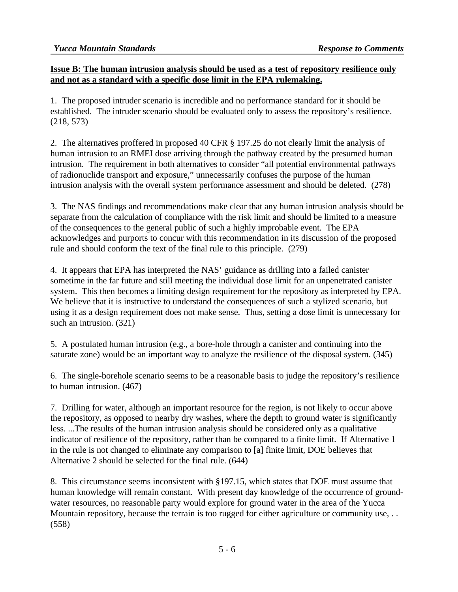## <span id="page-130-0"></span>**Issue B: The human intrusion analysis should be used as a test of repository resilience only and not as a standard with a specific dose limit in the EPA rulemaking.**

1. The proposed intruder scenario is incredible and no performance standard for it should be established. The intruder scenario should be evaluated only to assess the repository's resilience. (218, 573)

2. The alternatives proffered in proposed 40 CFR § 197.25 do not clearly limit the analysis of human intrusion to an RMEI dose arriving through the pathway created by the presumed human intrusion. The requirement in both alternatives to consider "all potential environmental pathways of radionuclide transport and exposure," unnecessarily confuses the purpose of the human intrusion analysis with the overall system performance assessment and should be deleted. (278)

3. The NAS findings and recommendations make clear that any human intrusion analysis should be separate from the calculation of compliance with the risk limit and should be limited to a measure of the consequences to the general public of such a highly improbable event. The EPA acknowledges and purports to concur with this recommendation in its discussion of the proposed rule and should conform the text of the final rule to this principle. (279)

4. It appears that EPA has interpreted the NAS' guidance as drilling into a failed canister sometime in the far future and still meeting the individual dose limit for an unpenetrated canister system. This then becomes a limiting design requirement for the repository as interpreted by EPA. We believe that it is instructive to understand the consequences of such a stylized scenario, but using it as a design requirement does not make sense. Thus, setting a dose limit is unnecessary for such an intrusion. (321)

5. A postulated human intrusion (e.g., a bore-hole through a canister and continuing into the saturate zone) would be an important way to analyze the resilience of the disposal system. (345)

6. The single-borehole scenario seems to be a reasonable basis to judge the repository's resilience to human intrusion. (467)

7. Drilling for water, although an important resource for the region, is not likely to occur above the repository, as opposed to nearby dry washes, where the depth to ground water is significantly less. ...The results of the human intrusion analysis should be considered only as a qualitative indicator of resilience of the repository, rather than be compared to a finite limit. If Alternative 1 in the rule is not changed to eliminate any comparison to [a] finite limit, DOE believes that Alternative 2 should be selected for the final rule. (644)

8. This circumstance seems inconsistent with §197.15, which states that DOE must assume that human knowledge will remain constant. With present day knowledge of the occurrence of groundwater resources, no reasonable party would explore for ground water in the area of the Yucca Mountain repository, because the terrain is too rugged for either agriculture or community use, ... (558)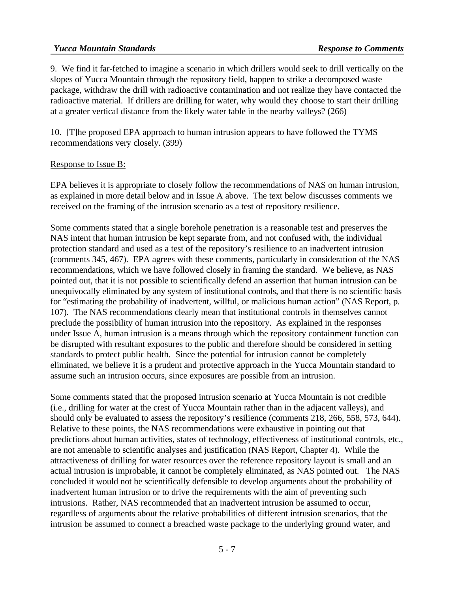#### *Yucca Mountain Standards Response to Comments*

9. We find it far-fetched to imagine a scenario in which drillers would seek to drill vertically on the slopes of Yucca Mountain through the repository field, happen to strike a decomposed waste package, withdraw the drill with radioactive contamination and not realize they have contacted the radioactive material. If drillers are drilling for water, why would they choose to start their drilling at a greater vertical distance from the likely water table in the nearby valleys? (266)

10. [T]he proposed EPA approach to human intrusion appears to have followed the TYMS recommendations very closely. (399)

#### Response to Issue B:

EPA believes it is appropriate to closely follow the recommendations of NAS on human intrusion, as explained in more detail below and in Issue A above. The text below discusses comments we received on the framing of the intrusion scenario as a test of repository resilience.

Some comments stated that a single borehole penetration is a reasonable test and preserves the NAS intent that human intrusion be kept separate from, and not confused with, the individual protection standard and used as a test of the repository's resilience to an inadvertent intrusion (comments 345, 467). EPA agrees with these comments, particularly in consideration of the NAS recommendations, which we have followed closely in framing the standard. We believe, as NAS pointed out, that it is not possible to scientifically defend an assertion that human intrusion can be unequivocally eliminated by any system of institutional controls, and that there is no scientific basis for "estimating the probability of inadvertent, willful, or malicious human action" (NAS Report, p. 107). The NAS recommendations clearly mean that institutional controls in themselves cannot preclude the possibility of human intrusion into the repository. As explained in the responses under Issue A, human intrusion is a means through which the repository containment function can be disrupted with resultant exposures to the public and therefore should be considered in setting standards to protect public health. Since the potential for intrusion cannot be completely eliminated, we believe it is a prudent and protective approach in the Yucca Mountain standard to assume such an intrusion occurs, since exposures are possible from an intrusion.

Some comments stated that the proposed intrusion scenario at Yucca Mountain is not credible (i.e., drilling for water at the crest of Yucca Mountain rather than in the adjacent valleys), and should only be evaluated to assess the repository's resilience (comments 218, 266, 558, 573, 644). Relative to these points, the NAS recommendations were exhaustive in pointing out that predictions about human activities, states of technology, effectiveness of institutional controls, etc., are not amenable to scientific analyses and justification (NAS Report, Chapter 4). While the attractiveness of drilling for water resources over the reference repository layout is small and an actual intrusion is improbable, it cannot be completely eliminated, as NAS pointed out. The NAS concluded it would not be scientifically defensible to develop arguments about the probability of inadvertent human intrusion or to drive the requirements with the aim of preventing such intrusions. Rather, NAS recommended that an inadvertent intrusion be assumed to occur, regardless of arguments about the relative probabilities of different intrusion scenarios, that the intrusion be assumed to connect a breached waste package to the underlying ground water, and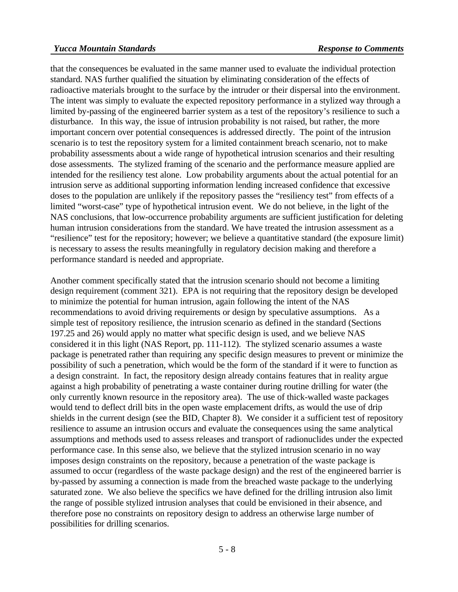that the consequences be evaluated in the same manner used to evaluate the individual protection standard. NAS further qualified the situation by eliminating consideration of the effects of radioactive materials brought to the surface by the intruder or their dispersal into the environment. The intent was simply to evaluate the expected repository performance in a stylized way through a limited by-passing of the engineered barrier system as a test of the repository's resilience to such a disturbance. In this way, the issue of intrusion probability is not raised, but rather, the more important concern over potential consequences is addressed directly. The point of the intrusion scenario is to test the repository system for a limited containment breach scenario, not to make probability assessments about a wide range of hypothetical intrusion scenarios and their resulting dose assessments. The stylized framing of the scenario and the performance measure applied are intended for the resiliency test alone. Low probability arguments about the actual potential for an intrusion serve as additional supporting information lending increased confidence that excessive doses to the population are unlikely if the repository passes the "resiliency test" from effects of a limited "worst-case" type of hypothetical intrusion event. We do not believe, in the light of the NAS conclusions, that low-occurrence probability arguments are sufficient justification for deleting human intrusion considerations from the standard. We have treated the intrusion assessment as a "resilience" test for the repository; however; we believe a quantitative standard (the exposure limit) is necessary to assess the results meaningfully in regulatory decision making and therefore a performance standard is needed and appropriate.

Another comment specifically stated that the intrusion scenario should not become a limiting design requirement (comment 321). EPA is not requiring that the repository design be developed to minimize the potential for human intrusion, again following the intent of the NAS recommendations to avoid driving requirements or design by speculative assumptions. As a simple test of repository resilience, the intrusion scenario as defined in the standard (Sections 197.25 and 26) would apply no matter what specific design is used, and we believe NAS considered it in this light (NAS Report, pp. 111-112). The stylized scenario assumes a waste package is penetrated rather than requiring any specific design measures to prevent or minimize the possibility of such a penetration, which would be the form of the standard if it were to function as a design constraint. In fact, the repository design already contains features that in reality argue against a high probability of penetrating a waste container during routine drilling for water (the only currently known resource in the repository area). The use of thick-walled waste packages would tend to deflect drill bits in the open waste emplacement drifts, as would the use of drip shields in the current design (see the BID, Chapter 8). We consider it a sufficient test of repository resilience to assume an intrusion occurs and evaluate the consequences using the same analytical assumptions and methods used to assess releases and transport of radionuclides under the expected performance case. In this sense also, we believe that the stylized intrusion scenario in no way imposes design constraints on the repository, because a penetration of the waste package is assumed to occur (regardless of the waste package design) and the rest of the engineered barrier is by-passed by assuming a connection is made from the breached waste package to the underlying saturated zone. We also believe the specifics we have defined for the drilling intrusion also limit the range of possible stylized intrusion analyses that could be envisioned in their absence, and therefore pose no constraints on repository design to address an otherwise large number of possibilities for drilling scenarios.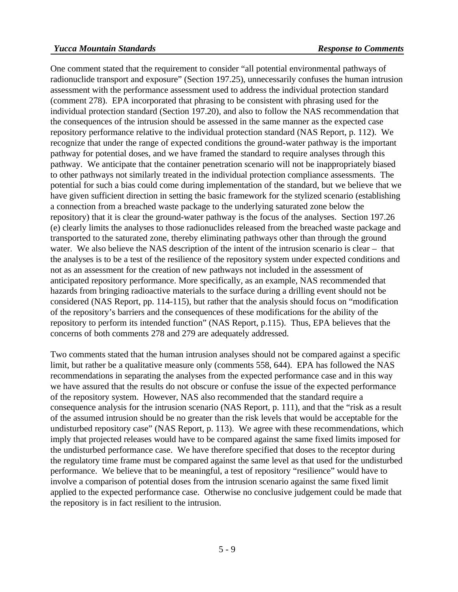One comment stated that the requirement to consider "all potential environmental pathways of radionuclide transport and exposure" (Section 197.25), unnecessarily confuses the human intrusion assessment with the performance assessment used to address the individual protection standard (comment 278). EPA incorporated that phrasing to be consistent with phrasing used for the individual protection standard (Section 197.20), and also to follow the NAS recommendation that the consequences of the intrusion should be assessed in the same manner as the expected case repository performance relative to the individual protection standard (NAS Report, p. 112). We recognize that under the range of expected conditions the ground-water pathway is the important pathway for potential doses, and we have framed the standard to require analyses through this pathway. We anticipate that the container penetration scenario will not be inappropriately biased to other pathways not similarly treated in the individual protection compliance assessments. The potential for such a bias could come during implementation of the standard, but we believe that we have given sufficient direction in setting the basic framework for the stylized scenario (establishing a connection from a breached waste package to the underlying saturated zone below the repository) that it is clear the ground-water pathway is the focus of the analyses. Section 197.26 (e) clearly limits the analyses to those radionuclides released from the breached waste package and transported to the saturated zone, thereby eliminating pathways other than through the ground water. We also believe the NAS description of the intent of the intrusion scenario is clear – that the analyses is to be a test of the resilience of the repository system under expected conditions and not as an assessment for the creation of new pathways not included in the assessment of anticipated repository performance. More specifically, as an example, NAS recommended that hazards from bringing radioactive materials to the surface during a drilling event should not be considered (NAS Report, pp. 114-115), but rather that the analysis should focus on "modification of the repository's barriers and the consequences of these modifications for the ability of the repository to perform its intended function" (NAS Report, p.115). Thus, EPA believes that the concerns of both comments 278 and 279 are adequately addressed.

Two comments stated that the human intrusion analyses should not be compared against a specific limit, but rather be a qualitative measure only (comments 558, 644). EPA has followed the NAS recommendations in separating the analyses from the expected performance case and in this way we have assured that the results do not obscure or confuse the issue of the expected performance of the repository system. However, NAS also recommended that the standard require a consequence analysis for the intrusion scenario (NAS Report, p. 111), and that the "risk as a result of the assumed intrusion should be no greater than the risk levels that would be acceptable for the undisturbed repository case" (NAS Report, p. 113). We agree with these recommendations, which imply that projected releases would have to be compared against the same fixed limits imposed for the undisturbed performance case. We have therefore specified that doses to the receptor during the regulatory time frame must be compared against the same level as that used for the undisturbed performance. We believe that to be meaningful, a test of repository "resilience" would have to involve a comparison of potential doses from the intrusion scenario against the same fixed limit applied to the expected performance case. Otherwise no conclusive judgement could be made that the repository is in fact resilient to the intrusion.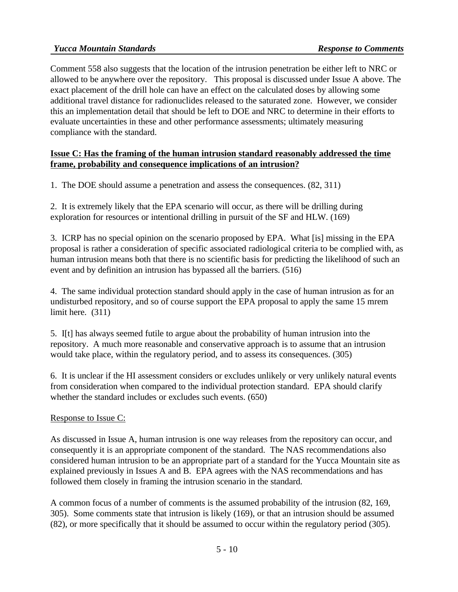<span id="page-134-0"></span>Comment 558 also suggests that the location of the intrusion penetration be either left to NRC or allowed to be anywhere over the repository. This proposal is discussed under Issue A above. The exact placement of the drill hole can have an effect on the calculated doses by allowing some additional travel distance for radionuclides released to the saturated zone. However, we consider this an implementation detail that should be left to DOE and NRC to determine in their efforts to evaluate uncertainties in these and other performance assessments; ultimately measuring compliance with the standard.

### **Issue C: Has the framing of the human intrusion standard reasonably addressed the time frame, probability and consequence implications of an intrusion?**

1. The DOE should assume a penetration and assess the consequences. (82, 311)

2. It is extremely likely that the EPA scenario will occur, as there will be drilling during exploration for resources or intentional drilling in pursuit of the SF and HLW. (169)

3. ICRP has no special opinion on the scenario proposed by EPA. What [is] missing in the EPA proposal is rather a consideration of specific associated radiological criteria to be complied with, as human intrusion means both that there is no scientific basis for predicting the likelihood of such an event and by definition an intrusion has bypassed all the barriers. (516)

4. The same individual protection standard should apply in the case of human intrusion as for an undisturbed repository, and so of course support the EPA proposal to apply the same 15 mrem limit here. (311)

5. I[t] has always seemed futile to argue about the probability of human intrusion into the repository. A much more reasonable and conservative approach is to assume that an intrusion would take place, within the regulatory period, and to assess its consequences. (305)

6. It is unclear if the HI assessment considers or excludes unlikely or very unlikely natural events from consideration when compared to the individual protection standard. EPA should clarify whether the standard includes or excludes such events. (650)

### Response to Issue C:

As discussed in Issue A, human intrusion is one way releases from the repository can occur, and consequently it is an appropriate component of the standard. The NAS recommendations also considered human intrusion to be an appropriate part of a standard for the Yucca Mountain site as explained previously in Issues A and B. EPA agrees with the NAS recommendations and has followed them closely in framing the intrusion scenario in the standard.

A common focus of a number of comments is the assumed probability of the intrusion (82, 169, 305). Some comments state that intrusion is likely (169), or that an intrusion should be assumed (82), or more specifically that it should be assumed to occur within the regulatory period (305).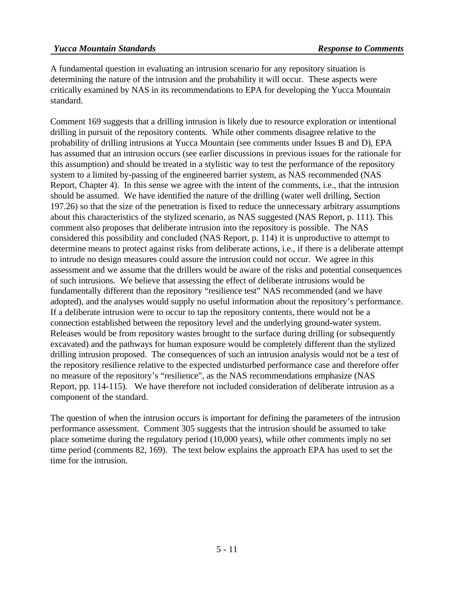A fundamental question in evaluating an intrusion scenario for any repository situation is determining the nature of the intrusion and the probability it will occur. These aspects were critically examined by NAS in its recommendations to EPA for developing the Yucca Mountain standard.

Comment 169 suggests that a drilling intrusion is likely due to resource exploration or intentional drilling in pursuit of the repository contents. While other comments disagree relative to the probability of drilling intrusions at Yucca Mountain (see comments under Issues B and D), EPA has assumed that an intrusion occurs (see earlier discussions in previous issues for the rationale for this assumption) and should be treated in a stylistic way to test the performance of the repository system to a limited by-passing of the engineered barrier system, as NAS recommended (NAS Report, Chapter 4). In this sense we agree with the intent of the comments, i.e., that the intrusion should be assumed. We have identified the nature of the drilling (water well drilling, Section 197.26) so that the size of the penetration is fixed to reduce the unnecessary arbitrary assumptions about this characteristics of the stylized scenario, as NAS suggested (NAS Report, p. 111). This comment also proposes that deliberate intrusion into the repository is possible. The NAS considered this possibility and concluded (NAS Report, p. 114) it is unproductive to attempt to determine means to protect against risks from deliberate actions, i.e., if there is a deliberate attempt to intrude no design measures could assure the intrusion could not occur. We agree in this assessment and we assume that the drillers would be aware of the risks and potential consequences of such intrusions. We believe that assessing the effect of deliberate intrusions would be fundamentally different than the repository "resilience test" NAS recommended (and we have adopted), and the analyses would supply no useful information about the repository's performance. If a deliberate intrusion were to occur to tap the repository contents, there would not be a connection established between the repository level and the underlying ground-water system. Releases would be from repository wastes brought to the surface during drilling (or subsequently excavated) and the pathways for human exposure would be completely different than the stylized drilling intrusion proposed. The consequences of such an intrusion analysis would not be a test of the repository resilience relative to the expected undisturbed performance case and therefore offer no measure of the repository's "resilience", as the NAS recommendations emphasize (NAS Report, pp. 114-115). We have therefore not included consideration of deliberate intrusion as a component of the standard.

The question of when the intrusion occurs is important for defining the parameters of the intrusion performance assessment. Comment 305 suggests that the intrusion should be assumed to take place sometime during the regulatory period (10,000 years), while other comments imply no set time period (comments 82, 169). The text below explains the approach EPA has used to set the time for the intrusion.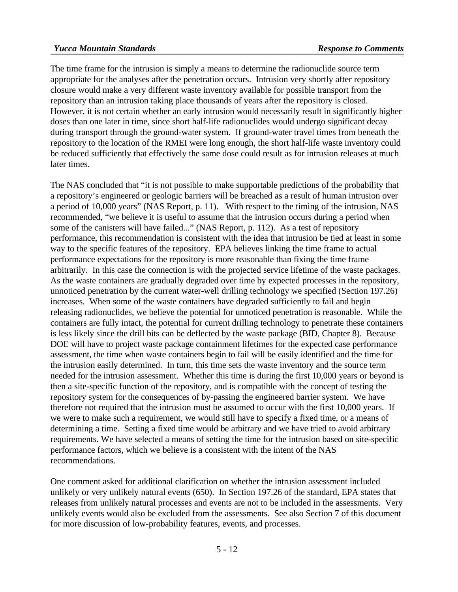The time frame for the intrusion is simply a means to determine the radionuclide source term appropriate for the analyses after the penetration occurs. Intrusion very shortly after repository closure would make a very different waste inventory available for possible transport from the repository than an intrusion taking place thousands of years after the repository is closed. However, it is not certain whether an early intrusion would necessarily result in significantly higher doses than one later in time, since short half-life radionuclides would undergo significant decay during transport through the ground-water system. If ground-water travel times from beneath the repository to the location of the RMEI were long enough, the short half-life waste inventory could be reduced sufficiently that effectively the same dose could result as for intrusion releases at much later times.

The NAS concluded that "it is not possible to make supportable predictions of the probability that a repository's engineered or geologic barriers will be breached as a result of human intrusion over a period of 10,000 years" (NAS Report, p. 11). With respect to the timing of the intrusion, NAS recommended, "we believe it is useful to assume that the intrusion occurs during a period when some of the canisters will have failed..." (NAS Report, p. 112). As a test of repository performance, this recommendation is consistent with the idea that intrusion be tied at least in some way to the specific features of the repository. EPA believes linking the time frame to actual performance expectations for the repository is more reasonable than fixing the time frame arbitrarily. In this case the connection is with the projected service lifetime of the waste packages. As the waste containers are gradually degraded over time by expected processes in the repository, unnoticed penetration by the current water-well drilling technology we specified (Section 197.26) increases. When some of the waste containers have degraded sufficiently to fail and begin releasing radionuclides, we believe the potential for unnoticed penetration is reasonable. While the containers are fully intact, the potential for current drilling technology to penetrate these containers is less likely since the drill bits can be deflected by the waste package (BID, Chapter 8). Because DOE will have to project waste package containment lifetimes for the expected case performance assessment, the time when waste containers begin to fail will be easily identified and the time for the intrusion easily determined. In turn, this time sets the waste inventory and the source term needed for the intrusion assessment. Whether this time is during the first 10,000 years or beyond is then a site-specific function of the repository, and is compatible with the concept of testing the repository system for the consequences of by-passing the engineered barrier system. We have therefore not required that the intrusion must be assumed to occur with the first 10,000 years. If we were to make such a requirement, we would still have to specify a fixed time, or a means of determining a time. Setting a fixed time would be arbitrary and we have tried to avoid arbitrary requirements. We have selected a means of setting the time for the intrusion based on site-specific performance factors, which we believe is a consistent with the intent of the NAS recommendations.

One comment asked for additional clarification on whether the intrusion assessment included unlikely or very unlikely natural events (650). In Section 197.26 of the standard, EPA states that releases from unlikely natural processes and events are not to be included in the assessments. Very unlikely events would also be excluded from the assessments. See also Section 7 of this document for more discussion of low-probability features, events, and processes.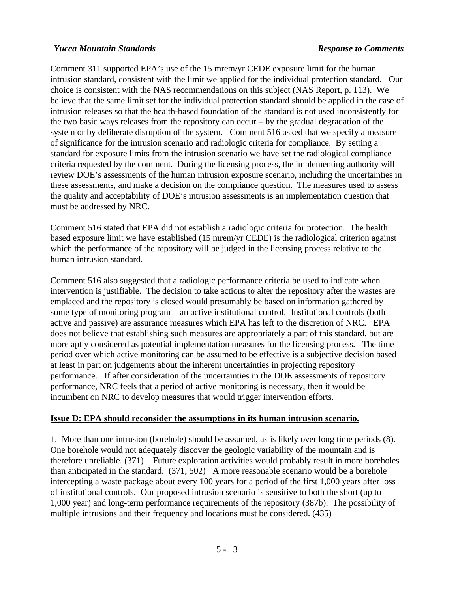<span id="page-137-0"></span>Comment 311 supported EPA's use of the 15 mrem/yr CEDE exposure limit for the human intrusion standard, consistent with the limit we applied for the individual protection standard. Our choice is consistent with the NAS recommendations on this subject (NAS Report, p. 113). We believe that the same limit set for the individual protection standard should be applied in the case of intrusion releases so that the health-based foundation of the standard is not used inconsistently for the two basic ways releases from the repository can occur – by the gradual degradation of the system or by deliberate disruption of the system. Comment 516 asked that we specify a measure of significance for the intrusion scenario and radiologic criteria for compliance. By setting a standard for exposure limits from the intrusion scenario we have set the radiological compliance criteria requested by the comment. During the licensing process, the implementing authority will review DOE's assessments of the human intrusion exposure scenario, including the uncertainties in these assessments, and make a decision on the compliance question. The measures used to assess the quality and acceptability of DOE's intrusion assessments is an implementation question that must be addressed by NRC.

Comment 516 stated that EPA did not establish a radiologic criteria for protection. The health based exposure limit we have established (15 mrem/yr CEDE) is the radiological criterion against which the performance of the repository will be judged in the licensing process relative to the human intrusion standard.

Comment 516 also suggested that a radiologic performance criteria be used to indicate when intervention is justifiable. The decision to take actions to alter the repository after the wastes are emplaced and the repository is closed would presumably be based on information gathered by some type of monitoring program – an active institutional control. Institutional controls (both active and passive) are assurance measures which EPA has left to the discretion of NRC. EPA does not believe that establishing such measures are appropriately a part of this standard, but are more aptly considered as potential implementation measures for the licensing process. The time period over which active monitoring can be assumed to be effective is a subjective decision based at least in part on judgements about the inherent uncertainties in projecting repository performance. If after consideration of the uncertainties in the DOE assessments of repository performance, NRC feels that a period of active monitoring is necessary, then it would be incumbent on NRC to develop measures that would trigger intervention efforts.

### **Issue D: EPA should reconsider the assumptions in its human intrusion scenario.**

1. More than one intrusion (borehole) should be assumed, as is likely over long time periods (8). One borehole would not adequately discover the geologic variability of the mountain and is therefore unreliable. (371) Future exploration activities would probably result in more boreholes than anticipated in the standard. (371, 502) A more reasonable scenario would be a borehole intercepting a waste package about every 100 years for a period of the first 1,000 years after loss of institutional controls. Our proposed intrusion scenario is sensitive to both the short (up to 1,000 year) and long-term performance requirements of the repository (387b). The possibility of multiple intrusions and their frequency and locations must be considered. (435)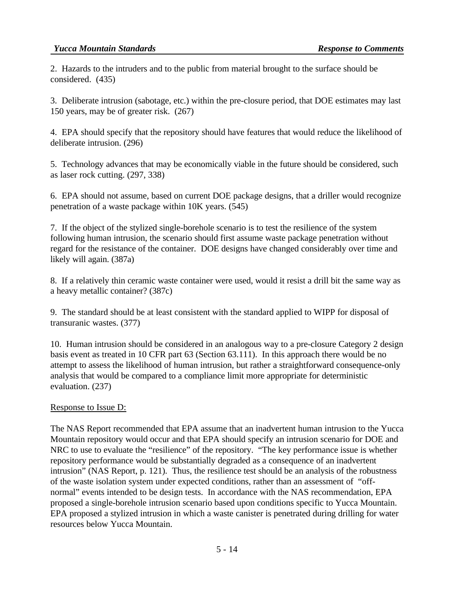2. Hazards to the intruders and to the public from material brought to the surface should be considered. (435)

3. Deliberate intrusion (sabotage, etc.) within the pre-closure period, that DOE estimates may last 150 years, may be of greater risk. (267)

4. EPA should specify that the repository should have features that would reduce the likelihood of deliberate intrusion. (296)

5. Technology advances that may be economically viable in the future should be considered, such as laser rock cutting. (297, 338)

6. EPA should not assume, based on current DOE package designs, that a driller would recognize penetration of a waste package within 10K years. (545)

7. If the object of the stylized single-borehole scenario is to test the resilience of the system following human intrusion, the scenario should first assume waste package penetration without regard for the resistance of the container. DOE designs have changed considerably over time and likely will again. (387a)

8. If a relatively thin ceramic waste container were used, would it resist a drill bit the same way as a heavy metallic container? (387c)

9. The standard should be at least consistent with the standard applied to WIPP for disposal of transuranic wastes. (377)

10. Human intrusion should be considered in an analogous way to a pre-closure Category 2 design basis event as treated in 10 CFR part 63 (Section 63.111). In this approach there would be no attempt to assess the likelihood of human intrusion, but rather a straightforward consequence-only analysis that would be compared to a compliance limit more appropriate for deterministic evaluation. (237)

# Response to Issue D:

The NAS Report recommended that EPA assume that an inadvertent human intrusion to the Yucca Mountain repository would occur and that EPA should specify an intrusion scenario for DOE and NRC to use to evaluate the "resilience" of the repository. "The key performance issue is whether repository performance would be substantially degraded as a consequence of an inadvertent intrusion" (NAS Report, p. 121). Thus, the resilience test should be an analysis of the robustness of the waste isolation system under expected conditions, rather than an assessment of "offnormal" events intended to be design tests. In accordance with the NAS recommendation, EPA proposed a single-borehole intrusion scenario based upon conditions specific to Yucca Mountain. EPA proposed a stylized intrusion in which a waste canister is penetrated during drilling for water resources below Yucca Mountain.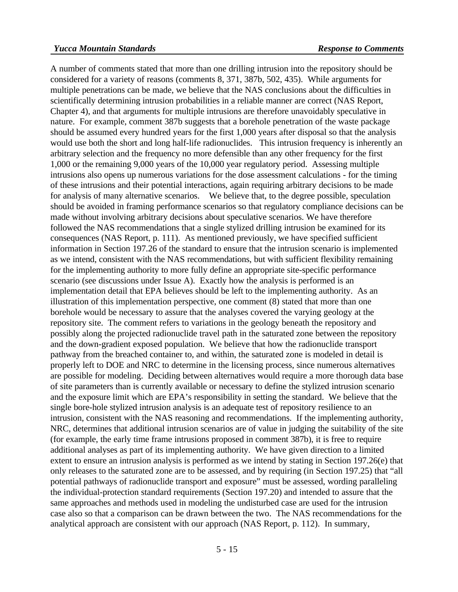A number of comments stated that more than one drilling intrusion into the repository should be considered for a variety of reasons (comments 8, 371, 387b, 502, 435). While arguments for multiple penetrations can be made, we believe that the NAS conclusions about the difficulties in scientifically determining intrusion probabilities in a reliable manner are correct (NAS Report, Chapter 4), and that arguments for multiple intrusions are therefore unavoidably speculative in nature. For example, comment 387b suggests that a borehole penetration of the waste package should be assumed every hundred years for the first 1,000 years after disposal so that the analysis would use both the short and long half-life radionuclides. This intrusion frequency is inherently an arbitrary selection and the frequency no more defensible than any other frequency for the first 1,000 or the remaining 9,000 years of the 10,000 year regulatory period. Assessing multiple intrusions also opens up numerous variations for the dose assessment calculations - for the timing of these intrusions and their potential interactions, again requiring arbitrary decisions to be made for analysis of many alternative scenarios. We believe that, to the degree possible, speculation should be avoided in framing performance scenarios so that regulatory compliance decisions can be made without involving arbitrary decisions about speculative scenarios. We have therefore followed the NAS recommendations that a single stylized drilling intrusion be examined for its consequences (NAS Report, p. 111). As mentioned previously, we have specified sufficient information in Section 197.26 of the standard to ensure that the intrusion scenario is implemented as we intend, consistent with the NAS recommendations, but with sufficient flexibility remaining for the implementing authority to more fully define an appropriate site-specific performance scenario (see discussions under Issue A). Exactly how the analysis is performed is an implementation detail that EPA believes should be left to the implementing authority. As an illustration of this implementation perspective, one comment (8) stated that more than one borehole would be necessary to assure that the analyses covered the varying geology at the repository site. The comment refers to variations in the geology beneath the repository and possibly along the projected radionuclide travel path in the saturated zone between the repository and the down-gradient exposed population. We believe that how the radionuclide transport pathway from the breached container to, and within, the saturated zone is modeled in detail is properly left to DOE and NRC to determine in the licensing process, since numerous alternatives are possible for modeling. Deciding between alternatives would require a more thorough data base of site parameters than is currently available or necessary to define the stylized intrusion scenario and the exposure limit which are EPA's responsibility in setting the standard. We believe that the single bore-hole stylized intrusion analysis is an adequate test of repository resilience to an intrusion, consistent with the NAS reasoning and recommendations. If the implementing authority, NRC, determines that additional intrusion scenarios are of value in judging the suitability of the site (for example, the early time frame intrusions proposed in comment 387b), it is free to require additional analyses as part of its implementing authority. We have given direction to a limited extent to ensure an intrusion analysis is performed as we intend by stating in Section 197.26(e) that only releases to the saturated zone are to be assessed, and by requiring (in Section 197.25) that "all potential pathways of radionuclide transport and exposure" must be assessed, wording paralleling the individual-protection standard requirements (Section 197.20) and intended to assure that the same approaches and methods used in modeling the undisturbed case are used for the intrusion case also so that a comparison can be drawn between the two. The NAS recommendations for the analytical approach are consistent with our approach (NAS Report, p. 112). In summary,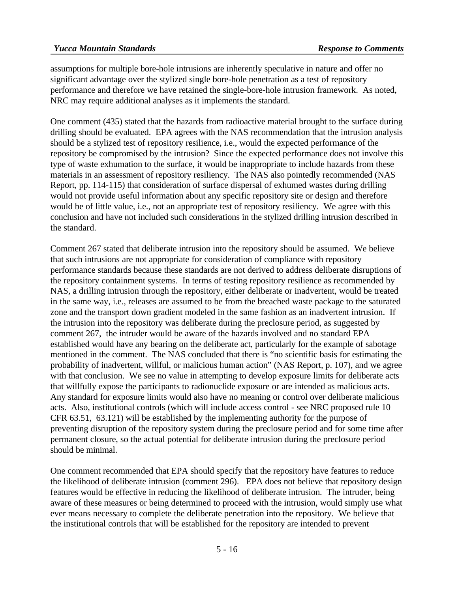assumptions for multiple bore-hole intrusions are inherently speculative in nature and offer no significant advantage over the stylized single bore-hole penetration as a test of repository performance and therefore we have retained the single-bore-hole intrusion framework. As noted, NRC may require additional analyses as it implements the standard.

One comment (435) stated that the hazards from radioactive material brought to the surface during drilling should be evaluated. EPA agrees with the NAS recommendation that the intrusion analysis should be a stylized test of repository resilience, i.e., would the expected performance of the repository be compromised by the intrusion? Since the expected performance does not involve this type of waste exhumation to the surface, it would be inappropriate to include hazards from these materials in an assessment of repository resiliency. The NAS also pointedly recommended (NAS Report, pp. 114-115) that consideration of surface dispersal of exhumed wastes during drilling would not provide useful information about any specific repository site or design and therefore would be of little value, i.e., not an appropriate test of repository resiliency. We agree with this conclusion and have not included such considerations in the stylized drilling intrusion described in the standard.

Comment 267 stated that deliberate intrusion into the repository should be assumed. We believe that such intrusions are not appropriate for consideration of compliance with repository performance standards because these standards are not derived to address deliberate disruptions of the repository containment systems. In terms of testing repository resilience as recommended by NAS, a drilling intrusion through the repository, either deliberate or inadvertent, would be treated in the same way, i.e., releases are assumed to be from the breached waste package to the saturated zone and the transport down gradient modeled in the same fashion as an inadvertent intrusion. If the intrusion into the repository was deliberate during the preclosure period, as suggested by comment 267, the intruder would be aware of the hazards involved and no standard EPA established would have any bearing on the deliberate act, particularly for the example of sabotage mentioned in the comment. The NAS concluded that there is "no scientific basis for estimating the probability of inadvertent, willful, or malicious human action" (NAS Report, p. 107), and we agree with that conclusion. We see no value in attempting to develop exposure limits for deliberate acts that willfully expose the participants to radionuclide exposure or are intended as malicious acts. Any standard for exposure limits would also have no meaning or control over deliberate malicious acts. Also, institutional controls (which will include access control - see NRC proposed rule 10 CFR 63.51, 63.121) will be established by the implementing authority for the purpose of preventing disruption of the repository system during the preclosure period and for some time after permanent closure, so the actual potential for deliberate intrusion during the preclosure period should be minimal.

One comment recommended that EPA should specify that the repository have features to reduce the likelihood of deliberate intrusion (comment 296). EPA does not believe that repository design features would be effective in reducing the likelihood of deliberate intrusion. The intruder, being aware of these measures or being determined to proceed with the intrusion, would simply use what ever means necessary to complete the deliberate penetration into the repository. We believe that the institutional controls that will be established for the repository are intended to prevent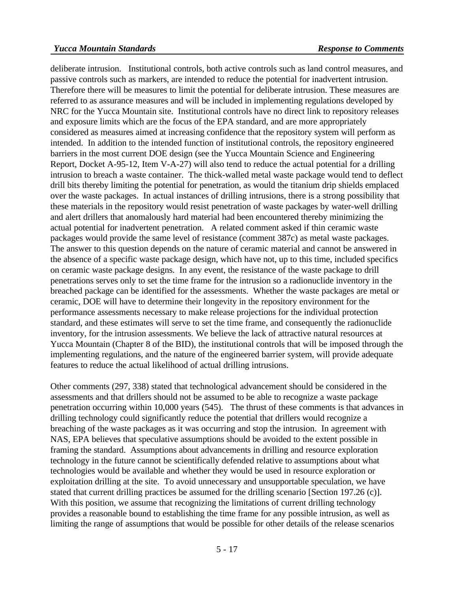#### *Yucca Mountain Standards Response to Comments*

deliberate intrusion. Institutional controls, both active controls such as land control measures, and passive controls such as markers, are intended to reduce the potential for inadvertent intrusion. Therefore there will be measures to limit the potential for deliberate intrusion. These measures are referred to as assurance measures and will be included in implementing regulations developed by NRC for the Yucca Mountain site. Institutional controls have no direct link to repository releases and exposure limits which are the focus of the EPA standard, and are more appropriately considered as measures aimed at increasing confidence that the repository system will perform as intended. In addition to the intended function of institutional controls, the repository engineered barriers in the most current DOE design (see the Yucca Mountain Science and Engineering Report, Docket A-95-12, Item V-A-27) will also tend to reduce the actual potential for a drilling intrusion to breach a waste container. The thick-walled metal waste package would tend to deflect drill bits thereby limiting the potential for penetration, as would the titanium drip shields emplaced over the waste packages. In actual instances of drilling intrusions, there is a strong possibility that these materials in the repository would resist penetration of waste packages by water-well drilling and alert drillers that anomalously hard material had been encountered thereby minimizing the actual potential for inadvertent penetration. A related comment asked if thin ceramic waste packages would provide the same level of resistance (comment 387c) as metal waste packages. The answer to this question depends on the nature of ceramic material and cannot be answered in the absence of a specific waste package design, which have not, up to this time, included specifics on ceramic waste package designs. In any event, the resistance of the waste package to drill penetrations serves only to set the time frame for the intrusion so a radionuclide inventory in the breached package can be identified for the assessments. Whether the waste packages are metal or ceramic, DOE will have to determine their longevity in the repository environment for the performance assessments necessary to make release projections for the individual protection standard, and these estimates will serve to set the time frame, and consequently the radionuclide inventory, for the intrusion assessments. We believe the lack of attractive natural resources at Yucca Mountain (Chapter 8 of the BID), the institutional controls that will be imposed through the implementing regulations, and the nature of the engineered barrier system, will provide adequate features to reduce the actual likelihood of actual drilling intrusions.

Other comments (297, 338) stated that technological advancement should be considered in the assessments and that drillers should not be assumed to be able to recognize a waste package penetration occurring within 10,000 years (545). The thrust of these comments is that advances in drilling technology could significantly reduce the potential that drillers would recognize a breaching of the waste packages as it was occurring and stop the intrusion. In agreement with NAS, EPA believes that speculative assumptions should be avoided to the extent possible in framing the standard. Assumptions about advancements in drilling and resource exploration technology in the future cannot be scientifically defended relative to assumptions about what technologies would be available and whether they would be used in resource exploration or exploitation drilling at the site. To avoid unnecessary and unsupportable speculation, we have stated that current drilling practices be assumed for the drilling scenario [Section 197.26 (c)]. With this position, we assume that recognizing the limitations of current drilling technology provides a reasonable bound to establishing the time frame for any possible intrusion, as well as limiting the range of assumptions that would be possible for other details of the release scenarios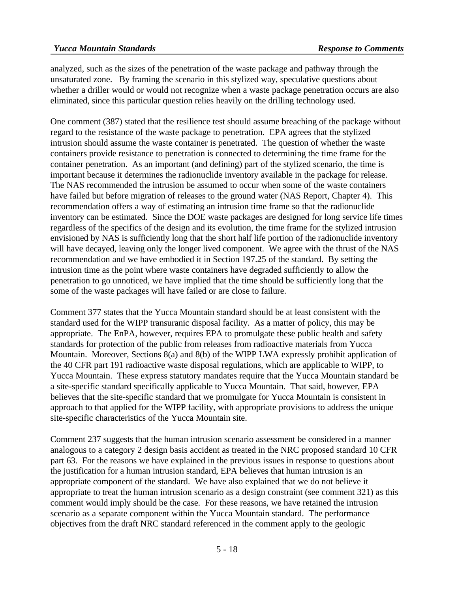analyzed, such as the sizes of the penetration of the waste package and pathway through the unsaturated zone. By framing the scenario in this stylized way, speculative questions about whether a driller would or would not recognize when a waste package penetration occurs are also eliminated, since this particular question relies heavily on the drilling technology used.

One comment (387) stated that the resilience test should assume breaching of the package without regard to the resistance of the waste package to penetration. EPA agrees that the stylized intrusion should assume the waste container is penetrated. The question of whether the waste containers provide resistance to penetration is connected to determining the time frame for the container penetration. As an important (and defining) part of the stylized scenario, the time is important because it determines the radionuclide inventory available in the package for release. The NAS recommended the intrusion be assumed to occur when some of the waste containers have failed but before migration of releases to the ground water (NAS Report, Chapter 4). This recommendation offers a way of estimating an intrusion time frame so that the radionuclide inventory can be estimated. Since the DOE waste packages are designed for long service life times regardless of the specifics of the design and its evolution, the time frame for the stylized intrusion envisioned by NAS is sufficiently long that the short half life portion of the radionuclide inventory will have decayed, leaving only the longer lived component. We agree with the thrust of the NAS recommendation and we have embodied it in Section 197.25 of the standard. By setting the intrusion time as the point where waste containers have degraded sufficiently to allow the penetration to go unnoticed, we have implied that the time should be sufficiently long that the some of the waste packages will have failed or are close to failure.

Comment 377 states that the Yucca Mountain standard should be at least consistent with the standard used for the WIPP transuranic disposal facility. As a matter of policy, this may be appropriate. The EnPA, however, requires EPA to promulgate these public health and safety standards for protection of the public from releases from radioactive materials from Yucca Mountain. Moreover, Sections 8(a) and 8(b) of the WIPP LWA expressly prohibit application of the 40 CFR part 191 radioactive waste disposal regulations, which are applicable to WIPP, to Yucca Mountain. These express statutory mandates require that the Yucca Mountain standard be a site-specific standard specifically applicable to Yucca Mountain. That said, however, EPA believes that the site-specific standard that we promulgate for Yucca Mountain is consistent in approach to that applied for the WIPP facility, with appropriate provisions to address the unique site-specific characteristics of the Yucca Mountain site.

Comment 237 suggests that the human intrusion scenario assessment be considered in a manner analogous to a category 2 design basis accident as treated in the NRC proposed standard 10 CFR part 63. For the reasons we have explained in the previous issues in response to questions about the justification for a human intrusion standard, EPA believes that human intrusion is an appropriate component of the standard. We have also explained that we do not believe it appropriate to treat the human intrusion scenario as a design constraint (see comment 321) as this comment would imply should be the case. For these reasons, we have retained the intrusion scenario as a separate component within the Yucca Mountain standard. The performance objectives from the draft NRC standard referenced in the comment apply to the geologic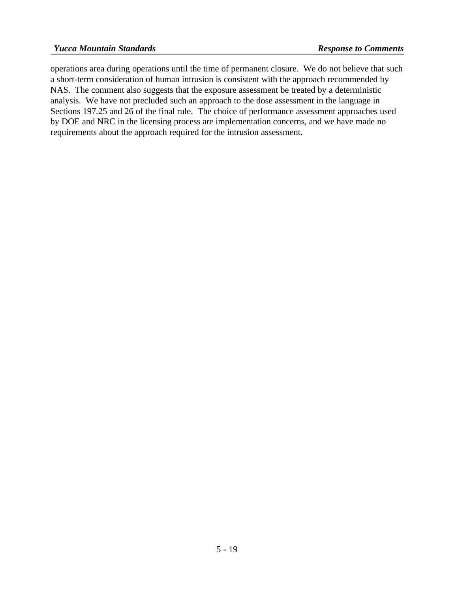operations area during operations until the time of permanent closure. We do not believe that such a short-term consideration of human intrusion is consistent with the approach recommended by NAS. The comment also suggests that the exposure assessment be treated by a deterministic analysis. We have not precluded such an approach to the dose assessment in the language in Sections 197.25 and 26 of the final rule. The choice of performance assessment approaches used by DOE and NRC in the licensing process are implementation concerns, and we have made no requirements about the approach required for the intrusion assessment.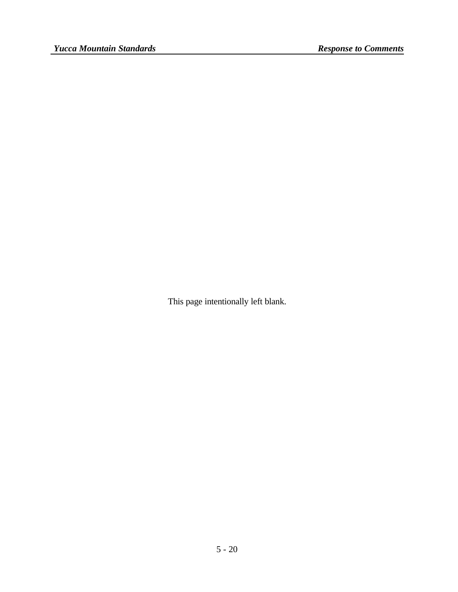This page intentionally left blank.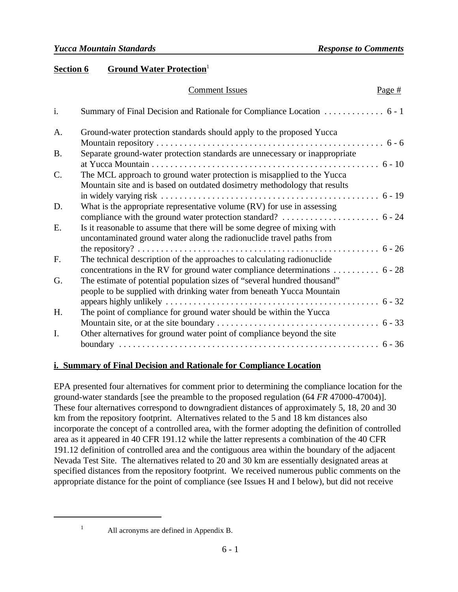### **Section 6 Ground Water Protection**<sup>1</sup>

|           | <b>Comment Issues</b>                                                                                                                                                            | Page $#$ |
|-----------|----------------------------------------------------------------------------------------------------------------------------------------------------------------------------------|----------|
| $i$ .     |                                                                                                                                                                                  |          |
| A.        | Ground-water protection standards should apply to the proposed Yucca                                                                                                             |          |
| <b>B.</b> | Separate ground-water protection standards are unnecessary or inappropriate                                                                                                      |          |
| C.        | The MCL approach to ground water protection is misapplied to the Yucca<br>Mountain site and is based on outdated dosimetry methodology that results                              |          |
|           |                                                                                                                                                                                  |          |
| D.        | What is the appropriate representative volume (RV) for use in assessing                                                                                                          |          |
| Ε.        | Is it reasonable to assume that there will be some degree of mixing with<br>uncontaminated ground water along the radionuclide travel paths from                                 |          |
|           |                                                                                                                                                                                  |          |
| F.        | The technical description of the approaches to calculating radionuclide                                                                                                          |          |
| G.        | concentrations in the RV for ground water compliance determinations $\dots \dots \dots \dots$ 6 - 28<br>The estimate of potential population sizes of "several hundred thousand" |          |
|           | people to be supplied with drinking water from beneath Yucca Mountain                                                                                                            |          |
| H.        | The point of compliance for ground water should be within the Yucca                                                                                                              |          |
|           |                                                                                                                                                                                  |          |
| I.        | Other alternatives for ground water point of compliance beyond the site                                                                                                          |          |
|           |                                                                                                                                                                                  |          |

# **i. Summary of Final Decision and Rationale for Compliance Location**

EPA presented four alternatives for comment prior to determining the compliance location for the ground-water standards [see the preamble to the proposed regulation (64 *FR* 47000-47004)]. These four alternatives correspond to downgradient distances of approximately 5, 18, 20 and 30 km from the repository footprint. Alternatives related to the 5 and 18 km distances also incorporate the concept of a controlled area, with the former adopting the definition of controlled area as it appeared in 40 CFR 191.12 while the latter represents a combination of the 40 CFR 191.12 definition of controlled area and the contiguous area within the boundary of the adjacent Nevada Test Site. The alternatives related to 20 and 30 km are essentially designated areas at specified distances from the repository footprint. We received numerous public comments on the appropriate distance for the point of compliance (see Issues H and I below), but did not receive

<sup>&</sup>lt;sup>1</sup> All acronyms are defined in Appendix B.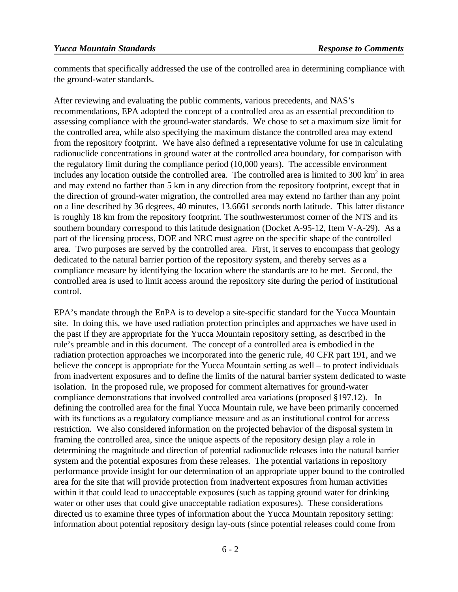comments that specifically addressed the use of the controlled area in determining compliance with the ground-water standards.

After reviewing and evaluating the public comments, various precedents, and NAS's recommendations, EPA adopted the concept of a controlled area as an essential precondition to assessing compliance with the ground-water standards. We chose to set a maximum size limit for the controlled area, while also specifying the maximum distance the controlled area may extend from the repository footprint. We have also defined a representative volume for use in calculating radionuclide concentrations in ground water at the controlled area boundary, for comparison with the regulatory limit during the compliance period (10,000 years). The accessible environment includes any location outside the controlled area. The controlled area is limited to  $300 \text{ km}^2$  in area and may extend no farther than 5 km in any direction from the repository footprint, except that in the direction of ground-water migration, the controlled area may extend no farther than any point on a line described by 36 degrees, 40 minutes, 13.6661 seconds north latitude. This latter distance is roughly 18 km from the repository footprint. The southwesternmost corner of the NTS and its southern boundary correspond to this latitude designation (Docket A-95-12, Item V-A-29). As a part of the licensing process, DOE and NRC must agree on the specific shape of the controlled area. Two purposes are served by the controlled area. First, it serves to encompass that geology dedicated to the natural barrier portion of the repository system, and thereby serves as a compliance measure by identifying the location where the standards are to be met. Second, the controlled area is used to limit access around the repository site during the period of institutional control.

EPA's mandate through the EnPA is to develop a site-specific standard for the Yucca Mountain site. In doing this, we have used radiation protection principles and approaches we have used in the past if they are appropriate for the Yucca Mountain repository setting, as described in the rule's preamble and in this document. The concept of a controlled area is embodied in the radiation protection approaches we incorporated into the generic rule, 40 CFR part 191, and we believe the concept is appropriate for the Yucca Mountain setting as well – to protect individuals from inadvertent exposures and to define the limits of the natural barrier system dedicated to waste isolation. In the proposed rule, we proposed for comment alternatives for ground-water compliance demonstrations that involved controlled area variations (proposed §197.12). In defining the controlled area for the final Yucca Mountain rule, we have been primarily concerned with its functions as a regulatory compliance measure and as an institutional control for access restriction. We also considered information on the projected behavior of the disposal system in framing the controlled area, since the unique aspects of the repository design play a role in determining the magnitude and direction of potential radionuclide releases into the natural barrier system and the potential exposures from these releases. The potential variations in repository performance provide insight for our determination of an appropriate upper bound to the controlled area for the site that will provide protection from inadvertent exposures from human activities within it that could lead to unacceptable exposures (such as tapping ground water for drinking water or other uses that could give unacceptable radiation exposures). These considerations directed us to examine three types of information about the Yucca Mountain repository setting: information about potential repository design lay-outs (since potential releases could come from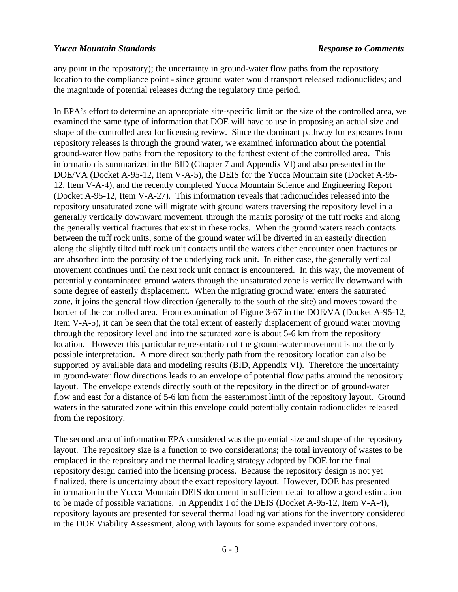any point in the repository); the uncertainty in ground-water flow paths from the repository location to the compliance point - since ground water would transport released radionuclides; and the magnitude of potential releases during the regulatory time period.

In EPA's effort to determine an appropriate site-specific limit on the size of the controlled area, we examined the same type of information that DOE will have to use in proposing an actual size and shape of the controlled area for licensing review. Since the dominant pathway for exposures from repository releases is through the ground water, we examined information about the potential ground-water flow paths from the repository to the farthest extent of the controlled area. This information is summarized in the BID (Chapter 7 and Appendix VI) and also presented in the DOE/VA (Docket A-95-12, Item V-A-5), the DEIS for the Yucca Mountain site (Docket A-95 12, Item V-A-4), and the recently completed Yucca Mountain Science and Engineering Report (Docket A-95-12, Item V-A-27). This information reveals that radionuclides released into the repository unsaturated zone will migrate with ground waters traversing the repository level in a generally vertically downward movement, through the matrix porosity of the tuff rocks and along the generally vertical fractures that exist in these rocks. When the ground waters reach contacts between the tuff rock units, some of the ground water will be diverted in an easterly direction along the slightly tilted tuff rock unit contacts until the waters either encounter open fractures or are absorbed into the porosity of the underlying rock unit. In either case, the generally vertical movement continues until the next rock unit contact is encountered. In this way, the movement of potentially contaminated ground waters through the unsaturated zone is vertically downward with some degree of easterly displacement. When the migrating ground water enters the saturated zone, it joins the general flow direction (generally to the south of the site) and moves toward the border of the controlled area. From examination of Figure 3-67 in the DOE/VA (Docket A-95-12, Item V-A-5), it can be seen that the total extent of easterly displacement of ground water moving through the repository level and into the saturated zone is about 5-6 km from the repository location. However this particular representation of the ground-water movement is not the only possible interpretation. A more direct southerly path from the repository location can also be supported by available data and modeling results (BID, Appendix VI). Therefore the uncertainty in ground-water flow directions leads to an envelope of potential flow paths around the repository layout. The envelope extends directly south of the repository in the direction of ground-water flow and east for a distance of 5-6 km from the easternmost limit of the repository layout. Ground waters in the saturated zone within this envelope could potentially contain radionuclides released from the repository.

The second area of information EPA considered was the potential size and shape of the repository layout. The repository size is a function to two considerations; the total inventory of wastes to be emplaced in the repository and the thermal loading strategy adopted by DOE for the final repository design carried into the licensing process. Because the repository design is not yet finalized, there is uncertainty about the exact repository layout. However, DOE has presented information in the Yucca Mountain DEIS document in sufficient detail to allow a good estimation to be made of possible variations. In Appendix I of the DEIS (Docket A-95-12, Item V-A-4), repository layouts are presented for several thermal loading variations for the inventory considered in the DOE Viability Assessment, along with layouts for some expanded inventory options.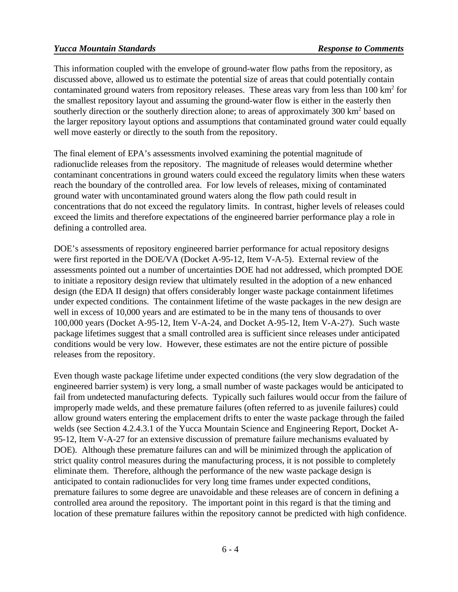#### *Yucca Mountain Standards Response to Comments*

This information coupled with the envelope of ground-water flow paths from the repository, as discussed above, allowed us to estimate the potential size of areas that could potentially contain contaminated ground waters from repository releases. These areas vary from less than  $100 \text{ km}^2$  for the smallest repository layout and assuming the ground-water flow is either in the easterly then southerly direction or the southerly direction alone; to areas of approximately 300 km<sup>2</sup> based on the larger repository layout options and assumptions that contaminated ground water could equally well move easterly or directly to the south from the repository.

The final element of EPA's assessments involved examining the potential magnitude of radionuclide releases from the repository. The magnitude of releases would determine whether contaminant concentrations in ground waters could exceed the regulatory limits when these waters reach the boundary of the controlled area. For low levels of releases, mixing of contaminated ground water with uncontaminated ground waters along the flow path could result in concentrations that do not exceed the regulatory limits. In contrast, higher levels of releases could exceed the limits and therefore expectations of the engineered barrier performance play a role in defining a controlled area.

DOE's assessments of repository engineered barrier performance for actual repository designs were first reported in the DOE/VA (Docket A-95-12, Item V-A-5). External review of the assessments pointed out a number of uncertainties DOE had not addressed, which prompted DOE to initiate a repository design review that ultimately resulted in the adoption of a new enhanced design (the EDA II design) that offers considerably longer waste package containment lifetimes under expected conditions. The containment lifetime of the waste packages in the new design are well in excess of 10,000 years and are estimated to be in the many tens of thousands to over 100,000 years (Docket A-95-12, Item V-A-24, and Docket A-95-12, Item V-A-27). Such waste package lifetimes suggest that a small controlled area is sufficient since releases under anticipated conditions would be very low. However, these estimates are not the entire picture of possible releases from the repository.

Even though waste package lifetime under expected conditions (the very slow degradation of the engineered barrier system) is very long, a small number of waste packages would be anticipated to fail from undetected manufacturing defects. Typically such failures would occur from the failure of improperly made welds, and these premature failures (often referred to as juvenile failures) could allow ground waters entering the emplacement drifts to enter the waste package through the failed welds (see Section 4.2.4.3.1 of the Yucca Mountain Science and Engineering Report, Docket A-95-12, Item V-A-27 for an extensive discussion of premature failure mechanisms evaluated by DOE). Although these premature failures can and will be minimized through the application of strict quality control measures during the manufacturing process, it is not possible to completely eliminate them. Therefore, although the performance of the new waste package design is anticipated to contain radionuclides for very long time frames under expected conditions, premature failures to some degree are unavoidable and these releases are of concern in defining a controlled area around the repository. The important point in this regard is that the timing and location of these premature failures within the repository cannot be predicted with high confidence.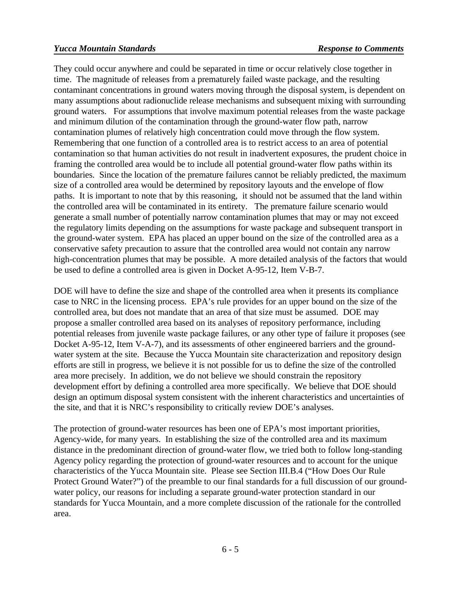#### *Yucca Mountain Standards Response to Comments*

They could occur anywhere and could be separated in time or occur relatively close together in time. The magnitude of releases from a prematurely failed waste package, and the resulting contaminant concentrations in ground waters moving through the disposal system, is dependent on many assumptions about radionuclide release mechanisms and subsequent mixing with surrounding ground waters. For assumptions that involve maximum potential releases from the waste package and minimum dilution of the contamination through the ground-water flow path, narrow contamination plumes of relatively high concentration could move through the flow system. Remembering that one function of a controlled area is to restrict access to an area of potential contamination so that human activities do not result in inadvertent exposures, the prudent choice in framing the controlled area would be to include all potential ground-water flow paths within its boundaries. Since the location of the premature failures cannot be reliably predicted, the maximum size of a controlled area would be determined by repository layouts and the envelope of flow paths. It is important to note that by this reasoning, it should not be assumed that the land within the controlled area will be contaminated in its entirety. The premature failure scenario would generate a small number of potentially narrow contamination plumes that may or may not exceed the regulatory limits depending on the assumptions for waste package and subsequent transport in the ground-water system. EPA has placed an upper bound on the size of the controlled area as a conservative safety precaution to assure that the controlled area would not contain any narrow high-concentration plumes that may be possible. A more detailed analysis of the factors that would be used to define a controlled area is given in Docket A-95-12, Item V-B-7.

DOE will have to define the size and shape of the controlled area when it presents its compliance case to NRC in the licensing process. EPA's rule provides for an upper bound on the size of the controlled area, but does not mandate that an area of that size must be assumed. DOE may propose a smaller controlled area based on its analyses of repository performance, including potential releases from juvenile waste package failures, or any other type of failure it proposes (see Docket A-95-12, Item V-A-7), and its assessments of other engineered barriers and the groundwater system at the site. Because the Yucca Mountain site characterization and repository design efforts are still in progress, we believe it is not possible for us to define the size of the controlled area more precisely. In addition, we do not believe we should constrain the repository development effort by defining a controlled area more specifically. We believe that DOE should design an optimum disposal system consistent with the inherent characteristics and uncertainties of the site, and that it is NRC's responsibility to critically review DOE's analyses.

The protection of ground-water resources has been one of EPA's most important priorities, Agency-wide, for many years. In establishing the size of the controlled area and its maximum distance in the predominant direction of ground-water flow, we tried both to follow long-standing Agency policy regarding the protection of ground-water resources and to account for the unique characteristics of the Yucca Mountain site. Please see Section III.B.4 ("How Does Our Rule Protect Ground Water?") of the preamble to our final standards for a full discussion of our groundwater policy, our reasons for including a separate ground-water protection standard in our standards for Yucca Mountain, and a more complete discussion of the rationale for the controlled area.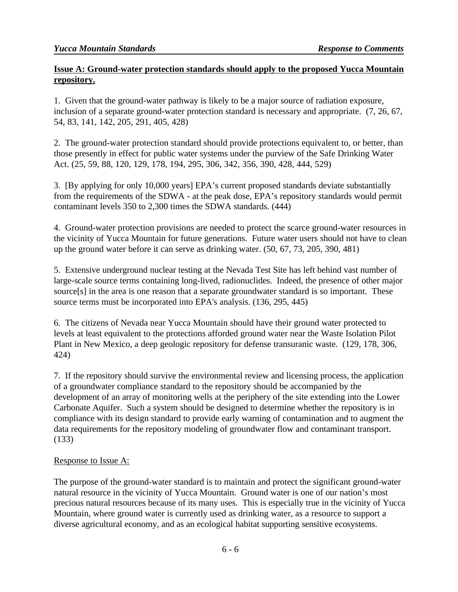# <span id="page-150-0"></span>**Issue A: Ground-water protection standards should apply to the proposed Yucca Mountain repository.**

1. Given that the ground-water pathway is likely to be a major source of radiation exposure, inclusion of a separate ground-water protection standard is necessary and appropriate. (7, 26, 67, 54, 83, 141, 142, 205, 291, 405, 428)

2. The ground-water protection standard should provide protections equivalent to, or better, than those presently in effect for public water systems under the purview of the Safe Drinking Water Act. (25, 59, 88, 120, 129, 178, 194, 295, 306, 342, 356, 390, 428, 444, 529)

3. [By applying for only 10,000 years] EPA's current proposed standards deviate substantially from the requirements of the SDWA - at the peak dose, EPA's repository standards would permit contaminant levels 350 to 2,300 times the SDWA standards. (444)

4. Ground-water protection provisions are needed to protect the scarce ground-water resources in the vicinity of Yucca Mountain for future generations. Future water users should not have to clean up the ground water before it can serve as drinking water. (50, 67, 73, 205, 390, 481)

5. Extensive underground nuclear testing at the Nevada Test Site has left behind vast number of large-scale source terms containing long-lived, radionuclides. Indeed, the presence of other major source[s] in the area is one reason that a separate groundwater standard is so important. These source terms must be incorporated into EPA's analysis. (136, 295, 445)

6. The citizens of Nevada near Yucca Mountain should have their ground water protected to levels at least equivalent to the protections afforded ground water near the Waste Isolation Pilot Plant in New Mexico, a deep geologic repository for defense transuranic waste. (129, 178, 306, 424)

7. If the repository should survive the environmental review and licensing process, the application of a groundwater compliance standard to the repository should be accompanied by the development of an array of monitoring wells at the periphery of the site extending into the Lower Carbonate Aquifer. Such a system should be designed to determine whether the repository is in compliance with its design standard to provide early warning of contamination and to augment the data requirements for the repository modeling of groundwater flow and contaminant transport. (133)

# Response to Issue A:

The purpose of the ground-water standard is to maintain and protect the significant ground-water natural resource in the vicinity of Yucca Mountain. Ground water is one of our nation's most precious natural resources because of its many uses. This is especially true in the vicinity of Yucca Mountain, where ground water is currently used as drinking water, as a resource to support a diverse agricultural economy, and as an ecological habitat supporting sensitive ecosystems.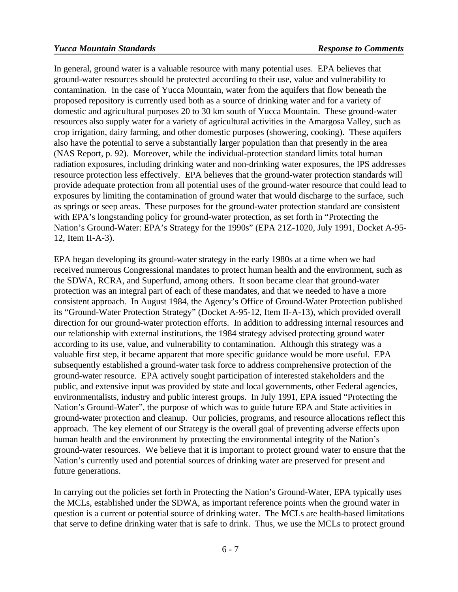In general, ground water is a valuable resource with many potential uses. EPA believes that ground-water resources should be protected according to their use, value and vulnerability to contamination. In the case of Yucca Mountain, water from the aquifers that flow beneath the proposed repository is currently used both as a source of drinking water and for a variety of domestic and agricultural purposes 20 to 30 km south of Yucca Mountain. These ground-water resources also supply water for a variety of agricultural activities in the Amargosa Valley, such as crop irrigation, dairy farming, and other domestic purposes (showering, cooking). These aquifers also have the potential to serve a substantially larger population than that presently in the area (NAS Report, p. 92). Moreover, while the individual-protection standard limits total human radiation exposures, including drinking water and non-drinking water exposures, the IPS addresses resource protection less effectively. EPA believes that the ground-water protection standards will provide adequate protection from all potential uses of the ground-water resource that could lead to exposures by limiting the contamination of ground water that would discharge to the surface, such as springs or seep areas. These purposes for the ground-water protection standard are consistent with EPA's longstanding policy for ground-water protection, as set forth in "Protecting the Nation's Ground-Water: EPA's Strategy for the 1990s" (EPA 21Z-1020, July 1991, Docket A-95 12, Item II-A-3).

EPA began developing its ground-water strategy in the early 1980s at a time when we had received numerous Congressional mandates to protect human health and the environment, such as the SDWA, RCRA, and Superfund, among others. It soon became clear that ground-water protection was an integral part of each of these mandates, and that we needed to have a more consistent approach. In August 1984, the Agency's Office of Ground-Water Protection published its "Ground-Water Protection Strategy" (Docket A-95-12, Item II-A-13), which provided overall direction for our ground-water protection efforts. In addition to addressing internal resources and our relationship with external institutions, the 1984 strategy advised protecting ground water according to its use, value, and vulnerability to contamination. Although this strategy was a valuable first step, it became apparent that more specific guidance would be more useful. EPA subsequently established a ground-water task force to address comprehensive protection of the ground-water resource. EPA actively sought participation of interested stakeholders and the public, and extensive input was provided by state and local governments, other Federal agencies, environmentalists, industry and public interest groups. In July 1991, EPA issued "Protecting the Nation's Ground-Water", the purpose of which was to guide future EPA and State activities in ground-water protection and cleanup. Our policies, programs, and resource allocations reflect this approach. The key element of our Strategy is the overall goal of preventing adverse effects upon human health and the environment by protecting the environmental integrity of the Nation's ground-water resources. We believe that it is important to protect ground water to ensure that the Nation's currently used and potential sources of drinking water are preserved for present and future generations.

In carrying out the policies set forth in Protecting the Nation's Ground-Water, EPA typically uses the MCLs, established under the SDWA, as important reference points when the ground water in question is a current or potential source of drinking water. The MCLs are health-based limitations that serve to define drinking water that is safe to drink. Thus, we use the MCLs to protect ground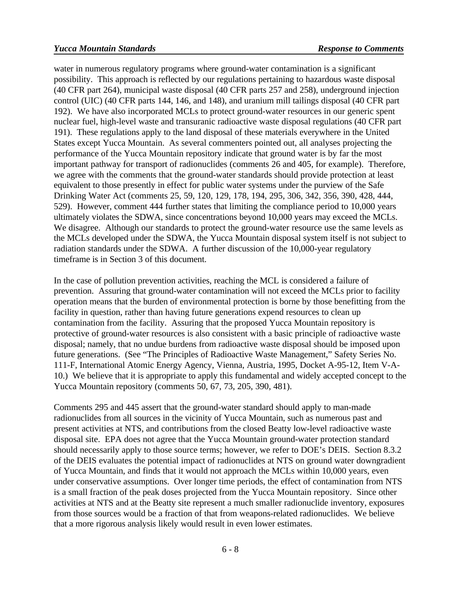water in numerous regulatory programs where ground-water contamination is a significant possibility. This approach is reflected by our regulations pertaining to hazardous waste disposal (40 CFR part 264), municipal waste disposal (40 CFR parts 257 and 258), underground injection control (UIC) (40 CFR parts 144, 146, and 148), and uranium mill tailings disposal (40 CFR part 192). We have also incorporated MCLs to protect ground-water resources in our generic spent nuclear fuel, high-level waste and transuranic radioactive waste disposal regulations (40 CFR part 191). These regulations apply to the land disposal of these materials everywhere in the United States except Yucca Mountain. As several commenters pointed out, all analyses projecting the performance of the Yucca Mountain repository indicate that ground water is by far the most important pathway for transport of radionuclides (comments 26 and 405, for example). Therefore, we agree with the comments that the ground-water standards should provide protection at least equivalent to those presently in effect for public water systems under the purview of the Safe Drinking Water Act (comments 25, 59, 120, 129, 178, 194, 295, 306, 342, 356, 390, 428, 444, 529). However, comment 444 further states that limiting the compliance period to 10,000 years ultimately violates the SDWA, since concentrations beyond 10,000 years may exceed the MCLs. We disagree. Although our standards to protect the ground-water resource use the same levels as the MCLs developed under the SDWA, the Yucca Mountain disposal system itself is not subject to radiation standards under the SDWA. A further discussion of the 10,000-year regulatory timeframe is in Section 3 of this document.

In the case of pollution prevention activities, reaching the MCL is considered a failure of prevention. Assuring that ground-water contamination will not exceed the MCLs prior to facility operation means that the burden of environmental protection is borne by those benefitting from the facility in question, rather than having future generations expend resources to clean up contamination from the facility. Assuring that the proposed Yucca Mountain repository is protective of ground-water resources is also consistent with a basic principle of radioactive waste disposal; namely, that no undue burdens from radioactive waste disposal should be imposed upon future generations. (See "The Principles of Radioactive Waste Management," Safety Series No. 111-F, International Atomic Energy Agency, Vienna, Austria, 1995, Docket A-95-12, Item V-A-10.) We believe that it is appropriate to apply this fundamental and widely accepted concept to the Yucca Mountain repository (comments 50, 67, 73, 205, 390, 481).

Comments 295 and 445 assert that the ground-water standard should apply to man-made radionuclides from all sources in the vicinity of Yucca Mountain, such as numerous past and present activities at NTS, and contributions from the closed Beatty low-level radioactive waste disposal site. EPA does not agree that the Yucca Mountain ground-water protection standard should necessarily apply to those source terms; however, we refer to DOE's DEIS. Section 8.3.2 of the DEIS evaluates the potential impact of radionuclides at NTS on ground water downgradient of Yucca Mountain, and finds that it would not approach the MCLs within 10,000 years, even under conservative assumptions. Over longer time periods, the effect of contamination from NTS is a small fraction of the peak doses projected from the Yucca Mountain repository. Since other activities at NTS and at the Beatty site represent a much smaller radionuclide inventory, exposures from those sources would be a fraction of that from weapons-related radionuclides. We believe that a more rigorous analysis likely would result in even lower estimates.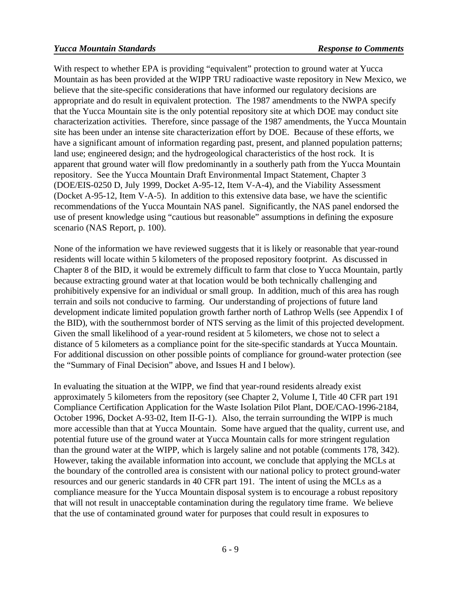With respect to whether EPA is providing "equivalent" protection to ground water at Yucca Mountain as has been provided at the WIPP TRU radioactive waste repository in New Mexico, we believe that the site-specific considerations that have informed our regulatory decisions are appropriate and do result in equivalent protection. The 1987 amendments to the NWPA specify that the Yucca Mountain site is the only potential repository site at which DOE may conduct site characterization activities. Therefore, since passage of the 1987 amendments, the Yucca Mountain site has been under an intense site characterization effort by DOE. Because of these efforts, we have a significant amount of information regarding past, present, and planned population patterns; land use; engineered design; and the hydrogeological characteristics of the host rock. It is apparent that ground water will flow predominantly in a southerly path from the Yucca Mountain repository. See the Yucca Mountain Draft Environmental Impact Statement, Chapter 3 (DOE/EIS-0250 D, July 1999, Docket A-95-12, Item V-A-4), and the Viability Assessment (Docket A-95-12, Item V-A-5). In addition to this extensive data base, we have the scientific recommendations of the Yucca Mountain NAS panel. Significantly, the NAS panel endorsed the use of present knowledge using "cautious but reasonable" assumptions in defining the exposure scenario (NAS Report, p. 100).

None of the information we have reviewed suggests that it is likely or reasonable that year-round residents will locate within 5 kilometers of the proposed repository footprint. As discussed in Chapter 8 of the BID, it would be extremely difficult to farm that close to Yucca Mountain, partly because extracting ground water at that location would be both technically challenging and prohibitively expensive for an individual or small group. In addition, much of this area has rough terrain and soils not conducive to farming. Our understanding of projections of future land development indicate limited population growth farther north of Lathrop Wells (see Appendix I of the BID), with the southernmost border of NTS serving as the limit of this projected development. Given the small likelihood of a year-round resident at 5 kilometers, we chose not to select a distance of 5 kilometers as a compliance point for the site-specific standards at Yucca Mountain. For additional discussion on other possible points of compliance for ground-water protection (see the "Summary of Final Decision" above, and Issues H and I below).

In evaluating the situation at the WIPP, we find that year-round residents already exist approximately 5 kilometers from the repository (see Chapter 2, Volume I, Title 40 CFR part 191 Compliance Certification Application for the Waste Isolation Pilot Plant, DOE/CAO-1996-2184, October 1996, Docket A-93-02, Item II-G-1). Also, the terrain surrounding the WIPP is much more accessible than that at Yucca Mountain. Some have argued that the quality, current use, and potential future use of the ground water at Yucca Mountain calls for more stringent regulation than the ground water at the WIPP, which is largely saline and not potable (comments 178, 342). However, taking the available information into account, we conclude that applying the MCLs at the boundary of the controlled area is consistent with our national policy to protect ground-water resources and our generic standards in 40 CFR part 191. The intent of using the MCLs as a compliance measure for the Yucca Mountain disposal system is to encourage a robust repository that will not result in unacceptable contamination during the regulatory time frame. We believe that the use of contaminated ground water for purposes that could result in exposures to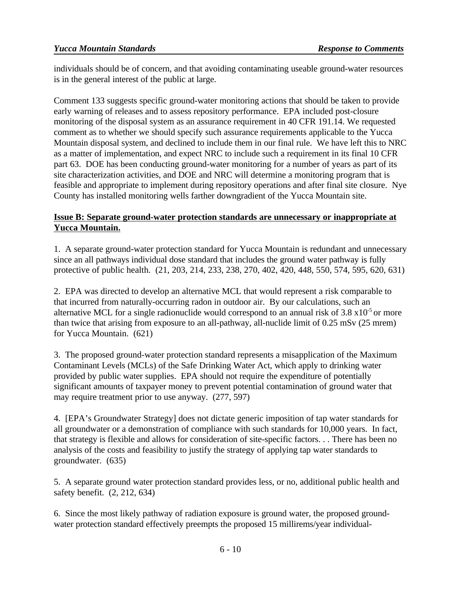<span id="page-154-0"></span>individuals should be of concern, and that avoiding contaminating useable ground-water resources is in the general interest of the public at large.

Comment 133 suggests specific ground-water monitoring actions that should be taken to provide early warning of releases and to assess repository performance. EPA included post-closure monitoring of the disposal system as an assurance requirement in 40 CFR 191.14. We requested comment as to whether we should specify such assurance requirements applicable to the Yucca Mountain disposal system, and declined to include them in our final rule. We have left this to NRC as a matter of implementation, and expect NRC to include such a requirement in its final 10 CFR part 63. DOE has been conducting ground-water monitoring for a number of years as part of its site characterization activities, and DOE and NRC will determine a monitoring program that is feasible and appropriate to implement during repository operations and after final site closure. Nye County has installed monitoring wells farther downgradient of the Yucca Mountain site.

# **Issue B: Separate ground-water protection standards are unnecessary or inappropriate at Yucca Mountain.**

1. A separate ground-water protection standard for Yucca Mountain is redundant and unnecessary since an all pathways individual dose standard that includes the ground water pathway is fully protective of public health. (21, 203, 214, 233, 238, 270, 402, 420, 448, 550, 574, 595, 620, 631)

2. EPA was directed to develop an alternative MCL that would represent a risk comparable to that incurred from naturally-occurring radon in outdoor air. By our calculations, such an alternative MCL for a single radionuclide would correspond to an annual risk of  $3.8 \times 10^{-5}$  or more than twice that arising from exposure to an all-pathway, all-nuclide limit of 0.25 mSv (25 mrem) for Yucca Mountain. (621)

3. The proposed ground-water protection standard represents a misapplication of the Maximum Contaminant Levels (MCLs) of the Safe Drinking Water Act, which apply to drinking water provided by public water supplies. EPA should not require the expenditure of potentially significant amounts of taxpayer money to prevent potential contamination of ground water that may require treatment prior to use anyway. (277, 597)

4. [EPA's Groundwater Strategy] does not dictate generic imposition of tap water standards for all groundwater or a demonstration of compliance with such standards for 10,000 years. In fact, that strategy is flexible and allows for consideration of site-specific factors. . . There has been no analysis of the costs and feasibility to justify the strategy of applying tap water standards to groundwater. (635)

5. A separate ground water protection standard provides less, or no, additional public health and safety benefit. (2, 212, 634)

6. Since the most likely pathway of radiation exposure is ground water, the proposed groundwater protection standard effectively preempts the proposed 15 millirems/year individual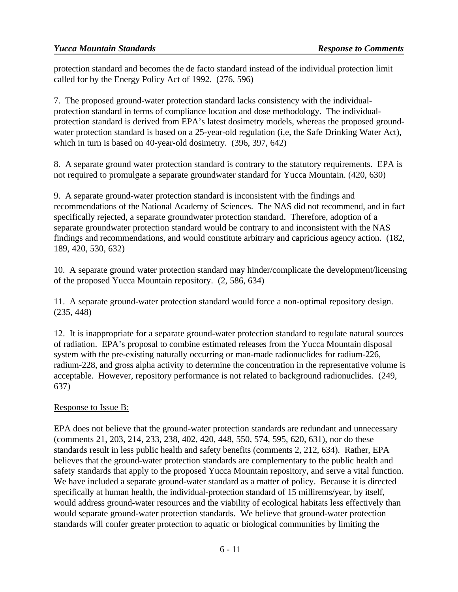protection standard and becomes the de facto standard instead of the individual protection limit called for by the Energy Policy Act of 1992. (276, 596)

7. The proposed ground-water protection standard lacks consistency with the individualprotection standard in terms of compliance location and dose methodology. The individualprotection standard is derived from EPA's latest dosimetry models, whereas the proposed groundwater protection standard is based on a 25-year-old regulation (i,e, the Safe Drinking Water Act), which in turn is based on 40-year-old dosimetry. (396, 397, 642)

8. A separate ground water protection standard is contrary to the statutory requirements. EPA is not required to promulgate a separate groundwater standard for Yucca Mountain. (420, 630)

9. A separate ground-water protection standard is inconsistent with the findings and recommendations of the National Academy of Sciences. The NAS did not recommend, and in fact specifically rejected, a separate groundwater protection standard. Therefore, adoption of a separate groundwater protection standard would be contrary to and inconsistent with the NAS findings and recommendations, and would constitute arbitrary and capricious agency action. (182, 189, 420, 530, 632)

10. A separate ground water protection standard may hinder/complicate the development/licensing of the proposed Yucca Mountain repository. (2, 586, 634)

11. A separate ground-water protection standard would force a non-optimal repository design. (235, 448)

12. It is inappropriate for a separate ground-water protection standard to regulate natural sources of radiation. EPA's proposal to combine estimated releases from the Yucca Mountain disposal system with the pre-existing naturally occurring or man-made radionuclides for radium-226, radium-228, and gross alpha activity to determine the concentration in the representative volume is acceptable. However, repository performance is not related to background radionuclides. (249, 637)

# Response to Issue B:

EPA does not believe that the ground-water protection standards are redundant and unnecessary (comments 21, 203, 214, 233, 238, 402, 420, 448, 550, 574, 595, 620, 631), nor do these standards result in less public health and safety benefits (comments 2, 212, 634). Rather, EPA believes that the ground-water protection standards are complementary to the public health and safety standards that apply to the proposed Yucca Mountain repository, and serve a vital function. We have included a separate ground-water standard as a matter of policy. Because it is directed specifically at human health, the individual-protection standard of 15 millirems/year, by itself, would address ground-water resources and the viability of ecological habitats less effectively than would separate ground-water protection standards. We believe that ground-water protection standards will confer greater protection to aquatic or biological communities by limiting the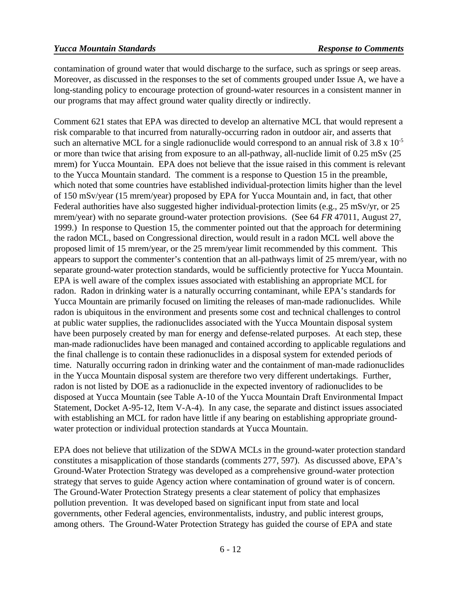#### *Yucca Mountain Standards Response to Comments*

contamination of ground water that would discharge to the surface, such as springs or seep areas. Moreover, as discussed in the responses to the set of comments grouped under Issue A, we have a long-standing policy to encourage protection of ground-water resources in a consistent manner in our programs that may affect ground water quality directly or indirectly.

Comment 621 states that EPA was directed to develop an alternative MCL that would represent a risk comparable to that incurred from naturally-occurring radon in outdoor air, and asserts that such an alternative MCL for a single radionuclide would correspond to an annual risk of  $3.8 \times 10^{-5}$ or more than twice that arising from exposure to an all-pathway, all-nuclide limit of 0.25 mSv (25 mrem) for Yucca Mountain. EPA does not believe that the issue raised in this comment is relevant to the Yucca Mountain standard. The comment is a response to Question 15 in the preamble, which noted that some countries have established individual-protection limits higher than the level of 150 mSv/year (15 mrem/year) proposed by EPA for Yucca Mountain and, in fact, that other Federal authorities have also suggested higher individual-protection limits (e.g., 25 mSv/yr, or 25 mrem/year) with no separate ground-water protection provisions. (See 64 *FR* 47011, August 27, 1999.) In response to Question 15, the commenter pointed out that the approach for determining the radon MCL, based on Congressional direction, would result in a radon MCL well above the proposed limit of 15 mrem/year, or the 25 mrem/year limit recommended by this comment. This appears to support the commenter's contention that an all-pathways limit of 25 mrem/year, with no separate ground-water protection standards, would be sufficiently protective for Yucca Mountain. EPA is well aware of the complex issues associated with establishing an appropriate MCL for radon. Radon in drinking water is a naturally occurring contaminant, while EPA's standards for Yucca Mountain are primarily focused on limiting the releases of man-made radionuclides. While radon is ubiquitous in the environment and presents some cost and technical challenges to control at public water supplies, the radionuclides associated with the Yucca Mountain disposal system have been purposely created by man for energy and defense-related purposes. At each step, these man-made radionuclides have been managed and contained according to applicable regulations and the final challenge is to contain these radionuclides in a disposal system for extended periods of time. Naturally occurring radon in drinking water and the containment of man-made radionuclides in the Yucca Mountain disposal system are therefore two very different undertakings. Further, radon is not listed by DOE as a radionuclide in the expected inventory of radionuclides to be disposed at Yucca Mountain (see Table A-10 of the Yucca Mountain Draft Environmental Impact Statement, Docket A-95-12, Item V-A-4). In any case, the separate and distinct issues associated with establishing an MCL for radon have little if any bearing on establishing appropriate groundwater protection or individual protection standards at Yucca Mountain.

EPA does not believe that utilization of the SDWA MCLs in the ground-water protection standard constitutes a misapplication of those standards (comments 277, 597). As discussed above, EPA's Ground-Water Protection Strategy was developed as a comprehensive ground-water protection strategy that serves to guide Agency action where contamination of ground water is of concern. The Ground-Water Protection Strategy presents a clear statement of policy that emphasizes pollution prevention. It was developed based on significant input from state and local governments, other Federal agencies, environmentalists, industry, and public interest groups, among others. The Ground-Water Protection Strategy has guided the course of EPA and state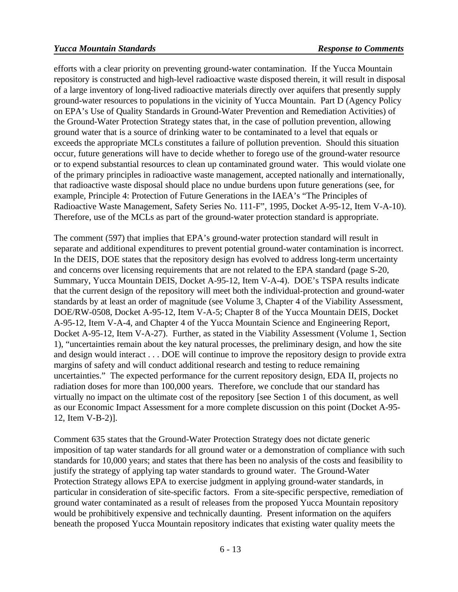efforts with a clear priority on preventing ground-water contamination. If the Yucca Mountain repository is constructed and high-level radioactive waste disposed therein, it will result in disposal of a large inventory of long-lived radioactive materials directly over aquifers that presently supply ground-water resources to populations in the vicinity of Yucca Mountain. Part D (Agency Policy on EPA's Use of Quality Standards in Ground-Water Prevention and Remediation Activities) of the Ground-Water Protection Strategy states that, in the case of pollution prevention, allowing ground water that is a source of drinking water to be contaminated to a level that equals or exceeds the appropriate MCLs constitutes a failure of pollution prevention. Should this situation occur, future generations will have to decide whether to forego use of the ground-water resource or to expend substantial resources to clean up contaminated ground water. This would violate one of the primary principles in radioactive waste management, accepted nationally and internationally, that radioactive waste disposal should place no undue burdens upon future generations (see, for example, Principle 4: Protection of Future Generations in the IAEA's "The Principles of Radioactive Waste Management, Safety Series No. 111-F", 1995, Docket A-95-12, Item V-A-10). Therefore, use of the MCLs as part of the ground-water protection standard is appropriate.

The comment (597) that implies that EPA's ground-water protection standard will result in separate and additional expenditures to prevent potential ground-water contamination is incorrect. In the DEIS, DOE states that the repository design has evolved to address long-term uncertainty and concerns over licensing requirements that are not related to the EPA standard (page S-20, Summary, Yucca Mountain DEIS, Docket A-95-12, Item V-A-4). DOE's TSPA results indicate that the current design of the repository will meet both the individual-protection and ground-water standards by at least an order of magnitude (see Volume 3, Chapter 4 of the Viability Assessment, DOE/RW-0508, Docket A-95-12, Item V-A-5; Chapter 8 of the Yucca Mountain DEIS, Docket A-95-12, Item V-A-4, and Chapter 4 of the Yucca Mountain Science and Engineering Report, Docket A-95-12, Item V-A-27). Further, as stated in the Viability Assessment (Volume 1, Section 1), "uncertainties remain about the key natural processes, the preliminary design, and how the site and design would interact . . . DOE will continue to improve the repository design to provide extra margins of safety and will conduct additional research and testing to reduce remaining uncertainties." The expected performance for the current repository design, EDA II, projects no radiation doses for more than 100,000 years. Therefore, we conclude that our standard has virtually no impact on the ultimate cost of the repository [see Section 1 of this document, as well as our Economic Impact Assessment for a more complete discussion on this point (Docket A-95 12, Item V-B-2)].

Comment 635 states that the Ground-Water Protection Strategy does not dictate generic imposition of tap water standards for all ground water or a demonstration of compliance with such standards for 10,000 years; and states that there has been no analysis of the costs and feasibility to justify the strategy of applying tap water standards to ground water. The Ground-Water Protection Strategy allows EPA to exercise judgment in applying ground-water standards, in particular in consideration of site-specific factors. From a site-specific perspective, remediation of ground water contaminated as a result of releases from the proposed Yucca Mountain repository would be prohibitively expensive and technically daunting. Present information on the aquifers beneath the proposed Yucca Mountain repository indicates that existing water quality meets the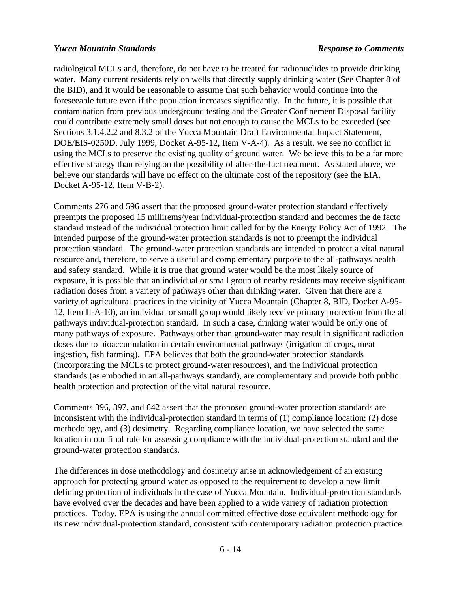radiological MCLs and, therefore, do not have to be treated for radionuclides to provide drinking water. Many current residents rely on wells that directly supply drinking water (See Chapter 8 of the BID), and it would be reasonable to assume that such behavior would continue into the foreseeable future even if the population increases significantly. In the future, it is possible that contamination from previous underground testing and the Greater Confinement Disposal facility could contribute extremely small doses but not enough to cause the MCLs to be exceeded (see Sections 3.1.4.2.2 and 8.3.2 of the Yucca Mountain Draft Environmental Impact Statement, DOE/EIS-0250D, July 1999, Docket A-95-12, Item V-A-4). As a result, we see no conflict in using the MCLs to preserve the existing quality of ground water. We believe this to be a far more effective strategy than relying on the possibility of after-the-fact treatment. As stated above, we believe our standards will have no effect on the ultimate cost of the repository (see the EIA, Docket A-95-12, Item V-B-2).

Comments 276 and 596 assert that the proposed ground-water protection standard effectively preempts the proposed 15 millirems/year individual-protection standard and becomes the de facto standard instead of the individual protection limit called for by the Energy Policy Act of 1992. The intended purpose of the ground-water protection standards is not to preempt the individual protection standard. The ground-water protection standards are intended to protect a vital natural resource and, therefore, to serve a useful and complementary purpose to the all-pathways health and safety standard. While it is true that ground water would be the most likely source of exposure, it is possible that an individual or small group of nearby residents may receive significant radiation doses from a variety of pathways other than drinking water. Given that there are a variety of agricultural practices in the vicinity of Yucca Mountain (Chapter 8, BID, Docket A-95 12, Item II-A-10), an individual or small group would likely receive primary protection from the all pathways individual-protection standard. In such a case, drinking water would be only one of many pathways of exposure. Pathways other than ground-water may result in significant radiation doses due to bioaccumulation in certain environmental pathways (irrigation of crops, meat ingestion, fish farming). EPA believes that both the ground-water protection standards (incorporating the MCLs to protect ground-water resources), and the individual protection standards (as embodied in an all-pathways standard), are complementary and provide both public health protection and protection of the vital natural resource.

Comments 396, 397, and 642 assert that the proposed ground-water protection standards are inconsistent with the individual-protection standard in terms of (1) compliance location; (2) dose methodology, and (3) dosimetry. Regarding compliance location, we have selected the same location in our final rule for assessing compliance with the individual-protection standard and the ground-water protection standards.

The differences in dose methodology and dosimetry arise in acknowledgement of an existing approach for protecting ground water as opposed to the requirement to develop a new limit defining protection of individuals in the case of Yucca Mountain. Individual-protection standards have evolved over the decades and have been applied to a wide variety of radiation protection practices. Today, EPA is using the annual committed effective dose equivalent methodology for its new individual-protection standard, consistent with contemporary radiation protection practice.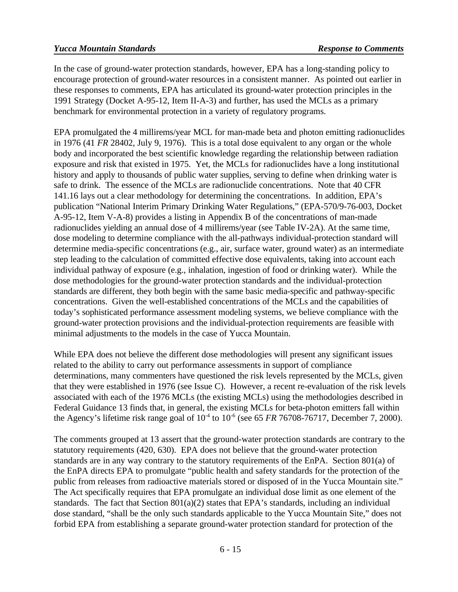In the case of ground-water protection standards, however, EPA has a long-standing policy to encourage protection of ground-water resources in a consistent manner. As pointed out earlier in these responses to comments, EPA has articulated its ground-water protection principles in the 1991 Strategy (Docket A-95-12, Item II-A-3) and further, has used the MCLs as a primary benchmark for environmental protection in a variety of regulatory programs.

EPA promulgated the 4 millirems/year MCL for man-made beta and photon emitting radionuclides in 1976 (41 *FR* 28402, July 9, 1976). This is a total dose equivalent to any organ or the whole body and incorporated the best scientific knowledge regarding the relationship between radiation exposure and risk that existed in 1975. Yet, the MCLs for radionuclides have a long institutional history and apply to thousands of public water supplies, serving to define when drinking water is safe to drink. The essence of the MCLs are radionuclide concentrations. Note that 40 CFR 141.16 lays out a clear methodology for determining the concentrations. In addition, EPA's publication "National Interim Primary Drinking Water Regulations," (EPA-570/9-76-003, Docket A-95-12, Item V-A-8) provides a listing in Appendix B of the concentrations of man-made radionuclides yielding an annual dose of 4 millirems/year (see Table IV-2A). At the same time, dose modeling to determine compliance with the all-pathways individual-protection standard will determine media-specific concentrations (e.g., air, surface water, ground water) as an intermediate step leading to the calculation of committed effective dose equivalents, taking into account each individual pathway of exposure (e.g., inhalation, ingestion of food or drinking water). While the dose methodologies for the ground-water protection standards and the individual-protection standards are different, they both begin with the same basic media-specific and pathway-specific concentrations. Given the well-established concentrations of the MCLs and the capabilities of today's sophisticated performance assessment modeling systems, we believe compliance with the ground-water protection provisions and the individual-protection requirements are feasible with minimal adjustments to the models in the case of Yucca Mountain.

While EPA does not believe the different dose methodologies will present any significant issues related to the ability to carry out performance assessments in support of compliance determinations, many commenters have questioned the risk levels represented by the MCLs, given that they were established in 1976 (see Issue C). However, a recent re-evaluation of the risk levels associated with each of the 1976 MCLs (the existing MCLs) using the methodologies described in Federal Guidance 13 finds that, in general, the existing MCLs for beta-photon emitters fall within the Agency's lifetime risk range goal of  $10^{-4}$  to  $10^{-6}$  (see 65 *FR* 76708-76717, December 7, 2000).

The comments grouped at 13 assert that the ground-water protection standards are contrary to the statutory requirements (420, 630). EPA does not believe that the ground-water protection standards are in any way contrary to the statutory requirements of the EnPA. Section 801(a) of the EnPA directs EPA to promulgate "public health and safety standards for the protection of the public from releases from radioactive materials stored or disposed of in the Yucca Mountain site." The Act specifically requires that EPA promulgate an individual dose limit as one element of the standards. The fact that Section 801(a)(2) states that EPA's standards, including an individual dose standard, "shall be the only such standards applicable to the Yucca Mountain Site," does not forbid EPA from establishing a separate ground-water protection standard for protection of the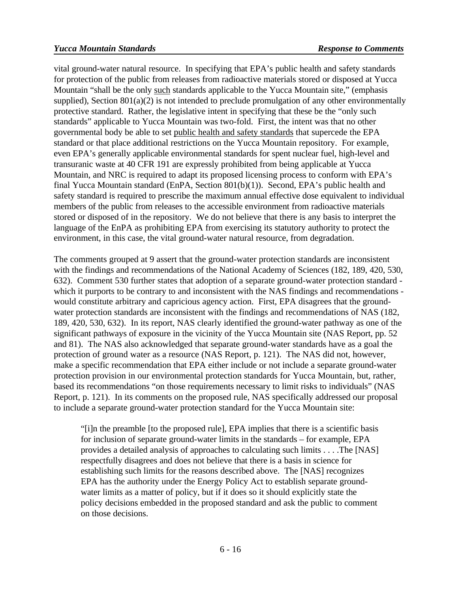vital ground-water natural resource. In specifying that EPA's public health and safety standards for protection of the public from releases from radioactive materials stored or disposed at Yucca Mountain "shall be the only such standards applicable to the Yucca Mountain site," (emphasis supplied), Section  $801(a)(2)$  is not intended to preclude promulgation of any other environmentally protective standard. Rather, the legislative intent in specifying that these be the "only such standards" applicable to Yucca Mountain was two-fold. First, the intent was that no other governmental body be able to set public health and safety standards that supercede the EPA standard or that place additional restrictions on the Yucca Mountain repository. For example, even EPA's generally applicable environmental standards for spent nuclear fuel, high-level and transuranic waste at 40 CFR 191 are expressly prohibited from being applicable at Yucca Mountain, and NRC is required to adapt its proposed licensing process to conform with EPA's final Yucca Mountain standard (EnPA, Section 801(b)(1)). Second, EPA's public health and safety standard is required to prescribe the maximum annual effective dose equivalent to individual members of the public from releases to the accessible environment from radioactive materials stored or disposed of in the repository. We do not believe that there is any basis to interpret the language of the EnPA as prohibiting EPA from exercising its statutory authority to protect the environment, in this case, the vital ground-water natural resource, from degradation.

The comments grouped at 9 assert that the ground-water protection standards are inconsistent with the findings and recommendations of the National Academy of Sciences (182, 189, 420, 530, 632). Comment 530 further states that adoption of a separate ground-water protection standard which it purports to be contrary to and inconsistent with the NAS findings and recommendations would constitute arbitrary and capricious agency action. First, EPA disagrees that the groundwater protection standards are inconsistent with the findings and recommendations of NAS (182, 189, 420, 530, 632). In its report, NAS clearly identified the ground-water pathway as one of the significant pathways of exposure in the vicinity of the Yucca Mountain site (NAS Report, pp. 52 and 81). The NAS also acknowledged that separate ground-water standards have as a goal the protection of ground water as a resource (NAS Report, p. 121). The NAS did not, however, make a specific recommendation that EPA either include or not include a separate ground-water protection provision in our environmental protection standards for Yucca Mountain, but, rather, based its recommendations "on those requirements necessary to limit risks to individuals" (NAS Report, p. 121). In its comments on the proposed rule, NAS specifically addressed our proposal to include a separate ground-water protection standard for the Yucca Mountain site:

"[i]n the preamble [to the proposed rule], EPA implies that there is a scientific basis for inclusion of separate ground-water limits in the standards – for example, EPA provides a detailed analysis of approaches to calculating such limits . . . .The [NAS] respectfully disagrees and does not believe that there is a basis in science for establishing such limits for the reasons described above. The [NAS] recognizes EPA has the authority under the Energy Policy Act to establish separate groundwater limits as a matter of policy, but if it does so it should explicitly state the policy decisions embedded in the proposed standard and ask the public to comment on those decisions.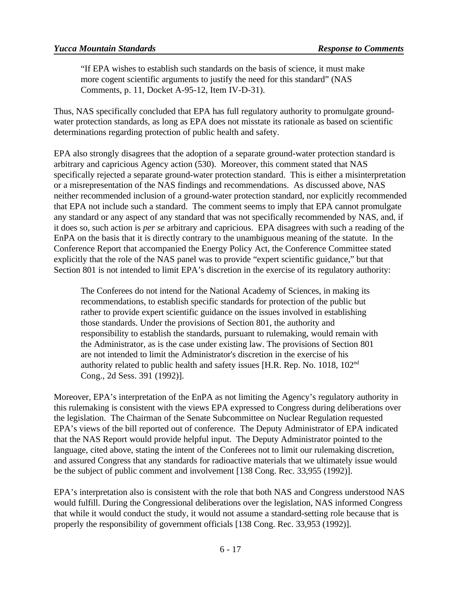"If EPA wishes to establish such standards on the basis of science, it must make more cogent scientific arguments to justify the need for this standard" (NAS Comments, p. 11, Docket A-95-12, Item IV-D-31).

Thus, NAS specifically concluded that EPA has full regulatory authority to promulgate groundwater protection standards, as long as EPA does not misstate its rationale as based on scientific determinations regarding protection of public health and safety.

EPA also strongly disagrees that the adoption of a separate ground-water protection standard is arbitrary and capricious Agency action (530). Moreover, this comment stated that NAS specifically rejected a separate ground-water protection standard. This is either a misinterpretation or a misrepresentation of the NAS findings and recommendations. As discussed above, NAS neither recommended inclusion of a ground-water protection standard, nor explicitly recommended that EPA not include such a standard. The comment seems to imply that EPA cannot promulgate any standard or any aspect of any standard that was not specifically recommended by NAS, and, if it does so, such action is *per se* arbitrary and capricious. EPA disagrees with such a reading of the EnPA on the basis that it is directly contrary to the unambiguous meaning of the statute. In the Conference Report that accompanied the Energy Policy Act, the Conference Committee stated explicitly that the role of the NAS panel was to provide "expert scientific guidance," but that Section 801 is not intended to limit EPA's discretion in the exercise of its regulatory authority:

The Conferees do not intend for the National Academy of Sciences, in making its recommendations, to establish specific standards for protection of the public but rather to provide expert scientific guidance on the issues involved in establishing those standards. Under the provisions of Section 801, the authority and responsibility to establish the standards, pursuant to rulemaking, would remain with the Administrator, as is the case under existing law. The provisions of Section 801 are not intended to limit the Administrator's discretion in the exercise of his authority related to public health and safety issues [H.R. Rep. No. 1018,  $102<sup>nd</sup>$ Cong., 2d Sess. 391 (1992)].

Moreover, EPA's interpretation of the EnPA as not limiting the Agency's regulatory authority in this rulemaking is consistent with the views EPA expressed to Congress during deliberations over the legislation. The Chairman of the Senate Subcommittee on Nuclear Regulation requested EPA's views of the bill reported out of conference. The Deputy Administrator of EPA indicated that the NAS Report would provide helpful input. The Deputy Administrator pointed to the language, cited above, stating the intent of the Conferees not to limit our rulemaking discretion, and assured Congress that any standards for radioactive materials that we ultimately issue would be the subject of public comment and involvement [138 Cong. Rec. 33,955 (1992)].

EPA's interpretation also is consistent with the role that both NAS and Congress understood NAS would fulfill. During the Congressional deliberations over the legislation, NAS informed Congress that while it would conduct the study, it would not assume a standard-setting role because that is properly the responsibility of government officials [138 Cong. Rec. 33,953 (1992)].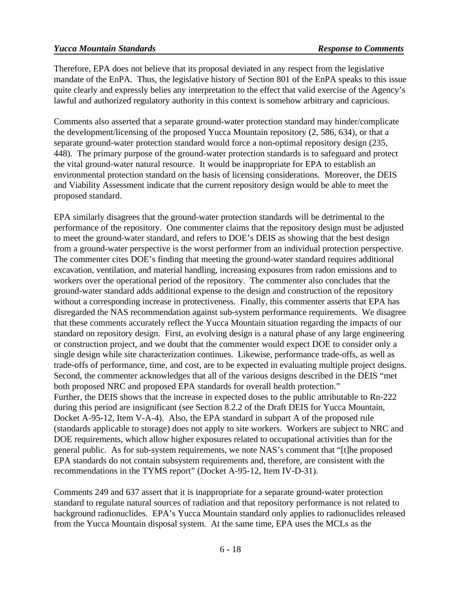Therefore, EPA does not believe that its proposal deviated in any respect from the legislative mandate of the EnPA. Thus, the legislative history of Section 801 of the EnPA speaks to this issue quite clearly and expressly belies any interpretation to the effect that valid exercise of the Agency's lawful and authorized regulatory authority in this context is somehow arbitrary and capricious.

Comments also asserted that a separate ground-water protection standard may hinder/complicate the development/licensing of the proposed Yucca Mountain repository (2, 586, 634), or that a separate ground-water protection standard would force a non-optimal repository design (235, 448). The primary purpose of the ground-water protection standards is to safeguard and protect the vital ground-water natural resource. It would be inappropriate for EPA to establish an environmental protection standard on the basis of licensing considerations. Moreover, the DEIS and Viability Assessment indicate that the current repository design would be able to meet the proposed standard.

EPA similarly disagrees that the ground-water protection standards will be detrimental to the performance of the repository. One commenter claims that the repository design must be adjusted to meet the ground-water standard, and refers to DOE's DEIS as showing that the best design from a ground-water perspective is the worst performer from an individual protection perspective. The commenter cites DOE's finding that meeting the ground-water standard requires additional excavation, ventilation, and material handling, increasing exposures from radon emissions and to workers over the operational period of the repository. The commenter also concludes that the ground-water standard adds additional expense to the design and construction of the repository without a corresponding increase in protectiveness. Finally, this commenter asserts that EPA has disregarded the NAS recommendation against sub-system performance requirements. We disagree that these comments accurately reflect the Yucca Mountain situation regarding the impacts of our standard on repository design. First, an evolving design is a natural phase of any large engineering or construction project, and we doubt that the commenter would expect DOE to consider only a single design while site characterization continues. Likewise, performance trade-offs, as well as trade-offs of performance, time, and cost, are to be expected in evaluating multiple project designs. Second, the commenter acknowledges that all of the various designs described in the DEIS "met both proposed NRC and proposed EPA standards for overall health protection." Further, the DEIS shows that the increase in expected doses to the public attributable to Rn-222 during this period are insignificant (see Section 8.2.2 of the Draft DEIS for Yucca Mountain, Docket A-95-12, Item V-A-4). Also, the EPA standard in subpart A of the proposed rule (standards applicable to storage) does not apply to site workers. Workers are subject to NRC and DOE requirements, which allow higher exposures related to occupational activities than for the general public. As for sub-system requirements, we note NAS's comment that "[t]he proposed EPA standards do not contain subsystem requirements and, therefore, are consistent with the recommendations in the TYMS report" (Docket A-95-12, Item IV-D-31).

Comments 249 and 637 assert that it is inappropriate for a separate ground-water protection standard to regulate natural sources of radiation and that repository performance is not related to background radionuclides. EPA's Yucca Mountain standard only applies to radionuclides released from the Yucca Mountain disposal system. At the same time, EPA uses the MCLs as the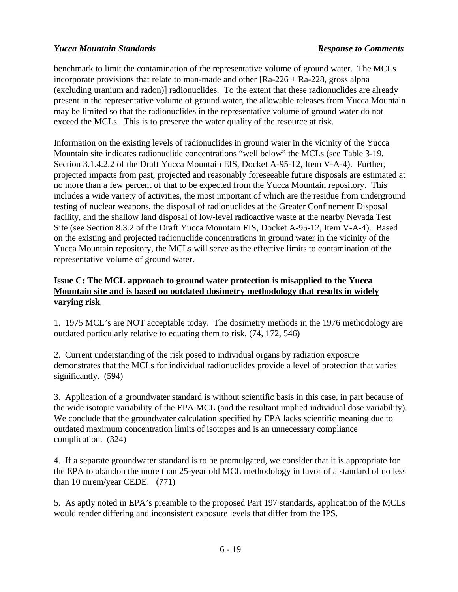<span id="page-163-0"></span>benchmark to limit the contamination of the representative volume of ground water. The MCLs incorporate provisions that relate to man-made and other  $[Ra-226 + Ra-228]$ , gross alpha (excluding uranium and radon)] radionuclides. To the extent that these radionuclides are already present in the representative volume of ground water, the allowable releases from Yucca Mountain may be limited so that the radionuclides in the representative volume of ground water do not exceed the MCLs. This is to preserve the water quality of the resource at risk.

Information on the existing levels of radionuclides in ground water in the vicinity of the Yucca Mountain site indicates radionuclide concentrations "well below" the MCLs (see Table 3-19, Section 3.1.4.2.2 of the Draft Yucca Mountain EIS, Docket A-95-12, Item V-A-4). Further, projected impacts from past, projected and reasonably foreseeable future disposals are estimated at no more than a few percent of that to be expected from the Yucca Mountain repository. This includes a wide variety of activities, the most important of which are the residue from underground testing of nuclear weapons, the disposal of radionuclides at the Greater Confinement Disposal facility, and the shallow land disposal of low-level radioactive waste at the nearby Nevada Test Site (see Section 8.3.2 of the Draft Yucca Mountain EIS, Docket A-95-12, Item V-A-4). Based on the existing and projected radionuclide concentrations in ground water in the vicinity of the Yucca Mountain repository, the MCLs will serve as the effective limits to contamination of the representative volume of ground water.

# **Issue C: The MCL approach to ground water protection is misapplied to the Yucca Mountain site and is based on outdated dosimetry methodology that results in widely varying risk**.

1. 1975 MCL's are NOT acceptable today. The dosimetry methods in the 1976 methodology are outdated particularly relative to equating them to risk. (74, 172, 546)

2. Current understanding of the risk posed to individual organs by radiation exposure demonstrates that the MCLs for individual radionuclides provide a level of protection that varies significantly. (594)

3. Application of a groundwater standard is without scientific basis in this case, in part because of the wide isotopic variability of the EPA MCL (and the resultant implied individual dose variability). We conclude that the groundwater calculation specified by EPA lacks scientific meaning due to outdated maximum concentration limits of isotopes and is an unnecessary compliance complication. (324)

4. If a separate groundwater standard is to be promulgated, we consider that it is appropriate for the EPA to abandon the more than 25-year old MCL methodology in favor of a standard of no less than 10 mrem/year CEDE. (771)

5. As aptly noted in EPA's preamble to the proposed Part 197 standards, application of the MCLs would render differing and inconsistent exposure levels that differ from the IPS.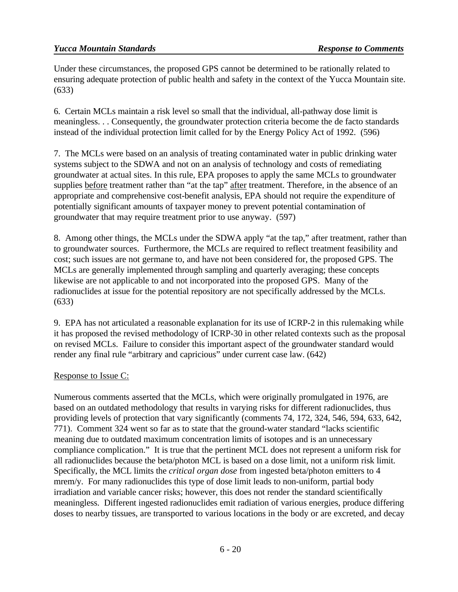Under these circumstances, the proposed GPS cannot be determined to be rationally related to ensuring adequate protection of public health and safety in the context of the Yucca Mountain site. (633)

6. Certain MCLs maintain a risk level so small that the individual, all-pathway dose limit is meaningless. . . Consequently, the groundwater protection criteria become the de facto standards instead of the individual protection limit called for by the Energy Policy Act of 1992. (596)

7. The MCLs were based on an analysis of treating contaminated water in public drinking water systems subject to the SDWA and not on an analysis of technology and costs of remediating groundwater at actual sites. In this rule, EPA proposes to apply the same MCLs to groundwater supplies before treatment rather than "at the tap" after treatment. Therefore, in the absence of an appropriate and comprehensive cost-benefit analysis, EPA should not require the expenditure of potentially significant amounts of taxpayer money to prevent potential contamination of groundwater that may require treatment prior to use anyway. (597)

8. Among other things, the MCLs under the SDWA apply "at the tap," after treatment, rather than to groundwater sources. Furthermore, the MCLs are required to reflect treatment feasibility and cost; such issues are not germane to, and have not been considered for, the proposed GPS. The MCLs are generally implemented through sampling and quarterly averaging; these concepts likewise are not applicable to and not incorporated into the proposed GPS. Many of the radionuclides at issue for the potential repository are not specifically addressed by the MCLs. (633)

9. EPA has not articulated a reasonable explanation for its use of ICRP-2 in this rulemaking while it has proposed the revised methodology of ICRP-30 in other related contexts such as the proposal on revised MCLs. Failure to consider this important aspect of the groundwater standard would render any final rule "arbitrary and capricious" under current case law. (642)

# Response to Issue C:

Numerous comments asserted that the MCLs, which were originally promulgated in 1976, are based on an outdated methodology that results in varying risks for different radionuclides, thus providing levels of protection that vary significantly (comments 74, 172, 324, 546, 594, 633, 642, 771). Comment 324 went so far as to state that the ground-water standard "lacks scientific meaning due to outdated maximum concentration limits of isotopes and is an unnecessary compliance complication." It is true that the pertinent MCL does not represent a uniform risk for all radionuclides because the beta/photon MCL is based on a dose limit, not a uniform risk limit. Specifically, the MCL limits the *critical organ dose* from ingested beta/photon emitters to 4 mrem/y. For many radionuclides this type of dose limit leads to non-uniform, partial body irradiation and variable cancer risks; however, this does not render the standard scientifically meaningless. Different ingested radionuclides emit radiation of various energies, produce differing doses to nearby tissues, are transported to various locations in the body or are excreted, and decay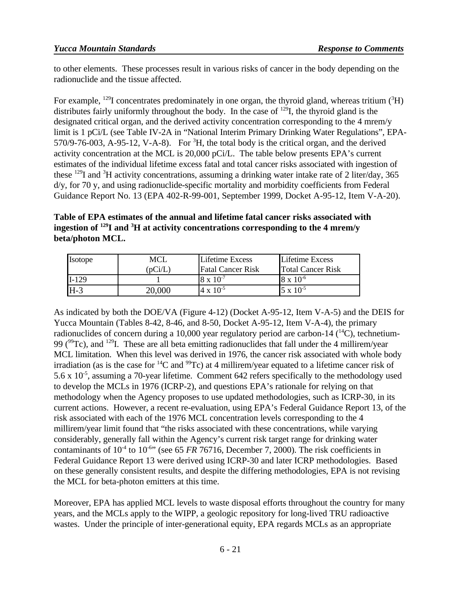to other elements. These processes result in various risks of cancer in the body depending on the radionuclide and the tissue affected.

For example,  $^{129}$ I concentrates predominately in one organ, the thyroid gland, whereas tritium ( $^{3}$ H) distributes fairly uniformly throughout the body. In the case of  $129I$ , the thyroid gland is the designated critical organ, and the derived activity concentration corresponding to the 4 mrem/y limit is 1 pCi/L (see Table IV-2A in "National Interim Primary Drinking Water Regulations", EPA-570/9-76-003, A-95-12, V-A-8). For  ${}^{3}H$ , the total body is the critical organ, and the derived activity concentration at the MCL is 20,000 pCi/L. The table below presents EPA's current estimates of the individual lifetime excess fatal and total cancer risks associated with ingestion of these  $^{129}$ I and  $^{3}$ H activity concentrations, assuming a drinking water intake rate of 2 liter/day, 365 d/y, for 70 y, and using radionuclide-specific mortality and morbidity coefficients from Federal Guidance Report No. 13 (EPA 402-R-99-001, September 1999, Docket A-95-12, Item V-A-20).

**Table of EPA estimates of the annual and lifetime fatal cancer risks associated with ingestion of 129I and 3 H at activity concentrations corresponding to the 4 mrem/y beta/photon MCL.** 

| Isotope | MCL    | <b>Lifetime Excess</b>   | Lifetime Excess          |
|---------|--------|--------------------------|--------------------------|
|         | DCI/L  | <b>Fatal Cancer Risk</b> | <b>Total Cancer Risk</b> |
| $I-129$ |        | $8 \times 10^{-7}$       | $8 \times 10^{-6}$       |
| H-3     | 20,000 | $4 \times 10^{-5}$       | $5 \times 10^{-5}$       |

As indicated by both the DOE/VA (Figure 4-12) (Docket A-95-12, Item V-A-5) and the DEIS for Yucca Mountain (Tables 8-42, 8-46, and 8-50, Docket A-95-12, Item V-A-4), the primary radionuclides of concern during a 10,000 year regulatory period are carbon-14  $(^{14}C)$ , technetium-99 ( $99$ <sup>- $99$ </sup>Tc), and <sup>129</sup>I. These are all beta emitting radionuclides that fall under the 4 millirem/year MCL limitation. When this level was derived in 1976, the cancer risk associated with whole body irradiation (as is the case for  ${}^{14}C$  and  ${}^{99}Tc$ ) at 4 millirem/year equated to a lifetime cancer risk of  $5.6 \times 10^{-5}$ , assuming a 70-year lifetime. Comment 642 refers specifically to the methodology used to develop the MCLs in 1976 (ICRP-2), and questions EPA's rationale for relying on that methodology when the Agency proposes to use updated methodologies, such as ICRP-30, in its current actions. However, a recent re-evaluation, using EPA's Federal Guidance Report 13, of the risk associated with each of the 1976 MCL concentration levels corresponding to the 4 millirem/year limit found that "the risks associated with these concentrations, while varying considerably, generally fall within the Agency's current risk target range for drinking water contaminants of  $10^{-4}$  to  $10^{-6}$ " (see 65 *FR* 76716, December 7, 2000). The risk coefficients in Federal Guidance Report 13 were derived using ICRP-30 and later ICRP methodologies. Based on these generally consistent results, and despite the differing methodologies, EPA is not revising the MCL for beta-photon emitters at this time.

Moreover, EPA has applied MCL levels to waste disposal efforts throughout the country for many years, and the MCLs apply to the WIPP, a geologic repository for long-lived TRU radioactive wastes. Under the principle of inter-generational equity, EPA regards MCLs as an appropriate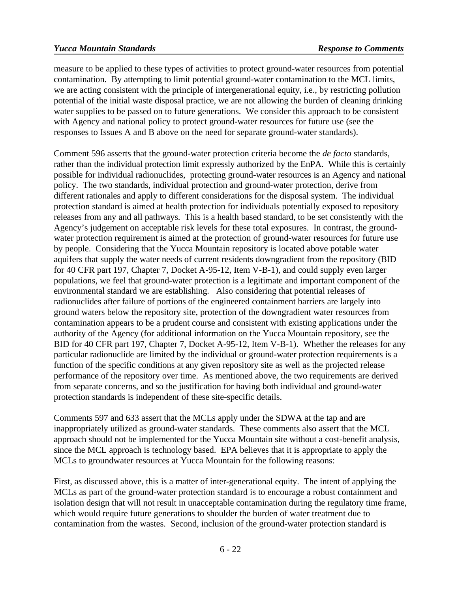measure to be applied to these types of activities to protect ground-water resources from potential contamination. By attempting to limit potential ground-water contamination to the MCL limits, we are acting consistent with the principle of intergenerational equity, i.e., by restricting pollution potential of the initial waste disposal practice, we are not allowing the burden of cleaning drinking water supplies to be passed on to future generations. We consider this approach to be consistent with Agency and national policy to protect ground-water resources for future use (see the responses to Issues A and B above on the need for separate ground-water standards).

Comment 596 asserts that the ground-water protection criteria become the *de facto* standards, rather than the individual protection limit expressly authorized by the EnPA. While this is certainly possible for individual radionuclides, protecting ground-water resources is an Agency and national policy. The two standards, individual protection and ground-water protection, derive from different rationales and apply to different considerations for the disposal system. The individual protection standard is aimed at health protection for individuals potentially exposed to repository releases from any and all pathways. This is a health based standard, to be set consistently with the Agency's judgement on acceptable risk levels for these total exposures. In contrast, the groundwater protection requirement is aimed at the protection of ground-water resources for future use by people. Considering that the Yucca Mountain repository is located above potable water aquifers that supply the water needs of current residents downgradient from the repository (BID for 40 CFR part 197, Chapter 7, Docket A-95-12, Item V-B-1), and could supply even larger populations, we feel that ground-water protection is a legitimate and important component of the environmental standard we are establishing. Also considering that potential releases of radionuclides after failure of portions of the engineered containment barriers are largely into ground waters below the repository site, protection of the downgradient water resources from contamination appears to be a prudent course and consistent with existing applications under the authority of the Agency (for additional information on the Yucca Mountain repository, see the BID for 40 CFR part 197, Chapter 7, Docket A-95-12, Item V-B-1). Whether the releases for any particular radionuclide are limited by the individual or ground-water protection requirements is a function of the specific conditions at any given repository site as well as the projected release performance of the repository over time. As mentioned above, the two requirements are derived from separate concerns, and so the justification for having both individual and ground-water protection standards is independent of these site-specific details.

Comments 597 and 633 assert that the MCLs apply under the SDWA at the tap and are inappropriately utilized as ground-water standards. These comments also assert that the MCL approach should not be implemented for the Yucca Mountain site without a cost-benefit analysis, since the MCL approach is technology based. EPA believes that it is appropriate to apply the MCLs to groundwater resources at Yucca Mountain for the following reasons:

First, as discussed above, this is a matter of inter-generational equity. The intent of applying the MCLs as part of the ground-water protection standard is to encourage a robust containment and isolation design that will not result in unacceptable contamination during the regulatory time frame, which would require future generations to shoulder the burden of water treatment due to contamination from the wastes. Second, inclusion of the ground-water protection standard is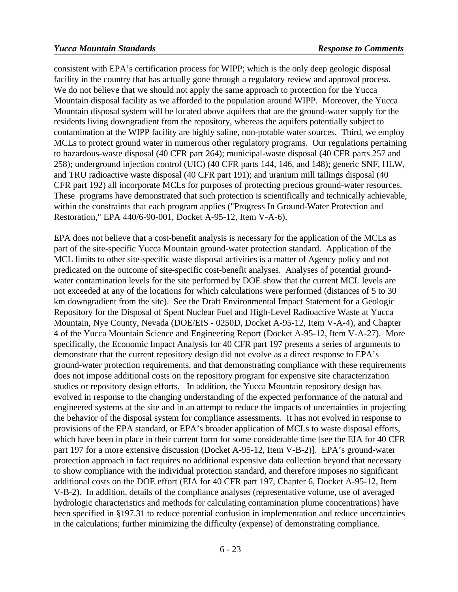consistent with EPA's certification process for WIPP; which is the only deep geologic disposal facility in the country that has actually gone through a regulatory review and approval process. We do not believe that we should not apply the same approach to protection for the Yucca Mountain disposal facility as we afforded to the population around WIPP. Moreover, the Yucca Mountain disposal system will be located above aquifers that are the ground-water supply for the residents living downgradient from the repository, whereas the aquifers potentially subject to contamination at the WIPP facility are highly saline, non-potable water sources. Third, we employ MCLs to protect ground water in numerous other regulatory programs. Our regulations pertaining to hazardous-waste disposal (40 CFR part 264); municipal-waste disposal (40 CFR parts 257 and 258); underground injection control (UIC) (40 CFR parts 144, 146, and 148); generic SNF, HLW, and TRU radioactive waste disposal (40 CFR part 191); and uranium mill tailings disposal (40 CFR part 192) all incorporate MCLs for purposes of protecting precious ground-water resources. These programs have demonstrated that such protection is scientifically and technically achievable, within the constraints that each program applies ("Progress In Ground-Water Protection and Restoration," EPA 440/6-90-001, Docket A-95-12, Item V-A-6).

EPA does not believe that a cost-benefit analysis is necessary for the application of the MCLs as part of the site-specific Yucca Mountain ground-water protection standard. Application of the MCL limits to other site-specific waste disposal activities is a matter of Agency policy and not predicated on the outcome of site-specific cost-benefit analyses. Analyses of potential groundwater contamination levels for the site performed by DOE show that the current MCL levels are not exceeded at any of the locations for which calculations were performed (distances of 5 to 30 km downgradient from the site). See the Draft Environmental Impact Statement for a Geologic Repository for the Disposal of Spent Nuclear Fuel and High-Level Radioactive Waste at Yucca Mountain, Nye County, Nevada (DOE/EIS - 0250D, Docket A-95-12, Item V-A-4), and Chapter 4 of the Yucca Mountain Science and Engineering Report (Docket A-95-12, Item V-A-27). More specifically, the Economic Impact Analysis for 40 CFR part 197 presents a series of arguments to demonstrate that the current repository design did not evolve as a direct response to EPA's ground-water protection requirements, and that demonstrating compliance with these requirements does not impose additional costs on the repository program for expensive site characterization studies or repository design efforts. In addition, the Yucca Mountain repository design has evolved in response to the changing understanding of the expected performance of the natural and engineered systems at the site and in an attempt to reduce the impacts of uncertainties in projecting the behavior of the disposal system for compliance assessments. It has not evolved in response to provisions of the EPA standard, or EPA's broader application of MCLs to waste disposal efforts, which have been in place in their current form for some considerable time [see the EIA for 40 CFR part 197 for a more extensive discussion (Docket A-95-12, Item V-B-2)]. EPA's ground-water protection approach in fact requires no additional expensive data collection beyond that necessary to show compliance with the individual protection standard, and therefore imposes no significant additional costs on the DOE effort (EIA for 40 CFR part 197, Chapter 6, Docket A-95-12, Item V-B-2). In addition, details of the compliance analyses (representative volume, use of averaged hydrologic characteristics and methods for calculating contamination plume concentrations) have been specified in §197.31 to reduce potential confusion in implementation and reduce uncertainties in the calculations; further minimizing the difficulty (expense) of demonstrating compliance.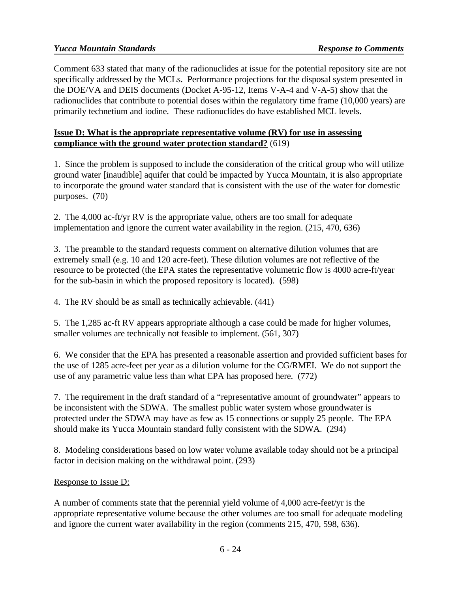### <span id="page-168-0"></span>*Yucca Mountain Standards Response to Comments*

Comment 633 stated that many of the radionuclides at issue for the potential repository site are not specifically addressed by the MCLs. Performance projections for the disposal system presented in the DOE/VA and DEIS documents (Docket A-95-12, Items V-A-4 and V-A-5) show that the radionuclides that contribute to potential doses within the regulatory time frame (10,000 years) are primarily technetium and iodine. These radionuclides do have established MCL levels.

#### **Issue D: What is the appropriate representative volume (RV) for use in assessing compliance with the ground water protection standard?** (619)

1. Since the problem is supposed to include the consideration of the critical group who will utilize ground water [inaudible] aquifer that could be impacted by Yucca Mountain, it is also appropriate to incorporate the ground water standard that is consistent with the use of the water for domestic purposes. (70)

2. The 4,000 ac-ft/yr RV is the appropriate value, others are too small for adequate implementation and ignore the current water availability in the region. (215, 470, 636)

3. The preamble to the standard requests comment on alternative dilution volumes that are extremely small (e.g. 10 and 120 acre-feet). These dilution volumes are not reflective of the resource to be protected (the EPA states the representative volumetric flow is 4000 acre-ft/year for the sub-basin in which the proposed repository is located). (598)

4. The RV should be as small as technically achievable. (441)

5. The 1,285 ac-ft RV appears appropriate although a case could be made for higher volumes, smaller volumes are technically not feasible to implement.  $(561, 307)$ 

6. We consider that the EPA has presented a reasonable assertion and provided sufficient bases for the use of 1285 acre-feet per year as a dilution volume for the CG/RMEI. We do not support the use of any parametric value less than what EPA has proposed here. (772)

7. The requirement in the draft standard of a "representative amount of groundwater" appears to be inconsistent with the SDWA. The smallest public water system whose groundwater is protected under the SDWA may have as few as 15 connections or supply 25 people. The EPA should make its Yucca Mountain standard fully consistent with the SDWA. (294)

8. Modeling considerations based on low water volume available today should not be a principal factor in decision making on the withdrawal point. (293)

#### Response to Issue D:

A number of comments state that the perennial yield volume of 4,000 acre-feet/yr is the appropriate representative volume because the other volumes are too small for adequate modeling and ignore the current water availability in the region (comments 215, 470, 598, 636).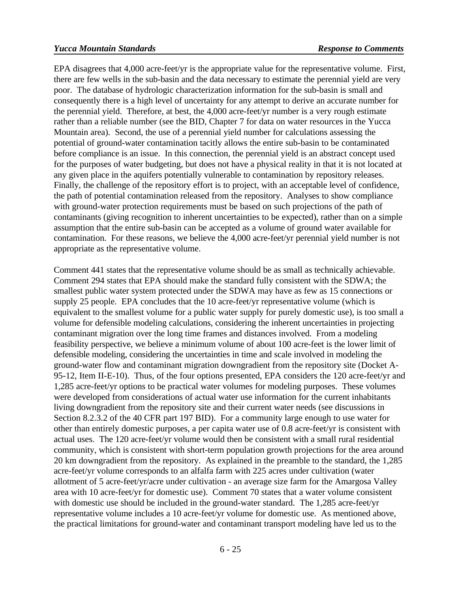EPA disagrees that 4,000 acre-feet/yr is the appropriate value for the representative volume. First, there are few wells in the sub-basin and the data necessary to estimate the perennial yield are very poor. The database of hydrologic characterization information for the sub-basin is small and consequently there is a high level of uncertainty for any attempt to derive an accurate number for the perennial yield. Therefore, at best, the 4,000 acre-feet/yr number is a very rough estimate rather than a reliable number (see the BID, Chapter 7 for data on water resources in the Yucca Mountain area). Second, the use of a perennial yield number for calculations assessing the potential of ground-water contamination tacitly allows the entire sub-basin to be contaminated before compliance is an issue. In this connection, the perennial yield is an abstract concept used for the purposes of water budgeting, but does not have a physical reality in that it is not located at any given place in the aquifers potentially vulnerable to contamination by repository releases. Finally, the challenge of the repository effort is to project, with an acceptable level of confidence, the path of potential contamination released from the repository. Analyses to show compliance with ground-water protection requirements must be based on such projections of the path of contaminants (giving recognition to inherent uncertainties to be expected), rather than on a simple assumption that the entire sub-basin can be accepted as a volume of ground water available for contamination. For these reasons, we believe the 4,000 acre-feet/yr perennial yield number is not appropriate as the representative volume.

Comment 441 states that the representative volume should be as small as technically achievable. Comment 294 states that EPA should make the standard fully consistent with the SDWA; the smallest public water system protected under the SDWA may have as few as 15 connections or supply 25 people. EPA concludes that the 10 acre-feet/yr representative volume (which is equivalent to the smallest volume for a public water supply for purely domestic use), is too small a volume for defensible modeling calculations, considering the inherent uncertainties in projecting contaminant migration over the long time frames and distances involved. From a modeling feasibility perspective, we believe a minimum volume of about 100 acre-feet is the lower limit of defensible modeling, considering the uncertainties in time and scale involved in modeling the ground-water flow and contaminant migration downgradient from the repository site (Docket A-95-12, Item II-E-10). Thus, of the four options presented, EPA considers the 120 acre-feet/yr and 1,285 acre-feet/yr options to be practical water volumes for modeling purposes. These volumes were developed from considerations of actual water use information for the current inhabitants living downgradient from the repository site and their current water needs (see discussions in Section 8.2.3.2 of the 40 CFR part 197 BID). For a community large enough to use water for other than entirely domestic purposes, a per capita water use of 0.8 acre-feet/yr is consistent with actual uses. The 120 acre-feet/yr volume would then be consistent with a small rural residential community, which is consistent with short-term population growth projections for the area around 20 km downgradient from the repository. As explained in the preamble to the standard, the 1,285 acre-feet/yr volume corresponds to an alfalfa farm with 225 acres under cultivation (water allotment of 5 acre-feet/yr/acre under cultivation - an average size farm for the Amargosa Valley area with 10 acre-feet/yr for domestic use). Comment 70 states that a water volume consistent with domestic use should be included in the ground-water standard. The 1,285 acre-feet/yr representative volume includes a 10 acre-feet/yr volume for domestic use. As mentioned above, the practical limitations for ground-water and contaminant transport modeling have led us to the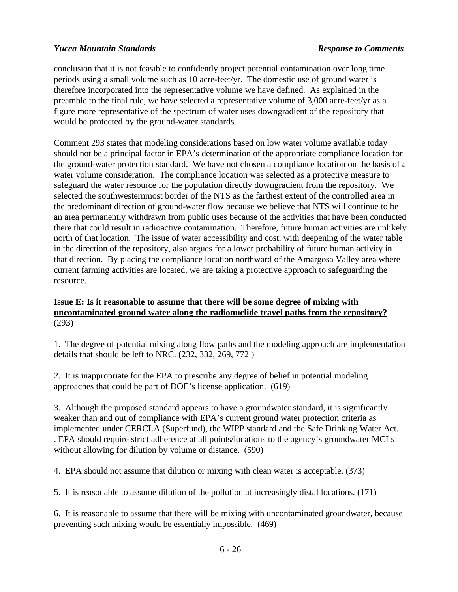<span id="page-170-0"></span>conclusion that it is not feasible to confidently project potential contamination over long time periods using a small volume such as 10 acre-feet/yr. The domestic use of ground water is therefore incorporated into the representative volume we have defined. As explained in the preamble to the final rule, we have selected a representative volume of 3,000 acre-feet/yr as a figure more representative of the spectrum of water uses downgradient of the repository that would be protected by the ground-water standards.

Comment 293 states that modeling considerations based on low water volume available today should not be a principal factor in EPA's determination of the appropriate compliance location for the ground-water protection standard. We have not chosen a compliance location on the basis of a water volume consideration. The compliance location was selected as a protective measure to safeguard the water resource for the population directly downgradient from the repository. We selected the southwesternmost border of the NTS as the farthest extent of the controlled area in the predominant direction of ground-water flow because we believe that NTS will continue to be an area permanently withdrawn from public uses because of the activities that have been conducted there that could result in radioactive contamination. Therefore, future human activities are unlikely north of that location. The issue of water accessibility and cost, with deepening of the water table in the direction of the repository, also argues for a lower probability of future human activity in that direction. By placing the compliance location northward of the Amargosa Valley area where current farming activities are located, we are taking a protective approach to safeguarding the resource.

# **Issue E: Is it reasonable to assume that there will be some degree of mixing with uncontaminated ground water along the radionuclide travel paths from the repository?**  (293)

1. The degree of potential mixing along flow paths and the modeling approach are implementation details that should be left to NRC. (232, 332, 269, 772 )

2. It is inappropriate for the EPA to prescribe any degree of belief in potential modeling approaches that could be part of DOE's license application. (619)

3. Although the proposed standard appears to have a groundwater standard, it is significantly weaker than and out of compliance with EPA's current ground water protection criteria as implemented under CERCLA (Superfund), the WIPP standard and the Safe Drinking Water Act. . . EPA should require strict adherence at all points/locations to the agency's groundwater MCLs without allowing for dilution by volume or distance. (590)

4. EPA should not assume that dilution or mixing with clean water is acceptable. (373)

5. It is reasonable to assume dilution of the pollution at increasingly distal locations. (171)

6. It is reasonable to assume that there will be mixing with uncontaminated groundwater, because preventing such mixing would be essentially impossible. (469)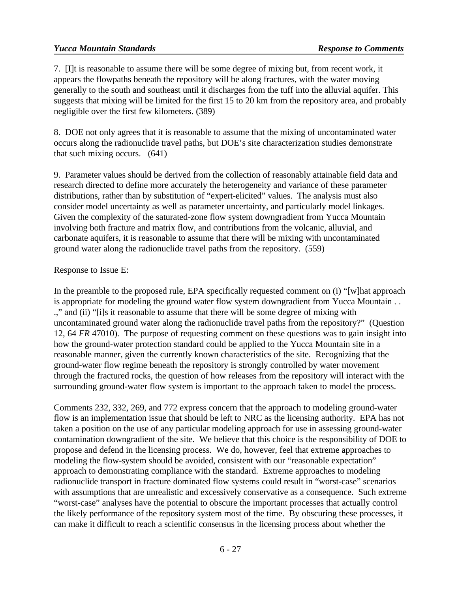7. [I]t is reasonable to assume there will be some degree of mixing but, from recent work, it appears the flowpaths beneath the repository will be along fractures, with the water moving generally to the south and southeast until it discharges from the tuff into the alluvial aquifer. This suggests that mixing will be limited for the first 15 to 20 km from the repository area, and probably negligible over the first few kilometers. (389)

8. DOE not only agrees that it is reasonable to assume that the mixing of uncontaminated water occurs along the radionuclide travel paths, but DOE's site characterization studies demonstrate that such mixing occurs. (641)

9. Parameter values should be derived from the collection of reasonably attainable field data and research directed to define more accurately the heterogeneity and variance of these parameter distributions, rather than by substitution of "expert-elicited" values. The analysis must also consider model uncertainty as well as parameter uncertainty, and particularly model linkages. Given the complexity of the saturated-zone flow system downgradient from Yucca Mountain involving both fracture and matrix flow, and contributions from the volcanic, alluvial, and carbonate aquifers, it is reasonable to assume that there will be mixing with uncontaminated ground water along the radionuclide travel paths from the repository. (559)

# Response to Issue E:

In the preamble to the proposed rule, EPA specifically requested comment on (i) "[w]hat approach is appropriate for modeling the ground water flow system downgradient from Yucca Mountain . . .," and (ii) "[i]s it reasonable to assume that there will be some degree of mixing with uncontaminated ground water along the radionuclide travel paths from the repository?" (Question 12, 64 *FR* 47010). The purpose of requesting comment on these questions was to gain insight into how the ground-water protection standard could be applied to the Yucca Mountain site in a reasonable manner, given the currently known characteristics of the site. Recognizing that the ground-water flow regime beneath the repository is strongly controlled by water movement through the fractured rocks, the question of how releases from the repository will interact with the surrounding ground-water flow system is important to the approach taken to model the process.

Comments 232, 332, 269, and 772 express concern that the approach to modeling ground-water flow is an implementation issue that should be left to NRC as the licensing authority. EPA has not taken a position on the use of any particular modeling approach for use in assessing ground-water contamination downgradient of the site. We believe that this choice is the responsibility of DOE to propose and defend in the licensing process. We do, however, feel that extreme approaches to modeling the flow-system should be avoided, consistent with our "reasonable expectation" approach to demonstrating compliance with the standard. Extreme approaches to modeling radionuclide transport in fracture dominated flow systems could result in "worst-case" scenarios with assumptions that are unrealistic and excessively conservative as a consequence. Such extreme "worst-case" analyses have the potential to obscure the important processes that actually control the likely performance of the repository system most of the time. By obscuring these processes, it can make it difficult to reach a scientific consensus in the licensing process about whether the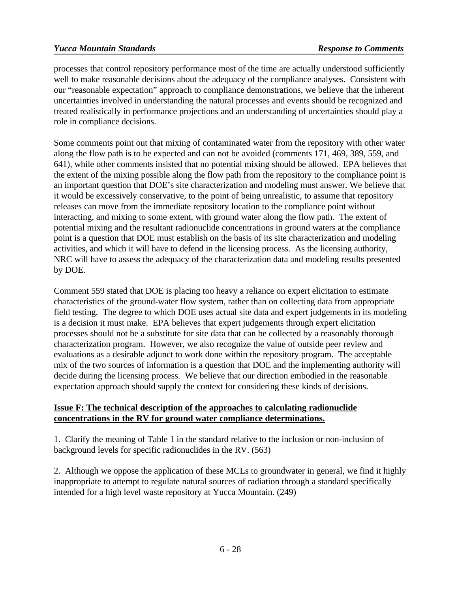<span id="page-172-0"></span>processes that control repository performance most of the time are actually understood sufficiently well to make reasonable decisions about the adequacy of the compliance analyses. Consistent with our "reasonable expectation" approach to compliance demonstrations, we believe that the inherent uncertainties involved in understanding the natural processes and events should be recognized and treated realistically in performance projections and an understanding of uncertainties should play a role in compliance decisions.

Some comments point out that mixing of contaminated water from the repository with other water along the flow path is to be expected and can not be avoided (comments 171, 469, 389, 559, and 641), while other comments insisted that no potential mixing should be allowed. EPA believes that the extent of the mixing possible along the flow path from the repository to the compliance point is an important question that DOE's site characterization and modeling must answer. We believe that it would be excessively conservative, to the point of being unrealistic, to assume that repository releases can move from the immediate repository location to the compliance point without interacting, and mixing to some extent, with ground water along the flow path. The extent of potential mixing and the resultant radionuclide concentrations in ground waters at the compliance point is a question that DOE must establish on the basis of its site characterization and modeling activities, and which it will have to defend in the licensing process. As the licensing authority, NRC will have to assess the adequacy of the characterization data and modeling results presented by DOE.

Comment 559 stated that DOE is placing too heavy a reliance on expert elicitation to estimate characteristics of the ground-water flow system, rather than on collecting data from appropriate field testing. The degree to which DOE uses actual site data and expert judgements in its modeling is a decision it must make. EPA believes that expert judgements through expert elicitation processes should not be a substitute for site data that can be collected by a reasonably thorough characterization program. However, we also recognize the value of outside peer review and evaluations as a desirable adjunct to work done within the repository program. The acceptable mix of the two sources of information is a question that DOE and the implementing authority will decide during the licensing process. We believe that our direction embodied in the reasonable expectation approach should supply the context for considering these kinds of decisions.

# **Issue F: The technical description of the approaches to calculating radionuclide concentrations in the RV for ground water compliance determinations.**

1. Clarify the meaning of Table 1 in the standard relative to the inclusion or non-inclusion of background levels for specific radionuclides in the RV. (563)

2. Although we oppose the application of these MCLs to groundwater in general, we find it highly inappropriate to attempt to regulate natural sources of radiation through a standard specifically intended for a high level waste repository at Yucca Mountain. (249)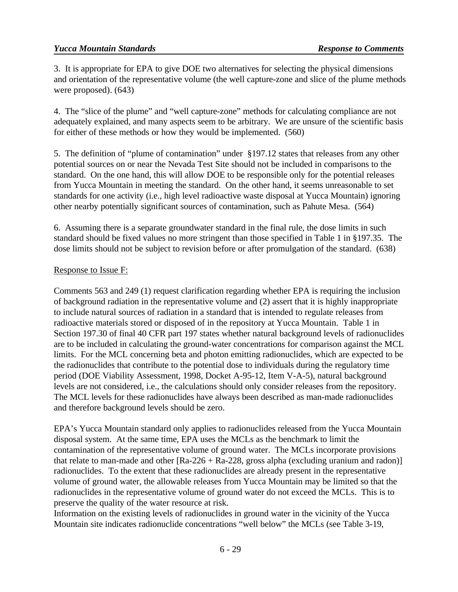3. It is appropriate for EPA to give DOE two alternatives for selecting the physical dimensions and orientation of the representative volume (the well capture-zone and slice of the plume methods were proposed). (643)

4. The "slice of the plume" and "well capture-zone" methods for calculating compliance are not adequately explained, and many aspects seem to be arbitrary. We are unsure of the scientific basis for either of these methods or how they would be implemented. (560)

5. The definition of "plume of contamination" under §197.12 states that releases from any other potential sources on or near the Nevada Test Site should not be included in comparisons to the standard. On the one hand, this will allow DOE to be responsible only for the potential releases from Yucca Mountain in meeting the standard. On the other hand, it seems unreasonable to set standards for one activity (i.e., high level radioactive waste disposal at Yucca Mountain) ignoring other nearby potentially significant sources of contamination, such as Pahute Mesa. (564)

6. Assuming there is a separate groundwater standard in the final rule, the dose limits in such standard should be fixed values no more stringent than those specified in Table 1 in §197.35. The dose limits should not be subject to revision before or after promulgation of the standard. (638)

# Response to Issue F:

Comments 563 and 249 (1) request clarification regarding whether EPA is requiring the inclusion of background radiation in the representative volume and (2) assert that it is highly inappropriate to include natural sources of radiation in a standard that is intended to regulate releases from radioactive materials stored or disposed of in the repository at Yucca Mountain. Table 1 in Section 197.30 of final 40 CFR part 197 states whether natural background levels of radionuclides are to be included in calculating the ground-water concentrations for comparison against the MCL limits. For the MCL concerning beta and photon emitting radionuclides, which are expected to be the radionuclides that contribute to the potential dose to individuals during the regulatory time period (DOE Viability Assessment, 1998, Docket A-95-12, Item V-A-5), natural background levels are not considered, i.e., the calculations should only consider releases from the repository. The MCL levels for these radionuclides have always been described as man-made radionuclides and therefore background levels should be zero.

EPA's Yucca Mountain standard only applies to radionuclides released from the Yucca Mountain disposal system. At the same time, EPA uses the MCLs as the benchmark to limit the contamination of the representative volume of ground water. The MCLs incorporate provisions that relate to man-made and other  $[Ra-226 + Ra-228]$ , gross alpha (excluding uranium and radon)] radionuclides. To the extent that these radionuclides are already present in the representative volume of ground water, the allowable releases from Yucca Mountain may be limited so that the radionuclides in the representative volume of ground water do not exceed the MCLs. This is to preserve the quality of the water resource at risk.

Information on the existing levels of radionuclides in ground water in the vicinity of the Yucca Mountain site indicates radionuclide concentrations "well below" the MCLs (see Table 3-19,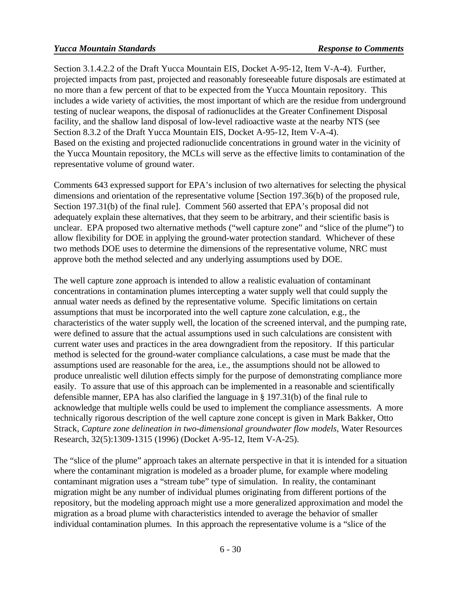#### *Yucca Mountain Standards Response to Comments*

Section 3.1.4.2.2 of the Draft Yucca Mountain EIS, Docket A-95-12, Item V-A-4). Further, projected impacts from past, projected and reasonably foreseeable future disposals are estimated at no more than a few percent of that to be expected from the Yucca Mountain repository. This includes a wide variety of activities, the most important of which are the residue from underground testing of nuclear weapons, the disposal of radionuclides at the Greater Confinement Disposal facility, and the shallow land disposal of low-level radioactive waste at the nearby NTS (see Section 8.3.2 of the Draft Yucca Mountain EIS, Docket A-95-12, Item V-A-4). Based on the existing and projected radionuclide concentrations in ground water in the vicinity of the Yucca Mountain repository, the MCLs will serve as the effective limits to contamination of the representative volume of ground water.

Comments 643 expressed support for EPA's inclusion of two alternatives for selecting the physical dimensions and orientation of the representative volume [Section 197.36(b) of the proposed rule, Section 197.31(b) of the final rule]. Comment 560 asserted that EPA's proposal did not adequately explain these alternatives, that they seem to be arbitrary, and their scientific basis is unclear. EPA proposed two alternative methods ("well capture zone" and "slice of the plume") to allow flexibility for DOE in applying the ground-water protection standard. Whichever of these two methods DOE uses to determine the dimensions of the representative volume, NRC must approve both the method selected and any underlying assumptions used by DOE.

The well capture zone approach is intended to allow a realistic evaluation of contaminant concentrations in contamination plumes intercepting a water supply well that could supply the annual water needs as defined by the representative volume. Specific limitations on certain assumptions that must be incorporated into the well capture zone calculation, e.g., the characteristics of the water supply well, the location of the screened interval, and the pumping rate, were defined to assure that the actual assumptions used in such calculations are consistent with current water uses and practices in the area downgradient from the repository. If this particular method is selected for the ground-water compliance calculations, a case must be made that the assumptions used are reasonable for the area, i.e., the assumptions should not be allowed to produce unrealistic well dilution effects simply for the purpose of demonstrating compliance more easily. To assure that use of this approach can be implemented in a reasonable and scientifically defensible manner, EPA has also clarified the language in § 197.31(b) of the final rule to acknowledge that multiple wells could be used to implement the compliance assessments. A more technically rigorous description of the well capture zone concept is given in Mark Bakker, Otto Strack, *Capture zone delineation in two-dimensional groundwater flow models*, Water Resources Research, 32(5):1309-1315 (1996) (Docket A-95-12, Item V-A-25).

The "slice of the plume" approach takes an alternate perspective in that it is intended for a situation where the contaminant migration is modeled as a broader plume, for example where modeling contaminant migration uses a "stream tube" type of simulation. In reality, the contaminant migration might be any number of individual plumes originating from different portions of the repository, but the modeling approach might use a more generalized approximation and model the migration as a broad plume with characteristics intended to average the behavior of smaller individual contamination plumes. In this approach the representative volume is a "slice of the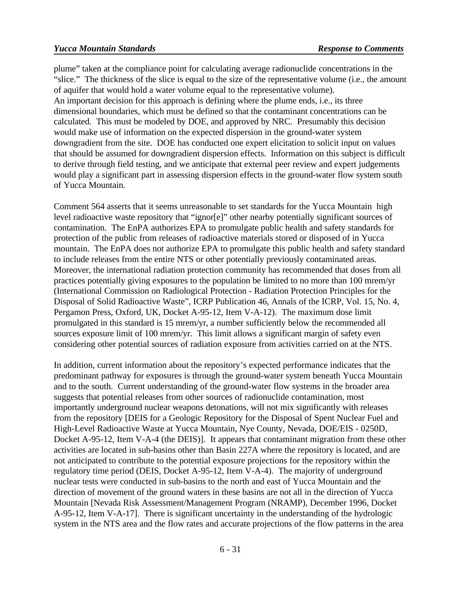plume" taken at the compliance point for calculating average radionuclide concentrations in the "slice." The thickness of the slice is equal to the size of the representative volume (i.e., the amount of aquifer that would hold a water volume equal to the representative volume). An important decision for this approach is defining where the plume ends, i.e., its three dimensional boundaries, which must be defined so that the contaminant concentrations can be calculated. This must be modeled by DOE, and approved by NRC. Presumably this decision would make use of information on the expected dispersion in the ground-water system downgradient from the site. DOE has conducted one expert elicitation to solicit input on values that should be assumed for downgradient dispersion effects. Information on this subject is difficult to derive through field testing, and we anticipate that external peer review and expert judgements would play a significant part in assessing dispersion effects in the ground-water flow system south of Yucca Mountain.

Comment 564 asserts that it seems unreasonable to set standards for the Yucca Mountain high level radioactive waste repository that "ignor[e]" other nearby potentially significant sources of contamination. The EnPA authorizes EPA to promulgate public health and safety standards for protection of the public from releases of radioactive materials stored or disposed of in Yucca mountain. The EnPA does not authorize EPA to promulgate this public health and safety standard to include releases from the entire NTS or other potentially previously contaminated areas. Moreover, the international radiation protection community has recommended that doses from all practices potentially giving exposures to the population be limited to no more than 100 mrem/yr (International Commission on Radiological Protection - Radiation Protection Principles for the Disposal of Solid Radioactive Waste", ICRP Publication 46, Annals of the ICRP, Vol. 15, No. 4, Pergamon Press, Oxford, UK, Docket A-95-12, Item V-A-12). The maximum dose limit promulgated in this standard is 15 mrem/yr, a number sufficiently below the recommended all sources exposure limit of 100 mrem/yr. This limit allows a significant margin of safety even considering other potential sources of radiation exposure from activities carried on at the NTS.

In addition, current information about the repository's expected performance indicates that the predominant pathway for exposures is through the ground-water system beneath Yucca Mountain and to the south. Current understanding of the ground-water flow systems in the broader area suggests that potential releases from other sources of radionuclide contamination, most importantly underground nuclear weapons detonations, will not mix significantly with releases from the repository [DEIS for a Geologic Repository for the Disposal of Spent Nuclear Fuel and High-Level Radioactive Waste at Yucca Mountain, Nye County, Nevada, DOE/EIS - 0250D, Docket A-95-12, Item V-A-4 (the DEIS)]. It appears that contaminant migration from these other activities are located in sub-basins other than Basin 227A where the repository is located, and are not anticipated to contribute to the potential exposure projections for the repository within the regulatory time period (DEIS, Docket A-95-12, Item V-A-4). The majority of underground nuclear tests were conducted in sub-basins to the north and east of Yucca Mountain and the direction of movement of the ground waters in these basins are not all in the direction of Yucca Mountain [Nevada Risk Assessment/Management Program (NRAMP), December 1996, Docket A-95-12, Item V-A-17]. There is significant uncertainty in the understanding of the hydrologic system in the NTS area and the flow rates and accurate projections of the flow patterns in the area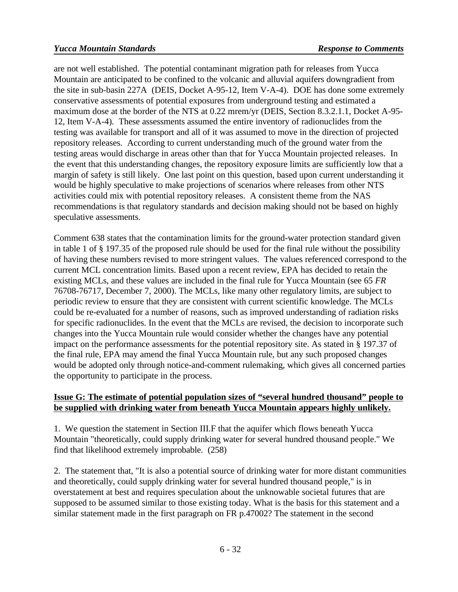<span id="page-176-0"></span>are not well established. The potential contaminant migration path for releases from Yucca Mountain are anticipated to be confined to the volcanic and alluvial aquifers downgradient from the site in sub-basin 227A (DEIS, Docket A-95-12, Item V-A-4). DOE has done some extremely conservative assessments of potential exposures from underground testing and estimated a maximum dose at the border of the NTS at 0.22 mrem/yr (DEIS, Section 8.3.2.1.1, Docket A-95 12, Item V-A-4). These assessments assumed the entire inventory of radionuclides from the testing was available for transport and all of it was assumed to move in the direction of projected repository releases. According to current understanding much of the ground water from the testing areas would discharge in areas other than that for Yucca Mountain projected releases. In the event that this understanding changes, the repository exposure limits are sufficiently low that a margin of safety is still likely. One last point on this question, based upon current understanding it would be highly speculative to make projections of scenarios where releases from other NTS activities could mix with potential repository releases. A consistent theme from the NAS recommendations is that regulatory standards and decision making should not be based on highly speculative assessments.

Comment 638 states that the contamination limits for the ground-water protection standard given in table 1 of § 197.35 of the proposed rule should be used for the final rule without the possibility of having these numbers revised to more stringent values. The values referenced correspond to the current MCL concentration limits. Based upon a recent review, EPA has decided to retain the existing MCLs, and these values are included in the final rule for Yucca Mountain (see 65 *FR*  76708-76717, December 7, 2000). The MCLs, like many other regulatory limits, are subject to periodic review to ensure that they are consistent with current scientific knowledge. The MCLs could be re-evaluated for a number of reasons, such as improved understanding of radiation risks for specific radionuclides. In the event that the MCLs are revised, the decision to incorporate such changes into the Yucca Mountain rule would consider whether the changes have any potential impact on the performance assessments for the potential repository site. As stated in § 197.37 of the final rule, EPA may amend the final Yucca Mountain rule, but any such proposed changes would be adopted only through notice-and-comment rulemaking, which gives all concerned parties the opportunity to participate in the process.

# **Issue G: The estimate of potential population sizes of "several hundred thousand" people to be supplied with drinking water from beneath Yucca Mountain appears highly unlikely.**

1. We question the statement in Section III.F that the aquifer which flows beneath Yucca Mountain "theoretically, could supply drinking water for several hundred thousand people." We find that likelihood extremely improbable. (258)

2. The statement that, "It is also a potential source of drinking water for more distant communities and theoretically, could supply drinking water for several hundred thousand people," is in overstatement at best and requires speculation about the unknowable societal futures that are supposed to be assumed similar to those existing today. What is the basis for this statement and a similar statement made in the first paragraph on FR p.47002? The statement in the second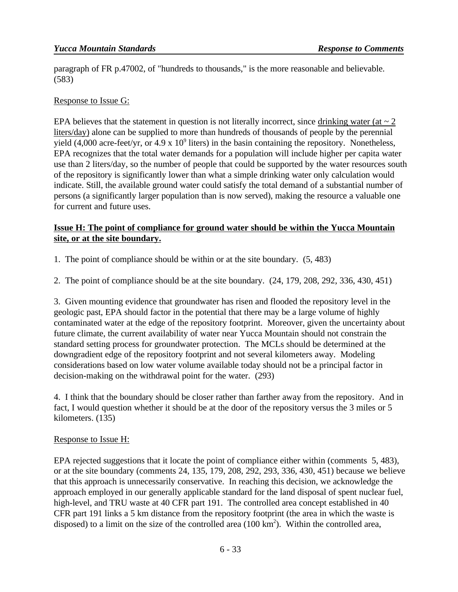<span id="page-177-0"></span>paragraph of FR p.47002, of "hundreds to thousands," is the more reasonable and believable. (583)

# Response to Issue G:

EPA believes that the statement in question is not literally incorrect, since drinking water (at  $\sim$  2) liters/day) alone can be supplied to more than hundreds of thousands of people by the perennial yield  $(4,000$  acre-feet/yr, or  $4.9 \times 10^9$  liters) in the basin containing the repository. Nonetheless, EPA recognizes that the total water demands for a population will include higher per capita water use than 2 liters/day, so the number of people that could be supported by the water resources south of the repository is significantly lower than what a simple drinking water only calculation would indicate. Still, the available ground water could satisfy the total demand of a substantial number of persons (a significantly larger population than is now served), making the resource a valuable one for current and future uses.

# **Issue H: The point of compliance for ground water should be within the Yucca Mountain site, or at the site boundary.**

1. The point of compliance should be within or at the site boundary. (5, 483)

2. The point of compliance should be at the site boundary. (24, 179, 208, 292, 336, 430, 451)

3. Given mounting evidence that groundwater has risen and flooded the repository level in the geologic past, EPA should factor in the potential that there may be a large volume of highly contaminated water at the edge of the repository footprint. Moreover, given the uncertainty about future climate, the current availability of water near Yucca Mountain should not constrain the standard setting process for groundwater protection. The MCLs should be determined at the downgradient edge of the repository footprint and not several kilometers away. Modeling considerations based on low water volume available today should not be a principal factor in decision-making on the withdrawal point for the water. (293)

4. I think that the boundary should be closer rather than farther away from the repository. And in fact, I would question whether it should be at the door of the repository versus the 3 miles or 5 kilometers. (135)

# Response to Issue H:

EPA rejected suggestions that it locate the point of compliance either within (comments 5, 483), or at the site boundary (comments 24, 135, 179, 208, 292, 293, 336, 430, 451) because we believe that this approach is unnecessarily conservative. In reaching this decision, we acknowledge the approach employed in our generally applicable standard for the land disposal of spent nuclear fuel, high-level, and TRU waste at 40 CFR part 191. The controlled area concept established in 40 CFR part 191 links a 5 km distance from the repository footprint (the area in which the waste is disposed) to a limit on the size of the controlled area  $(100 \text{ km}^2)$ . Within the controlled area,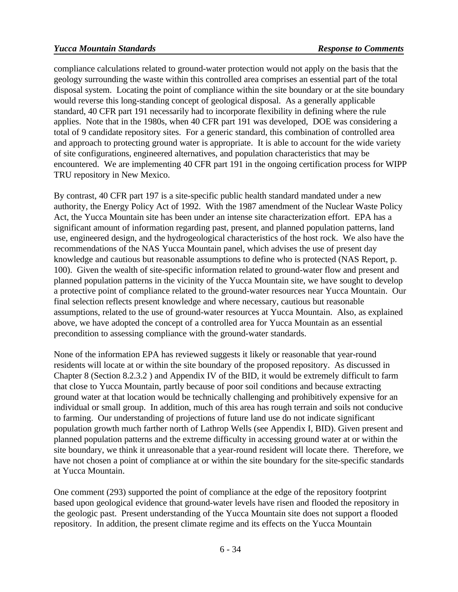compliance calculations related to ground-water protection would not apply on the basis that the geology surrounding the waste within this controlled area comprises an essential part of the total disposal system. Locating the point of compliance within the site boundary or at the site boundary would reverse this long-standing concept of geological disposal. As a generally applicable standard, 40 CFR part 191 necessarily had to incorporate flexibility in defining where the rule applies. Note that in the 1980s, when 40 CFR part 191 was developed, DOE was considering a total of 9 candidate repository sites. For a generic standard, this combination of controlled area and approach to protecting ground water is appropriate. It is able to account for the wide variety of site configurations, engineered alternatives, and population characteristics that may be encountered. We are implementing 40 CFR part 191 in the ongoing certification process for WIPP TRU repository in New Mexico.

By contrast, 40 CFR part 197 is a site-specific public health standard mandated under a new authority, the Energy Policy Act of 1992. With the 1987 amendment of the Nuclear Waste Policy Act, the Yucca Mountain site has been under an intense site characterization effort. EPA has a significant amount of information regarding past, present, and planned population patterns, land use, engineered design, and the hydrogeological characteristics of the host rock. We also have the recommendations of the NAS Yucca Mountain panel, which advises the use of present day knowledge and cautious but reasonable assumptions to define who is protected (NAS Report, p. 100). Given the wealth of site-specific information related to ground-water flow and present and planned population patterns in the vicinity of the Yucca Mountain site, we have sought to develop a protective point of compliance related to the ground-water resources near Yucca Mountain. Our final selection reflects present knowledge and where necessary, cautious but reasonable assumptions, related to the use of ground-water resources at Yucca Mountain. Also, as explained above, we have adopted the concept of a controlled area for Yucca Mountain as an essential precondition to assessing compliance with the ground-water standards.

None of the information EPA has reviewed suggests it likely or reasonable that year-round residents will locate at or within the site boundary of the proposed repository. As discussed in Chapter 8 (Section 8.2.3.2 ) and Appendix IV of the BID, it would be extremely difficult to farm that close to Yucca Mountain, partly because of poor soil conditions and because extracting ground water at that location would be technically challenging and prohibitively expensive for an individual or small group. In addition, much of this area has rough terrain and soils not conducive to farming. Our understanding of projections of future land use do not indicate significant population growth much farther north of Lathrop Wells (see Appendix I, BID). Given present and planned population patterns and the extreme difficulty in accessing ground water at or within the site boundary, we think it unreasonable that a year-round resident will locate there. Therefore, we have not chosen a point of compliance at or within the site boundary for the site-specific standards at Yucca Mountain.

One comment (293) supported the point of compliance at the edge of the repository footprint based upon geological evidence that ground-water levels have risen and flooded the repository in the geologic past. Present understanding of the Yucca Mountain site does not support a flooded repository. In addition, the present climate regime and its effects on the Yucca Mountain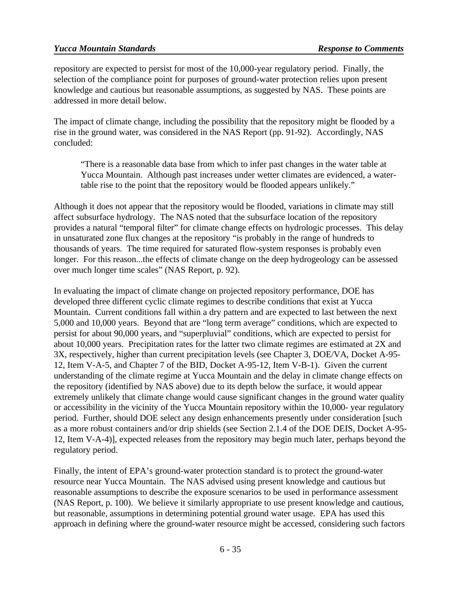repository are expected to persist for most of the 10,000-year regulatory period. Finally, the selection of the compliance point for purposes of ground-water protection relies upon present knowledge and cautious but reasonable assumptions, as suggested by NAS. These points are addressed in more detail below.

The impact of climate change, including the possibility that the repository might be flooded by a rise in the ground water, was considered in the NAS Report (pp. 91-92). Accordingly, NAS concluded:

"There is a reasonable data base from which to infer past changes in the water table at Yucca Mountain. Although past increases under wetter climates are evidenced, a watertable rise to the point that the repository would be flooded appears unlikely."

Although it does not appear that the repository would be flooded, variations in climate may still affect subsurface hydrology. The NAS noted that the subsurface location of the repository provides a natural "temporal filter" for climate change effects on hydrologic processes. This delay in unsaturated zone flux changes at the repository "is probably in the range of hundreds to thousands of years. The time required for saturated flow-system responses is probably even longer. For this reason...the effects of climate change on the deep hydrogeology can be assessed over much longer time scales" (NAS Report, p. 92).

In evaluating the impact of climate change on projected repository performance, DOE has developed three different cyclic climate regimes to describe conditions that exist at Yucca Mountain. Current conditions fall within a dry pattern and are expected to last between the next 5,000 and 10,000 years. Beyond that are "long term average" conditions, which are expected to persist for about 90,000 years, and "superpluvial" conditions, which are expected to persist for about 10,000 years. Precipitation rates for the latter two climate regimes are estimated at 2X and 3X, respectively, higher than current precipitation levels (see Chapter 3, DOE/VA, Docket A-95 12, Item V-A-5, and Chapter 7 of the BID, Docket A-95-12, Item V-B-1). Given the current understanding of the climate regime at Yucca Mountain and the delay in climate change effects on the repository (identified by NAS above) due to its depth below the surface, it would appear extremely unlikely that climate change would cause significant changes in the ground water quality or accessibility in the vicinity of the Yucca Mountain repository within the 10,000- year regulatory period. Further, should DOE select any design enhancements presently under consideration [such as a more robust containers and/or drip shields (see Section 2.1.4 of the DOE DEIS, Docket A-95 12, Item V-A-4)], expected releases from the repository may begin much later, perhaps beyond the regulatory period.

Finally, the intent of EPA's ground-water protection standard is to protect the ground-water resource near Yucca Mountain. The NAS advised using present knowledge and cautious but reasonable assumptions to describe the exposure scenarios to be used in performance assessment (NAS Report, p. 100). We believe it similarly appropriate to use present knowledge and cautious, but reasonable, assumptions in determining potential ground water usage. EPA has used this approach in defining where the ground-water resource might be accessed, considering such factors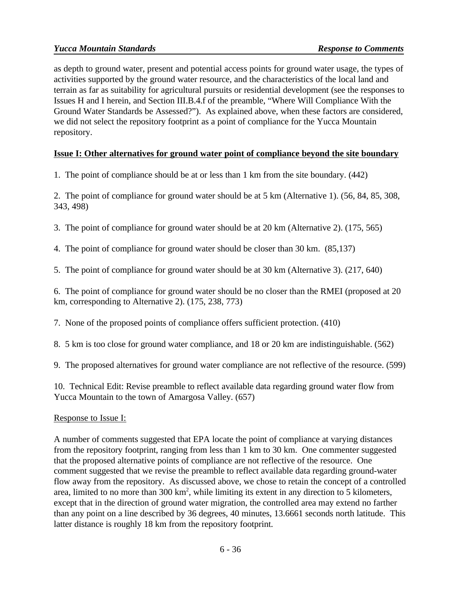as depth to ground water, present and potential access points for ground water usage, the types of activities supported by the ground water resource, and the characteristics of the local land and terrain as far as suitability for agricultural pursuits or residential development (see the responses to Issues H and I herein, and Section III.B.4.f of the preamble, "Where Will Compliance With the Ground Water Standards be Assessed?"). As explained above, when these factors are considered, we did not select the repository footprint as a point of compliance for the Yucca Mountain repository.

## **Issue I: Other alternatives for ground water point of compliance beyond the site boundary**

1. The point of compliance should be at or less than 1 km from the site boundary. (442)

2. The point of compliance for ground water should be at 5 km (Alternative 1). (56, 84, 85, 308, 343, 498)

3. The point of compliance for ground water should be at 20 km (Alternative 2). (175, 565)

4. The point of compliance for ground water should be closer than 30 km. (85,137)

5. The point of compliance for ground water should be at 30 km (Alternative 3). (217, 640)

6. The point of compliance for ground water should be no closer than the RMEI (proposed at 20 km, corresponding to Alternative 2). (175, 238, 773)

7. None of the proposed points of compliance offers sufficient protection. (410)

8. 5 km is too close for ground water compliance, and 18 or 20 km are indistinguishable. (562)

9. The proposed alternatives for ground water compliance are not reflective of the resource. (599)

10. Technical Edit: Revise preamble to reflect available data regarding ground water flow from Yucca Mountain to the town of Amargosa Valley. (657)

#### Response to Issue I:

A number of comments suggested that EPA locate the point of compliance at varying distances from the repository footprint, ranging from less than 1 km to 30 km. One commenter suggested that the proposed alternative points of compliance are not reflective of the resource. One comment suggested that we revise the preamble to reflect available data regarding ground-water flow away from the repository. As discussed above, we chose to retain the concept of a controlled area, limited to no more than 300 km<sup>2</sup>, while limiting its extent in any direction to 5 kilometers, except that in the direction of ground water migration, the controlled area may extend no farther than any point on a line described by 36 degrees, 40 minutes, 13.6661 seconds north latitude. This latter distance is roughly 18 km from the repository footprint.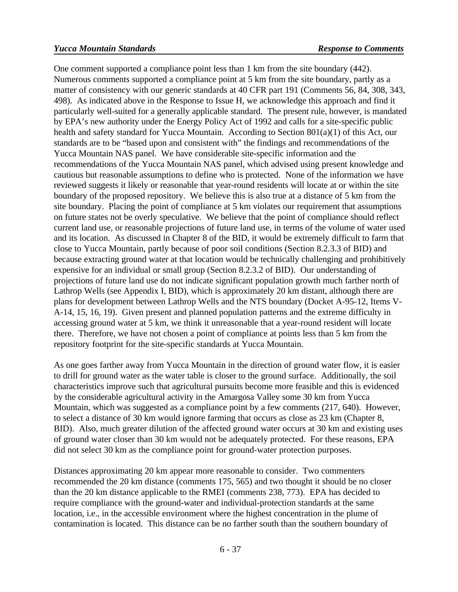#### *Yucca Mountain Standards Response to Comments*

One comment supported a compliance point less than 1 km from the site boundary (442). Numerous comments supported a compliance point at 5 km from the site boundary, partly as a matter of consistency with our generic standards at 40 CFR part 191 (Comments 56, 84, 308, 343, 498). As indicated above in the Response to Issue H, we acknowledge this approach and find it particularly well-suited for a generally applicable standard. The present rule, however, is mandated by EPA's new authority under the Energy Policy Act of 1992 and calls for a site-specific public health and safety standard for Yucca Mountain. According to Section 801(a)(1) of this Act, our standards are to be "based upon and consistent with" the findings and recommendations of the Yucca Mountain NAS panel. We have considerable site-specific information and the recommendations of the Yucca Mountain NAS panel, which advised using present knowledge and cautious but reasonable assumptions to define who is protected. None of the information we have reviewed suggests it likely or reasonable that year-round residents will locate at or within the site boundary of the proposed repository. We believe this is also true at a distance of 5 km from the site boundary. Placing the point of compliance at 5 km violates our requirement that assumptions on future states not be overly speculative. We believe that the point of compliance should reflect current land use, or reasonable projections of future land use, in terms of the volume of water used and its location. As discussed in Chapter 8 of the BID, it would be extremely difficult to farm that close to Yucca Mountain, partly because of poor soil conditions (Section 8.2.3.3 of BID) and because extracting ground water at that location would be technically challenging and prohibitively expensive for an individual or small group (Section 8.2.3.2 of BID). Our understanding of projections of future land use do not indicate significant population growth much farther north of Lathrop Wells (see Appendix I, BID), which is approximately 20 km distant, although there are plans for development between Lathrop Wells and the NTS boundary (Docket A-95-12, Items V-A-14, 15, 16, 19). Given present and planned population patterns and the extreme difficulty in accessing ground water at 5 km, we think it unreasonable that a year-round resident will locate there. Therefore, we have not chosen a point of compliance at points less than 5 km from the repository footprint for the site-specific standards at Yucca Mountain.

As one goes farther away from Yucca Mountain in the direction of ground water flow, it is easier to drill for ground water as the water table is closer to the ground surface. Additionally, the soil characteristics improve such that agricultural pursuits become more feasible and this is evidenced by the considerable agricultural activity in the Amargosa Valley some 30 km from Yucca Mountain, which was suggested as a compliance point by a few comments (217, 640). However, to select a distance of 30 km would ignore farming that occurs as close as 23 km (Chapter 8, BID). Also, much greater dilution of the affected ground water occurs at 30 km and existing uses of ground water closer than 30 km would not be adequately protected. For these reasons, EPA did not select 30 km as the compliance point for ground-water protection purposes.

Distances approximating 20 km appear more reasonable to consider. Two commenters recommended the 20 km distance (comments 175, 565) and two thought it should be no closer than the 20 km distance applicable to the RMEI (comments 238, 773). EPA has decided to require compliance with the ground-water and individual-protection standards at the same location, i.e., in the accessible environment where the highest concentration in the plume of contamination is located. This distance can be no farther south than the southern boundary of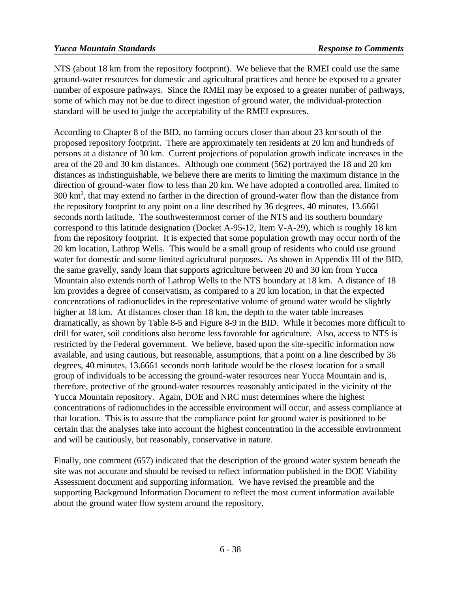NTS (about 18 km from the repository footprint). We believe that the RMEI could use the same ground-water resources for domestic and agricultural practices and hence be exposed to a greater number of exposure pathways. Since the RMEI may be exposed to a greater number of pathways, some of which may not be due to direct ingestion of ground water, the individual-protection standard will be used to judge the acceptability of the RMEI exposures.

According to Chapter 8 of the BID, no farming occurs closer than about 23 km south of the proposed repository footprint. There are approximately ten residents at 20 km and hundreds of persons at a distance of 30 km. Current projections of population growth indicate increases in the area of the 20 and 30 km distances. Although one comment (562) portrayed the 18 and 20 km distances as indistinguishable, we believe there are merits to limiting the maximum distance in the direction of ground-water flow to less than 20 km. We have adopted a controlled area, limited to 300 km<sup>2</sup>, that may extend no farther in the direction of ground-water flow than the distance from the repository footprint to any point on a line described by 36 degrees, 40 minutes, 13.6661 seconds north latitude. The southwesternmost corner of the NTS and its southern boundary correspond to this latitude designation (Docket A-95-12, Item V-A-29), which is roughly 18 km from the repository footprint. It is expected that some population growth may occur north of the 20 km location, Lathrop Wells. This would be a small group of residents who could use ground water for domestic and some limited agricultural purposes. As shown in Appendix III of the BID, the same gravelly, sandy loam that supports agriculture between 20 and 30 km from Yucca Mountain also extends north of Lathrop Wells to the NTS boundary at 18 km. A distance of 18 km provides a degree of conservatism, as compared to a 20 km location, in that the expected concentrations of radionuclides in the representative volume of ground water would be slightly higher at 18 km. At distances closer than 18 km, the depth to the water table increases dramatically, as shown by Table 8-5 and Figure 8-9 in the BID. While it becomes more difficult to drill for water, soil conditions also become less favorable for agriculture. Also, access to NTS is restricted by the Federal government. We believe, based upon the site-specific information now available, and using cautious, but reasonable, assumptions, that a point on a line described by 36 degrees, 40 minutes, 13.6661 seconds north latitude would be the closest location for a small group of individuals to be accessing the ground-water resources near Yucca Mountain and is, therefore, protective of the ground-water resources reasonably anticipated in the vicinity of the Yucca Mountain repository. Again, DOE and NRC must determines where the highest concentrations of radionuclides in the accessible environment will occur, and assess compliance at that location. This is to assure that the compliance point for ground water is positioned to be certain that the analyses take into account the highest concentration in the accessible environment and will be cautiously, but reasonably, conservative in nature.

Finally, one comment (657) indicated that the description of the ground water system beneath the site was not accurate and should be revised to reflect information published in the DOE Viability Assessment document and supporting information. We have revised the preamble and the supporting Background Information Document to reflect the most current information available about the ground water flow system around the repository.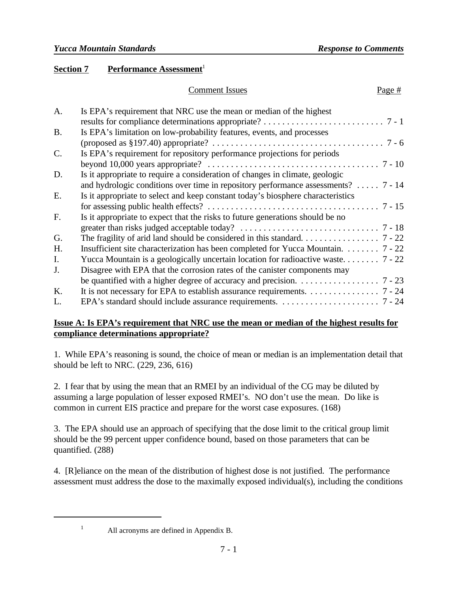### **Section 7** Performance Assessment<sup>1</sup>

### Comment Issues Page #

| A.             | Is EPA's requirement that NRC use the mean or median of the highest                                                                                                 |
|----------------|---------------------------------------------------------------------------------------------------------------------------------------------------------------------|
| <b>B.</b>      | Is EPA's limitation on low-probability features, events, and processes                                                                                              |
| $C$ .          | Is EPA's requirement for repository performance projections for periods                                                                                             |
|                |                                                                                                                                                                     |
| D.             | Is it appropriate to require a consideration of changes in climate, geologic<br>and hydrologic conditions over time in repository performance assessments? $7 - 14$ |
| E.             | Is it appropriate to select and keep constant today's biosphere characteristics                                                                                     |
| F <sub>r</sub> | Is it appropriate to expect that the risks to future generations should be no                                                                                       |
|                |                                                                                                                                                                     |
| G.             |                                                                                                                                                                     |
| H.             | Insufficient site characterization has been completed for Yucca Mountain. 7 - 22                                                                                    |
| $I_{\cdot}$    | Yucca Mountain is a geologically uncertain location for radioactive waste $7 - 22$                                                                                  |
| J.             | Disagree with EPA that the corrosion rates of the canister components may                                                                                           |
|                |                                                                                                                                                                     |
| K.             | It is not necessary for EPA to establish assurance requirements. 7 - 24                                                                                             |
| L.             |                                                                                                                                                                     |

## **Issue A: Is EPA's requirement that NRC use the mean or median of the highest results for compliance determinations appropriate?**

1. While EPA's reasoning is sound, the choice of mean or median is an implementation detail that should be left to NRC. (229, 236, 616)

2. I fear that by using the mean that an RMEI by an individual of the CG may be diluted by assuming a large population of lesser exposed RMEI's. NO don't use the mean. Do like is common in current EIS practice and prepare for the worst case exposures. (168)

3. The EPA should use an approach of specifying that the dose limit to the critical group limit should be the 99 percent upper confidence bound, based on those parameters that can be quantified. (288)

4. [R]eliance on the mean of the distribution of highest dose is not justified. The performance assessment must address the dose to the maximally exposed individual(s), including the conditions

<sup>&</sup>lt;sup>1</sup> All acronyms are defined in Appendix B.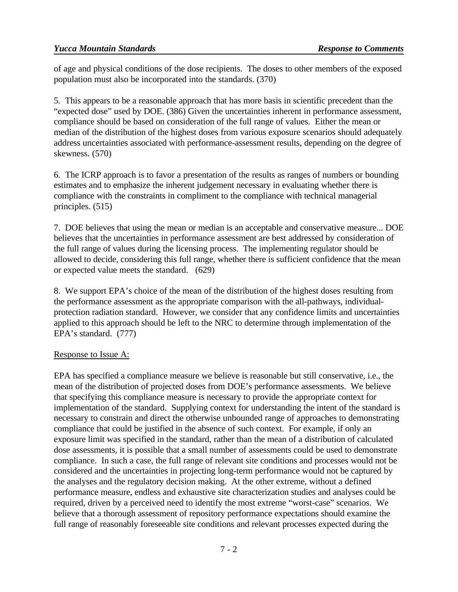of age and physical conditions of the dose recipients. The doses to other members of the exposed population must also be incorporated into the standards. (370)

5. This appears to be a reasonable approach that has more basis in scientific precedent than the "expected dose" used by DOE. (386) Given the uncertainties inherent in performance assessment, compliance should be based on consideration of the full range of values. Either the mean or median of the distribution of the highest doses from various exposure scenarios should adequately address uncertainties associated with performance-assessment results, depending on the degree of skewness. (570)

6. The ICRP approach is to favor a presentation of the results as ranges of numbers or bounding estimates and to emphasize the inherent judgement necessary in evaluating whether there is compliance with the constraints in compliment to the compliance with technical managerial principles. (515)

7. DOE believes that using the mean or median is an acceptable and conservative measure... DOE believes that the uncertainties in performance assessment are best addressed by consideration of the full range of values during the licensing process. The implementing regulator should be allowed to decide, considering this full range, whether there is sufficient confidence that the mean or expected value meets the standard. (629)

8. We support EPA's choice of the mean of the distribution of the highest doses resulting from the performance assessment as the appropriate comparison with the all-pathways, individualprotection radiation standard. However, we consider that any confidence limits and uncertainties applied to this approach should be left to the NRC to determine through implementation of the EPA's standard. (777)

## Response to Issue A:

EPA has specified a compliance measure we believe is reasonable but still conservative, i.e., the mean of the distribution of projected doses from DOE's performance assessments. We believe that specifying this compliance measure is necessary to provide the appropriate context for implementation of the standard. Supplying context for understanding the intent of the standard is necessary to constrain and direct the otherwise unbounded range of approaches to demonstrating compliance that could be justified in the absence of such context. For example, if only an exposure limit was specified in the standard, rather than the mean of a distribution of calculated dose assessments, it is possible that a small number of assessments could be used to demonstrate compliance. In such a case, the full range of relevant site conditions and processes would not be considered and the uncertainties in projecting long-term performance would not be captured by the analyses and the regulatory decision making. At the other extreme, without a defined performance measure, endless and exhaustive site characterization studies and analyses could be required, driven by a perceived need to identify the most extreme "worst-case" scenarios. We believe that a thorough assessment of repository performance expectations should examine the full range of reasonably foreseeable site conditions and relevant processes expected during the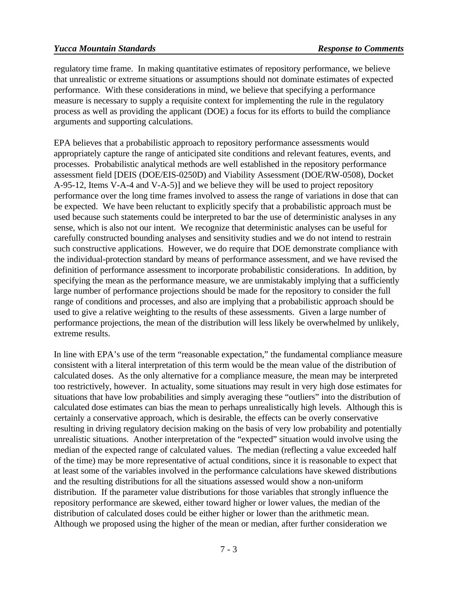regulatory time frame. In making quantitative estimates of repository performance, we believe that unrealistic or extreme situations or assumptions should not dominate estimates of expected performance. With these considerations in mind, we believe that specifying a performance measure is necessary to supply a requisite context for implementing the rule in the regulatory process as well as providing the applicant (DOE) a focus for its efforts to build the compliance arguments and supporting calculations.

EPA believes that a probabilistic approach to repository performance assessments would appropriately capture the range of anticipated site conditions and relevant features, events, and processes. Probabilistic analytical methods are well established in the repository performance assessment field [DEIS (DOE/EIS-0250D) and Viability Assessment (DOE/RW-0508), Docket A-95-12, Items V-A-4 and V-A-5)] and we believe they will be used to project repository performance over the long time frames involved to assess the range of variations in dose that can be expected. We have been reluctant to explicitly specify that a probabilistic approach must be used because such statements could be interpreted to bar the use of deterministic analyses in any sense, which is also not our intent. We recognize that deterministic analyses can be useful for carefully constructed bounding analyses and sensitivity studies and we do not intend to restrain such constructive applications. However, we do require that DOE demonstrate compliance with the individual-protection standard by means of performance assessment, and we have revised the definition of performance assessment to incorporate probabilistic considerations. In addition, by specifying the mean as the performance measure, we are unmistakably implying that a sufficiently large number of performance projections should be made for the repository to consider the full range of conditions and processes, and also are implying that a probabilistic approach should be used to give a relative weighting to the results of these assessments. Given a large number of performance projections, the mean of the distribution will less likely be overwhelmed by unlikely, extreme results.

In line with EPA's use of the term "reasonable expectation," the fundamental compliance measure consistent with a literal interpretation of this term would be the mean value of the distribution of calculated doses. As the only alternative for a compliance measure, the mean may be interpreted too restrictively, however. In actuality, some situations may result in very high dose estimates for situations that have low probabilities and simply averaging these "outliers" into the distribution of calculated dose estimates can bias the mean to perhaps unrealistically high levels. Although this is certainly a conservative approach, which is desirable, the effects can be overly conservative resulting in driving regulatory decision making on the basis of very low probability and potentially unrealistic situations. Another interpretation of the "expected" situation would involve using the median of the expected range of calculated values. The median (reflecting a value exceeded half of the time) may be more representative of actual conditions, since it is reasonable to expect that at least some of the variables involved in the performance calculations have skewed distributions and the resulting distributions for all the situations assessed would show a non-uniform distribution. If the parameter value distributions for those variables that strongly influence the repository performance are skewed, either toward higher or lower values, the median of the distribution of calculated doses could be either higher or lower than the arithmetic mean. Although we proposed using the higher of the mean or median, after further consideration we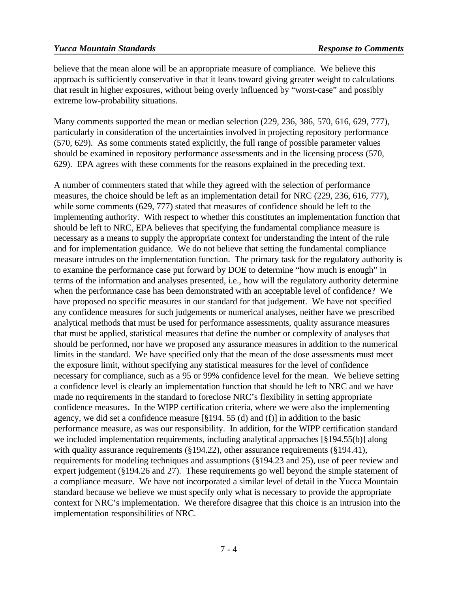#### *Yucca Mountain Standards Response to Comments*

believe that the mean alone will be an appropriate measure of compliance. We believe this approach is sufficiently conservative in that it leans toward giving greater weight to calculations that result in higher exposures, without being overly influenced by "worst-case" and possibly extreme low-probability situations.

Many comments supported the mean or median selection (229, 236, 386, 570, 616, 629, 777), particularly in consideration of the uncertainties involved in projecting repository performance (570, 629). As some comments stated explicitly, the full range of possible parameter values should be examined in repository performance assessments and in the licensing process (570, 629). EPA agrees with these comments for the reasons explained in the preceding text.

A number of commenters stated that while they agreed with the selection of performance measures, the choice should be left as an implementation detail for NRC (229, 236, 616, 777), while some comments (629, 777) stated that measures of confidence should be left to the implementing authority. With respect to whether this constitutes an implementation function that should be left to NRC, EPA believes that specifying the fundamental compliance measure is necessary as a means to supply the appropriate context for understanding the intent of the rule and for implementation guidance. We do not believe that setting the fundamental compliance measure intrudes on the implementation function. The primary task for the regulatory authority is to examine the performance case put forward by DOE to determine "how much is enough" in terms of the information and analyses presented, i.e., how will the regulatory authority determine when the performance case has been demonstrated with an acceptable level of confidence? We have proposed no specific measures in our standard for that judgement. We have not specified any confidence measures for such judgements or numerical analyses, neither have we prescribed analytical methods that must be used for performance assessments, quality assurance measures that must be applied, statistical measures that define the number or complexity of analyses that should be performed, nor have we proposed any assurance measures in addition to the numerical limits in the standard. We have specified only that the mean of the dose assessments must meet the exposure limit, without specifying any statistical measures for the level of confidence necessary for compliance, such as a 95 or 99% confidence level for the mean. We believe setting a confidence level is clearly an implementation function that should be left to NRC and we have made no requirements in the standard to foreclose NRC's flexibility in setting appropriate confidence measures. In the WIPP certification criteria, where we were also the implementing agency, we did set a confidence measure [§194. 55 (d) and (f)] in addition to the basic performance measure, as was our responsibility. In addition, for the WIPP certification standard we included implementation requirements, including analytical approaches [§194.55(b)] along with quality assurance requirements (§194.22), other assurance requirements (§194.41), requirements for modeling techniques and assumptions (§194.23 and 25), use of peer review and expert judgement (§194.26 and 27). These requirements go well beyond the simple statement of a compliance measure. We have not incorporated a similar level of detail in the Yucca Mountain standard because we believe we must specify only what is necessary to provide the appropriate context for NRC's implementation. We therefore disagree that this choice is an intrusion into the implementation responsibilities of NRC.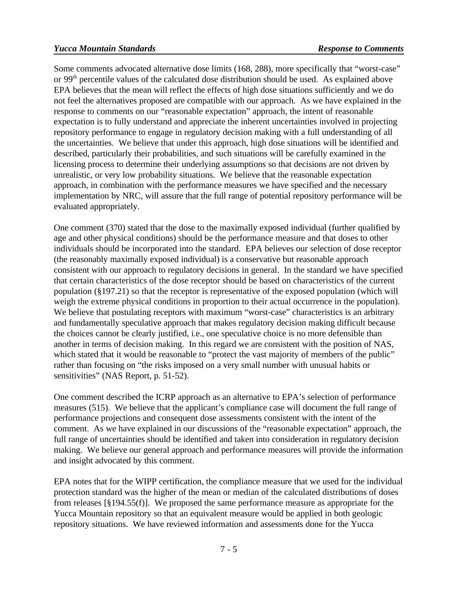Some comments advocated alternative dose limits (168, 288), more specifically that "worst-case" or 99th percentile values of the calculated dose distribution should be used. As explained above EPA believes that the mean will reflect the effects of high dose situations sufficiently and we do not feel the alternatives proposed are compatible with our approach. As we have explained in the response to comments on our "reasonable expectation" approach, the intent of reasonable expectation is to fully understand and appreciate the inherent uncertainties involved in projecting repository performance to engage in regulatory decision making with a full understanding of all the uncertainties. We believe that under this approach, high dose situations will be identified and described, particularly their probabilities, and such situations will be carefully examined in the licensing process to determine their underlying assumptions so that decisions are not driven by unrealistic, or very low probability situations. We believe that the reasonable expectation approach, in combination with the performance measures we have specified and the necessary implementation by NRC, will assure that the full range of potential repository performance will be evaluated appropriately.

One comment (370) stated that the dose to the maximally exposed individual (further qualified by age and other physical conditions) should be the performance measure and that doses to other individuals should be incorporated into the standard. EPA believes our selection of dose receptor (the reasonably maximally exposed individual) is a conservative but reasonable approach consistent with our approach to regulatory decisions in general. In the standard we have specified that certain characteristics of the dose receptor should be based on characteristics of the current population (§197.21) so that the receptor is representative of the exposed population (which will weigh the extreme physical conditions in proportion to their actual occurrence in the population). We believe that postulating receptors with maximum "worst-case" characteristics is an arbitrary and fundamentally speculative approach that makes regulatory decision making difficult because the choices cannot be clearly justified, i.e., one speculative choice is no more defensible than another in terms of decision making. In this regard we are consistent with the position of NAS, which stated that it would be reasonable to "protect the vast majority of members of the public" rather than focusing on "the risks imposed on a very small number with unusual habits or sensitivities" (NAS Report, p. 51-52).

One comment described the ICRP approach as an alternative to EPA's selection of performance measures (515). We believe that the applicant's compliance case will document the full range of performance projections and consequent dose assessments consistent with the intent of the comment. As we have explained in our discussions of the "reasonable expectation" approach, the full range of uncertainties should be identified and taken into consideration in regulatory decision making. We believe our general approach and performance measures will provide the information and insight advocated by this comment.

EPA notes that for the WIPP certification, the compliance measure that we used for the individual protection standard was the higher of the mean or median of the calculated distributions of doses from releases [§194.55(f)]. We proposed the same performance measure as appropriate for the Yucca Mountain repository so that an equivalent measure would be applied in both geologic repository situations. We have reviewed information and assessments done for the Yucca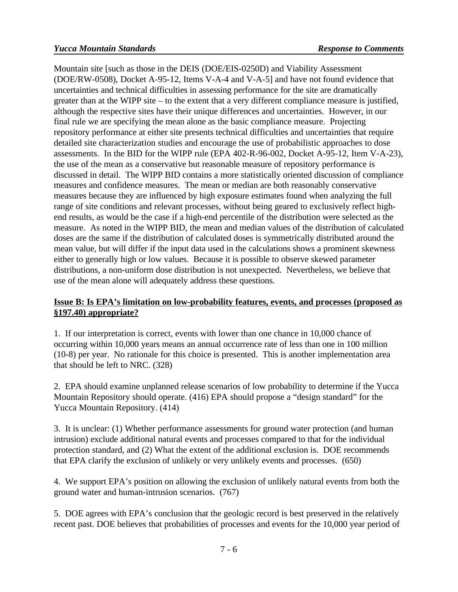<span id="page-188-0"></span>Mountain site [such as those in the DEIS (DOE/EIS-0250D) and Viability Assessment (DOE/RW-0508), Docket A-95-12, Items V-A-4 and V-A-5] and have not found evidence that uncertainties and technical difficulties in assessing performance for the site are dramatically greater than at the WIPP site – to the extent that a very different compliance measure is justified, although the respective sites have their unique differences and uncertainties. However, in our final rule we are specifying the mean alone as the basic compliance measure. Projecting repository performance at either site presents technical difficulties and uncertainties that require detailed site characterization studies and encourage the use of probabilistic approaches to dose assessments. In the BID for the WIPP rule (EPA 402-R-96-002, Docket A-95-12, Item V-A-23), the use of the mean as a conservative but reasonable measure of repository performance is discussed in detail. The WIPP BID contains a more statistically oriented discussion of compliance measures and confidence measures. The mean or median are both reasonably conservative measures because they are influenced by high exposure estimates found when analyzing the full range of site conditions and relevant processes, without being geared to exclusively reflect highend results, as would be the case if a high-end percentile of the distribution were selected as the measure. As noted in the WIPP BID, the mean and median values of the distribution of calculated doses are the same if the distribution of calculated doses is symmetrically distributed around the mean value, but will differ if the input data used in the calculations shows a prominent skewness either to generally high or low values. Because it is possible to observe skewed parameter distributions, a non-uniform dose distribution is not unexpected. Nevertheless, we believe that use of the mean alone will adequately address these questions.

## **Issue B: Is EPA's limitation on low-probability features, events, and processes (proposed as §197.40) appropriate?**

1. If our interpretation is correct, events with lower than one chance in 10,000 chance of occurring within 10,000 years means an annual occurrence rate of less than one in 100 million (10-8) per year. No rationale for this choice is presented. This is another implementation area that should be left to NRC. (328)

2. EPA should examine unplanned release scenarios of low probability to determine if the Yucca Mountain Repository should operate. (416) EPA should propose a "design standard" for the Yucca Mountain Repository. (414)

3. It is unclear: (1) Whether performance assessments for ground water protection (and human intrusion) exclude additional natural events and processes compared to that for the individual protection standard, and (2) What the extent of the additional exclusion is. DOE recommends that EPA clarify the exclusion of unlikely or very unlikely events and processes. (650)

4. We support EPA's position on allowing the exclusion of unlikely natural events from both the ground water and human-intrusion scenarios. (767)

5. DOE agrees with EPA's conclusion that the geologic record is best preserved in the relatively recent past. DOE believes that probabilities of processes and events for the 10,000 year period of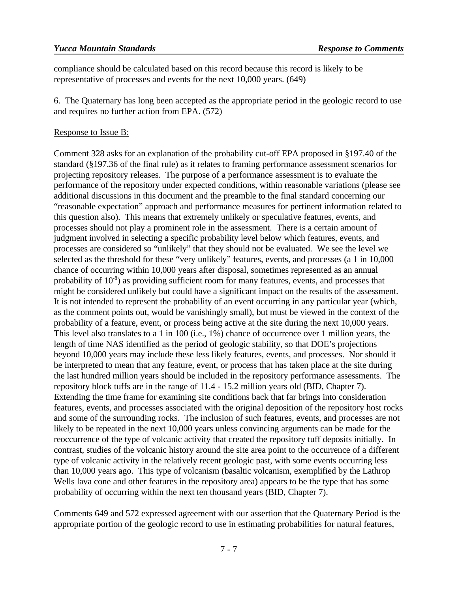compliance should be calculated based on this record because this record is likely to be representative of processes and events for the next 10,000 years. (649)

6. The Quaternary has long been accepted as the appropriate period in the geologic record to use and requires no further action from EPA. (572)

### Response to Issue B:

Comment 328 asks for an explanation of the probability cut-off EPA proposed in §197.40 of the standard (§197.36 of the final rule) as it relates to framing performance assessment scenarios for projecting repository releases. The purpose of a performance assessment is to evaluate the performance of the repository under expected conditions, within reasonable variations (please see additional discussions in this document and the preamble to the final standard concerning our "reasonable expectation" approach and performance measures for pertinent information related to this question also). This means that extremely unlikely or speculative features, events, and processes should not play a prominent role in the assessment. There is a certain amount of judgment involved in selecting a specific probability level below which features, events, and processes are considered so "unlikely" that they should not be evaluated. We see the level we selected as the threshold for these "very unlikely" features, events, and processes (a 1 in 10,000 chance of occurring within 10,000 years after disposal, sometimes represented as an annual probability of  $10^{-8}$ ) as providing sufficient room for many features, events, and processes that might be considered unlikely but could have a significant impact on the results of the assessment. It is not intended to represent the probability of an event occurring in any particular year (which, as the comment points out, would be vanishingly small), but must be viewed in the context of the probability of a feature, event, or process being active at the site during the next 10,000 years. This level also translates to a 1 in 100 (i.e., 1%) chance of occurrence over 1 million years, the length of time NAS identified as the period of geologic stability, so that DOE's projections beyond 10,000 years may include these less likely features, events, and processes. Nor should it be interpreted to mean that any feature, event, or process that has taken place at the site during the last hundred million years should be included in the repository performance assessments. The repository block tuffs are in the range of 11.4 - 15.2 million years old (BID, Chapter 7). Extending the time frame for examining site conditions back that far brings into consideration features, events, and processes associated with the original deposition of the repository host rocks and some of the surrounding rocks. The inclusion of such features, events, and processes are not likely to be repeated in the next 10,000 years unless convincing arguments can be made for the reoccurrence of the type of volcanic activity that created the repository tuff deposits initially. In contrast, studies of the volcanic history around the site area point to the occurrence of a different type of volcanic activity in the relatively recent geologic past, with some events occurring less than 10,000 years ago. This type of volcanism (basaltic volcanism, exemplified by the Lathrop Wells lava cone and other features in the repository area) appears to be the type that has some probability of occurring within the next ten thousand years (BID, Chapter 7).

Comments 649 and 572 expressed agreement with our assertion that the Quaternary Period is the appropriate portion of the geologic record to use in estimating probabilities for natural features,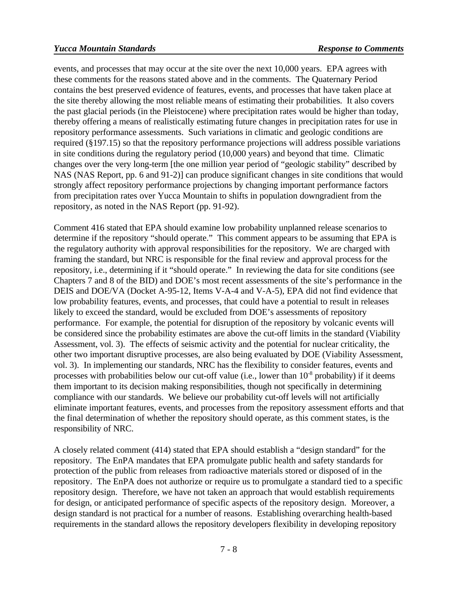events, and processes that may occur at the site over the next 10,000 years. EPA agrees with these comments for the reasons stated above and in the comments. The Quaternary Period contains the best preserved evidence of features, events, and processes that have taken place at the site thereby allowing the most reliable means of estimating their probabilities. It also covers the past glacial periods (in the Pleistocene) where precipitation rates would be higher than today, thereby offering a means of realistically estimating future changes in precipitation rates for use in repository performance assessments. Such variations in climatic and geologic conditions are required (§197.15) so that the repository performance projections will address possible variations in site conditions during the regulatory period (10,000 years) and beyond that time. Climatic changes over the very long-term [the one million year period of "geologic stability" described by NAS (NAS Report, pp. 6 and 91-2)] can produce significant changes in site conditions that would strongly affect repository performance projections by changing important performance factors from precipitation rates over Yucca Mountain to shifts in population downgradient from the repository, as noted in the NAS Report (pp. 91-92).

Comment 416 stated that EPA should examine low probability unplanned release scenarios to determine if the repository "should operate." This comment appears to be assuming that EPA is the regulatory authority with approval responsibilities for the repository. We are charged with framing the standard, but NRC is responsible for the final review and approval process for the repository, i.e., determining if it "should operate." In reviewing the data for site conditions (see Chapters 7 and 8 of the BID) and DOE's most recent assessments of the site's performance in the DEIS and DOE/VA (Docket A-95-12, Items V-A-4 and V-A-5), EPA did not find evidence that low probability features, events, and processes, that could have a potential to result in releases likely to exceed the standard, would be excluded from DOE's assessments of repository performance. For example, the potential for disruption of the repository by volcanic events will be considered since the probability estimates are above the cut-off limits in the standard (Viability Assessment, vol. 3). The effects of seismic activity and the potential for nuclear criticality, the other two important disruptive processes, are also being evaluated by DOE (Viability Assessment, vol. 3). In implementing our standards, NRC has the flexibility to consider features, events and processes with probabilities below our cut-off value (i.e., lower than  $10^{-8}$  probability) if it deems them important to its decision making responsibilities, though not specifically in determining compliance with our standards. We believe our probability cut-off levels will not artificially eliminate important features, events, and processes from the repository assessment efforts and that the final determination of whether the repository should operate, as this comment states, is the responsibility of NRC.

A closely related comment (414) stated that EPA should establish a "design standard" for the repository. The EnPA mandates that EPA promulgate public health and safety standards for protection of the public from releases from radioactive materials stored or disposed of in the repository. The EnPA does not authorize or require us to promulgate a standard tied to a specific repository design. Therefore, we have not taken an approach that would establish requirements for design, or anticipated performance of specific aspects of the repository design. Moreover, a design standard is not practical for a number of reasons. Establishing overarching health-based requirements in the standard allows the repository developers flexibility in developing repository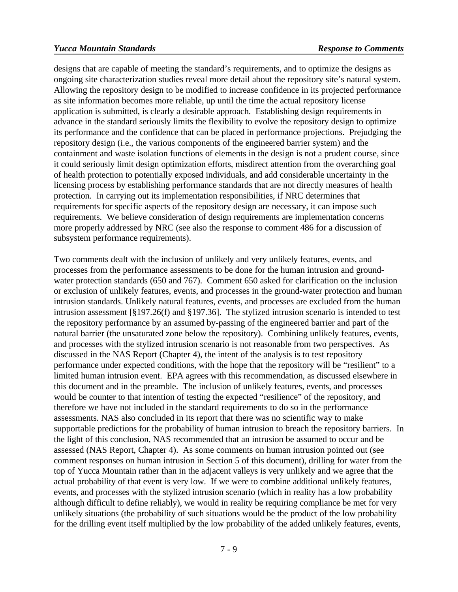designs that are capable of meeting the standard's requirements, and to optimize the designs as ongoing site characterization studies reveal more detail about the repository site's natural system. Allowing the repository design to be modified to increase confidence in its projected performance as site information becomes more reliable, up until the time the actual repository license application is submitted, is clearly a desirable approach. Establishing design requirements in advance in the standard seriously limits the flexibility to evolve the repository design to optimize its performance and the confidence that can be placed in performance projections. Prejudging the repository design (i.e., the various components of the engineered barrier system) and the containment and waste isolation functions of elements in the design is not a prudent course, since it could seriously limit design optimization efforts, misdirect attention from the overarching goal of health protection to potentially exposed individuals, and add considerable uncertainty in the licensing process by establishing performance standards that are not directly measures of health protection. In carrying out its implementation responsibilities, if NRC determines that requirements for specific aspects of the repository design are necessary, it can impose such requirements. We believe consideration of design requirements are implementation concerns more properly addressed by NRC (see also the response to comment 486 for a discussion of subsystem performance requirements).

Two comments dealt with the inclusion of unlikely and very unlikely features, events, and processes from the performance assessments to be done for the human intrusion and groundwater protection standards (650 and 767). Comment 650 asked for clarification on the inclusion or exclusion of unlikely features, events, and processes in the ground-water protection and human intrusion standards. Unlikely natural features, events, and processes are excluded from the human intrusion assessment [§197.26(f) and §197.36]. The stylized intrusion scenario is intended to test the repository performance by an assumed by-passing of the engineered barrier and part of the natural barrier (the unsaturated zone below the repository). Combining unlikely features, events, and processes with the stylized intrusion scenario is not reasonable from two perspectives. As discussed in the NAS Report (Chapter 4), the intent of the analysis is to test repository performance under expected conditions, with the hope that the repository will be "resilient" to a limited human intrusion event. EPA agrees with this recommendation, as discussed elsewhere in this document and in the preamble. The inclusion of unlikely features, events, and processes would be counter to that intention of testing the expected "resilience" of the repository, and therefore we have not included in the standard requirements to do so in the performance assessments. NAS also concluded in its report that there was no scientific way to make supportable predictions for the probability of human intrusion to breach the repository barriers. In the light of this conclusion, NAS recommended that an intrusion be assumed to occur and be assessed (NAS Report, Chapter 4). As some comments on human intrusion pointed out (see comment responses on human intrusion in Section 5 of this document), drilling for water from the top of Yucca Mountain rather than in the adjacent valleys is very unlikely and we agree that the actual probability of that event is very low. If we were to combine additional unlikely features, events, and processes with the stylized intrusion scenario (which in reality has a low probability although difficult to define reliably), we would in reality be requiring compliance be met for very unlikely situations (the probability of such situations would be the product of the low probability for the drilling event itself multiplied by the low probability of the added unlikely features, events,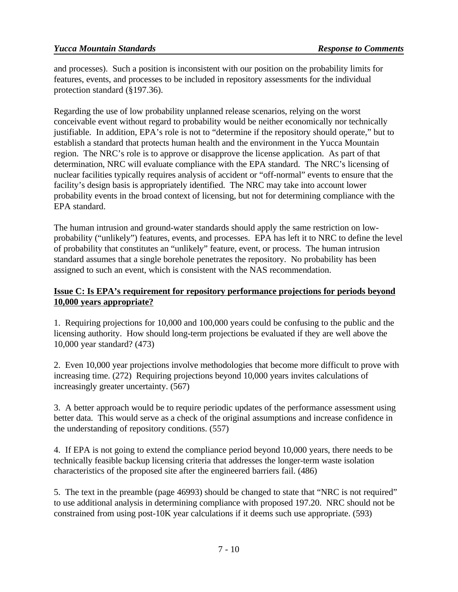## <span id="page-192-0"></span>*Yucca Mountain Standards Response to Comments*

and processes). Such a position is inconsistent with our position on the probability limits for features, events, and processes to be included in repository assessments for the individual protection standard (§197.36).

Regarding the use of low probability unplanned release scenarios, relying on the worst conceivable event without regard to probability would be neither economically nor technically justifiable. In addition, EPA's role is not to "determine if the repository should operate," but to establish a standard that protects human health and the environment in the Yucca Mountain region. The NRC's role is to approve or disapprove the license application. As part of that determination, NRC will evaluate compliance with the EPA standard. The NRC's licensing of nuclear facilities typically requires analysis of accident or "off-normal" events to ensure that the facility's design basis is appropriately identified. The NRC may take into account lower probability events in the broad context of licensing, but not for determining compliance with the EPA standard.

The human intrusion and ground-water standards should apply the same restriction on lowprobability ("unlikely") features, events, and processes. EPA has left it to NRC to define the level of probability that constitutes an "unlikely" feature, event, or process. The human intrusion standard assumes that a single borehole penetrates the repository. No probability has been assigned to such an event, which is consistent with the NAS recommendation.

## **Issue C: Is EPA's requirement for repository performance projections for periods beyond 10,000 years appropriate?**

1. Requiring projections for 10,000 and 100,000 years could be confusing to the public and the licensing authority. How should long-term projections be evaluated if they are well above the 10,000 year standard? (473)

2. Even 10,000 year projections involve methodologies that become more difficult to prove with increasing time. (272) Requiring projections beyond 10,000 years invites calculations of increasingly greater uncertainty. (567)

3. A better approach would be to require periodic updates of the performance assessment using better data. This would serve as a check of the original assumptions and increase confidence in the understanding of repository conditions. (557)

4. If EPA is not going to extend the compliance period beyond 10,000 years, there needs to be technically feasible backup licensing criteria that addresses the longer-term waste isolation characteristics of the proposed site after the engineered barriers fail. (486)

5. The text in the preamble (page 46993) should be changed to state that "NRC is not required" to use additional analysis in determining compliance with proposed 197.20. NRC should not be constrained from using post-10K year calculations if it deems such use appropriate. (593)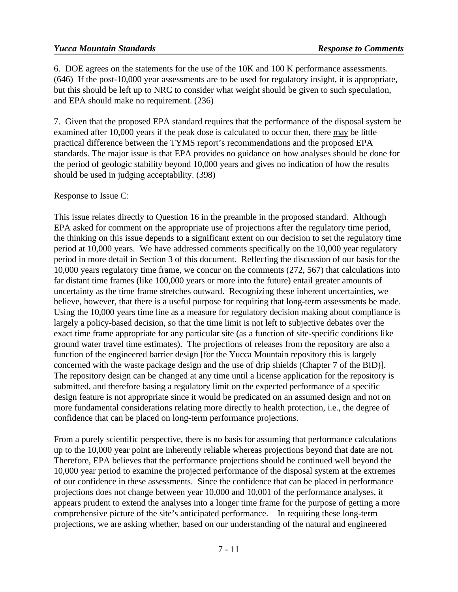6. DOE agrees on the statements for the use of the 10K and 100 K performance assessments. (646) If the post-10,000 year assessments are to be used for regulatory insight, it is appropriate, but this should be left up to NRC to consider what weight should be given to such speculation, and EPA should make no requirement. (236)

7. Given that the proposed EPA standard requires that the performance of the disposal system be examined after 10,000 years if the peak dose is calculated to occur then, there may be little practical difference between the TYMS report's recommendations and the proposed EPA standards. The major issue is that EPA provides no guidance on how analyses should be done for the period of geologic stability beyond 10,000 years and gives no indication of how the results should be used in judging acceptability. (398)

## Response to Issue C:

This issue relates directly to Question 16 in the preamble in the proposed standard. Although EPA asked for comment on the appropriate use of projections after the regulatory time period, the thinking on this issue depends to a significant extent on our decision to set the regulatory time period at 10,000 years. We have addressed comments specifically on the 10,000 year regulatory period in more detail in Section 3 of this document. Reflecting the discussion of our basis for the 10,000 years regulatory time frame, we concur on the comments (272, 567) that calculations into far distant time frames (like 100,000 years or more into the future) entail greater amounts of uncertainty as the time frame stretches outward. Recognizing these inherent uncertainties, we believe, however, that there is a useful purpose for requiring that long-term assessments be made. Using the 10,000 years time line as a measure for regulatory decision making about compliance is largely a policy-based decision, so that the time limit is not left to subjective debates over the exact time frame appropriate for any particular site (as a function of site-specific conditions like ground water travel time estimates). The projections of releases from the repository are also a function of the engineered barrier design [for the Yucca Mountain repository this is largely concerned with the waste package design and the use of drip shields (Chapter 7 of the BID)]. The repository design can be changed at any time until a license application for the repository is submitted, and therefore basing a regulatory limit on the expected performance of a specific design feature is not appropriate since it would be predicated on an assumed design and not on more fundamental considerations relating more directly to health protection, i.e., the degree of confidence that can be placed on long-term performance projections.

From a purely scientific perspective, there is no basis for assuming that performance calculations up to the 10,000 year point are inherently reliable whereas projections beyond that date are not. Therefore, EPA believes that the performance projections should be continued well beyond the 10,000 year period to examine the projected performance of the disposal system at the extremes of our confidence in these assessments. Since the confidence that can be placed in performance projections does not change between year 10,000 and 10,001 of the performance analyses, it appears prudent to extend the analyses into a longer time frame for the purpose of getting a more comprehensive picture of the site's anticipated performance. In requiring these long-term projections, we are asking whether, based on our understanding of the natural and engineered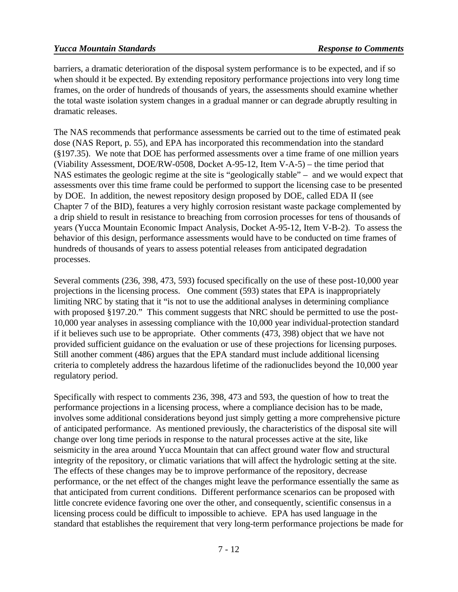barriers, a dramatic deterioration of the disposal system performance is to be expected, and if so when should it be expected. By extending repository performance projections into very long time frames, on the order of hundreds of thousands of years, the assessments should examine whether the total waste isolation system changes in a gradual manner or can degrade abruptly resulting in dramatic releases.

The NAS recommends that performance assessments be carried out to the time of estimated peak dose (NAS Report, p. 55), and EPA has incorporated this recommendation into the standard (§197.35). We note that DOE has performed assessments over a time frame of one million years (Viability Assessment, DOE/RW-0508, Docket A-95-12, Item V-A-5) – the time period that NAS estimates the geologic regime at the site is "geologically stable" – and we would expect that assessments over this time frame could be performed to support the licensing case to be presented by DOE. In addition, the newest repository design proposed by DOE, called EDA II (see Chapter 7 of the BID), features a very highly corrosion resistant waste package complemented by a drip shield to result in resistance to breaching from corrosion processes for tens of thousands of years (Yucca Mountain Economic Impact Analysis, Docket A-95-12, Item V-B-2). To assess the behavior of this design, performance assessments would have to be conducted on time frames of hundreds of thousands of years to assess potential releases from anticipated degradation processes.

Several comments (236, 398, 473, 593) focused specifically on the use of these post-10,000 year projections in the licensing process. One comment (593) states that EPA is inappropriately limiting NRC by stating that it "is not to use the additional analyses in determining compliance with proposed §197.20." This comment suggests that NRC should be permitted to use the post-10,000 year analyses in assessing compliance with the 10,000 year individual-protection standard if it believes such use to be appropriate. Other comments (473, 398) object that we have not provided sufficient guidance on the evaluation or use of these projections for licensing purposes. Still another comment (486) argues that the EPA standard must include additional licensing criteria to completely address the hazardous lifetime of the radionuclides beyond the 10,000 year regulatory period.

Specifically with respect to comments 236, 398, 473 and 593, the question of how to treat the performance projections in a licensing process, where a compliance decision has to be made, involves some additional considerations beyond just simply getting a more comprehensive picture of anticipated performance. As mentioned previously, the characteristics of the disposal site will change over long time periods in response to the natural processes active at the site, like seismicity in the area around Yucca Mountain that can affect ground water flow and structural integrity of the repository, or climatic variations that will affect the hydrologic setting at the site. The effects of these changes may be to improve performance of the repository, decrease performance, or the net effect of the changes might leave the performance essentially the same as that anticipated from current conditions. Different performance scenarios can be proposed with little concrete evidence favoring one over the other, and consequently, scientific consensus in a licensing process could be difficult to impossible to achieve. EPA has used language in the standard that establishes the requirement that very long-term performance projections be made for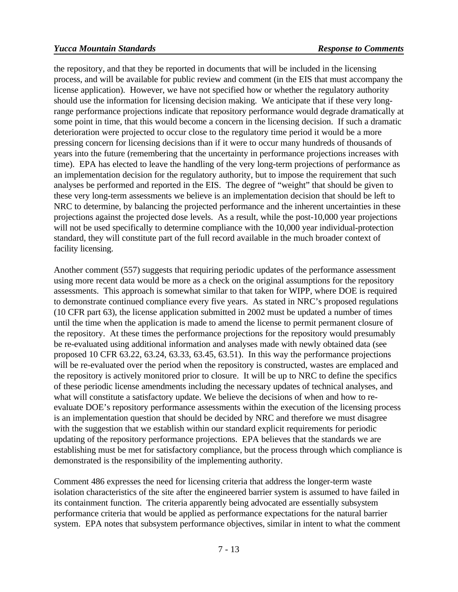the repository, and that they be reported in documents that will be included in the licensing process, and will be available for public review and comment (in the EIS that must accompany the license application). However, we have not specified how or whether the regulatory authority should use the information for licensing decision making. We anticipate that if these very longrange performance projections indicate that repository performance would degrade dramatically at some point in time, that this would become a concern in the licensing decision. If such a dramatic deterioration were projected to occur close to the regulatory time period it would be a more pressing concern for licensing decisions than if it were to occur many hundreds of thousands of years into the future (remembering that the uncertainty in performance projections increases with time). EPA has elected to leave the handling of the very long-term projections of performance as an implementation decision for the regulatory authority, but to impose the requirement that such analyses be performed and reported in the EIS. The degree of "weight" that should be given to these very long-term assessments we believe is an implementation decision that should be left to NRC to determine, by balancing the projected performance and the inherent uncertainties in these projections against the projected dose levels. As a result, while the post-10,000 year projections will not be used specifically to determine compliance with the 10,000 year individual-protection standard, they will constitute part of the full record available in the much broader context of facility licensing.

Another comment (557) suggests that requiring periodic updates of the performance assessment using more recent data would be more as a check on the original assumptions for the repository assessments. This approach is somewhat similar to that taken for WIPP, where DOE is required to demonstrate continued compliance every five years. As stated in NRC's proposed regulations (10 CFR part 63), the license application submitted in 2002 must be updated a number of times until the time when the application is made to amend the license to permit permanent closure of the repository. At these times the performance projections for the repository would presumably be re-evaluated using additional information and analyses made with newly obtained data (see proposed 10 CFR 63.22, 63.24, 63.33, 63.45, 63.51). In this way the performance projections will be re-evaluated over the period when the repository is constructed, wastes are emplaced and the repository is actively monitored prior to closure. It will be up to NRC to define the specifics of these periodic license amendments including the necessary updates of technical analyses, and what will constitute a satisfactory update. We believe the decisions of when and how to reevaluate DOE's repository performance assessments within the execution of the licensing process is an implementation question that should be decided by NRC and therefore we must disagree with the suggestion that we establish within our standard explicit requirements for periodic updating of the repository performance projections. EPA believes that the standards we are establishing must be met for satisfactory compliance, but the process through which compliance is demonstrated is the responsibility of the implementing authority.

Comment 486 expresses the need for licensing criteria that address the longer-term waste isolation characteristics of the site after the engineered barrier system is assumed to have failed in its containment function. The criteria apparently being advocated are essentially subsystem performance criteria that would be applied as performance expectations for the natural barrier system. EPA notes that subsystem performance objectives, similar in intent to what the comment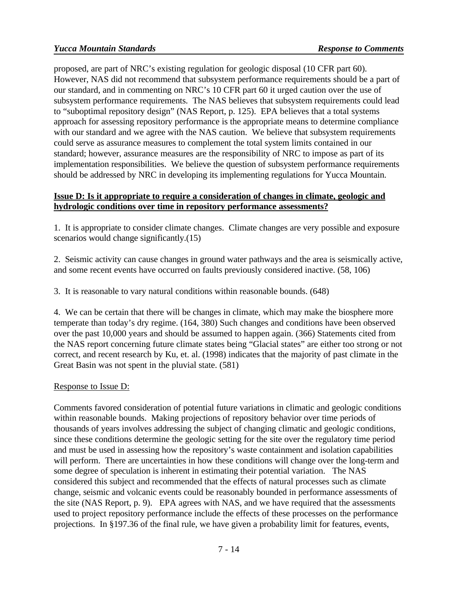<span id="page-196-0"></span>proposed, are part of NRC's existing regulation for geologic disposal (10 CFR part 60). However, NAS did not recommend that subsystem performance requirements should be a part of our standard, and in commenting on NRC's 10 CFR part 60 it urged caution over the use of subsystem performance requirements. The NAS believes that subsystem requirements could lead to "suboptimal repository design" (NAS Report, p. 125). EPA believes that a total systems approach for assessing repository performance is the appropriate means to determine compliance with our standard and we agree with the NAS caution. We believe that subsystem requirements could serve as assurance measures to complement the total system limits contained in our standard; however, assurance measures are the responsibility of NRC to impose as part of its implementation responsibilities. We believe the question of subsystem performance requirements should be addressed by NRC in developing its implementing regulations for Yucca Mountain.

## **Issue D: Is it appropriate to require a consideration of changes in climate, geologic and hydrologic conditions over time in repository performance assessments?**

1. It is appropriate to consider climate changes. Climate changes are very possible and exposure scenarios would change significantly.(15)

2. Seismic activity can cause changes in ground water pathways and the area is seismically active, and some recent events have occurred on faults previously considered inactive. (58, 106)

3. It is reasonable to vary natural conditions within reasonable bounds. (648)

4. We can be certain that there will be changes in climate, which may make the biosphere more temperate than today's dry regime. (164, 380) Such changes and conditions have been observed over the past 10,000 years and should be assumed to happen again. (366) Statements cited from the NAS report concerning future climate states being "Glacial states" are either too strong or not correct, and recent research by Ku, et. al. (1998) indicates that the majority of past climate in the Great Basin was not spent in the pluvial state. (581)

## Response to Issue D:

Comments favored consideration of potential future variations in climatic and geologic conditions within reasonable bounds. Making projections of repository behavior over time periods of thousands of years involves addressing the subject of changing climatic and geologic conditions, since these conditions determine the geologic setting for the site over the regulatory time period and must be used in assessing how the repository's waste containment and isolation capabilities will perform. There are uncertainties in how these conditions will change over the long-term and some degree of speculation is inherent in estimating their potential variation. The NAS considered this subject and recommended that the effects of natural processes such as climate change, seismic and volcanic events could be reasonably bounded in performance assessments of the site (NAS Report, p. 9). EPA agrees with NAS, and we have required that the assessments used to project repository performance include the effects of these processes on the performance projections. In §197.36 of the final rule, we have given a probability limit for features, events,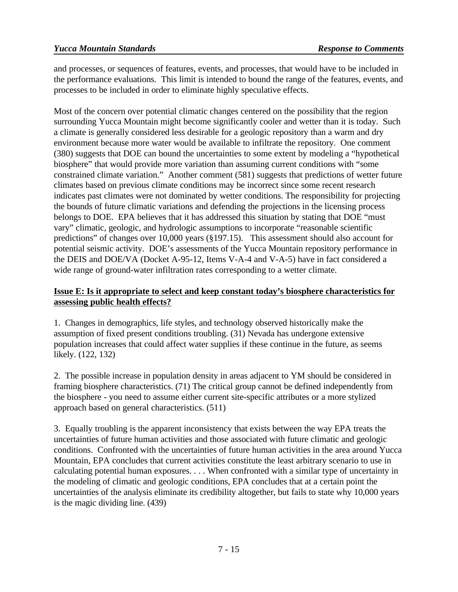<span id="page-197-0"></span>and processes, or sequences of features, events, and processes, that would have to be included in the performance evaluations. This limit is intended to bound the range of the features, events, and processes to be included in order to eliminate highly speculative effects.

Most of the concern over potential climatic changes centered on the possibility that the region surrounding Yucca Mountain might become significantly cooler and wetter than it is today. Such a climate is generally considered less desirable for a geologic repository than a warm and dry environment because more water would be available to infiltrate the repository. One comment (380) suggests that DOE can bound the uncertainties to some extent by modeling a "hypothetical biosphere" that would provide more variation than assuming current conditions with "some constrained climate variation." Another comment (581) suggests that predictions of wetter future climates based on previous climate conditions may be incorrect since some recent research indicates past climates were not dominated by wetter conditions. The responsibility for projecting the bounds of future climatic variations and defending the projections in the licensing process belongs to DOE. EPA believes that it has addressed this situation by stating that DOE "must vary" climatic, geologic, and hydrologic assumptions to incorporate "reasonable scientific predictions" of changes over 10,000 years (§197.15). This assessment should also account for potential seismic activity. DOE's assessments of the Yucca Mountain repository performance in the DEIS and DOE/VA (Docket A-95-12, Items V-A-4 and V-A-5) have in fact considered a wide range of ground-water infiltration rates corresponding to a wetter climate.

## **Issue E: Is it appropriate to select and keep constant today's biosphere characteristics for assessing public health effects?**

1. Changes in demographics, life styles, and technology observed historically make the assumption of fixed present conditions troubling. (31) Nevada has undergone extensive population increases that could affect water supplies if these continue in the future, as seems likely. (122, 132)

2. The possible increase in population density in areas adjacent to YM should be considered in framing biosphere characteristics. (71) The critical group cannot be defined independently from the biosphere - you need to assume either current site-specific attributes or a more stylized approach based on general characteristics. (511)

3. Equally troubling is the apparent inconsistency that exists between the way EPA treats the uncertainties of future human activities and those associated with future climatic and geologic conditions. Confronted with the uncertainties of future human activities in the area around Yucca Mountain, EPA concludes that current activities constitute the least arbitrary scenario to use in calculating potential human exposures. . . . When confronted with a similar type of uncertainty in the modeling of climatic and geologic conditions, EPA concludes that at a certain point the uncertainties of the analysis eliminate its credibility altogether, but fails to state why 10,000 years is the magic dividing line. (439)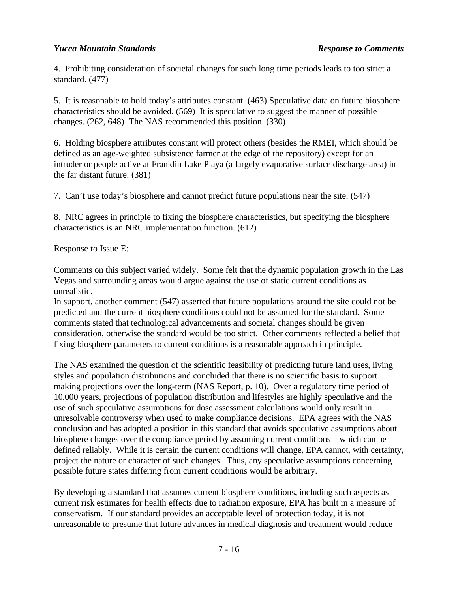4. Prohibiting consideration of societal changes for such long time periods leads to too strict a standard. (477)

5. It is reasonable to hold today's attributes constant. (463) Speculative data on future biosphere characteristics should be avoided. (569) It is speculative to suggest the manner of possible changes. (262, 648) The NAS recommended this position. (330)

6. Holding biosphere attributes constant will protect others (besides the RMEI, which should be defined as an age-weighted subsistence farmer at the edge of the repository) except for an intruder or people active at Franklin Lake Playa (a largely evaporative surface discharge area) in the far distant future. (381)

7. Can't use today's biosphere and cannot predict future populations near the site. (547)

8. NRC agrees in principle to fixing the biosphere characteristics, but specifying the biosphere characteristics is an NRC implementation function. (612)

## Response to Issue E:

Comments on this subject varied widely. Some felt that the dynamic population growth in the Las Vegas and surrounding areas would argue against the use of static current conditions as unrealistic.

In support, another comment (547) asserted that future populations around the site could not be predicted and the current biosphere conditions could not be assumed for the standard. Some comments stated that technological advancements and societal changes should be given consideration, otherwise the standard would be too strict. Other comments reflected a belief that fixing biosphere parameters to current conditions is a reasonable approach in principle.

The NAS examined the question of the scientific feasibility of predicting future land uses, living styles and population distributions and concluded that there is no scientific basis to support making projections over the long-term (NAS Report, p. 10). Over a regulatory time period of 10,000 years, projections of population distribution and lifestyles are highly speculative and the use of such speculative assumptions for dose assessment calculations would only result in unresolvable controversy when used to make compliance decisions. EPA agrees with the NAS conclusion and has adopted a position in this standard that avoids speculative assumptions about biosphere changes over the compliance period by assuming current conditions – which can be defined reliably. While it is certain the current conditions will change, EPA cannot, with certainty, project the nature or character of such changes. Thus, any speculative assumptions concerning possible future states differing from current conditions would be arbitrary.

By developing a standard that assumes current biosphere conditions, including such aspects as current risk estimates for health effects due to radiation exposure, EPA has built in a measure of conservatism. If our standard provides an acceptable level of protection today, it is not unreasonable to presume that future advances in medical diagnosis and treatment would reduce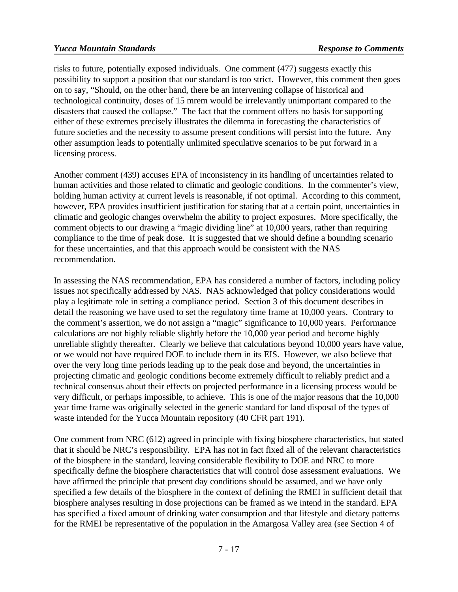risks to future, potentially exposed individuals. One comment (477) suggests exactly this possibility to support a position that our standard is too strict. However, this comment then goes on to say, "Should, on the other hand, there be an intervening collapse of historical and technological continuity, doses of 15 mrem would be irrelevantly unimportant compared to the disasters that caused the collapse." The fact that the comment offers no basis for supporting either of these extremes precisely illustrates the dilemma in forecasting the characteristics of future societies and the necessity to assume present conditions will persist into the future. Any other assumption leads to potentially unlimited speculative scenarios to be put forward in a licensing process.

Another comment (439) accuses EPA of inconsistency in its handling of uncertainties related to human activities and those related to climatic and geologic conditions. In the commenter's view, holding human activity at current levels is reasonable, if not optimal. According to this comment, however, EPA provides insufficient justification for stating that at a certain point, uncertainties in climatic and geologic changes overwhelm the ability to project exposures. More specifically, the comment objects to our drawing a "magic dividing line" at 10,000 years, rather than requiring compliance to the time of peak dose. It is suggested that we should define a bounding scenario for these uncertainties, and that this approach would be consistent with the NAS recommendation.

In assessing the NAS recommendation, EPA has considered a number of factors, including policy issues not specifically addressed by NAS. NAS acknowledged that policy considerations would play a legitimate role in setting a compliance period. Section 3 of this document describes in detail the reasoning we have used to set the regulatory time frame at 10,000 years. Contrary to the comment's assertion, we do not assign a "magic" significance to 10,000 years. Performance calculations are not highly reliable slightly before the 10,000 year period and become highly unreliable slightly thereafter. Clearly we believe that calculations beyond 10,000 years have value, or we would not have required DOE to include them in its EIS. However, we also believe that over the very long time periods leading up to the peak dose and beyond, the uncertainties in projecting climatic and geologic conditions become extremely difficult to reliably predict and a technical consensus about their effects on projected performance in a licensing process would be very difficult, or perhaps impossible, to achieve. This is one of the major reasons that the 10,000 year time frame was originally selected in the generic standard for land disposal of the types of waste intended for the Yucca Mountain repository (40 CFR part 191).

One comment from NRC (612) agreed in principle with fixing biosphere characteristics, but stated that it should be NRC's responsibility. EPA has not in fact fixed all of the relevant characteristics of the biosphere in the standard, leaving considerable flexibility to DOE and NRC to more specifically define the biosphere characteristics that will control dose assessment evaluations. We have affirmed the principle that present day conditions should be assumed, and we have only specified a few details of the biosphere in the context of defining the RMEI in sufficient detail that biosphere analyses resulting in dose projections can be framed as we intend in the standard. EPA has specified a fixed amount of drinking water consumption and that lifestyle and dietary patterns for the RMEI be representative of the population in the Amargosa Valley area (see Section 4 of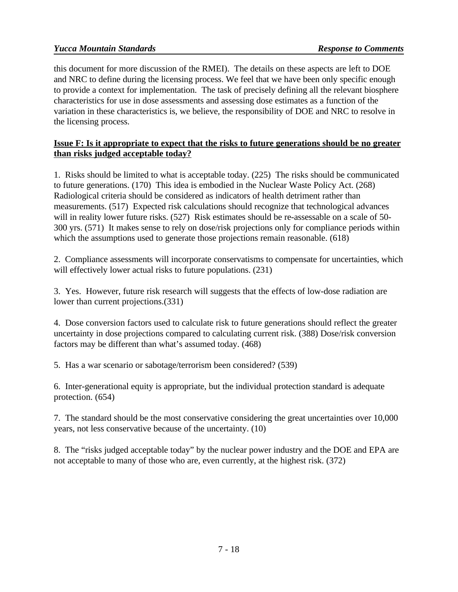## <span id="page-200-0"></span>*Yucca Mountain Standards Response to Comments*

this document for more discussion of the RMEI). The details on these aspects are left to DOE and NRC to define during the licensing process. We feel that we have been only specific enough to provide a context for implementation. The task of precisely defining all the relevant biosphere characteristics for use in dose assessments and assessing dose estimates as a function of the variation in these characteristics is, we believe, the responsibility of DOE and NRC to resolve in the licensing process.

### **Issue F: Is it appropriate to expect that the risks to future generations should be no greater than risks judged acceptable today?**

1. Risks should be limited to what is acceptable today. (225) The risks should be communicated to future generations. (170) This idea is embodied in the Nuclear Waste Policy Act. (268) Radiological criteria should be considered as indicators of health detriment rather than measurements. (517) Expected risk calculations should recognize that technological advances will in reality lower future risks. (527) Risk estimates should be re-assessable on a scale of 50-300 yrs. (571) It makes sense to rely on dose/risk projections only for compliance periods within which the assumptions used to generate those projections remain reasonable. (618)

2. Compliance assessments will incorporate conservatisms to compensate for uncertainties, which will effectively lower actual risks to future populations.  $(231)$ 

3. Yes. However, future risk research will suggests that the effects of low-dose radiation are lower than current projections.(331)

4. Dose conversion factors used to calculate risk to future generations should reflect the greater uncertainty in dose projections compared to calculating current risk. (388) Dose/risk conversion factors may be different than what's assumed today. (468)

5. Has a war scenario or sabotage/terrorism been considered? (539)

6. Inter-generational equity is appropriate, but the individual protection standard is adequate protection. (654)

7. The standard should be the most conservative considering the great uncertainties over 10,000 years, not less conservative because of the uncertainty. (10)

8. The "risks judged acceptable today" by the nuclear power industry and the DOE and EPA are not acceptable to many of those who are, even currently, at the highest risk. (372)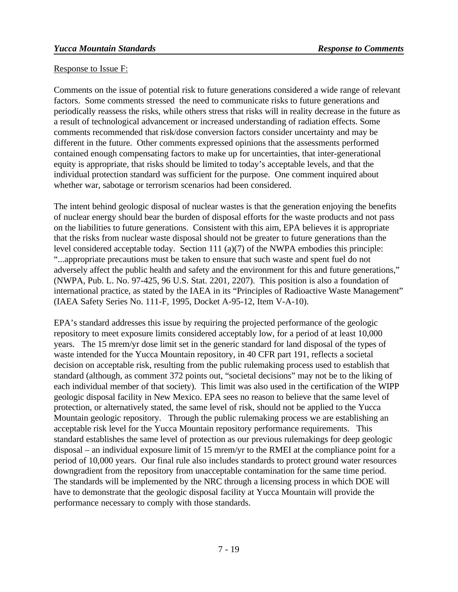#### Response to Issue F:

Comments on the issue of potential risk to future generations considered a wide range of relevant factors. Some comments stressed the need to communicate risks to future generations and periodically reassess the risks, while others stress that risks will in reality decrease in the future as a result of technological advancement or increased understanding of radiation effects. Some comments recommended that risk/dose conversion factors consider uncertainty and may be different in the future. Other comments expressed opinions that the assessments performed contained enough compensating factors to make up for uncertainties, that inter-generational equity is appropriate, that risks should be limited to today's acceptable levels, and that the individual protection standard was sufficient for the purpose. One comment inquired about whether war, sabotage or terrorism scenarios had been considered.

The intent behind geologic disposal of nuclear wastes is that the generation enjoying the benefits of nuclear energy should bear the burden of disposal efforts for the waste products and not pass on the liabilities to future generations. Consistent with this aim, EPA believes it is appropriate that the risks from nuclear waste disposal should not be greater to future generations than the level considered acceptable today. Section 111 (a)(7) of the NWPA embodies this principle: "...appropriate precautions must be taken to ensure that such waste and spent fuel do not adversely affect the public health and safety and the environment for this and future generations," (NWPA, Pub. L. No. 97-425, 96 U.S. Stat. 2201, 2207). This position is also a foundation of international practice, as stated by the IAEA in its "Principles of Radioactive Waste Management" (IAEA Safety Series No. 111-F, 1995, Docket A-95-12, Item V-A-10).

EPA's standard addresses this issue by requiring the projected performance of the geologic repository to meet exposure limits considered acceptably low, for a period of at least 10,000 years. The 15 mrem/yr dose limit set in the generic standard for land disposal of the types of waste intended for the Yucca Mountain repository, in 40 CFR part 191, reflects a societal decision on acceptable risk, resulting from the public rulemaking process used to establish that standard (although, as comment 372 points out, "societal decisions" may not be to the liking of each individual member of that society). This limit was also used in the certification of the WIPP geologic disposal facility in New Mexico. EPA sees no reason to believe that the same level of protection, or alternatively stated, the same level of risk, should not be applied to the Yucca Mountain geologic repository. Through the public rulemaking process we are establishing an acceptable risk level for the Yucca Mountain repository performance requirements. This standard establishes the same level of protection as our previous rulemakings for deep geologic disposal – an individual exposure limit of 15 mrem/yr to the RMEI at the compliance point for a period of 10,000 years. Our final rule also includes standards to protect ground water resources downgradient from the repository from unacceptable contamination for the same time period. The standards will be implemented by the NRC through a licensing process in which DOE will have to demonstrate that the geologic disposal facility at Yucca Mountain will provide the performance necessary to comply with those standards.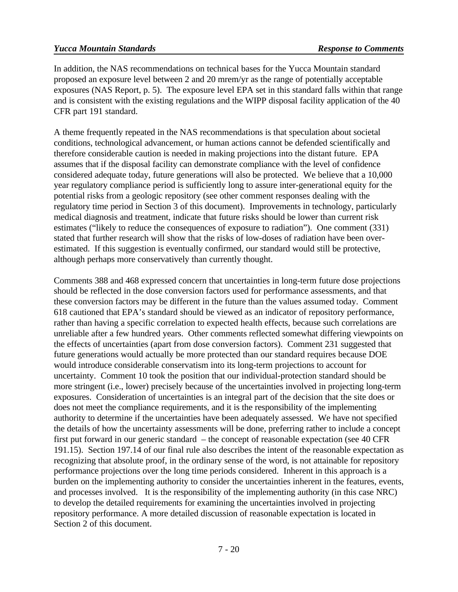In addition, the NAS recommendations on technical bases for the Yucca Mountain standard proposed an exposure level between 2 and 20 mrem/yr as the range of potentially acceptable exposures (NAS Report, p. 5). The exposure level EPA set in this standard falls within that range and is consistent with the existing regulations and the WIPP disposal facility application of the 40 CFR part 191 standard.

A theme frequently repeated in the NAS recommendations is that speculation about societal conditions, technological advancement, or human actions cannot be defended scientifically and therefore considerable caution is needed in making projections into the distant future. EPA assumes that if the disposal facility can demonstrate compliance with the level of confidence considered adequate today, future generations will also be protected. We believe that a 10,000 year regulatory compliance period is sufficiently long to assure inter-generational equity for the potential risks from a geologic repository (see other comment responses dealing with the regulatory time period in Section 3 of this document). Improvements in technology, particularly medical diagnosis and treatment, indicate that future risks should be lower than current risk estimates ("likely to reduce the consequences of exposure to radiation"). One comment (331) stated that further research will show that the risks of low-doses of radiation have been overestimated. If this suggestion is eventually confirmed, our standard would still be protective, although perhaps more conservatively than currently thought.

Comments 388 and 468 expressed concern that uncertainties in long-term future dose projections should be reflected in the dose conversion factors used for performance assessments, and that these conversion factors may be different in the future than the values assumed today. Comment 618 cautioned that EPA's standard should be viewed as an indicator of repository performance, rather than having a specific correlation to expected health effects, because such correlations are unreliable after a few hundred years. Other comments reflected somewhat differing viewpoints on the effects of uncertainties (apart from dose conversion factors). Comment 231 suggested that future generations would actually be more protected than our standard requires because DOE would introduce considerable conservatism into its long-term projections to account for uncertainty. Comment 10 took the position that our individual-protection standard should be more stringent (i.e., lower) precisely because of the uncertainties involved in projecting long-term exposures. Consideration of uncertainties is an integral part of the decision that the site does or does not meet the compliance requirements, and it is the responsibility of the implementing authority to determine if the uncertainties have been adequately assessed. We have not specified the details of how the uncertainty assessments will be done, preferring rather to include a concept first put forward in our generic standard – the concept of reasonable expectation (see 40 CFR 191.15). Section 197.14 of our final rule also describes the intent of the reasonable expectation as recognizing that absolute proof, in the ordinary sense of the word, is not attainable for repository performance projections over the long time periods considered. Inherent in this approach is a burden on the implementing authority to consider the uncertainties inherent in the features, events, and processes involved. It is the responsibility of the implementing authority (in this case NRC) to develop the detailed requirements for examining the uncertainties involved in projecting repository performance. A more detailed discussion of reasonable expectation is located in Section 2 of this document.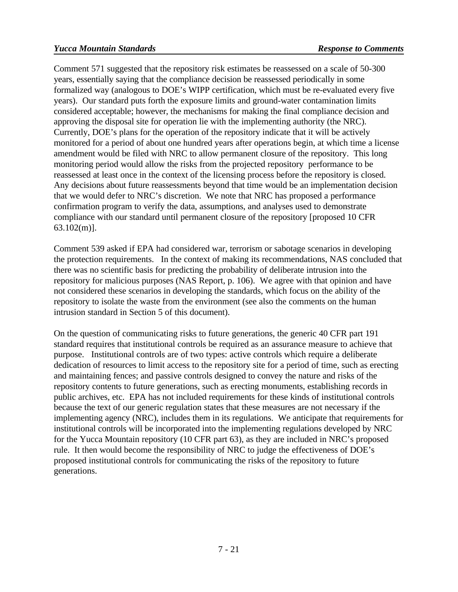Comment 571 suggested that the repository risk estimates be reassessed on a scale of 50-300 years, essentially saying that the compliance decision be reassessed periodically in some formalized way (analogous to DOE's WIPP certification, which must be re-evaluated every five years). Our standard puts forth the exposure limits and ground-water contamination limits considered acceptable; however, the mechanisms for making the final compliance decision and approving the disposal site for operation lie with the implementing authority (the NRC). Currently, DOE's plans for the operation of the repository indicate that it will be actively monitored for a period of about one hundred years after operations begin, at which time a license amendment would be filed with NRC to allow permanent closure of the repository. This long monitoring period would allow the risks from the projected repository performance to be reassessed at least once in the context of the licensing process before the repository is closed. Any decisions about future reassessments beyond that time would be an implementation decision that we would defer to NRC's discretion. We note that NRC has proposed a performance confirmation program to verify the data, assumptions, and analyses used to demonstrate compliance with our standard until permanent closure of the repository [proposed 10 CFR 63.102(m)].

Comment 539 asked if EPA had considered war, terrorism or sabotage scenarios in developing the protection requirements. In the context of making its recommendations, NAS concluded that there was no scientific basis for predicting the probability of deliberate intrusion into the repository for malicious purposes (NAS Report, p. 106). We agree with that opinion and have not considered these scenarios in developing the standards, which focus on the ability of the repository to isolate the waste from the environment (see also the comments on the human intrusion standard in Section 5 of this document).

On the question of communicating risks to future generations, the generic 40 CFR part 191 standard requires that institutional controls be required as an assurance measure to achieve that purpose. Institutional controls are of two types: active controls which require a deliberate dedication of resources to limit access to the repository site for a period of time, such as erecting and maintaining fences; and passive controls designed to convey the nature and risks of the repository contents to future generations, such as erecting monuments, establishing records in public archives, etc. EPA has not included requirements for these kinds of institutional controls because the text of our generic regulation states that these measures are not necessary if the implementing agency (NRC), includes them in its regulations. We anticipate that requirements for institutional controls will be incorporated into the implementing regulations developed by NRC for the Yucca Mountain repository (10 CFR part 63), as they are included in NRC's proposed rule. It then would become the responsibility of NRC to judge the effectiveness of DOE's proposed institutional controls for communicating the risks of the repository to future generations.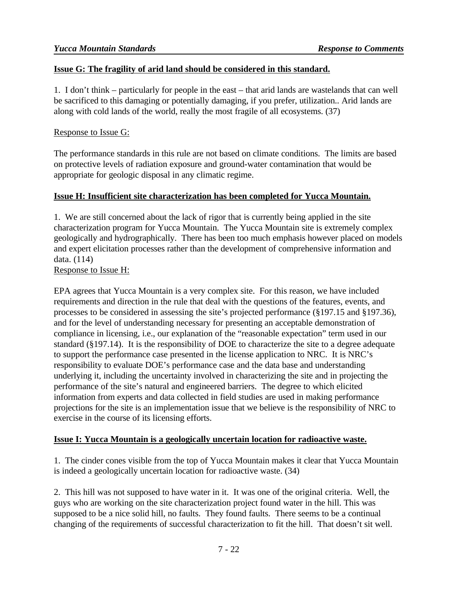## <span id="page-204-0"></span>**Issue G: The fragility of arid land should be considered in this standard.**

1. I don't think – particularly for people in the east – that arid lands are wastelands that can well be sacrificed to this damaging or potentially damaging, if you prefer, utilization.. Arid lands are along with cold lands of the world, really the most fragile of all ecosystems. (37)

### Response to Issue G:

The performance standards in this rule are not based on climate conditions. The limits are based on protective levels of radiation exposure and ground-water contamination that would be appropriate for geologic disposal in any climatic regime.

### **Issue H: Insufficient site characterization has been completed for Yucca Mountain.**

1. We are still concerned about the lack of rigor that is currently being applied in the site characterization program for Yucca Mountain. The Yucca Mountain site is extremely complex geologically and hydrographically. There has been too much emphasis however placed on models and expert elicitation processes rather than the development of comprehensive information and data. (114)

#### Response to Issue H:

EPA agrees that Yucca Mountain is a very complex site. For this reason, we have included requirements and direction in the rule that deal with the questions of the features, events, and processes to be considered in assessing the site's projected performance (§197.15 and §197.36), and for the level of understanding necessary for presenting an acceptable demonstration of compliance in licensing, i.e., our explanation of the "reasonable expectation" term used in our standard (§197.14). It is the responsibility of DOE to characterize the site to a degree adequate to support the performance case presented in the license application to NRC. It is NRC's responsibility to evaluate DOE's performance case and the data base and understanding underlying it, including the uncertainty involved in characterizing the site and in projecting the performance of the site's natural and engineered barriers. The degree to which elicited information from experts and data collected in field studies are used in making performance projections for the site is an implementation issue that we believe is the responsibility of NRC to exercise in the course of its licensing efforts.

#### **Issue I: Yucca Mountain is a geologically uncertain location for radioactive waste.**

1. The cinder cones visible from the top of Yucca Mountain makes it clear that Yucca Mountain is indeed a geologically uncertain location for radioactive waste. (34)

2. This hill was not supposed to have water in it. It was one of the original criteria. Well, the guys who are working on the site characterization project found water in the hill. This was supposed to be a nice solid hill, no faults. They found faults. There seems to be a continual changing of the requirements of successful characterization to fit the hill. That doesn't sit well.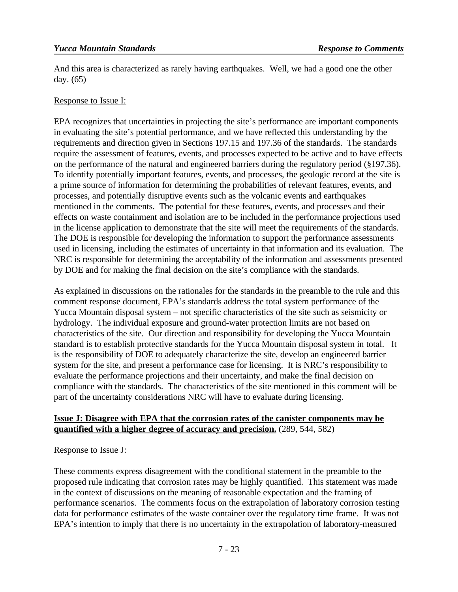### <span id="page-205-0"></span>*Yucca Mountain Standards Response to Comments*

And this area is characterized as rarely having earthquakes. Well, we had a good one the other day. (65)

### Response to Issue I:

EPA recognizes that uncertainties in projecting the site's performance are important components in evaluating the site's potential performance, and we have reflected this understanding by the requirements and direction given in Sections 197.15 and 197.36 of the standards. The standards require the assessment of features, events, and processes expected to be active and to have effects on the performance of the natural and engineered barriers during the regulatory period (§197.36). To identify potentially important features, events, and processes, the geologic record at the site is a prime source of information for determining the probabilities of relevant features, events, and processes, and potentially disruptive events such as the volcanic events and earthquakes mentioned in the comments. The potential for these features, events, and processes and their effects on waste containment and isolation are to be included in the performance projections used in the license application to demonstrate that the site will meet the requirements of the standards. The DOE is responsible for developing the information to support the performance assessments used in licensing, including the estimates of uncertainty in that information and its evaluation. The NRC is responsible for determining the acceptability of the information and assessments presented by DOE and for making the final decision on the site's compliance with the standards.

As explained in discussions on the rationales for the standards in the preamble to the rule and this comment response document, EPA's standards address the total system performance of the Yucca Mountain disposal system – not specific characteristics of the site such as seismicity or hydrology. The individual exposure and ground-water protection limits are not based on characteristics of the site. Our direction and responsibility for developing the Yucca Mountain standard is to establish protective standards for the Yucca Mountain disposal system in total. It is the responsibility of DOE to adequately characterize the site, develop an engineered barrier system for the site, and present a performance case for licensing. It is NRC's responsibility to evaluate the performance projections and their uncertainty, and make the final decision on compliance with the standards. The characteristics of the site mentioned in this comment will be part of the uncertainty considerations NRC will have to evaluate during licensing.

## **Issue J: Disagree with EPA that the corrosion rates of the canister components may be quantified with a higher degree of accuracy and precision.** (289, 544, 582)

#### Response to Issue J:

These comments express disagreement with the conditional statement in the preamble to the proposed rule indicating that corrosion rates may be highly quantified. This statement was made in the context of discussions on the meaning of reasonable expectation and the framing of performance scenarios. The comments focus on the extrapolation of laboratory corrosion testing data for performance estimates of the waste container over the regulatory time frame. It was not EPA's intention to imply that there is no uncertainty in the extrapolation of laboratory-measured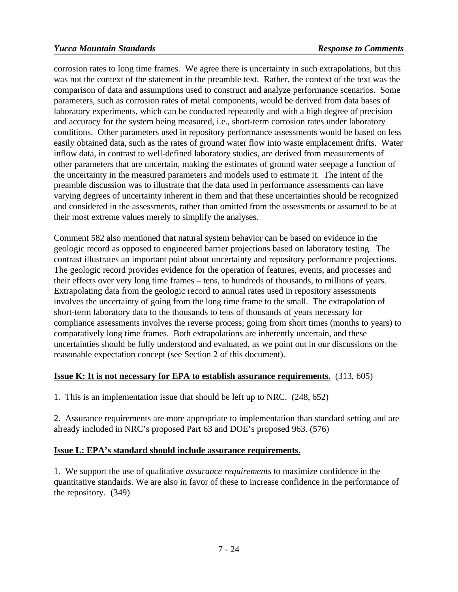<span id="page-206-0"></span>corrosion rates to long time frames. We agree there is uncertainty in such extrapolations, but this was not the context of the statement in the preamble text. Rather, the context of the text was the comparison of data and assumptions used to construct and analyze performance scenarios. Some parameters, such as corrosion rates of metal components, would be derived from data bases of laboratory experiments, which can be conducted repeatedly and with a high degree of precision and accuracy for the system being measured, i.e., short-term corrosion rates under laboratory conditions. Other parameters used in repository performance assessments would be based on less easily obtained data, such as the rates of ground water flow into waste emplacement drifts. Water inflow data, in contrast to well-defined laboratory studies, are derived from measurements of other parameters that are uncertain, making the estimates of ground water seepage a function of the uncertainty in the measured parameters and models used to estimate it. The intent of the preamble discussion was to illustrate that the data used in performance assessments can have varying degrees of uncertainty inherent in them and that these uncertainties should be recognized and considered in the assessments, rather than omitted from the assessments or assumed to be at their most extreme values merely to simplify the analyses.

Comment 582 also mentioned that natural system behavior can be based on evidence in the geologic record as opposed to engineered barrier projections based on laboratory testing. The contrast illustrates an important point about uncertainty and repository performance projections. The geologic record provides evidence for the operation of features, events, and processes and their effects over very long time frames – tens, to hundreds of thousands, to millions of years. Extrapolating data from the geologic record to annual rates used in repository assessments involves the uncertainty of going from the long time frame to the small. The extrapolation of short-term laboratory data to the thousands to tens of thousands of years necessary for compliance assessments involves the reverse process; going from short times (months to years) to comparatively long time frames. Both extrapolations are inherently uncertain, and these uncertainties should be fully understood and evaluated, as we point out in our discussions on the reasonable expectation concept (see Section 2 of this document).

#### **Issue K: It is not necessary for EPA to establish assurance requirements.** (313, 605)

1. This is an implementation issue that should be left up to NRC. (248, 652)

2. Assurance requirements are more appropriate to implementation than standard setting and are already included in NRC's proposed Part 63 and DOE's proposed 963. (576)

#### **Issue L: EPA's standard should include assurance requirements.**

1. We support the use of qualitative *assurance requirements* to maximize confidence in the quantitative standards. We are also in favor of these to increase confidence in the performance of the repository. (349)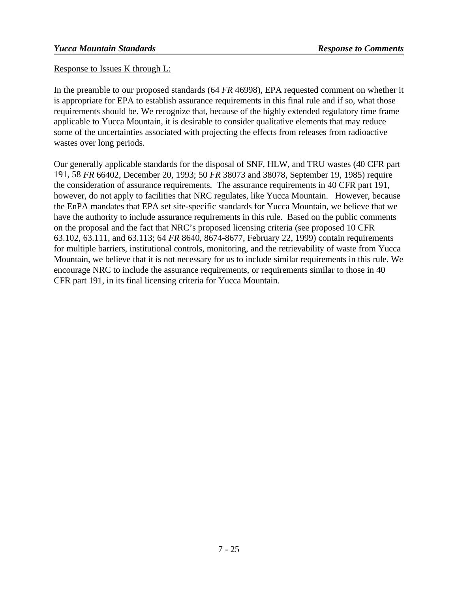Response to Issues K through L:

In the preamble to our proposed standards (64 *FR* 46998), EPA requested comment on whether it is appropriate for EPA to establish assurance requirements in this final rule and if so, what those requirements should be. We recognize that, because of the highly extended regulatory time frame applicable to Yucca Mountain, it is desirable to consider qualitative elements that may reduce some of the uncertainties associated with projecting the effects from releases from radioactive wastes over long periods.

Our generally applicable standards for the disposal of SNF, HLW, and TRU wastes (40 CFR part 191, 58 *FR* 66402, December 20, 1993; 50 *FR* 38073 and 38078, September 19, 1985) require the consideration of assurance requirements. The assurance requirements in 40 CFR part 191, however, do not apply to facilities that NRC regulates, like Yucca Mountain. However, because the EnPA mandates that EPA set site-specific standards for Yucca Mountain, we believe that we have the authority to include assurance requirements in this rule. Based on the public comments on the proposal and the fact that NRC's proposed licensing criteria (see proposed 10 CFR 63.102, 63.111, and 63.113; 64 *FR* 8640, 8674-8677, February 22, 1999) contain requirements for multiple barriers, institutional controls, monitoring, and the retrievability of waste from Yucca Mountain, we believe that it is not necessary for us to include similar requirements in this rule. We encourage NRC to include the assurance requirements, or requirements similar to those in 40 CFR part 191, in its final licensing criteria for Yucca Mountain.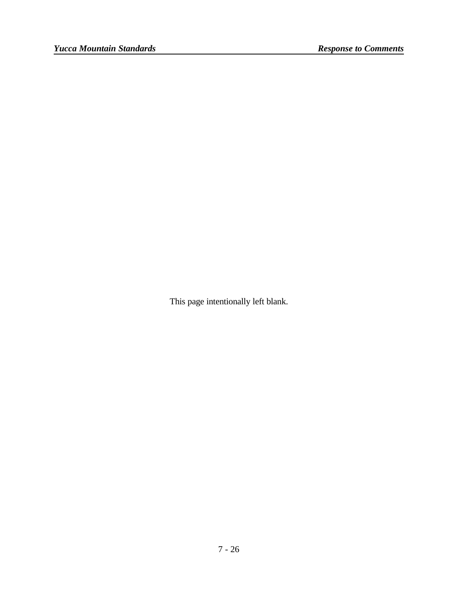This page intentionally left blank.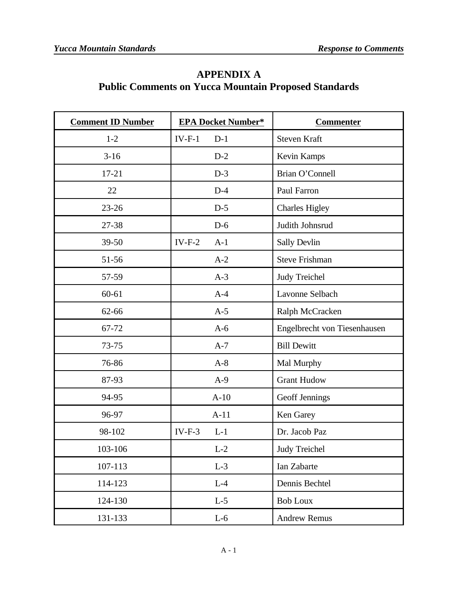| <b>Comment ID Number</b> | <b>EPA Docket Number*</b> | <b>Commenter</b>             |
|--------------------------|---------------------------|------------------------------|
| $1 - 2$                  | $IV-F-1$<br>$D-1$         | Steven Kraft                 |
| $3-16$                   | $D-2$                     | Kevin Kamps                  |
| $17 - 21$                | $D-3$                     | Brian O'Connell              |
| 22                       | $D-4$                     | Paul Farron                  |
| $23 - 26$                | $D-5$                     | <b>Charles Higley</b>        |
| 27-38                    | $D-6$                     | Judith Johnsrud              |
| 39-50                    | $IV-F-2$<br>$A-1$         | Sally Devlin                 |
| 51-56                    | $A-2$                     | <b>Steve Frishman</b>        |
| 57-59                    | $A-3$                     | Judy Treichel                |
| $60 - 61$                | $A-4$                     | Lavonne Selbach              |
| $62 - 66$                | $A-5$                     | Ralph McCracken              |
| 67-72                    | $A-6$                     | Engelbrecht von Tiesenhausen |
| 73-75                    | $A-7$                     | <b>Bill Dewitt</b>           |
| 76-86                    | $A-8$                     | Mal Murphy                   |
| 87-93                    | $A-9$                     | <b>Grant Hudow</b>           |
| 94-95                    | $A-10$                    | Geoff Jennings               |
| 96-97                    | $A-11$                    | Ken Garey                    |
| 98-102                   | $IV-F-3$<br>$L-1$         | Dr. Jacob Paz                |
| 103-106                  | $L-2$                     | Judy Treichel                |
| 107-113                  | $L-3$                     | Ian Zabarte                  |
| 114-123                  | $L-4$                     | Dennis Bechtel               |
| 124-130                  | $L-5$                     | <b>Bob Loux</b>              |
| 131-133                  | $L-6$                     | <b>Andrew Remus</b>          |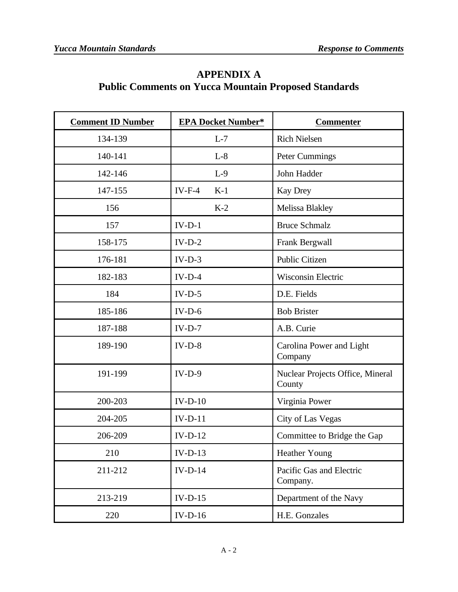| <b>Comment ID Number</b> | <b>EPA Docket Number*</b> | <b>Commenter</b>                           |
|--------------------------|---------------------------|--------------------------------------------|
| 134-139                  | $L-7$                     | <b>Rich Nielsen</b>                        |
| 140-141                  | $L-8$                     | Peter Cummings                             |
| 142-146                  | $L-9$                     | John Hadder                                |
| 147-155                  | $IV-F-4$<br>$K-1$         | <b>Kay Drey</b>                            |
| 156                      | $K-2$                     | Melissa Blakley                            |
| 157                      | $IV-D-1$                  | <b>Bruce Schmalz</b>                       |
| 158-175                  | $IV-D-2$                  | Frank Bergwall                             |
| 176-181                  | $IV-D-3$                  | <b>Public Citizen</b>                      |
| 182-183                  | $IV-D-4$                  | <b>Wisconsin Electric</b>                  |
| 184                      | $IV-D-5$                  | D.E. Fields                                |
| 185-186                  | $IV-D-6$                  | <b>Bob Brister</b>                         |
| 187-188                  | $IV-D-7$                  | A.B. Curie                                 |
| 189-190                  | $IV-D-8$                  | Carolina Power and Light<br>Company        |
| 191-199                  | $IV-D-9$                  | Nuclear Projects Office, Mineral<br>County |
| 200-203                  | $IV-D-10$                 | Virginia Power                             |
| 204-205                  | $IV-D-11$                 | City of Las Vegas                          |
| 206-209                  | $IV-D-12$                 | Committee to Bridge the Gap                |
| 210                      | $IV-D-13$                 | <b>Heather Young</b>                       |
| 211-212                  | $IV-D-14$                 | Pacific Gas and Electric<br>Company.       |
| 213-219                  | $IV-D-15$                 | Department of the Navy                     |
| 220                      | $IV-D-16$                 | H.E. Gonzales                              |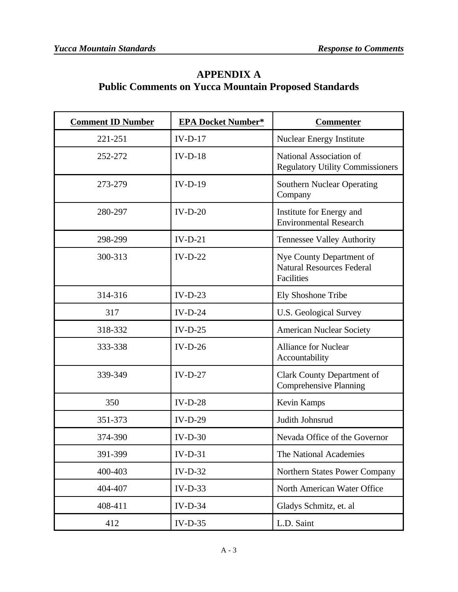| <b>Comment ID Number</b> | <b>EPA Docket Number*</b> | <b>Commenter</b>                                                           |
|--------------------------|---------------------------|----------------------------------------------------------------------------|
| 221-251                  | $IV-D-17$                 | <b>Nuclear Energy Institute</b>                                            |
| 252-272                  | $IV-D-18$                 | National Association of<br><b>Regulatory Utility Commissioners</b>         |
| 273-279                  | $IV-D-19$                 | <b>Southern Nuclear Operating</b><br>Company                               |
| 280-297                  | $IV-D-20$                 | Institute for Energy and<br><b>Environmental Research</b>                  |
| 298-299                  | $IV-D-21$                 | <b>Tennessee Valley Authority</b>                                          |
| 300-313                  | $IV-D-22$                 | Nye County Department of<br><b>Natural Resources Federal</b><br>Facilities |
| 314-316                  | $IV-D-23$                 | <b>Ely Shoshone Tribe</b>                                                  |
| 317                      | $IV-D-24$                 | <b>U.S. Geological Survey</b>                                              |
| 318-332                  | $IV-D-25$                 | <b>American Nuclear Society</b>                                            |
| 333-338                  | $IV-D-26$                 | <b>Alliance for Nuclear</b><br>Accountability                              |
| 339-349                  | $IV-D-27$                 | Clark County Department of<br><b>Comprehensive Planning</b>                |
| 350                      | $IV-D-28$                 | Kevin Kamps                                                                |
| 351-373                  | $IV-D-29$                 | Judith Johnsrud                                                            |
| 374-390                  | $IV-D-30$                 | Nevada Office of the Governor                                              |
| 391-399                  | $IV-D-31$                 | The National Academies                                                     |
| 400-403                  | $IV-D-32$                 | Northern States Power Company                                              |
| 404-407                  | $IV-D-33$                 | North American Water Office                                                |
| 408-411                  | $IV-D-34$                 | Gladys Schmitz, et. al                                                     |
| 412                      | $IV-D-35$                 | L.D. Saint                                                                 |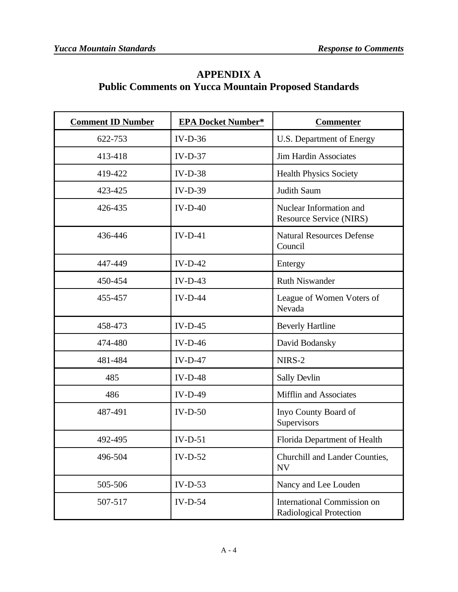| <b>Comment ID Number</b> | <b>EPA Docket Number*</b> | <b>Commenter</b>                                              |
|--------------------------|---------------------------|---------------------------------------------------------------|
| 622-753                  | $IV-D-36$                 | U.S. Department of Energy                                     |
| 413-418                  | $IV-D-37$                 | <b>Jim Hardin Associates</b>                                  |
| 419-422                  | $IV-D-38$                 | <b>Health Physics Society</b>                                 |
| 423-425                  | $IV-D-39$                 | Judith Saum                                                   |
| 426-435                  | $IV-D-40$                 | Nuclear Information and<br><b>Resource Service (NIRS)</b>     |
| 436-446                  | $IV-D-41$                 | <b>Natural Resources Defense</b><br>Council                   |
| 447-449                  | $IV-D-42$                 | Entergy                                                       |
| 450-454                  | $IV-D-43$                 | <b>Ruth Niswander</b>                                         |
| 455-457                  | $IV-D-44$                 | League of Women Voters of<br>Nevada                           |
| 458-473                  | $IV-D-45$                 | <b>Beverly Hartline</b>                                       |
| 474-480                  | $IV-D-46$                 | David Bodansky                                                |
| 481-484                  | $IV-D-47$                 | NIRS-2                                                        |
| 485                      | $IV-D-48$                 | <b>Sally Devlin</b>                                           |
| 486                      | $IV-D-49$                 | Mifflin and Associates                                        |
| 487-491                  | $IV-D-50$                 | Inyo County Board of<br>Supervisors                           |
| 492-495                  | $IV-D-51$                 | Florida Department of Health                                  |
| 496-504                  | $IV-D-52$                 | Churchill and Lander Counties,<br>NV                          |
| 505-506                  | $IV-D-53$                 | Nancy and Lee Louden                                          |
| 507-517                  | $IV-D-54$                 | <b>International Commission on</b><br>Radiological Protection |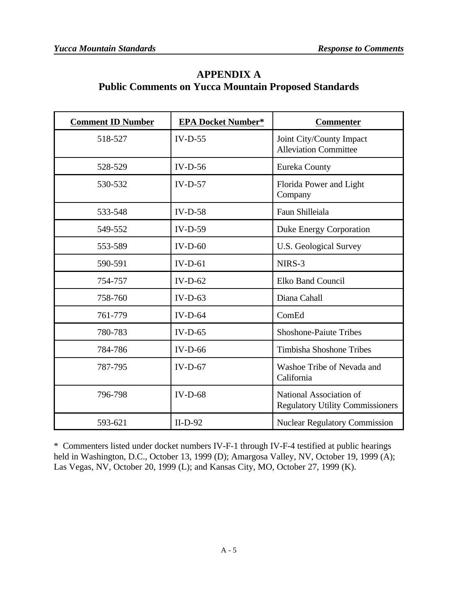| <b>APPENDIX A</b>                                           |  |  |  |
|-------------------------------------------------------------|--|--|--|
| <b>Public Comments on Yucca Mountain Proposed Standards</b> |  |  |  |

| <b>Comment ID Number</b> | <b>EPA Docket Number*</b> | <b>Commenter</b>                                                   |
|--------------------------|---------------------------|--------------------------------------------------------------------|
| 518-527                  | $IV-D-55$                 | Joint City/County Impact<br><b>Alleviation Committee</b>           |
| 528-529                  | $IV-D-56$                 | Eureka County                                                      |
| 530-532                  | $IV-D-57$                 | Florida Power and Light<br>Company                                 |
| 533-548                  | $IV-D-58$                 | Faun Shilleiala                                                    |
| 549-552                  | $IV-D-59$                 | <b>Duke Energy Corporation</b>                                     |
| 553-589                  | $IV-D-60$                 | <b>U.S. Geological Survey</b>                                      |
| 590-591                  | $IV-D-61$                 | NIRS-3                                                             |
| 754-757                  | $IV-D-62$                 | <b>Elko Band Council</b>                                           |
| 758-760                  | $IV-D-63$                 | Diana Cahall                                                       |
| 761-779                  | $IV-D-64$                 | ComEd                                                              |
| 780-783                  | $IV-D-65$                 | <b>Shoshone-Paiute Tribes</b>                                      |
| 784-786                  | $IV-D-66$                 | <b>Timbisha Shoshone Tribes</b>                                    |
| 787-795                  | $IV-D-67$                 | Washoe Tribe of Nevada and<br>California                           |
| 796-798                  | $IV-D-68$                 | National Association of<br><b>Regulatory Utility Commissioners</b> |
| 593-621                  | $II-D-92$                 | <b>Nuclear Regulatory Commission</b>                               |

\* Commenters listed under docket numbers IV-F-1 through IV-F-4 testified at public hearings held in Washington, D.C., October 13, 1999 (D); Amargosa Valley, NV, October 19, 1999 (A); Las Vegas, NV, October 20, 1999 (L); and Kansas City, MO, October 27, 1999 (K).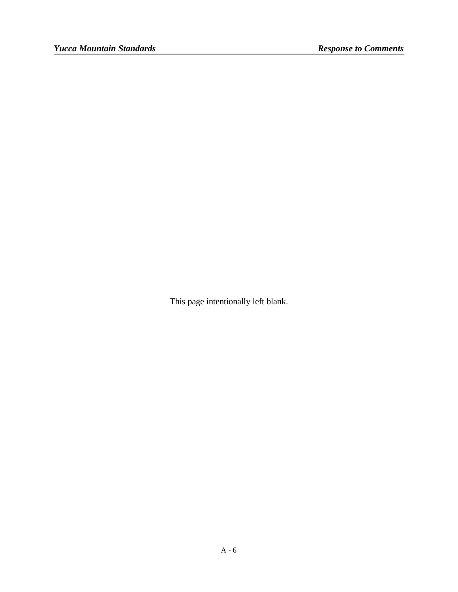This page intentionally left blank.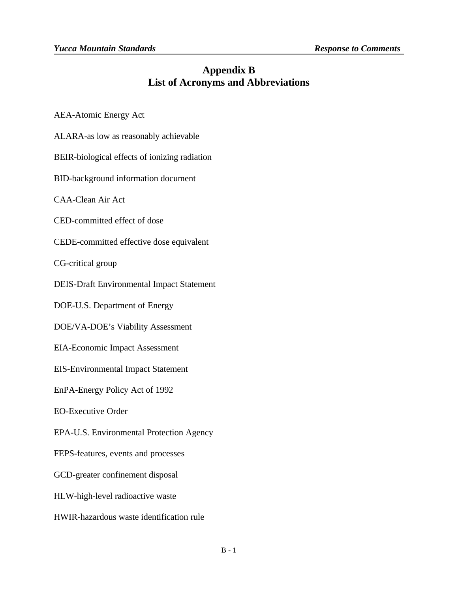#### *Yucca Mountain Standards Response to Comments*

## **Appendix B List of Acronyms and Abbreviations**

AEA-Atomic Energy Act

- ALARA-as low as reasonably achievable
- BEIR-biological effects of ionizing radiation

BID-background information document

CAA-Clean Air Act

CED-committed effect of dose

CEDE-committed effective dose equivalent

CG-critical group

DEIS-Draft Environmental Impact Statement

DOE-U.S. Department of Energy

DOE/VA-DOE's Viability Assessment

EIA-Economic Impact Assessment

EIS-Environmental Impact Statement

EnPA-Energy Policy Act of 1992

EO-Executive Order

EPA-U.S. Environmental Protection Agency

FEPS-features, events and processes

GCD-greater confinement disposal

HLW-high-level radioactive waste

HWIR-hazardous waste identification rule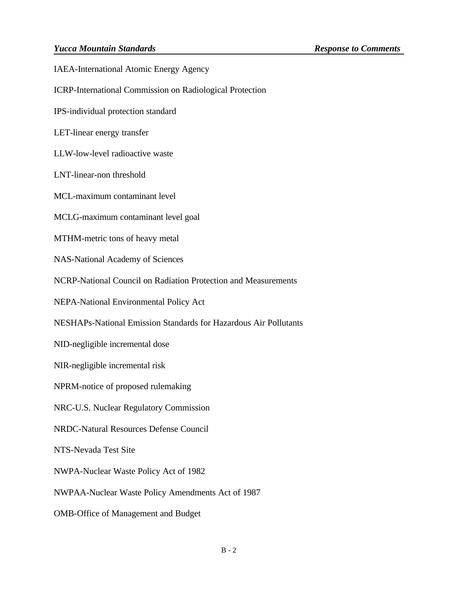| IAEA-International Atomic Energy Agency                         |
|-----------------------------------------------------------------|
| <b>ICRP-International Commission on Radiological Protection</b> |
| IPS-individual protection standard                              |
| LET-linear energy transfer                                      |
| LLW-low-level radioactive waste                                 |
| LNT-linear-non threshold                                        |
| MCL-maximum contaminant level                                   |
| MCLG-maximum contaminant level goal                             |
| MTHM-metric tons of heavy metal                                 |
| <b>NAS-National Academy of Sciences</b>                         |
| NCRP-National Council on Radiation Protection and Measurements  |
| NEPA-National Environmental Policy Act                          |
| NESHAPs-National Emission Standards for Hazardous Air Pollutant |
| NID-negligible incremental dose                                 |
| NIR-negligible incremental risk                                 |
| NPRM-notice of proposed rulemaking                              |
| NRC-U.S. Nuclear Regulatory Commission                          |
| <b>NRDC-Natural Resources Defense Council</b>                   |
| NTS-Nevada Test Site                                            |
| NWPA-Nuclear Waste Policy Act of 1982                           |
| NWPAA-Nuclear Waste Policy Amendments Act of 1987               |
| <b>OMB-Office of Management and Budget</b>                      |

Pollutants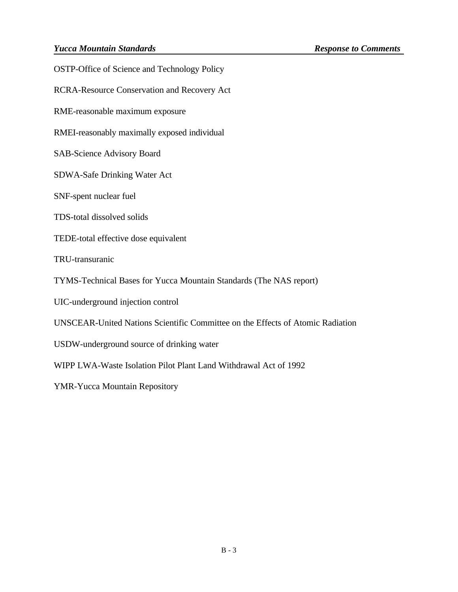## *Yucca Mountain Standards Response to Comments*

| OSTP-Office of Science and Technology Policy                                   |
|--------------------------------------------------------------------------------|
| RCRA-Resource Conservation and Recovery Act                                    |
| RME-reasonable maximum exposure                                                |
| RMEI-reasonably maximally exposed individual                                   |
| <b>SAB-Science Advisory Board</b>                                              |
| SDWA-Safe Drinking Water Act                                                   |
| SNF-spent nuclear fuel                                                         |
| TDS-total dissolved solids                                                     |
| TEDE-total effective dose equivalent                                           |
| TRU-transuranic                                                                |
| TYMS-Technical Bases for Yucca Mountain Standards (The NAS report)             |
| UIC-underground injection control                                              |
| UNSCEAR-United Nations Scientific Committee on the Effects of Atomic Radiation |
| USDW-underground source of drinking water                                      |
| WIPP LWA-Waste Isolation Pilot Plant Land Withdrawal Act of 1992               |
| <b>YMR-Yucca Mountain Repository</b>                                           |